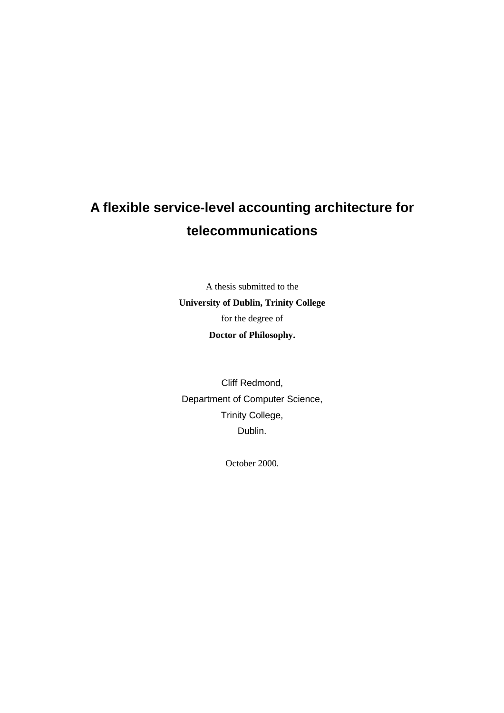# **A flexible service-level accounting architecture for telecommunications**

A thesis submitted to the **University of Dublin, Trinity College**  for the degree of **Doctor of Philosophy.** 

Cliff Redmond, Department of Computer Science, Trinity College, Dublin.

October 2000.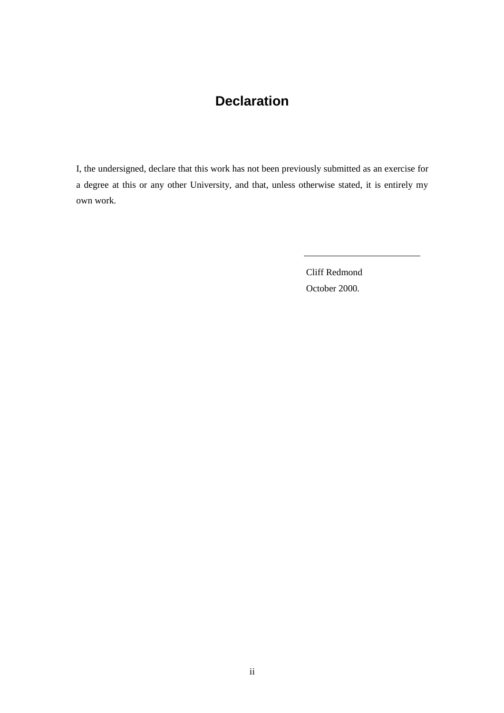## **Declaration**

I, the undersigned, declare that this work has not been previously submitted as an exercise for a degree at this or any other University, and that, unless otherwise stated, it is entirely my own work.

> Cliff Redmond October 2000.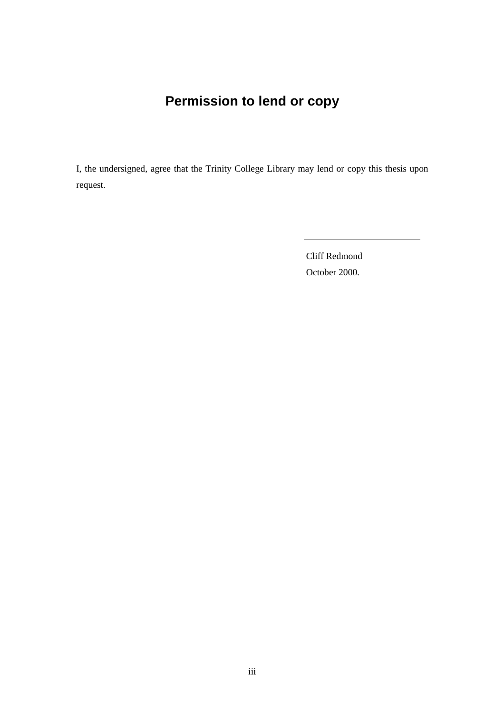# **Permission to lend or copy**

I, the undersigned, agree that the Trinity College Library may lend or copy this thesis upon request.

> Cliff Redmond October 2000.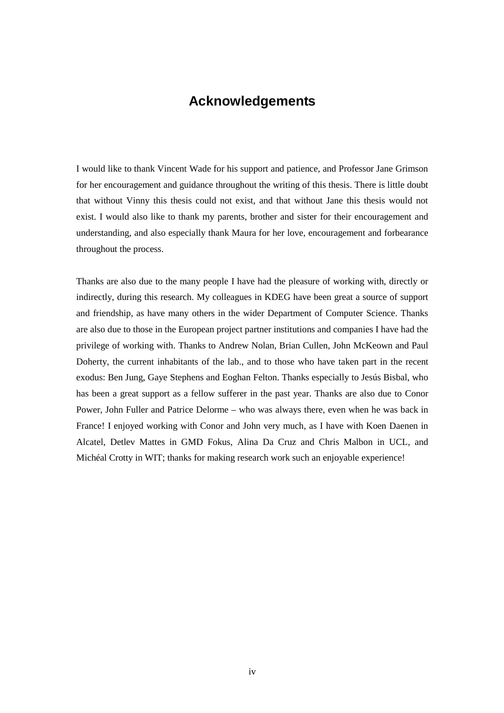## **Acknowledgements**

I would like to thank Vincent Wade for his support and patience, and Professor Jane Grimson for her encouragement and guidance throughout the writing of this thesis. There is little doubt that without Vinny this thesis could not exist, and that without Jane this thesis would not exist. I would also like to thank my parents, brother and sister for their encouragement and understanding, and also especially thank Maura for her love, encouragement and forbearance throughout the process.

Thanks are also due to the many people I have had the pleasure of working with, directly or indirectly, during this research. My colleagues in KDEG have been great a source of support and friendship, as have many others in the wider Department of Computer Science. Thanks are also due to those in the European project partner institutions and companies I have had the privilege of working with. Thanks to Andrew Nolan, Brian Cullen, John McKeown and Paul Doherty, the current inhabitants of the lab., and to those who have taken part in the recent exodus: Ben Jung, Gaye Stephens and Eoghan Felton. Thanks especially to Jesús Bisbal, who has been a great support as a fellow sufferer in the past year. Thanks are also due to Conor Power, John Fuller and Patrice Delorme – who was always there, even when he was back in France! I enjoyed working with Conor and John very much, as I have with Koen Daenen in Alcatel, Detlev Mattes in GMD Fokus, Alina Da Cruz and Chris Malbon in UCL, and Michéal Crotty in WIT; thanks for making research work such an enjoyable experience!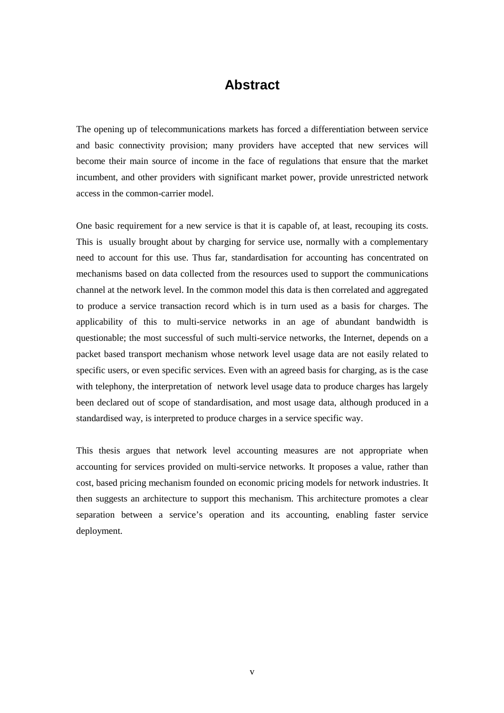## **Abstract**

The opening up of telecommunications markets has forced a differentiation between service and basic connectivity provision; many providers have accepted that new services will become their main source of income in the face of regulations that ensure that the market incumbent, and other providers with significant market power, provide unrestricted network access in the common-carrier model.

One basic requirement for a new service is that it is capable of, at least, recouping its costs. This is usually brought about by charging for service use, normally with a complementary need to account for this use. Thus far, standardisation for accounting has concentrated on mechanisms based on data collected from the resources used to support the communications channel at the network level. In the common model this data is then correlated and aggregated to produce a service transaction record which is in turn used as a basis for charges. The applicability of this to multi-service networks in an age of abundant bandwidth is questionable; the most successful of such multi-service networks, the Internet, depends on a packet based transport mechanism whose network level usage data are not easily related to specific users, or even specific services. Even with an agreed basis for charging, as is the case with telephony, the interpretation of network level usage data to produce charges has largely been declared out of scope of standardisation, and most usage data, although produced in a standardised way, is interpreted to produce charges in a service specific way.

This thesis argues that network level accounting measures are not appropriate when accounting for services provided on multi-service networks. It proposes a value, rather than cost, based pricing mechanism founded on economic pricing models for network industries. It then suggests an architecture to support this mechanism. This architecture promotes a clear separation between a service's operation and its accounting, enabling faster service deployment.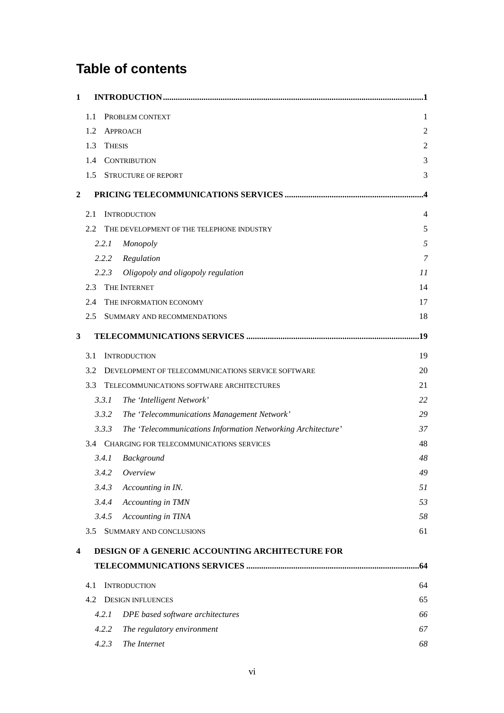# **Table of contents**

| 1              |     |               |                                                              |                |
|----------------|-----|---------------|--------------------------------------------------------------|----------------|
|                | 1.1 |               | PROBLEM CONTEXT                                              | 1              |
|                | 1.2 |               | <b>APPROACH</b>                                              | $\overline{c}$ |
|                | 1.3 | <b>THESIS</b> |                                                              | 2              |
|                | 1.4 |               | <b>CONTRIBUTION</b>                                          | 3              |
|                | 1.5 |               | <b>STRUCTURE OF REPORT</b>                                   | 3              |
| $\overline{2}$ |     |               |                                                              |                |
|                | 2.1 |               | <b>INTRODUCTION</b>                                          | 4              |
|                | 2.2 |               | THE DEVELOPMENT OF THE TELEPHONE INDUSTRY                    | 5              |
|                |     | 2.2.1         | Monopoly                                                     | 5              |
|                |     | 2.2.2         | Regulation                                                   | 7              |
|                |     | 2.2.3         | Oligopoly and oligopoly regulation                           | 11             |
|                | 2.3 |               | THE INTERNET                                                 | 14             |
|                | 2.4 |               | THE INFORMATION ECONOMY                                      | 17             |
|                | 2.5 |               | SUMMARY AND RECOMMENDATIONS                                  | 18             |
| $\mathbf{3}$   |     |               |                                                              | 19             |
|                | 3.1 |               | <b>INTRODUCTION</b>                                          | 19             |
|                | 3.2 |               | DEVELOPMENT OF TELECOMMUNICATIONS SERVICE SOFTWARE           | 20             |
|                | 3.3 |               | TELECOMMUNICATIONS SOFTWARE ARCHITECTURES                    | 21             |
|                |     | 3.3.1         | The 'Intelligent Network'                                    | 22             |
|                |     | 3.3.2         | The 'Telecommunications Management Network'                  | 29             |
|                |     | 3.3.3         | The 'Telecommunications Information Networking Architecture' | 37             |
|                |     |               | 3.4 CHARGING FOR TELECOMMUNICATIONS SERVICES                 | 48             |
|                |     | 3.4.1         | Background                                                   | 48             |
|                |     | 3.4.2         | Overview                                                     | 49             |
|                |     | 3.4.3         | Accounting in IN.                                            | 51             |
|                |     | 3.4.4         | Accounting in TMN                                            | 53             |
|                |     | 3.4.5         | Accounting in TINA                                           | 58             |
|                |     |               | 3.5 SUMMARY AND CONCLUSIONS                                  | 61             |
| 4              |     |               | DESIGN OF A GENERIC ACCOUNTING ARCHITECTURE FOR              |                |
|                |     |               |                                                              | .64            |
|                | 4.1 |               | <b>INTRODUCTION</b>                                          | 64             |
|                | 4.2 |               | <b>DESIGN INFLUENCES</b>                                     | 65             |
|                |     | 4.2.1         | DPE based software architectures                             | 66             |
|                |     | 4.2.2         | The regulatory environment                                   | 67             |
|                |     | 4.2.3         | The Internet                                                 | 68             |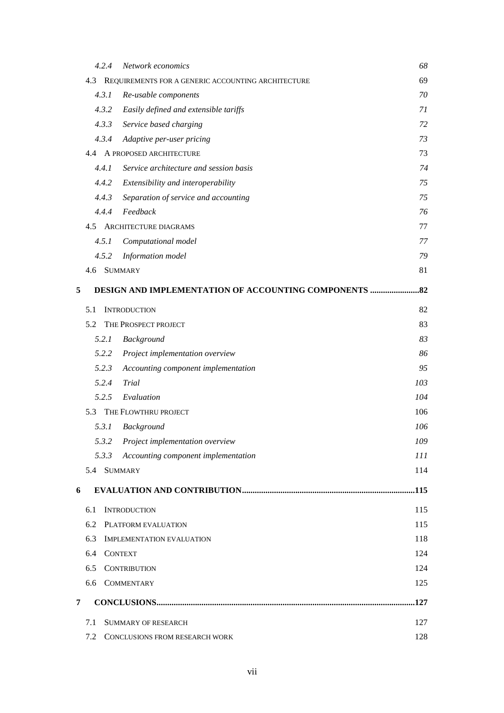|   |     | 4.2.4          | Network economics                                  | 68  |
|---|-----|----------------|----------------------------------------------------|-----|
|   | 4.3 |                | REQUIREMENTS FOR A GENERIC ACCOUNTING ARCHITECTURE | 69  |
|   |     | 4.3.1          | Re-usable components                               | 70  |
|   |     | 4.3.2          | Easily defined and extensible tariffs              | 71  |
|   |     | 4.3.3          | Service based charging                             | 72  |
|   |     | 4.3.4          | Adaptive per-user pricing                          | 73  |
|   |     |                | 4.4 A PROPOSED ARCHITECTURE                        | 73  |
|   |     | 4.4.1          | Service architecture and session basis             | 74  |
|   |     | 4.4.2          | Extensibility and interoperability                 | 75  |
|   |     | 4.4.3          | Separation of service and accounting               | 75  |
|   |     | 4.4.4          | Feedback                                           | 76  |
|   | 4.5 |                | <b>ARCHITECTURE DIAGRAMS</b>                       | 77  |
|   |     | 4.5.1          | Computational model                                | 77  |
|   |     | 4.5.2          | Information model                                  | 79  |
|   |     |                | 4.6 SUMMARY                                        | 81  |
| 5 |     |                | DESIGN AND IMPLEMENTATION OF ACCOUNTING COMPONENTS | .82 |
|   | 5.1 |                | <b>INTRODUCTION</b>                                | 82  |
|   | 5.2 |                | THE PROSPECT PROJECT                               | 83  |
|   |     | 5.2.1          | Background                                         | 83  |
|   |     | 5.2.2          | Project implementation overview                    | 86  |
|   |     | 5.2.3          | Accounting component implementation                | 95  |
|   |     | 5.2.4          | Trial                                              | 103 |
|   |     | 5.2.5          | Evaluation                                         | 104 |
|   | 5.3 |                | THE FLOWTHRU PROJECT                               | 106 |
|   |     | 5.3.1          | <b>Background</b>                                  | 106 |
|   |     | 5.3.2          | Project implementation overview                    | 109 |
|   |     | 5.3.3          | Accounting component implementation                | 111 |
|   |     | 5.4 SUMMARY    |                                                    | 114 |
| 6 |     |                |                                                    |     |
|   | 6.1 |                | <b>INTRODUCTION</b>                                | 115 |
|   | 6.2 |                | PLATFORM EVALUATION                                | 115 |
|   | 6.3 |                | <b>IMPLEMENTATION EVALUATION</b>                   | 118 |
|   | 6.4 | <b>CONTEXT</b> |                                                    | 124 |
|   | 6.5 |                | <b>CONTRIBUTION</b>                                | 124 |
|   | 6.6 |                | <b>COMMENTARY</b>                                  | 125 |
| 7 |     |                |                                                    | 127 |
|   | 7.1 |                | <b>SUMMARY OF RESEARCH</b>                         | 127 |
|   | 7.2 |                | CONCLUSIONS FROM RESEARCH WORK                     | 128 |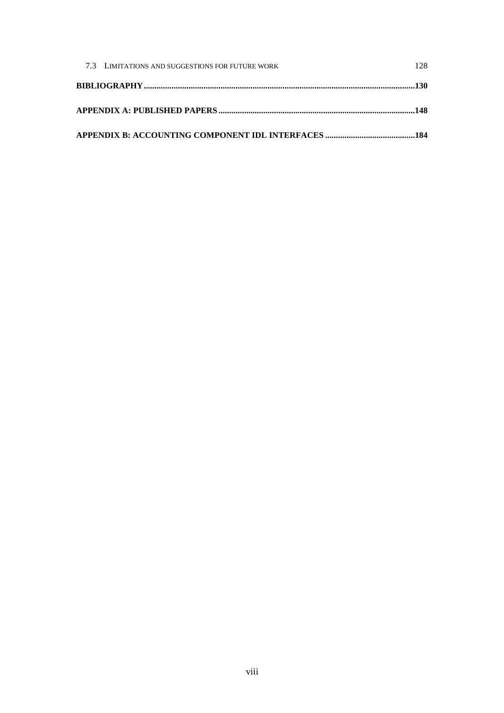| 7.3 LIMITATIONS AND SUGGESTIONS FOR FUTURE WORK | 128. |
|-------------------------------------------------|------|
|                                                 |      |
|                                                 |      |
|                                                 |      |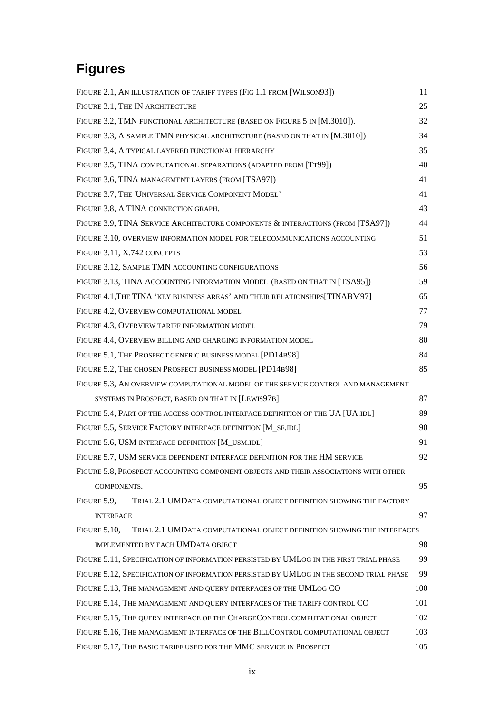# **Figures**

| FIGURE 2.1, AN ILLUSTRATION OF TARIFF TYPES (FIG 1.1 FROM [WILSON93])                          | 11  |
|------------------------------------------------------------------------------------------------|-----|
| FIGURE 3.1, THE IN ARCHITECTURE                                                                | 25  |
| FIGURE 3.2, TMN FUNCTIONAL ARCHITECTURE (BASED ON FIGURE 5 IN [M.3010]).                       | 32  |
| FIGURE 3.3, A SAMPLE TMN PHYSICAL ARCHITECTURE (BASED ON THAT IN [M.3010])                     | 34  |
| FIGURE 3.4, A TYPICAL LAYERED FUNCTIONAL HIERARCHY                                             | 35  |
| FIGURE 3.5, TINA COMPUTATIONAL SEPARATIONS (ADAPTED FROM [TT99])                               | 40  |
| FIGURE 3.6, TINA MANAGEMENT LAYERS (FROM [TSA97])                                              | 41  |
| FIGURE 3.7, THE UNIVERSAL SERVICE COMPONENT MODEL'                                             | 41  |
| FIGURE 3.8, A TINA CONNECTION GRAPH.                                                           | 43  |
| FIGURE 3.9, TINA SERVICE ARCHITECTURE COMPONENTS & INTERACTIONS (FROM [TSA97])                 | 44  |
| FIGURE 3.10, OVERVIEW INFORMATION MODEL FOR TELECOMMUNICATIONS ACCOUNTING                      | 51  |
| FIGURE 3.11, X.742 CONCEPTS                                                                    | 53  |
| FIGURE 3.12, SAMPLE TMN ACCOUNTING CONFIGURATIONS                                              | 56  |
| FIGURE 3.13, TINA ACCOUNTING INFORMATION MODEL (BASED ON THAT IN [TSA95])                      | 59  |
| FIGURE 4.1, THE TINA 'KEY BUSINESS AREAS' AND THEIR RELATIONSHIPS[TINABM97]                    | 65  |
| FIGURE 4.2, OVERVIEW COMPUTATIONAL MODEL                                                       | 77  |
| FIGURE 4.3, OVERVIEW TARIFF INFORMATION MODEL                                                  | 79  |
| FIGURE 4.4, OVERVIEW BILLING AND CHARGING INFORMATION MODEL                                    | 80  |
| FIGURE 5.1, THE PROSPECT GENERIC BUSINESS MODEL [PD14B98]                                      | 84  |
| FIGURE 5.2, THE CHOSEN PROSPECT BUSINESS MODEL [PD14B98]                                       | 85  |
| FIGURE 5.3, AN OVERVIEW COMPUTATIONAL MODEL OF THE SERVICE CONTROL AND MANAGEMENT              |     |
| SYSTEMS IN PROSPECT, BASED ON THAT IN [LEWIS97B]                                               | 87  |
| FIGURE 5.4, PART OF THE ACCESS CONTROL INTERFACE DEFINITION OF THE UA [UA.IDL]                 | 89  |
| FIGURE 5.5, SERVICE FACTORY INTERFACE DEFINITION [M_SF.IDL]                                    | 90  |
| FIGURE 5.6, USM INTERFACE DEFINITION [M_USM.IDL]                                               | 91  |
| FIGURE 5.7, USM SERVICE DEPENDENT INTERFACE DEFINITION FOR THE HM SERVICE                      | 92  |
| FIGURE 5.8, PROSPECT ACCOUNTING COMPONENT OBJECTS AND THEIR ASSOCIATIONS WITH OTHER            |     |
| COMPONENTS.                                                                                    | 95  |
| FIGURE 5.9,<br>TRIAL 2.1 UMDATA COMPUTATIONAL OBJECT DEFINITION SHOWING THE FACTORY            |     |
| <b>INTERFACE</b>                                                                               | 97  |
| <b>FIGURE 5.10,</b><br>TRIAL 2.1 UMDATA COMPUTATIONAL OBJECT DEFINITION SHOWING THE INTERFACES |     |
| IMPLEMENTED BY EACH UMDATA OBJECT                                                              | 98  |
| FIGURE 5.11, SPECIFICATION OF INFORMATION PERSISTED BY UMLOG IN THE FIRST TRIAL PHASE          | 99  |
| FIGURE 5.12, SPECIFICATION OF INFORMATION PERSISTED BY UMLOG IN THE SECOND TRIAL PHASE         | 99  |
| FIGURE 5.13, THE MANAGEMENT AND QUERY INTERFACES OF THE UMLOG CO                               | 100 |
| FIGURE 5.14, THE MANAGEMENT AND QUERY INTERFACES OF THE TARIFF CONTROL CO                      | 101 |
| FIGURE 5.15, THE QUERY INTERFACE OF THE CHARGECONTROL COMPUTATIONAL OBJECT                     | 102 |
| FIGURE 5.16, THE MANAGEMENT INTERFACE OF THE BILLCONTROL COMPUTATIONAL OBJECT                  | 103 |
| FIGURE 5.17, THE BASIC TARIFF USED FOR THE MMC SERVICE IN PROSPECT                             | 105 |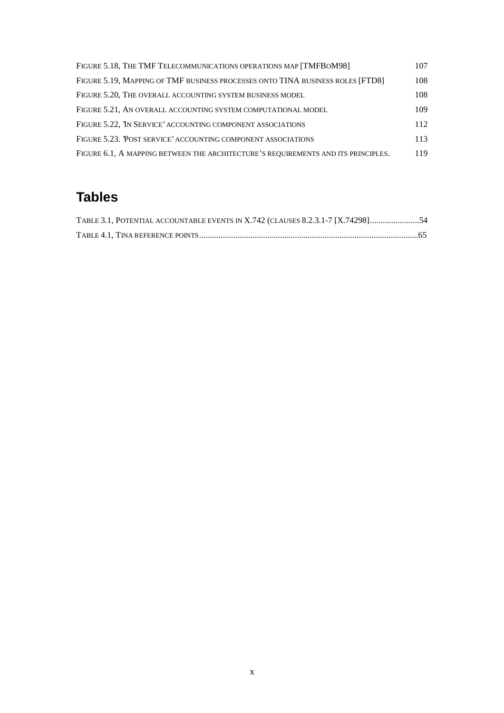| FIGURE 5.18, THE TMF TELECOMMUNICATIONS OPERATIONS MAP [TMFBOM98]                 | 107 |
|-----------------------------------------------------------------------------------|-----|
| FIGURE 5.19, MAPPING OF TMF BUSINESS PROCESSES ONTO TINA BUSINESS ROLES [FTD8]    | 108 |
| FIGURE 5.20. THE OVERALL ACCOUNTING SYSTEM BUSINESS MODEL                         | 108 |
| FIGURE 5.21, AN OVERALL ACCOUNTING SYSTEM COMPUTATIONAL MODEL                     | 109 |
| FIGURE 5.22. IN SERVICE' ACCOUNTING COMPONENT ASSOCIATIONS                        | 112 |
| FIGURE 5.23. POST SERVICE' ACCOUNTING COMPONENT ASSOCIATIONS                      | 113 |
| FIGURE 6.1, A MAPPING BETWEEN THE ARCHITECTURE'S REQUIREMENTS AND ITS PRINCIPLES. | 119 |

# **Tables**

| TABLE 3.1, POTENTIAL ACCOUNTABLE EVENTS IN X.742 (CLAUSES 8.2.3.1-7 [X.74298]54 |
|---------------------------------------------------------------------------------|
|                                                                                 |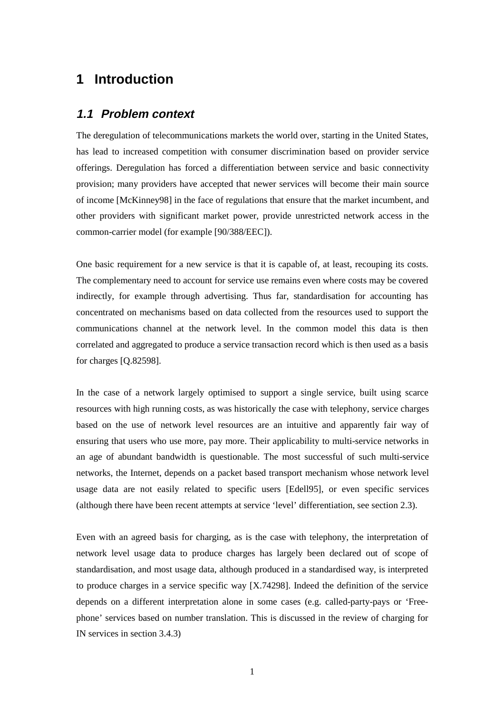## **1 Introduction**

#### **1.1 Problem context**

The deregulation of telecommunications markets the world over, starting in the United States, has lead to increased competition with consumer discrimination based on provider service offerings. Deregulation has forced a differentiation between service and basic connectivity provision; many providers have accepted that newer services will become their main source of income [McKinney98] in the face of regulations that ensure that the market incumbent, and other providers with significant market power, provide unrestricted network access in the common-carrier model (for example [90/388/EEC]).

One basic requirement for a new service is that it is capable of, at least, recouping its costs. The complementary need to account for service use remains even where costs may be covered indirectly, for example through advertising. Thus far, standardisation for accounting has concentrated on mechanisms based on data collected from the resources used to support the communications channel at the network level. In the common model this data is then correlated and aggregated to produce a service transaction record which is then used as a basis for charges [Q.82598].

In the case of a network largely optimised to support a single service, built using scarce resources with high running costs, as was historically the case with telephony, service charges based on the use of network level resources are an intuitive and apparently fair way of ensuring that users who use more, pay more. Their applicability to multi-service networks in an age of abundant bandwidth is questionable. The most successful of such multi-service networks, the Internet, depends on a packet based transport mechanism whose network level usage data are not easily related to specific users [Edell95], or even specific services (although there have been recent attempts at service 'level' differentiation, see section 2.3).

Even with an agreed basis for charging, as is the case with telephony, the interpretation of network level usage data to produce charges has largely been declared out of scope of standardisation, and most usage data, although produced in a standardised way, is interpreted to produce charges in a service specific way [X.74298]. Indeed the definition of the service depends on a different interpretation alone in some cases (e.g. called-party-pays or 'Freephone' services based on number translation. This is discussed in the review of charging for IN services in section 3.4.3)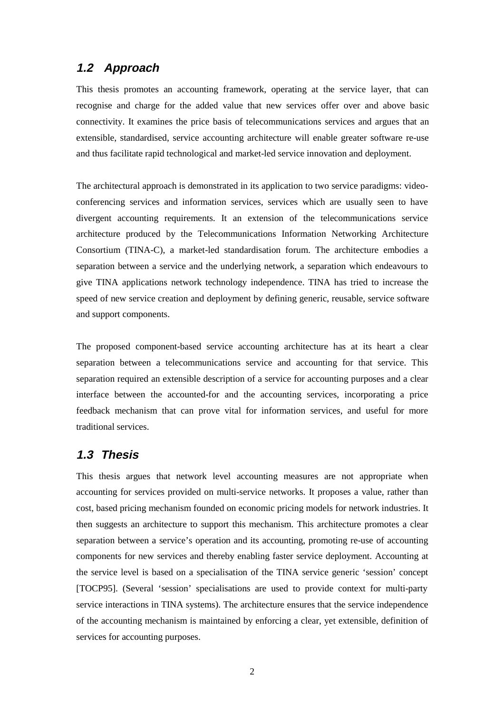### **1.2 Approach**

This thesis promotes an accounting framework, operating at the service layer, that can recognise and charge for the added value that new services offer over and above basic connectivity. It examines the price basis of telecommunications services and argues that an extensible, standardised, service accounting architecture will enable greater software re-use and thus facilitate rapid technological and market-led service innovation and deployment.

The architectural approach is demonstrated in its application to two service paradigms: videoconferencing services and information services, services which are usually seen to have divergent accounting requirements. It an extension of the telecommunications service architecture produced by the Telecommunications Information Networking Architecture Consortium (TINA-C), a market-led standardisation forum. The architecture embodies a separation between a service and the underlying network, a separation which endeavours to give TINA applications network technology independence. TINA has tried to increase the speed of new service creation and deployment by defining generic, reusable, service software and support components.

The proposed component-based service accounting architecture has at its heart a clear separation between a telecommunications service and accounting for that service. This separation required an extensible description of a service for accounting purposes and a clear interface between the accounted-for and the accounting services, incorporating a price feedback mechanism that can prove vital for information services, and useful for more traditional services.

#### **1.3 Thesis**

This thesis argues that network level accounting measures are not appropriate when accounting for services provided on multi-service networks. It proposes a value, rather than cost, based pricing mechanism founded on economic pricing models for network industries. It then suggests an architecture to support this mechanism. This architecture promotes a clear separation between a service's operation and its accounting, promoting re-use of accounting components for new services and thereby enabling faster service deployment. Accounting at the service level is based on a specialisation of the TINA service generic 'session' concept [TOCP95]. (Several 'session' specialisations are used to provide context for multi-party service interactions in TINA systems). The architecture ensures that the service independence of the accounting mechanism is maintained by enforcing a clear, yet extensible, definition of services for accounting purposes.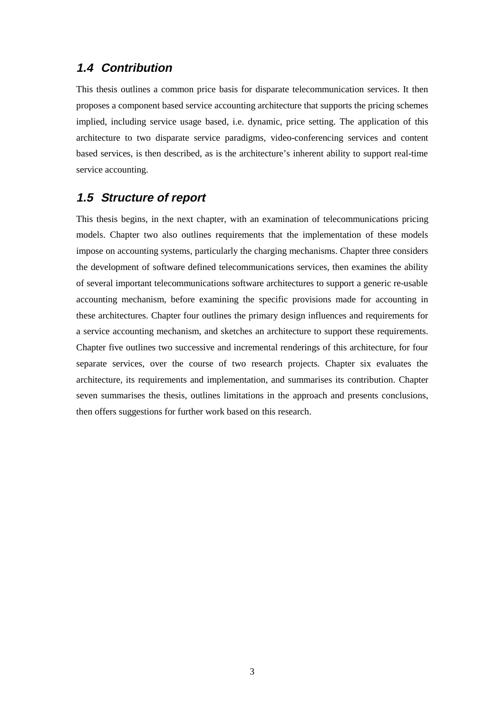### **1.4 Contribution**

This thesis outlines a common price basis for disparate telecommunication services. It then proposes a component based service accounting architecture that supports the pricing schemes implied, including service usage based, i.e. dynamic, price setting. The application of this architecture to two disparate service paradigms, video-conferencing services and content based services, is then described, as is the architecture's inherent ability to support real-time service accounting.

### **1.5 Structure of report**

This thesis begins, in the next chapter, with an examination of telecommunications pricing models. Chapter two also outlines requirements that the implementation of these models impose on accounting systems, particularly the charging mechanisms. Chapter three considers the development of software defined telecommunications services, then examines the ability of several important telecommunications software architectures to support a generic re-usable accounting mechanism, before examining the specific provisions made for accounting in these architectures. Chapter four outlines the primary design influences and requirements for a service accounting mechanism, and sketches an architecture to support these requirements. Chapter five outlines two successive and incremental renderings of this architecture, for four separate services, over the course of two research projects. Chapter six evaluates the architecture, its requirements and implementation, and summarises its contribution. Chapter seven summarises the thesis, outlines limitations in the approach and presents conclusions, then offers suggestions for further work based on this research.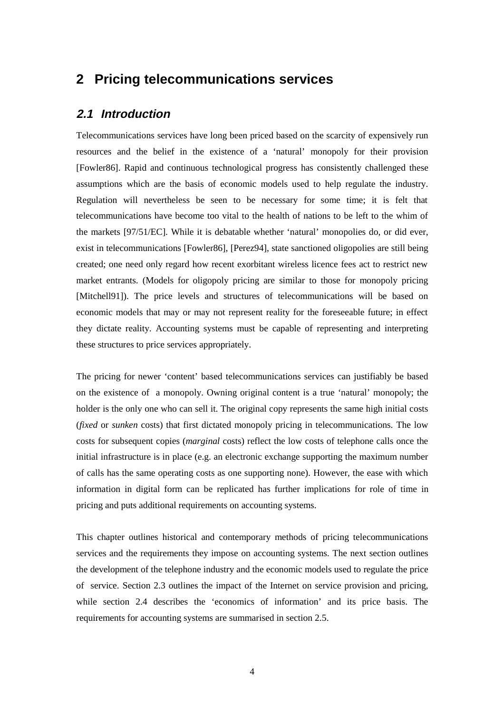## **2 Pricing telecommunications services**

#### **2.1 Introduction**

Telecommunications services have long been priced based on the scarcity of expensively run resources and the belief in the existence of a 'natural' monopoly for their provision [Fowler86]. Rapid and continuous technological progress has consistently challenged these assumptions which are the basis of economic models used to help regulate the industry. Regulation will nevertheless be seen to be necessary for some time; it is felt that telecommunications have become too vital to the health of nations to be left to the whim of the markets [97/51/EC]. While it is debatable whether 'natural' monopolies do, or did ever, exist in telecommunications [Fowler86], [Perez94], state sanctioned oligopolies are still being created; one need only regard how recent exorbitant wireless licence fees act to restrict new market entrants. (Models for oligopoly pricing are similar to those for monopoly pricing [Mitchell91]). The price levels and structures of telecommunications will be based on economic models that may or may not represent reality for the foreseeable future; in effect they dictate reality. Accounting systems must be capable of representing and interpreting these structures to price services appropriately.

The pricing for newer 'content' based telecommunications services can justifiably be based on the existence of a monopoly. Owning original content is a true 'natural' monopoly; the holder is the only one who can sell it. The original copy represents the same high initial costs (*fixed* or *sunken* costs) that first dictated monopoly pricing in telecommunications. The low costs for subsequent copies (*marginal* costs) reflect the low costs of telephone calls once the initial infrastructure is in place (e.g. an electronic exchange supporting the maximum number of calls has the same operating costs as one supporting none). However, the ease with which information in digital form can be replicated has further implications for role of time in pricing and puts additional requirements on accounting systems.

This chapter outlines historical and contemporary methods of pricing telecommunications services and the requirements they impose on accounting systems. The next section outlines the development of the telephone industry and the economic models used to regulate the price of service. Section 2.3 outlines the impact of the Internet on service provision and pricing, while section 2.4 describes the 'economics of information' and its price basis. The requirements for accounting systems are summarised in section 2.5.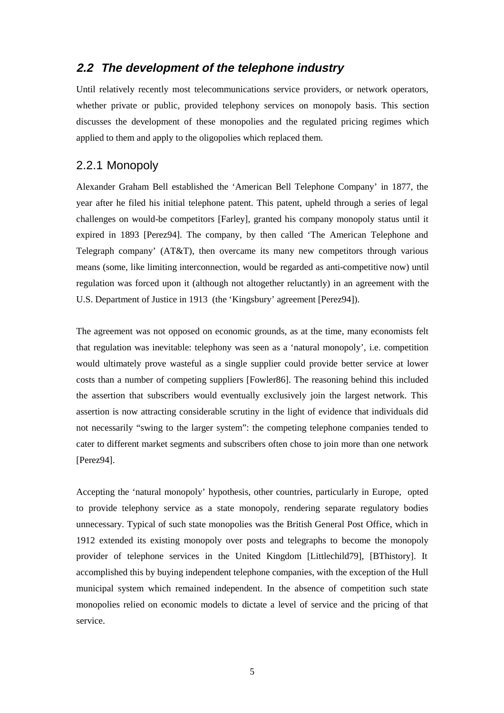### **2.2 The development of the telephone industry**

Until relatively recently most telecommunications service providers, or network operators, whether private or public, provided telephony services on monopoly basis. This section discusses the development of these monopolies and the regulated pricing regimes which applied to them and apply to the oligopolies which replaced them.

### 2.2.1 Monopoly

Alexander Graham Bell established the 'American Bell Telephone Company' in 1877, the year after he filed his initial telephone patent. This patent, upheld through a series of legal challenges on would-be competitors [Farley], granted his company monopoly status until it expired in 1893 [Perez94]. The company, by then called 'The American Telephone and Telegraph company' (AT&T), then overcame its many new competitors through various means (some, like limiting interconnection, would be regarded as anti-competitive now) until regulation was forced upon it (although not altogether reluctantly) in an agreement with the U.S. Department of Justice in 1913 (the 'Kingsbury' agreement [Perez94]).

The agreement was not opposed on economic grounds, as at the time, many economists felt that regulation was inevitable: telephony was seen as a 'natural monopoly', i.e. competition would ultimately prove wasteful as a single supplier could provide better service at lower costs than a number of competing suppliers [Fowler86]. The reasoning behind this included the assertion that subscribers would eventually exclusively join the largest network. This assertion is now attracting considerable scrutiny in the light of evidence that individuals did not necessarily "swing to the larger system": the competing telephone companies tended to cater to different market segments and subscribers often chose to join more than one network [Perez94].

Accepting the 'natural monopoly' hypothesis, other countries, particularly in Europe, opted to provide telephony service as a state monopoly, rendering separate regulatory bodies unnecessary. Typical of such state monopolies was the British General Post Office, which in 1912 extended its existing monopoly over posts and telegraphs to become the monopoly provider of telephone services in the United Kingdom [Littlechild79], [BThistory]. It accomplished this by buying independent telephone companies, with the exception of the Hull municipal system which remained independent. In the absence of competition such state monopolies relied on economic models to dictate a level of service and the pricing of that service.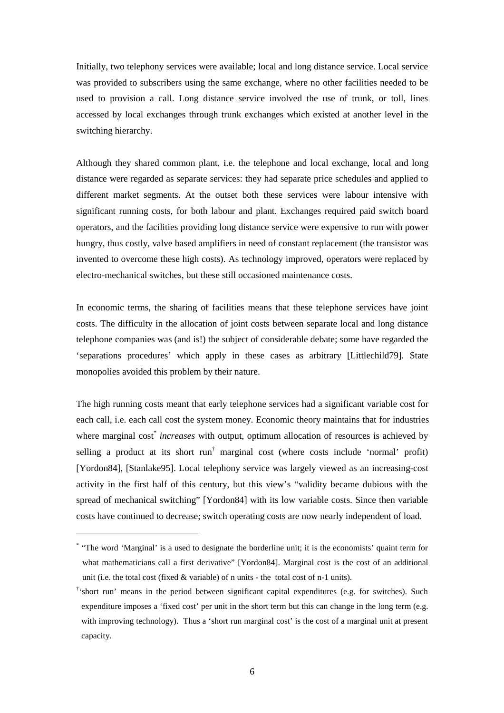Initially, two telephony services were available; local and long distance service. Local service was provided to subscribers using the same exchange, where no other facilities needed to be used to provision a call. Long distance service involved the use of trunk, or toll, lines accessed by local exchanges through trunk exchanges which existed at another level in the switching hierarchy.

Although they shared common plant, i.e. the telephone and local exchange, local and long distance were regarded as separate services: they had separate price schedules and applied to different market segments. At the outset both these services were labour intensive with significant running costs, for both labour and plant. Exchanges required paid switch board operators, and the facilities providing long distance service were expensive to run with power hungry, thus costly, valve based amplifiers in need of constant replacement (the transistor was invented to overcome these high costs). As technology improved, operators were replaced by electro-mechanical switches, but these still occasioned maintenance costs.

In economic terms, the sharing of facilities means that these telephone services have joint costs. The difficulty in the allocation of joint costs between separate local and long distance telephone companies was (and is!) the subject of considerable debate; some have regarded the 'separations procedures' which apply in these cases as arbitrary [Littlechild79]. State monopolies avoided this problem by their nature.

The high running costs meant that early telephone services had a significant variable cost for each call, i.e. each call cost the system money. Economic theory maintains that for industries where marginal cost<sup>\*</sup> *increases* with output, optimum allocation of resources is achieved by selling a product at its short run<sup>†</sup> marginal cost (where costs include 'normal' profit) [Yordon84], [Stanlake95]. Local telephony service was largely viewed as an increasing-cost activity in the first half of this century, but this view's "validity became dubious with the spread of mechanical switching" [Yordon84] with its low variable costs. Since then variable costs have continued to decrease; switch operating costs are now nearly independent of load.

<sup>\*</sup> "The word 'Marginal' is a used to designate the borderline unit; it is the economists' quaint term for what mathematicians call a first derivative" [Yordon84]. Marginal cost is the cost of an additional unit (i.e. the total cost (fixed  $&$  variable) of n units - the total cost of n-1 units).

<sup>†</sup> 'short run' means in the period between significant capital expenditures (e.g. for switches). Such expenditure imposes a 'fixed cost' per unit in the short term but this can change in the long term (e.g. with improving technology). Thus a 'short run marginal cost' is the cost of a marginal unit at present capacity.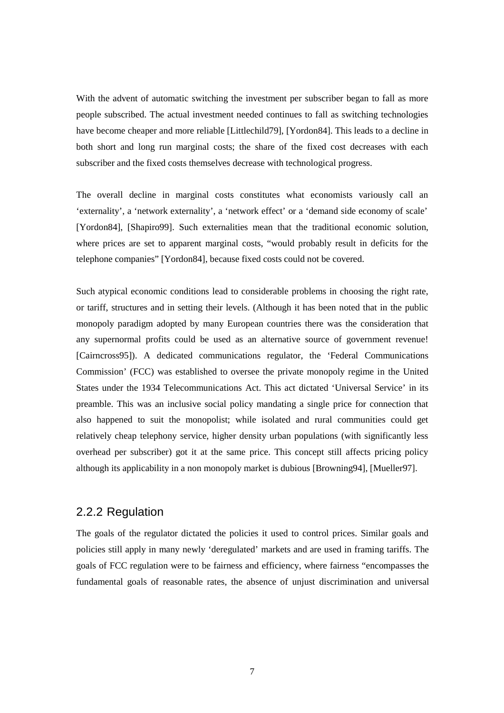With the advent of automatic switching the investment per subscriber began to fall as more people subscribed. The actual investment needed continues to fall as switching technologies have become cheaper and more reliable [Littlechild79], [Yordon84]. This leads to a decline in both short and long run marginal costs; the share of the fixed cost decreases with each subscriber and the fixed costs themselves decrease with technological progress.

The overall decline in marginal costs constitutes what economists variously call an 'externality', a 'network externality', a 'network effect' or a 'demand side economy of scale' [Yordon84], [Shapiro99]. Such externalities mean that the traditional economic solution, where prices are set to apparent marginal costs, "would probably result in deficits for the telephone companies" [Yordon84], because fixed costs could not be covered.

Such atypical economic conditions lead to considerable problems in choosing the right rate, or tariff, structures and in setting their levels. (Although it has been noted that in the public monopoly paradigm adopted by many European countries there was the consideration that any supernormal profits could be used as an alternative source of government revenue! [Cairncross95]). A dedicated communications regulator, the 'Federal Communications Commission' (FCC) was established to oversee the private monopoly regime in the United States under the 1934 Telecommunications Act. This act dictated 'Universal Service' in its preamble. This was an inclusive social policy mandating a single price for connection that also happened to suit the monopolist; while isolated and rural communities could get relatively cheap telephony service, higher density urban populations (with significantly less overhead per subscriber) got it at the same price. This concept still affects pricing policy although its applicability in a non monopoly market is dubious [Browning94], [Mueller97].

#### 2.2.2 Regulation

The goals of the regulator dictated the policies it used to control prices. Similar goals and policies still apply in many newly 'deregulated' markets and are used in framing tariffs. The goals of FCC regulation were to be fairness and efficiency, where fairness "encompasses the fundamental goals of reasonable rates, the absence of unjust discrimination and universal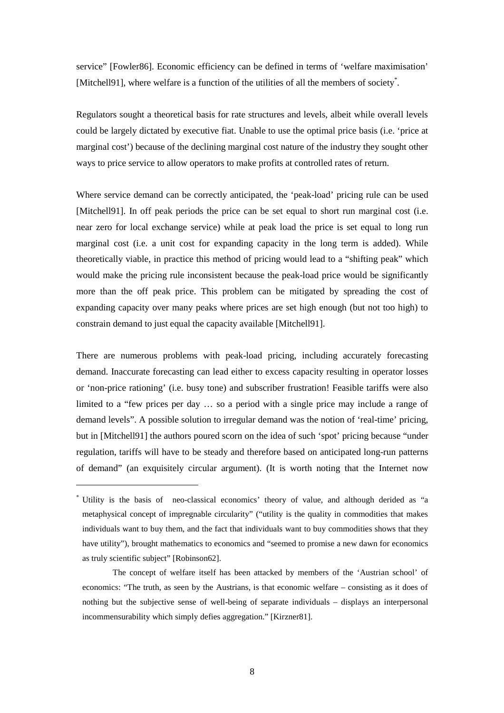service" [Fowler86]. Economic efficiency can be defined in terms of 'welfare maximisation' [Mitchell91], where welfare is a function of the utilities of all the members of society<sup>\*</sup>.

Regulators sought a theoretical basis for rate structures and levels, albeit while overall levels could be largely dictated by executive fiat. Unable to use the optimal price basis (i.e. 'price at marginal cost') because of the declining marginal cost nature of the industry they sought other ways to price service to allow operators to make profits at controlled rates of return.

Where service demand can be correctly anticipated, the 'peak-load' pricing rule can be used [Mitchell91]. In off peak periods the price can be set equal to short run marginal cost (i.e. near zero for local exchange service) while at peak load the price is set equal to long run marginal cost (i.e. a unit cost for expanding capacity in the long term is added). While theoretically viable, in practice this method of pricing would lead to a "shifting peak" which would make the pricing rule inconsistent because the peak-load price would be significantly more than the off peak price. This problem can be mitigated by spreading the cost of expanding capacity over many peaks where prices are set high enough (but not too high) to constrain demand to just equal the capacity available [Mitchell91].

There are numerous problems with peak-load pricing, including accurately forecasting demand. Inaccurate forecasting can lead either to excess capacity resulting in operator losses or 'non-price rationing' (i.e. busy tone) and subscriber frustration! Feasible tariffs were also limited to a "few prices per day … so a period with a single price may include a range of demand levels". A possible solution to irregular demand was the notion of 'real-time' pricing, but in [Mitchell91] the authors poured scorn on the idea of such 'spot' pricing because "under regulation, tariffs will have to be steady and therefore based on anticipated long-run patterns of demand" (an exquisitely circular argument). (It is worth noting that the Internet now

<sup>\*</sup> Utility is the basis of neo-classical economics' theory of value, and although derided as "a metaphysical concept of impregnable circularity" ("utility is the quality in commodities that makes individuals want to buy them, and the fact that individuals want to buy commodities shows that they have utility"), brought mathematics to economics and "seemed to promise a new dawn for economics as truly scientific subject" [Robinson62].

The concept of welfare itself has been attacked by members of the 'Austrian school' of economics: "The truth, as seen by the Austrians, is that economic welfare – consisting as it does of nothing but the subjective sense of well-being of separate individuals – displays an interpersonal incommensurability which simply defies aggregation." [Kirzner81].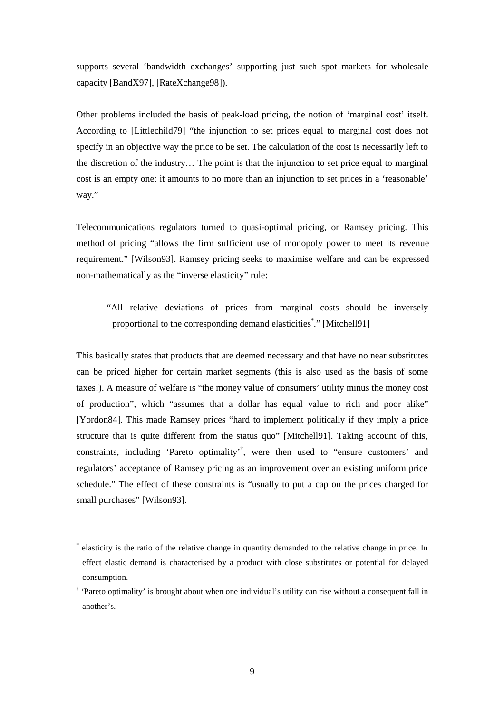supports several 'bandwidth exchanges' supporting just such spot markets for wholesale capacity [BandX97], [RateXchange98]).

Other problems included the basis of peak-load pricing, the notion of 'marginal cost' itself. According to [Littlechild79] "the injunction to set prices equal to marginal cost does not specify in an objective way the price to be set. The calculation of the cost is necessarily left to the discretion of the industry… The point is that the injunction to set price equal to marginal cost is an empty one: it amounts to no more than an injunction to set prices in a 'reasonable' way."

Telecommunications regulators turned to quasi-optimal pricing, or Ramsey pricing. This method of pricing "allows the firm sufficient use of monopoly power to meet its revenue requirement." [Wilson93]. Ramsey pricing seeks to maximise welfare and can be expressed non-mathematically as the "inverse elasticity" rule:

"All relative deviations of prices from marginal costs should be inversely proportional to the corresponding demand elasticities." [Mitchell91]

This basically states that products that are deemed necessary and that have no near substitutes can be priced higher for certain market segments (this is also used as the basis of some taxes!). A measure of welfare is "the money value of consumers' utility minus the money cost of production", which "assumes that a dollar has equal value to rich and poor alike" [Yordon84]. This made Ramsey prices "hard to implement politically if they imply a price structure that is quite different from the status quo" [Mitchell91]. Taking account of this, constraints, including 'Pareto optimality'† , were then used to "ensure customers' and regulators' acceptance of Ramsey pricing as an improvement over an existing uniform price schedule." The effect of these constraints is "usually to put a cap on the prices charged for small purchases" [Wilson93].

<sup>\*</sup> elasticity is the ratio of the relative change in quantity demanded to the relative change in price. In effect elastic demand is characterised by a product with close substitutes or potential for delayed consumption.

<sup>†</sup> 'Pareto optimality' is brought about when one individual's utility can rise without a consequent fall in another's.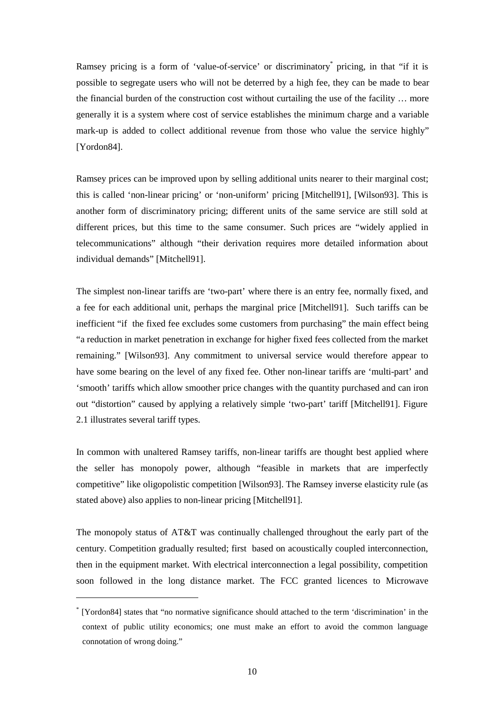Ramsey pricing is a form of 'value-of-service' or discriminatory<sup>\*</sup> pricing, in that "if it is possible to segregate users who will not be deterred by a high fee, they can be made to bear the financial burden of the construction cost without curtailing the use of the facility … more generally it is a system where cost of service establishes the minimum charge and a variable mark-up is added to collect additional revenue from those who value the service highly" [Yordon84].

Ramsey prices can be improved upon by selling additional units nearer to their marginal cost; this is called 'non-linear pricing' or 'non-uniform' pricing [Mitchell91], [Wilson93]. This is another form of discriminatory pricing; different units of the same service are still sold at different prices, but this time to the same consumer. Such prices are "widely applied in telecommunications" although "their derivation requires more detailed information about individual demands" [Mitchell91].

The simplest non-linear tariffs are 'two-part' where there is an entry fee, normally fixed, and a fee for each additional unit, perhaps the marginal price [Mitchell91]. Such tariffs can be inefficient "if the fixed fee excludes some customers from purchasing" the main effect being "a reduction in market penetration in exchange for higher fixed fees collected from the market remaining." [Wilson93]. Any commitment to universal service would therefore appear to have some bearing on the level of any fixed fee. Other non-linear tariffs are 'multi-part' and 'smooth' tariffs which allow smoother price changes with the quantity purchased and can iron out "distortion" caused by applying a relatively simple 'two-part' tariff [Mitchell91]. Figure 2.1 illustrates several tariff types.

In common with unaltered Ramsey tariffs, non-linear tariffs are thought best applied where the seller has monopoly power, although "feasible in markets that are imperfectly competitive" like oligopolistic competition [Wilson93]. The Ramsey inverse elasticity rule (as stated above) also applies to non-linear pricing [Mitchell91].

The monopoly status of AT&T was continually challenged throughout the early part of the century. Competition gradually resulted; first based on acoustically coupled interconnection, then in the equipment market. With electrical interconnection a legal possibility, competition soon followed in the long distance market. The FCC granted licences to Microwave

<sup>\*</sup> [Yordon84] states that "no normative significance should attached to the term 'discrimination' in the context of public utility economics; one must make an effort to avoid the common language connotation of wrong doing."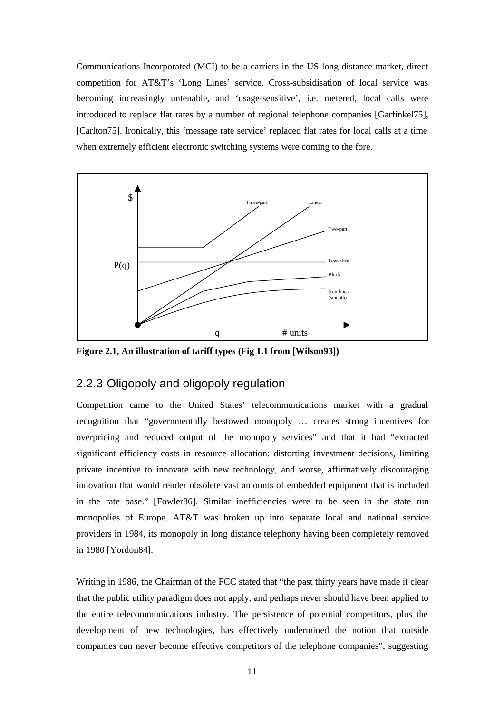Communications Incorporated (MCI) to be a carriers in the US long distance market, direct competition for AT&T's 'Long Lines' service. Cross-subsidisation of local service was becoming increasingly untenable, and 'usage-sensitive', i.e. metered, local calls were introduced to replace flat rates by a number of regional telephone companies [Garfinkel75], [Carlton75]. Ironically, this 'message rate service' replaced flat rates for local calls at a time when extremely efficient electronic switching systems were coming to the fore.



**Figure 2.1, An illustration of tariff types (Fig 1.1 from [Wilson93])** 

### 2.2.3 Oligopoly and oligopoly regulation

Competition came to the United States' telecommunications market with a gradual recognition that "governmentally bestowed monopoly … creates strong incentives for overpricing and reduced output of the monopoly services" and that it had "extracted significant efficiency costs in resource allocation: distorting investment decisions, limiting private incentive to innovate with new technology, and worse, affirmatively discouraging innovation that would render obsolete vast amounts of embedded equipment that is included in the rate base." [Fowler86]. Similar inefficiencies were to be seen in the state run monopolies of Europe. AT&T was broken up into separate local and national service providers in 1984, its monopoly in long distance telephony having been completely removed in 1980 [Yordon84].

Writing in 1986, the Chairman of the FCC stated that "the past thirty years have made it clear that the public utility paradigm does not apply, and perhaps never should have been applied to the entire telecommunications industry. The persistence of potential competitors, plus the development of new technologies, has effectively undermined the notion that outside companies can never become effective competitors of the telephone companies", suggesting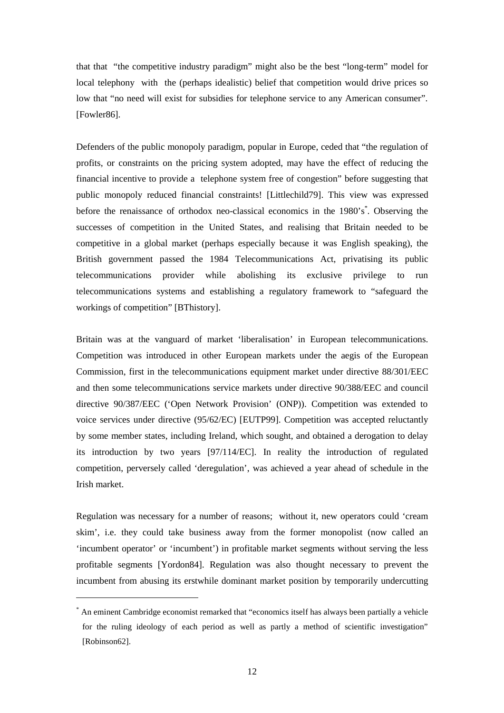that that "the competitive industry paradigm" might also be the best "long-term" model for local telephony with the (perhaps idealistic) belief that competition would drive prices so low that "no need will exist for subsidies for telephone service to any American consumer". [Fowler86].

Defenders of the public monopoly paradigm, popular in Europe, ceded that "the regulation of profits, or constraints on the pricing system adopted, may have the effect of reducing the financial incentive to provide a telephone system free of congestion" before suggesting that public monopoly reduced financial constraints! [Littlechild79]. This view was expressed before the renaissance of orthodox neo-classical economics in the 1980's<sup>\*</sup>. Observing the successes of competition in the United States, and realising that Britain needed to be competitive in a global market (perhaps especially because it was English speaking), the British government passed the 1984 Telecommunications Act, privatising its public telecommunications provider while abolishing its exclusive privilege to run telecommunications systems and establishing a regulatory framework to "safeguard the workings of competition" [BThistory].

Britain was at the vanguard of market 'liberalisation' in European telecommunications. Competition was introduced in other European markets under the aegis of the European Commission, first in the telecommunications equipment market under directive 88/301/EEC and then some telecommunications service markets under directive 90/388/EEC and council directive 90/387/EEC ('Open Network Provision' (ONP)). Competition was extended to voice services under directive (95/62/EC) [EUTP99]. Competition was accepted reluctantly by some member states, including Ireland, which sought, and obtained a derogation to delay its introduction by two years [97/114/EC]. In reality the introduction of regulated competition, perversely called 'deregulation', was achieved a year ahead of schedule in the Irish market.

Regulation was necessary for a number of reasons; without it, new operators could 'cream skim', i.e. they could take business away from the former monopolist (now called an 'incumbent operator' or 'incumbent') in profitable market segments without serving the less profitable segments [Yordon84]. Regulation was also thought necessary to prevent the incumbent from abusing its erstwhile dominant market position by temporarily undercutting

<sup>\*</sup> An eminent Cambridge economist remarked that "economics itself has always been partially a vehicle for the ruling ideology of each period as well as partly a method of scientific investigation" [Robinson62].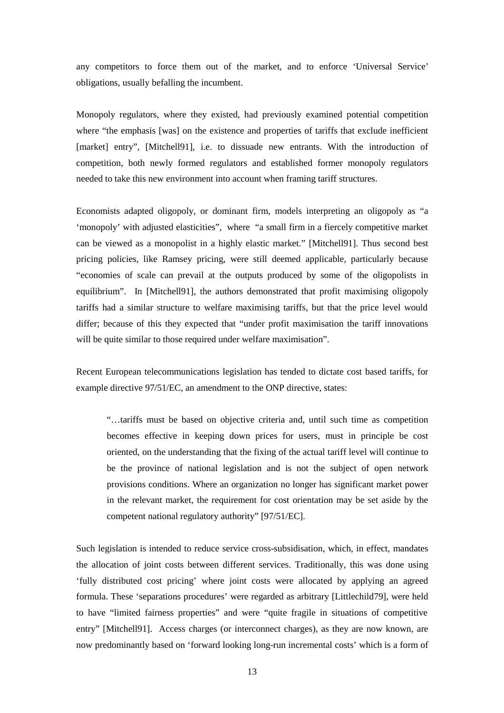any competitors to force them out of the market, and to enforce 'Universal Service' obligations, usually befalling the incumbent.

Monopoly regulators, where they existed, had previously examined potential competition where "the emphasis [was] on the existence and properties of tariffs that exclude inefficient [market] entry", [Mitchell91], i.e. to dissuade new entrants. With the introduction of competition, both newly formed regulators and established former monopoly regulators needed to take this new environment into account when framing tariff structures.

Economists adapted oligopoly, or dominant firm, models interpreting an oligopoly as "a 'monopoly' with adjusted elasticities", where "a small firm in a fiercely competitive market can be viewed as a monopolist in a highly elastic market." [Mitchell91]. Thus second best pricing policies, like Ramsey pricing, were still deemed applicable, particularly because "economies of scale can prevail at the outputs produced by some of the oligopolists in equilibrium". In [Mitchell91], the authors demonstrated that profit maximising oligopoly tariffs had a similar structure to welfare maximising tariffs, but that the price level would differ; because of this they expected that "under profit maximisation the tariff innovations will be quite similar to those required under welfare maximisation".

Recent European telecommunications legislation has tended to dictate cost based tariffs, for example directive 97/51/EC, an amendment to the ONP directive, states:

"…tariffs must be based on objective criteria and, until such time as competition becomes effective in keeping down prices for users, must in principle be cost oriented, on the understanding that the fixing of the actual tariff level will continue to be the province of national legislation and is not the subject of open network provisions conditions. Where an organization no longer has significant market power in the relevant market, the requirement for cost orientation may be set aside by the competent national regulatory authority" [97/51/EC].

Such legislation is intended to reduce service cross-subsidisation, which, in effect, mandates the allocation of joint costs between different services. Traditionally, this was done using 'fully distributed cost pricing' where joint costs were allocated by applying an agreed formula. These 'separations procedures' were regarded as arbitrary [Littlechild79], were held to have "limited fairness properties" and were "quite fragile in situations of competitive entry" [Mitchell91]. Access charges (or interconnect charges), as they are now known, are now predominantly based on 'forward looking long-run incremental costs' which is a form of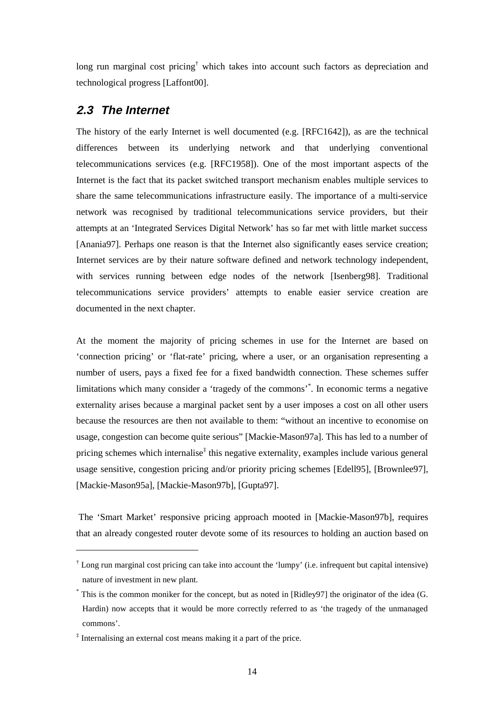long run marginal cost pricing<sup>†</sup> which takes into account such factors as depreciation and technological progress [Laffont00].

### **2.3 The Internet**

The history of the early Internet is well documented (e.g. [RFC1642]), as are the technical differences between its underlying network and that underlying conventional telecommunications services (e.g. [RFC1958]). One of the most important aspects of the Internet is the fact that its packet switched transport mechanism enables multiple services to share the same telecommunications infrastructure easily. The importance of a multi-service network was recognised by traditional telecommunications service providers, but their attempts at an 'Integrated Services Digital Network' has so far met with little market success [Anania97]. Perhaps one reason is that the Internet also significantly eases service creation; Internet services are by their nature software defined and network technology independent, with services running between edge nodes of the network [Isenberg98]. Traditional telecommunications service providers' attempts to enable easier service creation are documented in the next chapter.

At the moment the majority of pricing schemes in use for the Internet are based on 'connection pricing' or 'flat-rate' pricing, where a user, or an organisation representing a number of users, pays a fixed fee for a fixed bandwidth connection. These schemes suffer limitations which many consider a 'tragedy of the commons'\* . In economic terms a negative externality arises because a marginal packet sent by a user imposes a cost on all other users because the resources are then not available to them: "without an incentive to economise on usage, congestion can become quite serious" [Mackie-Mason97a]. This has led to a number of pricing schemes which internalise<sup>‡</sup> this negative externality, examples include various general usage sensitive, congestion pricing and/or priority pricing schemes [Edell95], [Brownlee97], [Mackie-Mason95a], [Mackie-Mason97b], [Gupta97].

 The 'Smart Market' responsive pricing approach mooted in [Mackie-Mason97b], requires that an already congested router devote some of its resources to holding an auction based on

<sup>†</sup> Long run marginal cost pricing can take into account the 'lumpy' (i.e. infrequent but capital intensive) nature of investment in new plant.

<sup>\*</sup> This is the common moniker for the concept, but as noted in [Ridley97] the originator of the idea (G. Hardin) now accepts that it would be more correctly referred to as 'the tragedy of the unmanaged commons'.

<sup>‡</sup> Internalising an external cost means making it a part of the price.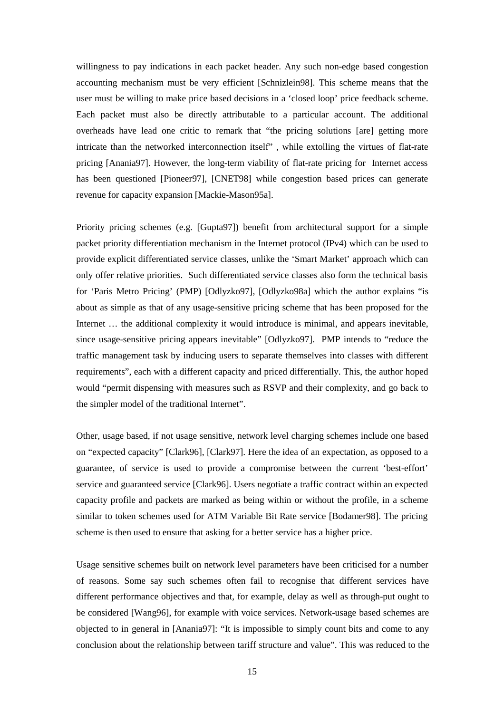willingness to pay indications in each packet header. Any such non-edge based congestion accounting mechanism must be very efficient [Schnizlein98]. This scheme means that the user must be willing to make price based decisions in a 'closed loop' price feedback scheme. Each packet must also be directly attributable to a particular account. The additional overheads have lead one critic to remark that "the pricing solutions [are] getting more intricate than the networked interconnection itself" , while extolling the virtues of flat-rate pricing [Anania97]. However, the long-term viability of flat-rate pricing for Internet access has been questioned [Pioneer97], [CNET98] while congestion based prices can generate revenue for capacity expansion [Mackie-Mason95a].

Priority pricing schemes (e.g. [Gupta97]) benefit from architectural support for a simple packet priority differentiation mechanism in the Internet protocol (IPv4) which can be used to provide explicit differentiated service classes, unlike the 'Smart Market' approach which can only offer relative priorities. Such differentiated service classes also form the technical basis for 'Paris Metro Pricing' (PMP) [Odlyzko97], [Odlyzko98a] which the author explains "is about as simple as that of any usage-sensitive pricing scheme that has been proposed for the Internet … the additional complexity it would introduce is minimal, and appears inevitable, since usage-sensitive pricing appears inevitable" [Odlyzko97]. PMP intends to "reduce the traffic management task by inducing users to separate themselves into classes with different requirements", each with a different capacity and priced differentially. This, the author hoped would "permit dispensing with measures such as RSVP and their complexity, and go back to the simpler model of the traditional Internet".

Other, usage based, if not usage sensitive, network level charging schemes include one based on "expected capacity" [Clark96], [Clark97]. Here the idea of an expectation, as opposed to a guarantee, of service is used to provide a compromise between the current 'best-effort' service and guaranteed service [Clark96]. Users negotiate a traffic contract within an expected capacity profile and packets are marked as being within or without the profile, in a scheme similar to token schemes used for ATM Variable Bit Rate service [Bodamer98]. The pricing scheme is then used to ensure that asking for a better service has a higher price.

Usage sensitive schemes built on network level parameters have been criticised for a number of reasons. Some say such schemes often fail to recognise that different services have different performance objectives and that, for example, delay as well as through-put ought to be considered [Wang96], for example with voice services. Network-usage based schemes are objected to in general in [Anania97]: "It is impossible to simply count bits and come to any conclusion about the relationship between tariff structure and value". This was reduced to the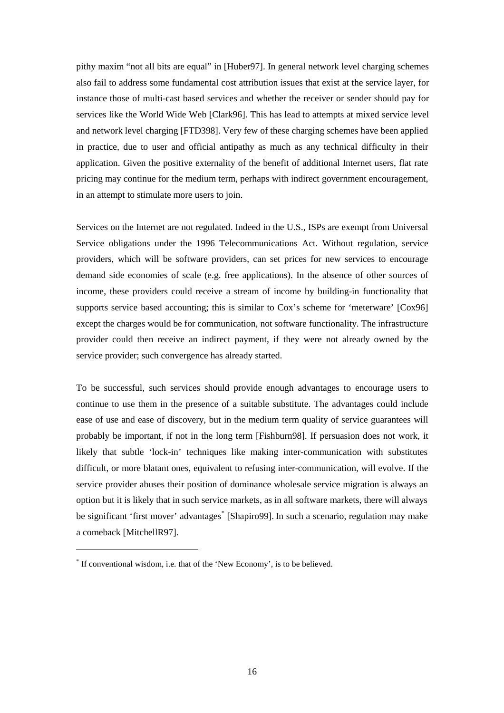pithy maxim "not all bits are equal" in [Huber97]. In general network level charging schemes also fail to address some fundamental cost attribution issues that exist at the service layer, for instance those of multi-cast based services and whether the receiver or sender should pay for services like the World Wide Web [Clark96]. This has lead to attempts at mixed service level and network level charging [FTD398]. Very few of these charging schemes have been applied in practice, due to user and official antipathy as much as any technical difficulty in their application. Given the positive externality of the benefit of additional Internet users, flat rate pricing may continue for the medium term, perhaps with indirect government encouragement, in an attempt to stimulate more users to join.

Services on the Internet are not regulated. Indeed in the U.S., ISPs are exempt from Universal Service obligations under the 1996 Telecommunications Act. Without regulation, service providers, which will be software providers, can set prices for new services to encourage demand side economies of scale (e.g. free applications). In the absence of other sources of income, these providers could receive a stream of income by building-in functionality that supports service based accounting; this is similar to Cox's scheme for 'meterware' [Cox96] except the charges would be for communication, not software functionality. The infrastructure provider could then receive an indirect payment, if they were not already owned by the service provider; such convergence has already started.

To be successful, such services should provide enough advantages to encourage users to continue to use them in the presence of a suitable substitute. The advantages could include ease of use and ease of discovery, but in the medium term quality of service guarantees will probably be important, if not in the long term [Fishburn98]. If persuasion does not work, it likely that subtle 'lock-in' techniques like making inter-communication with substitutes difficult, or more blatant ones, equivalent to refusing inter-communication, will evolve. If the service provider abuses their position of dominance wholesale service migration is always an option but it is likely that in such service markets, as in all software markets, there will always be significant 'first mover' advantages<sup>\*</sup> [Shapiro99]. In such a scenario, regulation may make a comeback [MitchellR97].

<sup>\*</sup> If conventional wisdom, i.e. that of the 'New Economy', is to be believed.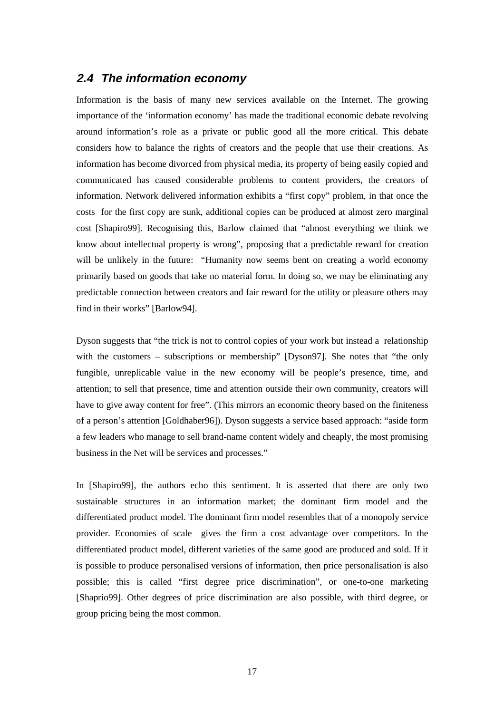### **2.4 The information economy**

Information is the basis of many new services available on the Internet. The growing importance of the 'information economy' has made the traditional economic debate revolving around information's role as a private or public good all the more critical. This debate considers how to balance the rights of creators and the people that use their creations. As information has become divorced from physical media, its property of being easily copied and communicated has caused considerable problems to content providers, the creators of information. Network delivered information exhibits a "first copy" problem, in that once the costs for the first copy are sunk, additional copies can be produced at almost zero marginal cost [Shapiro99]. Recognising this, Barlow claimed that "almost everything we think we know about intellectual property is wrong", proposing that a predictable reward for creation will be unlikely in the future: "Humanity now seems bent on creating a world economy primarily based on goods that take no material form. In doing so, we may be eliminating any predictable connection between creators and fair reward for the utility or pleasure others may find in their works" [Barlow94].

Dyson suggests that "the trick is not to control copies of your work but instead a relationship with the customers – subscriptions or membership" [Dyson97]. She notes that "the only fungible, unreplicable value in the new economy will be people's presence, time, and attention; to sell that presence, time and attention outside their own community, creators will have to give away content for free". (This mirrors an economic theory based on the finiteness of a person's attention [Goldhaber96]). Dyson suggests a service based approach: "aside form a few leaders who manage to sell brand-name content widely and cheaply, the most promising business in the Net will be services and processes."

In [Shapiro99], the authors echo this sentiment. It is asserted that there are only two sustainable structures in an information market; the dominant firm model and the differentiated product model. The dominant firm model resembles that of a monopoly service provider. Economies of scale gives the firm a cost advantage over competitors. In the differentiated product model, different varieties of the same good are produced and sold. If it is possible to produce personalised versions of information, then price personalisation is also possible; this is called "first degree price discrimination", or one-to-one marketing [Shaprio99]. Other degrees of price discrimination are also possible, with third degree, or group pricing being the most common.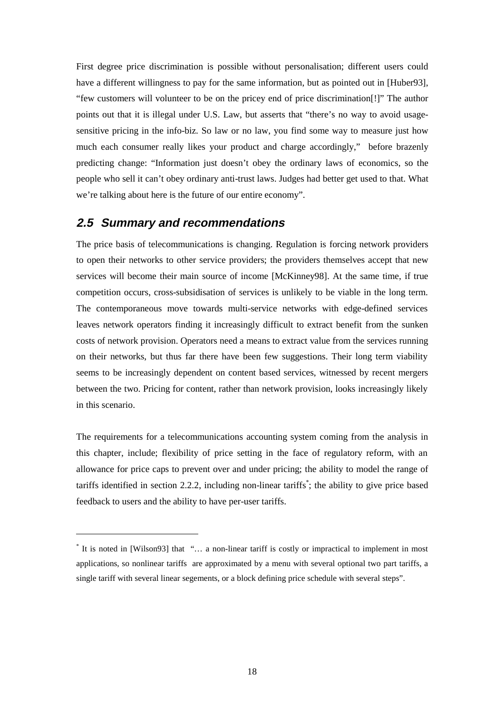First degree price discrimination is possible without personalisation; different users could have a different willingness to pay for the same information, but as pointed out in [Huber93], "few customers will volunteer to be on the pricey end of price discrimination[!]" The author points out that it is illegal under U.S. Law, but asserts that "there's no way to avoid usagesensitive pricing in the info-biz. So law or no law, you find some way to measure just how much each consumer really likes your product and charge accordingly," before brazenly predicting change: "Information just doesn't obey the ordinary laws of economics, so the people who sell it can't obey ordinary anti-trust laws. Judges had better get used to that. What we're talking about here is the future of our entire economy".

#### **2.5 Summary and recommendations**

 $\overline{a}$ 

The price basis of telecommunications is changing. Regulation is forcing network providers to open their networks to other service providers; the providers themselves accept that new services will become their main source of income [McKinney98]. At the same time, if true competition occurs, cross-subsidisation of services is unlikely to be viable in the long term. The contemporaneous move towards multi-service networks with edge-defined services leaves network operators finding it increasingly difficult to extract benefit from the sunken costs of network provision. Operators need a means to extract value from the services running on their networks, but thus far there have been few suggestions. Their long term viability seems to be increasingly dependent on content based services, witnessed by recent mergers between the two. Pricing for content, rather than network provision, looks increasingly likely in this scenario.

The requirements for a telecommunications accounting system coming from the analysis in this chapter, include; flexibility of price setting in the face of regulatory reform, with an allowance for price caps to prevent over and under pricing; the ability to model the range of tariffs identified in section 2.2.2, including non-linear tariffs\* ; the ability to give price based feedback to users and the ability to have per-user tariffs.

<sup>\*</sup> It is noted in [Wilson93] that "… a non-linear tariff is costly or impractical to implement in most applications, so nonlinear tariffs are approximated by a menu with several optional two part tariffs, a single tariff with several linear segements, or a block defining price schedule with several steps".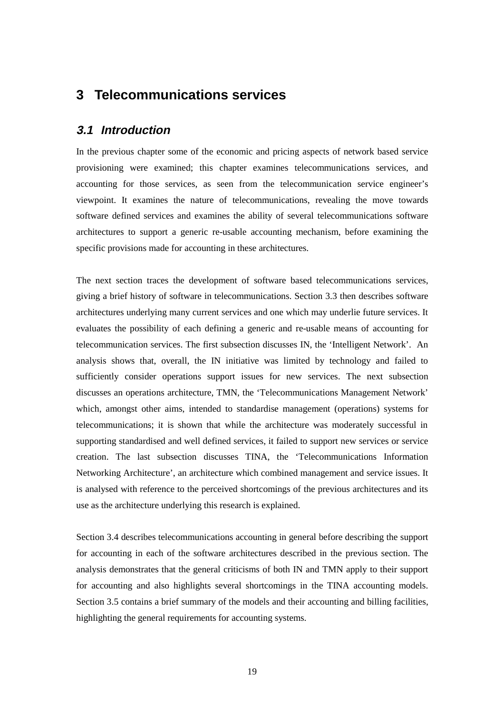## **3 Telecommunications services**

### **3.1 Introduction**

In the previous chapter some of the economic and pricing aspects of network based service provisioning were examined; this chapter examines telecommunications services, and accounting for those services, as seen from the telecommunication service engineer's viewpoint. It examines the nature of telecommunications, revealing the move towards software defined services and examines the ability of several telecommunications software architectures to support a generic re-usable accounting mechanism, before examining the specific provisions made for accounting in these architectures.

The next section traces the development of software based telecommunications services, giving a brief history of software in telecommunications. Section 3.3 then describes software architectures underlying many current services and one which may underlie future services. It evaluates the possibility of each defining a generic and re-usable means of accounting for telecommunication services. The first subsection discusses IN, the 'Intelligent Network'. An analysis shows that, overall, the IN initiative was limited by technology and failed to sufficiently consider operations support issues for new services. The next subsection discusses an operations architecture, TMN, the 'Telecommunications Management Network' which, amongst other aims, intended to standardise management (operations) systems for telecommunications; it is shown that while the architecture was moderately successful in supporting standardised and well defined services, it failed to support new services or service creation. The last subsection discusses TINA, the 'Telecommunications Information Networking Architecture', an architecture which combined management and service issues. It is analysed with reference to the perceived shortcomings of the previous architectures and its use as the architecture underlying this research is explained.

Section 3.4 describes telecommunications accounting in general before describing the support for accounting in each of the software architectures described in the previous section. The analysis demonstrates that the general criticisms of both IN and TMN apply to their support for accounting and also highlights several shortcomings in the TINA accounting models. Section 3.5 contains a brief summary of the models and their accounting and billing facilities, highlighting the general requirements for accounting systems.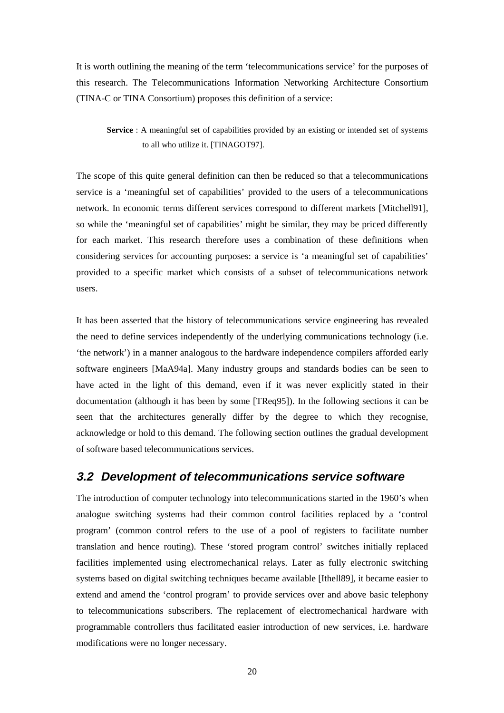It is worth outlining the meaning of the term 'telecommunications service' for the purposes of this research. The Telecommunications Information Networking Architecture Consortium (TINA-C or TINA Consortium) proposes this definition of a service:

**Service** : A meaningful set of capabilities provided by an existing or intended set of systems to all who utilize it. [TINAGOT97].

The scope of this quite general definition can then be reduced so that a telecommunications service is a 'meaningful set of capabilities' provided to the users of a telecommunications network. In economic terms different services correspond to different markets [Mitchell91], so while the 'meaningful set of capabilities' might be similar, they may be priced differently for each market. This research therefore uses a combination of these definitions when considering services for accounting purposes: a service is 'a meaningful set of capabilities' provided to a specific market which consists of a subset of telecommunications network users.

It has been asserted that the history of telecommunications service engineering has revealed the need to define services independently of the underlying communications technology (i.e. 'the network') in a manner analogous to the hardware independence compilers afforded early software engineers [MaA94a]. Many industry groups and standards bodies can be seen to have acted in the light of this demand, even if it was never explicitly stated in their documentation (although it has been by some [TReq95]). In the following sections it can be seen that the architectures generally differ by the degree to which they recognise, acknowledge or hold to this demand. The following section outlines the gradual development of software based telecommunications services.

#### **3.2 Development of telecommunications service software**

The introduction of computer technology into telecommunications started in the 1960's when analogue switching systems had their common control facilities replaced by a 'control program' (common control refers to the use of a pool of registers to facilitate number translation and hence routing). These 'stored program control' switches initially replaced facilities implemented using electromechanical relays. Later as fully electronic switching systems based on digital switching techniques became available [Ithell89], it became easier to extend and amend the 'control program' to provide services over and above basic telephony to telecommunications subscribers. The replacement of electromechanical hardware with programmable controllers thus facilitated easier introduction of new services, i.e. hardware modifications were no longer necessary.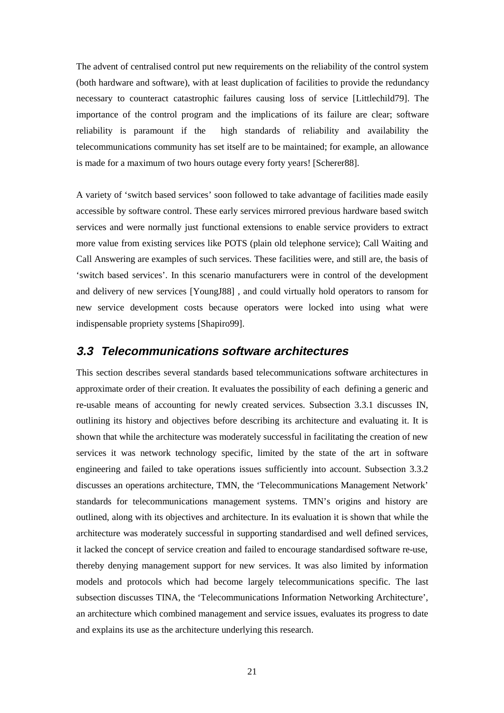The advent of centralised control put new requirements on the reliability of the control system (both hardware and software), with at least duplication of facilities to provide the redundancy necessary to counteract catastrophic failures causing loss of service [Littlechild79]. The importance of the control program and the implications of its failure are clear; software reliability is paramount if the high standards of reliability and availability the telecommunications community has set itself are to be maintained; for example, an allowance is made for a maximum of two hours outage every forty years! [Scherer88].

A variety of 'switch based services' soon followed to take advantage of facilities made easily accessible by software control. These early services mirrored previous hardware based switch services and were normally just functional extensions to enable service providers to extract more value from existing services like POTS (plain old telephone service); Call Waiting and Call Answering are examples of such services. These facilities were, and still are, the basis of 'switch based services'. In this scenario manufacturers were in control of the development and delivery of new services [YoungJ88] , and could virtually hold operators to ransom for new service development costs because operators were locked into using what were indispensable propriety systems [Shapiro99].

#### **3.3 Telecommunications software architectures**

This section describes several standards based telecommunications software architectures in approximate order of their creation. It evaluates the possibility of each defining a generic and re-usable means of accounting for newly created services. Subsection 3.3.1 discusses IN, outlining its history and objectives before describing its architecture and evaluating it. It is shown that while the architecture was moderately successful in facilitating the creation of new services it was network technology specific, limited by the state of the art in software engineering and failed to take operations issues sufficiently into account. Subsection 3.3.2 discusses an operations architecture, TMN, the 'Telecommunications Management Network' standards for telecommunications management systems. TMN's origins and history are outlined, along with its objectives and architecture. In its evaluation it is shown that while the architecture was moderately successful in supporting standardised and well defined services, it lacked the concept of service creation and failed to encourage standardised software re-use, thereby denying management support for new services. It was also limited by information models and protocols which had become largely telecommunications specific. The last subsection discusses TINA, the 'Telecommunications Information Networking Architecture', an architecture which combined management and service issues, evaluates its progress to date and explains its use as the architecture underlying this research.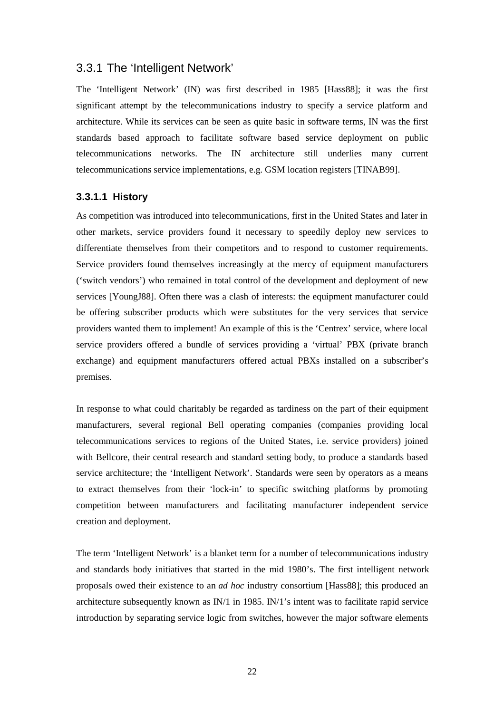#### 3.3.1 The 'Intelligent Network'

The 'Intelligent Network' (IN) was first described in 1985 [Hass88]; it was the first significant attempt by the telecommunications industry to specify a service platform and architecture. While its services can be seen as quite basic in software terms, IN was the first standards based approach to facilitate software based service deployment on public telecommunications networks. The IN architecture still underlies many current telecommunications service implementations, e.g. GSM location registers [TINAB99].

#### **3.3.1.1 History**

As competition was introduced into telecommunications, first in the United States and later in other markets, service providers found it necessary to speedily deploy new services to differentiate themselves from their competitors and to respond to customer requirements. Service providers found themselves increasingly at the mercy of equipment manufacturers ('switch vendors') who remained in total control of the development and deployment of new services [YoungJ88]. Often there was a clash of interests: the equipment manufacturer could be offering subscriber products which were substitutes for the very services that service providers wanted them to implement! An example of this is the 'Centrex' service, where local service providers offered a bundle of services providing a 'virtual' PBX (private branch exchange) and equipment manufacturers offered actual PBXs installed on a subscriber's premises.

In response to what could charitably be regarded as tardiness on the part of their equipment manufacturers, several regional Bell operating companies (companies providing local telecommunications services to regions of the United States, i.e. service providers) joined with Bellcore, their central research and standard setting body, to produce a standards based service architecture; the 'Intelligent Network'. Standards were seen by operators as a means to extract themselves from their 'lock-in' to specific switching platforms by promoting competition between manufacturers and facilitating manufacturer independent service creation and deployment.

The term 'Intelligent Network' is a blanket term for a number of telecommunications industry and standards body initiatives that started in the mid 1980's. The first intelligent network proposals owed their existence to an *ad hoc* industry consortium [Hass88]; this produced an architecture subsequently known as IN/1 in 1985. IN/1's intent was to facilitate rapid service introduction by separating service logic from switches, however the major software elements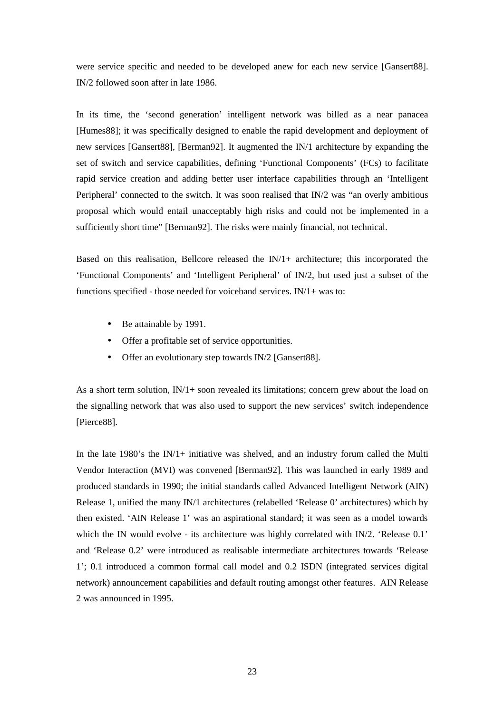were service specific and needed to be developed anew for each new service [Gansert88]. IN/2 followed soon after in late 1986.

In its time, the 'second generation' intelligent network was billed as a near panacea [Humes88]; it was specifically designed to enable the rapid development and deployment of new services [Gansert88], [Berman92]. It augmented the IN/1 architecture by expanding the set of switch and service capabilities, defining 'Functional Components' (FCs) to facilitate rapid service creation and adding better user interface capabilities through an 'Intelligent Peripheral' connected to the switch. It was soon realised that IN/2 was "an overly ambitious proposal which would entail unacceptably high risks and could not be implemented in a sufficiently short time" [Berman92]. The risks were mainly financial, not technical.

Based on this realisation, Bellcore released the  $IN/1+$  architecture; this incorporated the 'Functional Components' and 'Intelligent Peripheral' of IN/2, but used just a subset of the functions specified - those needed for voiceband services. IN/1+ was to:

- Be attainable by 1991.
- Offer a profitable set of service opportunities.
- Offer an evolutionary step towards IN/2 [Gansert88].

As a short term solution,  $IN/1+$  soon revealed its limitations; concern grew about the load on the signalling network that was also used to support the new services' switch independence [Pierce88].

In the late 1980's the  $IN/1+$  initiative was shelved, and an industry forum called the Multi Vendor Interaction (MVI) was convened [Berman92]. This was launched in early 1989 and produced standards in 1990; the initial standards called Advanced Intelligent Network (AIN) Release 1, unified the many IN/1 architectures (relabelled 'Release 0' architectures) which by then existed. 'AIN Release 1' was an aspirational standard; it was seen as a model towards which the IN would evolve - its architecture was highly correlated with IN/2. 'Release 0.1' and 'Release 0.2' were introduced as realisable intermediate architectures towards 'Release 1'; 0.1 introduced a common formal call model and 0.2 ISDN (integrated services digital network) announcement capabilities and default routing amongst other features. AIN Release 2 was announced in 1995.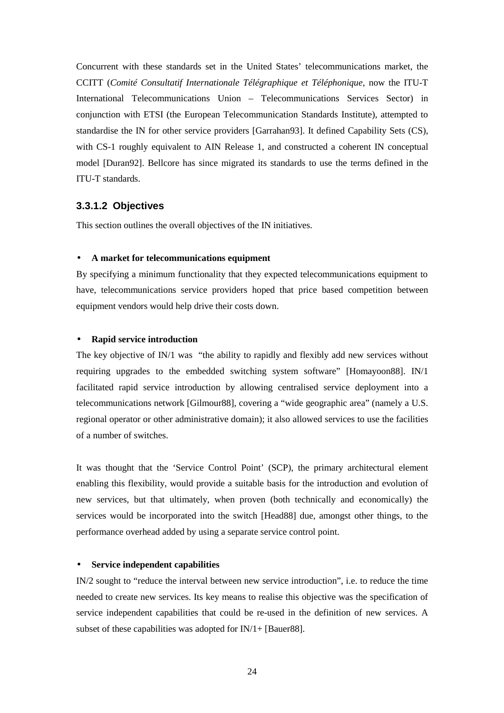Concurrent with these standards set in the United States' telecommunications market, the CCITT (*Comité Consultatif Internationale Télégraphique et Téléphonique*, now the ITU-T International Telecommunications Union – Telecommunications Services Sector) in conjunction with ETSI (the European Telecommunication Standards Institute), attempted to standardise the IN for other service providers [Garrahan93]. It defined Capability Sets (CS), with CS-1 roughly equivalent to AIN Release 1, and constructed a coherent IN conceptual model [Duran92]. Bellcore has since migrated its standards to use the terms defined in the ITU-T standards.

#### **3.3.1.2 Objectives**

This section outlines the overall objectives of the IN initiatives.

#### • **A market for telecommunications equipment**

By specifying a minimum functionality that they expected telecommunications equipment to have, telecommunications service providers hoped that price based competition between equipment vendors would help drive their costs down.

#### • **Rapid service introduction**

The key objective of IN/1 was "the ability to rapidly and flexibly add new services without requiring upgrades to the embedded switching system software" [Homayoon88]. IN/1 facilitated rapid service introduction by allowing centralised service deployment into a telecommunications network [Gilmour88], covering a "wide geographic area" (namely a U.S. regional operator or other administrative domain); it also allowed services to use the facilities of a number of switches.

It was thought that the 'Service Control Point' (SCP), the primary architectural element enabling this flexibility, would provide a suitable basis for the introduction and evolution of new services, but that ultimately, when proven (both technically and economically) the services would be incorporated into the switch [Head88] due, amongst other things, to the performance overhead added by using a separate service control point.

#### • **Service independent capabilities**

IN/2 sought to "reduce the interval between new service introduction", i.e. to reduce the time needed to create new services. Its key means to realise this objective was the specification of service independent capabilities that could be re-used in the definition of new services. A subset of these capabilities was adopted for IN/1+ [Bauer88].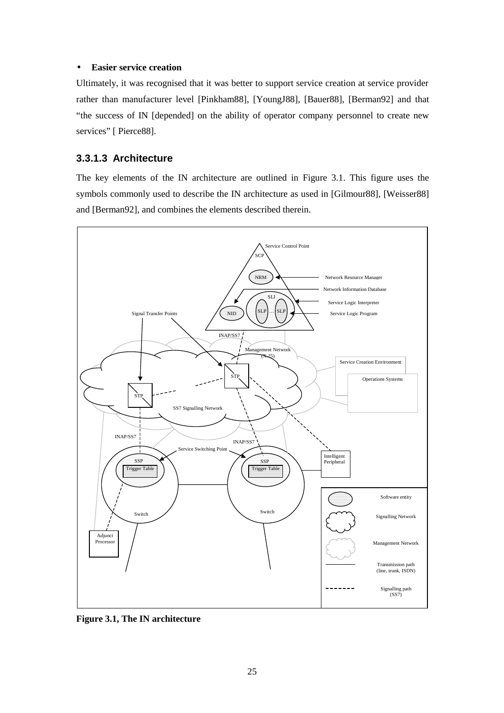#### • **Easier service creation**

Ultimately, it was recognised that it was better to support service creation at service provider rather than manufacturer level [Pinkham88], [YoungJ88], [Bauer88], [Berman92] and that "the success of IN [depended] on the ability of operator company personnel to create new services" [ Pierce88].

#### **3.3.1.3 Architecture**

The key elements of the IN architecture are outlined in Figure 3.1. This figure uses the symbols commonly used to describe the IN architecture as used in [Gilmour88], [Weisser88] and [Berman92], and combines the elements described therein.



**Figure 3.1, The IN architecture**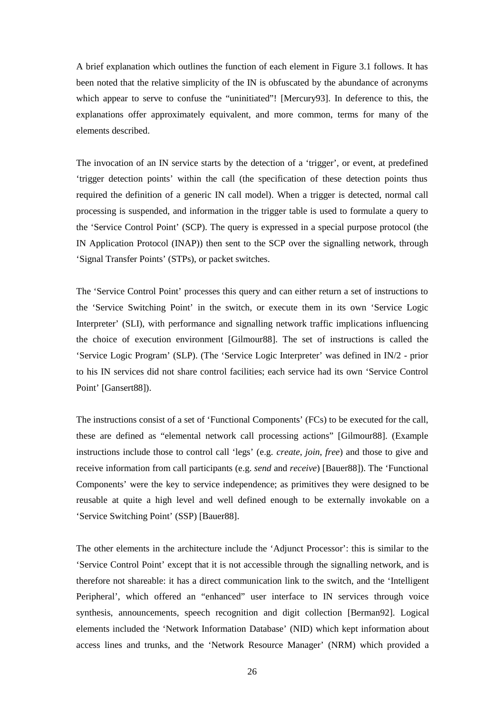A brief explanation which outlines the function of each element in Figure 3.1 follows. It has been noted that the relative simplicity of the IN is obfuscated by the abundance of acronyms which appear to serve to confuse the "uninitiated"! [Mercury93]. In deference to this, the explanations offer approximately equivalent, and more common, terms for many of the elements described.

The invocation of an IN service starts by the detection of a 'trigger', or event, at predefined 'trigger detection points' within the call (the specification of these detection points thus required the definition of a generic IN call model). When a trigger is detected, normal call processing is suspended, and information in the trigger table is used to formulate a query to the 'Service Control Point' (SCP). The query is expressed in a special purpose protocol (the IN Application Protocol (INAP)) then sent to the SCP over the signalling network, through 'Signal Transfer Points' (STPs), or packet switches.

The 'Service Control Point' processes this query and can either return a set of instructions to the 'Service Switching Point' in the switch, or execute them in its own 'Service Logic Interpreter' (SLI), with performance and signalling network traffic implications influencing the choice of execution environment [Gilmour88]. The set of instructions is called the 'Service Logic Program' (SLP). (The 'Service Logic Interpreter' was defined in IN/2 - prior to his IN services did not share control facilities; each service had its own 'Service Control Point' [Gansert88]).

The instructions consist of a set of 'Functional Components' (FCs) to be executed for the call, these are defined as "elemental network call processing actions" [Gilmour88]. (Example instructions include those to control call 'legs' (e.g. *create*, *join*, *free*) and those to give and receive information from call participants (e.g. *send* and *receive*) [Bauer88]). The 'Functional Components' were the key to service independence; as primitives they were designed to be reusable at quite a high level and well defined enough to be externally invokable on a 'Service Switching Point' (SSP) [Bauer88].

The other elements in the architecture include the 'Adjunct Processor': this is similar to the 'Service Control Point' except that it is not accessible through the signalling network, and is therefore not shareable: it has a direct communication link to the switch, and the 'Intelligent Peripheral', which offered an "enhanced" user interface to IN services through voice synthesis, announcements, speech recognition and digit collection [Berman92]. Logical elements included the 'Network Information Database' (NID) which kept information about access lines and trunks, and the 'Network Resource Manager' (NRM) which provided a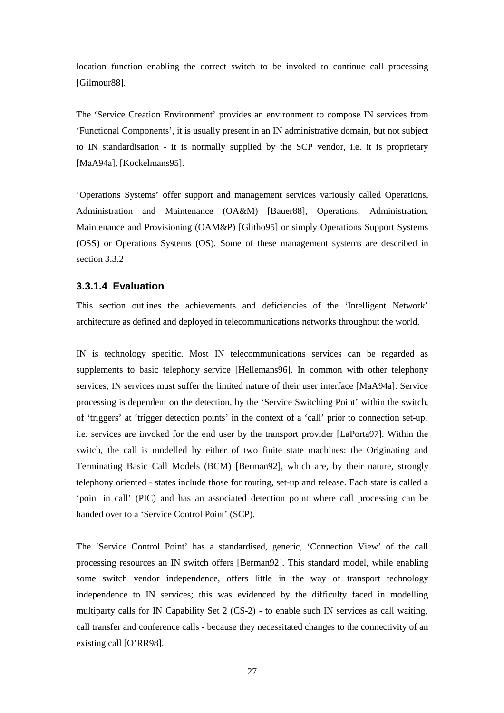location function enabling the correct switch to be invoked to continue call processing [Gilmour88].

The 'Service Creation Environment' provides an environment to compose IN services from 'Functional Components', it is usually present in an IN administrative domain, but not subject to IN standardisation - it is normally supplied by the SCP vendor, i.e. it is proprietary [MaA94a], [Kockelmans95].

'Operations Systems' offer support and management services variously called Operations, Administration and Maintenance (OA&M) [Bauer88], Operations, Administration, Maintenance and Provisioning (OAM&P) [Glitho95] or simply Operations Support Systems (OSS) or Operations Systems (OS). Some of these management systems are described in section 3.3.2

## **3.3.1.4 Evaluation**

This section outlines the achievements and deficiencies of the 'Intelligent Network' architecture as defined and deployed in telecommunications networks throughout the world.

IN is technology specific. Most IN telecommunications services can be regarded as supplements to basic telephony service [Hellemans96]. In common with other telephony services, IN services must suffer the limited nature of their user interface [MaA94a]. Service processing is dependent on the detection, by the 'Service Switching Point' within the switch, of 'triggers' at 'trigger detection points' in the context of a 'call' prior to connection set-up, i.e. services are invoked for the end user by the transport provider [LaPorta97]. Within the switch, the call is modelled by either of two finite state machines: the Originating and Terminating Basic Call Models (BCM) [Berman92], which are, by their nature, strongly telephony oriented - states include those for routing, set-up and release. Each state is called a 'point in call' (PIC) and has an associated detection point where call processing can be handed over to a 'Service Control Point' (SCP).

The 'Service Control Point' has a standardised, generic, 'Connection View' of the call processing resources an IN switch offers [Berman92]. This standard model, while enabling some switch vendor independence, offers little in the way of transport technology independence to IN services; this was evidenced by the difficulty faced in modelling multiparty calls for IN Capability Set 2 (CS-2) - to enable such IN services as call waiting, call transfer and conference calls - because they necessitated changes to the connectivity of an existing call [O'RR98].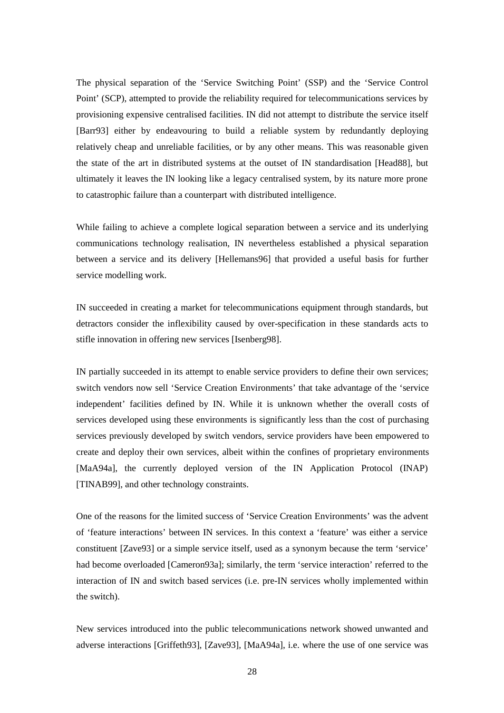The physical separation of the 'Service Switching Point' (SSP) and the 'Service Control Point' (SCP), attempted to provide the reliability required for telecommunications services by provisioning expensive centralised facilities. IN did not attempt to distribute the service itself [Barr93] either by endeavouring to build a reliable system by redundantly deploying relatively cheap and unreliable facilities, or by any other means. This was reasonable given the state of the art in distributed systems at the outset of IN standardisation [Head88], but ultimately it leaves the IN looking like a legacy centralised system, by its nature more prone to catastrophic failure than a counterpart with distributed intelligence.

While failing to achieve a complete logical separation between a service and its underlying communications technology realisation, IN nevertheless established a physical separation between a service and its delivery [Hellemans96] that provided a useful basis for further service modelling work.

IN succeeded in creating a market for telecommunications equipment through standards, but detractors consider the inflexibility caused by over-specification in these standards acts to stifle innovation in offering new services [Isenberg98].

IN partially succeeded in its attempt to enable service providers to define their own services; switch vendors now sell 'Service Creation Environments' that take advantage of the 'service independent' facilities defined by IN. While it is unknown whether the overall costs of services developed using these environments is significantly less than the cost of purchasing services previously developed by switch vendors, service providers have been empowered to create and deploy their own services, albeit within the confines of proprietary environments [MaA94a], the currently deployed version of the IN Application Protocol (INAP) [TINAB99], and other technology constraints.

One of the reasons for the limited success of 'Service Creation Environments' was the advent of 'feature interactions' between IN services. In this context a 'feature' was either a service constituent [Zave93] or a simple service itself, used as a synonym because the term 'service' had become overloaded [Cameron93a]; similarly, the term 'service interaction' referred to the interaction of IN and switch based services (i.e. pre-IN services wholly implemented within the switch).

New services introduced into the public telecommunications network showed unwanted and adverse interactions [Griffeth93], [Zave93], [MaA94a], i.e. where the use of one service was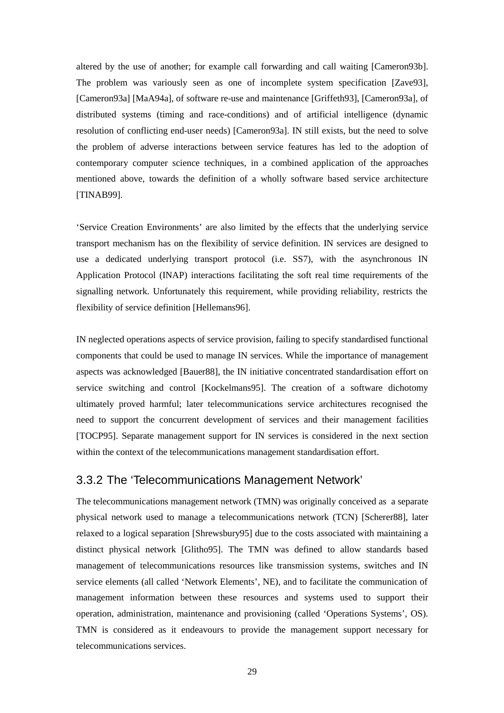altered by the use of another; for example call forwarding and call waiting [Cameron93b]. The problem was variously seen as one of incomplete system specification [Zave93], [Cameron93a] [MaA94a], of software re-use and maintenance [Griffeth93], [Cameron93a], of distributed systems (timing and race-conditions) and of artificial intelligence (dynamic resolution of conflicting end-user needs) [Cameron93a]. IN still exists, but the need to solve the problem of adverse interactions between service features has led to the adoption of contemporary computer science techniques, in a combined application of the approaches mentioned above, towards the definition of a wholly software based service architecture [TINAB99].

'Service Creation Environments' are also limited by the effects that the underlying service transport mechanism has on the flexibility of service definition. IN services are designed to use a dedicated underlying transport protocol (i.e. SS7), with the asynchronous IN Application Protocol (INAP) interactions facilitating the soft real time requirements of the signalling network. Unfortunately this requirement, while providing reliability, restricts the flexibility of service definition [Hellemans96].

IN neglected operations aspects of service provision, failing to specify standardised functional components that could be used to manage IN services. While the importance of management aspects was acknowledged [Bauer88], the IN initiative concentrated standardisation effort on service switching and control [Kockelmans95]. The creation of a software dichotomy ultimately proved harmful; later telecommunications service architectures recognised the need to support the concurrent development of services and their management facilities [TOCP95]. Separate management support for IN services is considered in the next section within the context of the telecommunications management standardisation effort.

# 3.3.2 The 'Telecommunications Management Network'

The telecommunications management network (TMN) was originally conceived as a separate physical network used to manage a telecommunications network (TCN) [Scherer88], later relaxed to a logical separation [Shrewsbury95] due to the costs associated with maintaining a distinct physical network [Glitho95]. The TMN was defined to allow standards based management of telecommunications resources like transmission systems, switches and IN service elements (all called 'Network Elements', NE), and to facilitate the communication of management information between these resources and systems used to support their operation, administration, maintenance and provisioning (called 'Operations Systems', OS). TMN is considered as it endeavours to provide the management support necessary for telecommunications services.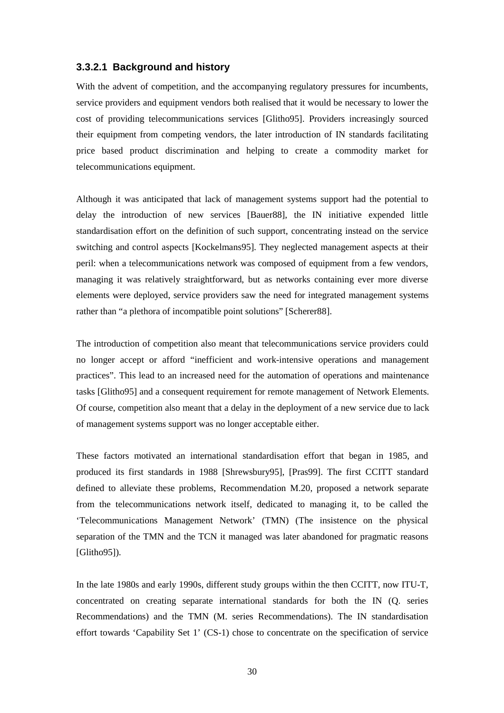### **3.3.2.1 Background and history**

With the advent of competition, and the accompanying regulatory pressures for incumbents, service providers and equipment vendors both realised that it would be necessary to lower the cost of providing telecommunications services [Glitho95]. Providers increasingly sourced their equipment from competing vendors, the later introduction of IN standards facilitating price based product discrimination and helping to create a commodity market for telecommunications equipment.

Although it was anticipated that lack of management systems support had the potential to delay the introduction of new services [Bauer88], the IN initiative expended little standardisation effort on the definition of such support, concentrating instead on the service switching and control aspects [Kockelmans95]. They neglected management aspects at their peril: when a telecommunications network was composed of equipment from a few vendors, managing it was relatively straightforward, but as networks containing ever more diverse elements were deployed, service providers saw the need for integrated management systems rather than "a plethora of incompatible point solutions" [Scherer88].

The introduction of competition also meant that telecommunications service providers could no longer accept or afford "inefficient and work-intensive operations and management practices". This lead to an increased need for the automation of operations and maintenance tasks [Glitho95] and a consequent requirement for remote management of Network Elements. Of course, competition also meant that a delay in the deployment of a new service due to lack of management systems support was no longer acceptable either.

These factors motivated an international standardisation effort that began in 1985, and produced its first standards in 1988 [Shrewsbury95], [Pras99]. The first CCITT standard defined to alleviate these problems, Recommendation M.20, proposed a network separate from the telecommunications network itself, dedicated to managing it, to be called the 'Telecommunications Management Network' (TMN) (The insistence on the physical separation of the TMN and the TCN it managed was later abandoned for pragmatic reasons [Glitho95]).

In the late 1980s and early 1990s, different study groups within the then CCITT, now ITU-T, concentrated on creating separate international standards for both the IN (Q. series Recommendations) and the TMN (M. series Recommendations). The IN standardisation effort towards 'Capability Set 1' (CS-1) chose to concentrate on the specification of service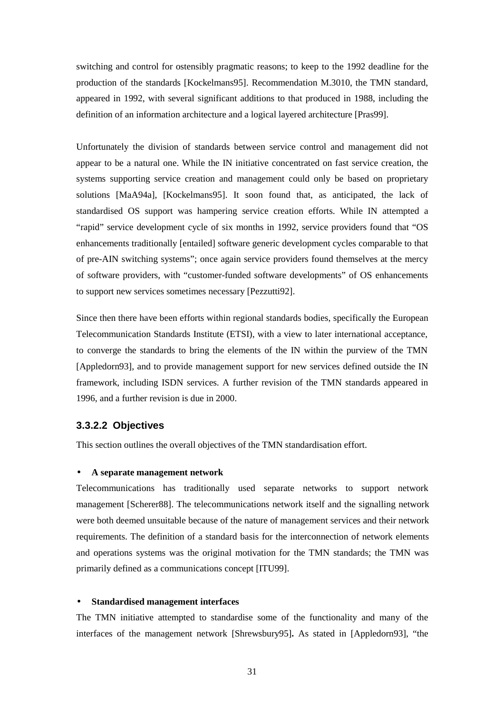switching and control for ostensibly pragmatic reasons; to keep to the 1992 deadline for the production of the standards [Kockelmans95]. Recommendation M.3010, the TMN standard, appeared in 1992, with several significant additions to that produced in 1988, including the definition of an information architecture and a logical layered architecture [Pras99].

Unfortunately the division of standards between service control and management did not appear to be a natural one. While the IN initiative concentrated on fast service creation, the systems supporting service creation and management could only be based on proprietary solutions [MaA94a], [Kockelmans95]. It soon found that, as anticipated, the lack of standardised OS support was hampering service creation efforts. While IN attempted a "rapid" service development cycle of six months in 1992, service providers found that "OS enhancements traditionally [entailed] software generic development cycles comparable to that of pre-AIN switching systems"; once again service providers found themselves at the mercy of software providers, with "customer-funded software developments" of OS enhancements to support new services sometimes necessary [Pezzutti92].

Since then there have been efforts within regional standards bodies, specifically the European Telecommunication Standards Institute (ETSI), with a view to later international acceptance, to converge the standards to bring the elements of the IN within the purview of the TMN [Appledorn93], and to provide management support for new services defined outside the IN framework, including ISDN services. A further revision of the TMN standards appeared in 1996, and a further revision is due in 2000.

### **3.3.2.2 Objectives**

This section outlines the overall objectives of the TMN standardisation effort.

#### • **A separate management network**

Telecommunications has traditionally used separate networks to support network management [Scherer88]. The telecommunications network itself and the signalling network were both deemed unsuitable because of the nature of management services and their network requirements. The definition of a standard basis for the interconnection of network elements and operations systems was the original motivation for the TMN standards; the TMN was primarily defined as a communications concept [ITU99].

#### • **Standardised management interfaces**

The TMN initiative attempted to standardise some of the functionality and many of the interfaces of the management network [Shrewsbury95]**.** As stated in [Appledorn93], "the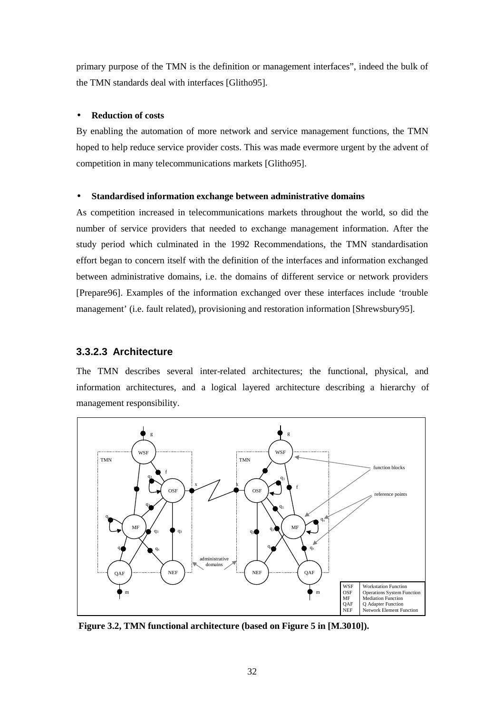primary purpose of the TMN is the definition or management interfaces", indeed the bulk of the TMN standards deal with interfaces [Glitho95].

#### • **Reduction of costs**

By enabling the automation of more network and service management functions, the TMN hoped to help reduce service provider costs. This was made evermore urgent by the advent of competition in many telecommunications markets [Glitho95].

#### • **Standardised information exchange between administrative domains**

As competition increased in telecommunications markets throughout the world, so did the number of service providers that needed to exchange management information. After the study period which culminated in the 1992 Recommendations, the TMN standardisation effort began to concern itself with the definition of the interfaces and information exchanged between administrative domains, i.e. the domains of different service or network providers [Prepare96]. Examples of the information exchanged over these interfaces include 'trouble management' (i.e. fault related), provisioning and restoration information [Shrewsbury95].

### **3.3.2.3 Architecture**

The TMN describes several inter-related architectures; the functional, physical, and information architectures, and a logical layered architecture describing a hierarchy of management responsibility.



**Figure 3.2, TMN functional architecture (based on Figure 5 in [M.3010]).**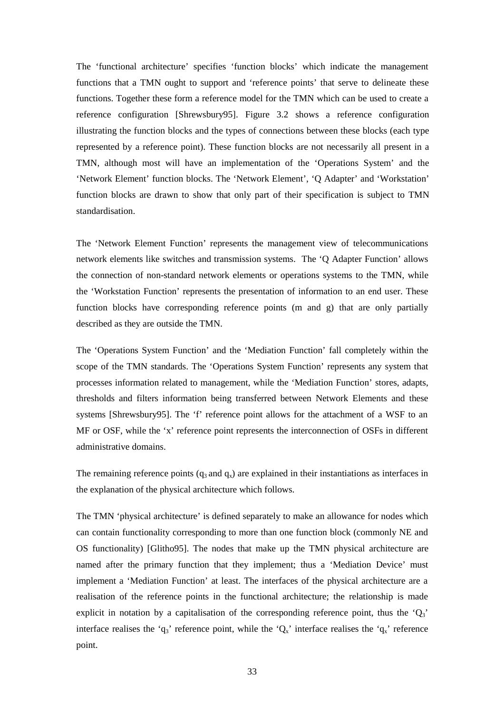The 'functional architecture' specifies 'function blocks' which indicate the management functions that a TMN ought to support and 'reference points' that serve to delineate these functions. Together these form a reference model for the TMN which can be used to create a reference configuration [Shrewsbury95]. Figure 3.2 shows a reference configuration illustrating the function blocks and the types of connections between these blocks (each type represented by a reference point). These function blocks are not necessarily all present in a TMN, although most will have an implementation of the 'Operations System' and the 'Network Element' function blocks. The 'Network Element', 'Q Adapter' and 'Workstation' function blocks are drawn to show that only part of their specification is subject to TMN standardisation.

The 'Network Element Function' represents the management view of telecommunications network elements like switches and transmission systems. The 'Q Adapter Function' allows the connection of non-standard network elements or operations systems to the TMN, while the 'Workstation Function' represents the presentation of information to an end user. These function blocks have corresponding reference points (m and g) that are only partially described as they are outside the TMN.

The 'Operations System Function' and the 'Mediation Function' fall completely within the scope of the TMN standards. The 'Operations System Function' represents any system that processes information related to management, while the 'Mediation Function' stores, adapts, thresholds and filters information being transferred between Network Elements and these systems [Shrewsbury95]. The 'f' reference point allows for the attachment of a WSF to an MF or OSF, while the 'x' reference point represents the interconnection of OSFs in different administrative domains.

The remaining reference points  $(q_3 \text{ and } q_x)$  are explained in their instantiations as interfaces in the explanation of the physical architecture which follows.

The TMN 'physical architecture' is defined separately to make an allowance for nodes which can contain functionality corresponding to more than one function block (commonly NE and OS functionality) [Glitho95]. The nodes that make up the TMN physical architecture are named after the primary function that they implement; thus a 'Mediation Device' must implement a 'Mediation Function' at least. The interfaces of the physical architecture are a realisation of the reference points in the functional architecture; the relationship is made explicit in notation by a capitalisation of the corresponding reference point, thus the  $Q_3$ ' interface realises the 'q<sub>3</sub>' reference point, while the ' $Q_x$ ' interface realises the 'q<sub>x</sub>' reference point.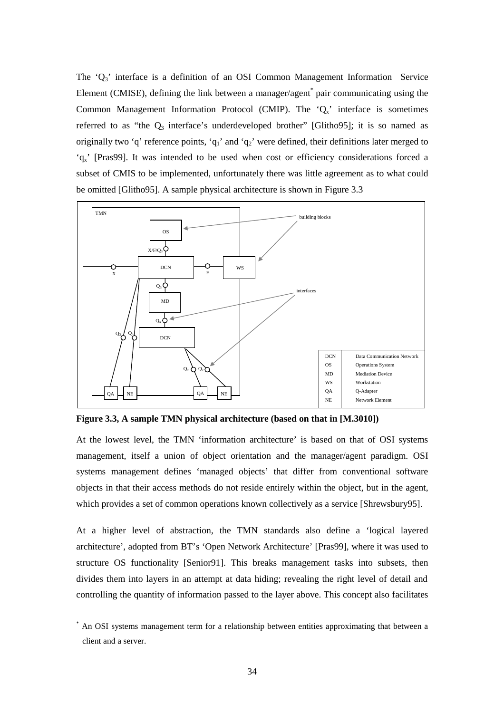The ' $Q_3$ ' interface is a definition of an OSI Common Management Information Service Element (CMISE), defining the link between a manager/agent<sup>\*</sup> pair communicating using the Common Management Information Protocol (CMIP). The ' $Q_x$ ' interface is sometimes referred to as "the  $Q_3$  interface's underdeveloped brother" [Glitho95]; it is so named as originally two 'q' reference points, 'q<sub>1</sub>' and 'q<sub>2</sub>' were defined, their definitions later merged to 'qx' [Pras99]. It was intended to be used when cost or efficiency considerations forced a subset of CMIS to be implemented, unfortunately there was little agreement as to what could be omitted [Glitho95]. A sample physical architecture is shown in Figure 3.3



**Figure 3.3, A sample TMN physical architecture (based on that in [M.3010])** 

At the lowest level, the TMN 'information architecture' is based on that of OSI systems management, itself a union of object orientation and the manager/agent paradigm. OSI systems management defines 'managed objects' that differ from conventional software objects in that their access methods do not reside entirely within the object, but in the agent, which provides a set of common operations known collectively as a service [Shrewsbury95].

At a higher level of abstraction, the TMN standards also define a 'logical layered architecture', adopted from BT's 'Open Network Architecture' [Pras99], where it was used to structure OS functionality [Senior91]. This breaks management tasks into subsets, then divides them into layers in an attempt at data hiding; revealing the right level of detail and controlling the quantity of information passed to the layer above. This concept also facilitates

 $\overline{a}$ 

<sup>\*</sup> An OSI systems management term for a relationship between entities approximating that between a client and a server.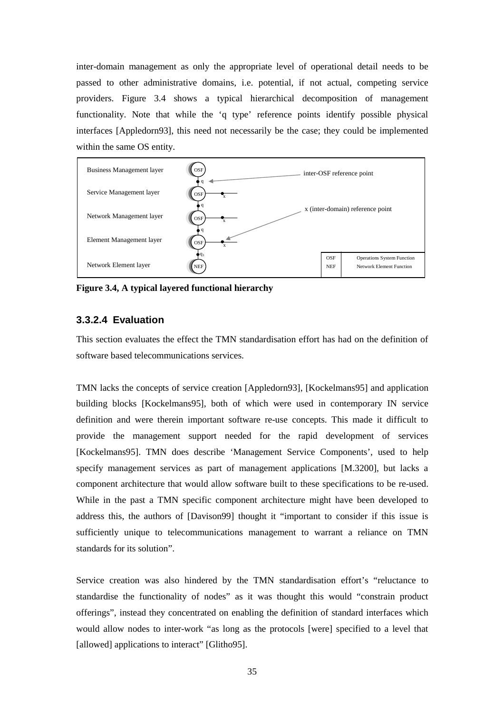inter-domain management as only the appropriate level of operational detail needs to be passed to other administrative domains, i.e. potential, if not actual, competing service providers. Figure 3.4 shows a typical hierarchical decomposition of management functionality. Note that while the 'q type' reference points identify possible physical interfaces [Appledorn93], this need not necessarily be the case; they could be implemented within the same OS entity.



**Figure 3.4, A typical layered functional hierarchy** 

# **3.3.2.4 Evaluation**

This section evaluates the effect the TMN standardisation effort has had on the definition of software based telecommunications services.

TMN lacks the concepts of service creation [Appledorn93], [Kockelmans95] and application building blocks [Kockelmans95], both of which were used in contemporary IN service definition and were therein important software re-use concepts. This made it difficult to provide the management support needed for the rapid development of services [Kockelmans95]. TMN does describe 'Management Service Components', used to help specify management services as part of management applications [M.3200], but lacks a component architecture that would allow software built to these specifications to be re-used. While in the past a TMN specific component architecture might have been developed to address this, the authors of [Davison99] thought it "important to consider if this issue is sufficiently unique to telecommunications management to warrant a reliance on TMN standards for its solution".

Service creation was also hindered by the TMN standardisation effort's "reluctance to standardise the functionality of nodes" as it was thought this would "constrain product offerings", instead they concentrated on enabling the definition of standard interfaces which would allow nodes to inter-work "as long as the protocols [were] specified to a level that [allowed] applications to interact" [Glitho95].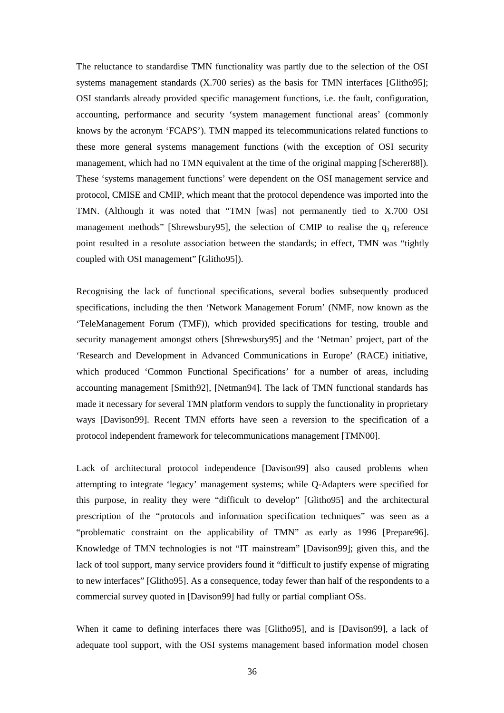The reluctance to standardise TMN functionality was partly due to the selection of the OSI systems management standards (X.700 series) as the basis for TMN interfaces [Glitho95]; OSI standards already provided specific management functions, i.e. the fault, configuration, accounting, performance and security 'system management functional areas' (commonly knows by the acronym 'FCAPS'). TMN mapped its telecommunications related functions to these more general systems management functions (with the exception of OSI security management, which had no TMN equivalent at the time of the original mapping [Scherer88]). These 'systems management functions' were dependent on the OSI management service and protocol, CMISE and CMIP, which meant that the protocol dependence was imported into the TMN. (Although it was noted that "TMN [was] not permanently tied to X.700 OSI management methods" [Shrewsbury95], the selection of CMIP to realise the  $q_3$  reference point resulted in a resolute association between the standards; in effect, TMN was "tightly coupled with OSI management" [Glitho95]).

Recognising the lack of functional specifications, several bodies subsequently produced specifications, including the then 'Network Management Forum' (NMF, now known as the 'TeleManagement Forum (TMF)), which provided specifications for testing, trouble and security management amongst others [Shrewsbury95] and the 'Netman' project, part of the 'Research and Development in Advanced Communications in Europe' (RACE) initiative, which produced 'Common Functional Specifications' for a number of areas, including accounting management [Smith92], [Netman94]. The lack of TMN functional standards has made it necessary for several TMN platform vendors to supply the functionality in proprietary ways [Davison99]. Recent TMN efforts have seen a reversion to the specification of a protocol independent framework for telecommunications management [TMN00].

Lack of architectural protocol independence [Davison99] also caused problems when attempting to integrate 'legacy' management systems; while Q-Adapters were specified for this purpose, in reality they were "difficult to develop" [Glitho95] and the architectural prescription of the "protocols and information specification techniques" was seen as a "problematic constraint on the applicability of TMN" as early as 1996 [Prepare96]. Knowledge of TMN technologies is not "IT mainstream" [Davison99]; given this, and the lack of tool support, many service providers found it "difficult to justify expense of migrating to new interfaces" [Glitho95]. As a consequence, today fewer than half of the respondents to a commercial survey quoted in [Davison99] had fully or partial compliant OSs.

When it came to defining interfaces there was [Glitho95], and is [Davison99], a lack of adequate tool support, with the OSI systems management based information model chosen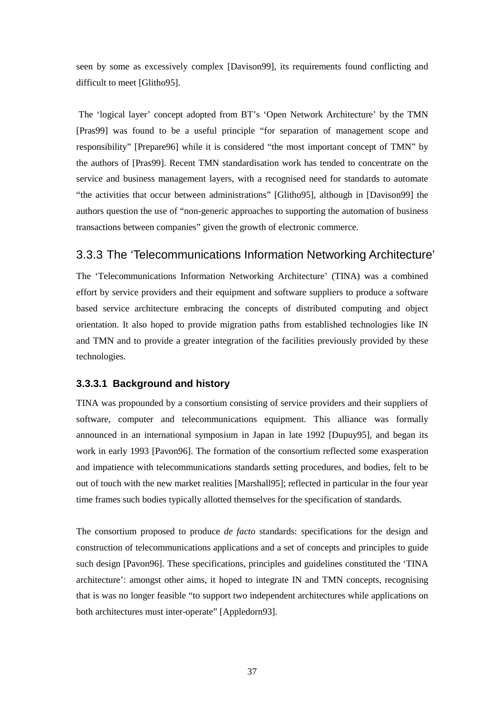seen by some as excessively complex [Davison99], its requirements found conflicting and difficult to meet [Glitho95].

 The 'logical layer' concept adopted from BT's 'Open Network Architecture' by the TMN [Pras99] was found to be a useful principle "for separation of management scope and responsibility" [Prepare96] while it is considered "the most important concept of TMN" by the authors of [Pras99]. Recent TMN standardisation work has tended to concentrate on the service and business management layers, with a recognised need for standards to automate "the activities that occur between administrations" [Glitho95], although in [Davison99] the authors question the use of "non-generic approaches to supporting the automation of business transactions between companies" given the growth of electronic commerce.

# 3.3.3 The 'Telecommunications Information Networking Architecture'

The 'Telecommunications Information Networking Architecture' (TINA) was a combined effort by service providers and their equipment and software suppliers to produce a software based service architecture embracing the concepts of distributed computing and object orientation. It also hoped to provide migration paths from established technologies like IN and TMN and to provide a greater integration of the facilities previously provided by these technologies.

## **3.3.3.1 Background and history**

TINA was propounded by a consortium consisting of service providers and their suppliers of software, computer and telecommunications equipment. This alliance was formally announced in an international symposium in Japan in late 1992 [Dupuy95], and began its work in early 1993 [Pavon96]. The formation of the consortium reflected some exasperation and impatience with telecommunications standards setting procedures, and bodies, felt to be out of touch with the new market realities [Marshall95]; reflected in particular in the four year time frames such bodies typically allotted themselves for the specification of standards.

The consortium proposed to produce *de facto* standards: specifications for the design and construction of telecommunications applications and a set of concepts and principles to guide such design [Pavon96]. These specifications, principles and guidelines constituted the 'TINA architecture': amongst other aims, it hoped to integrate IN and TMN concepts, recognising that is was no longer feasible "to support two independent architectures while applications on both architectures must inter-operate" [Appledorn93].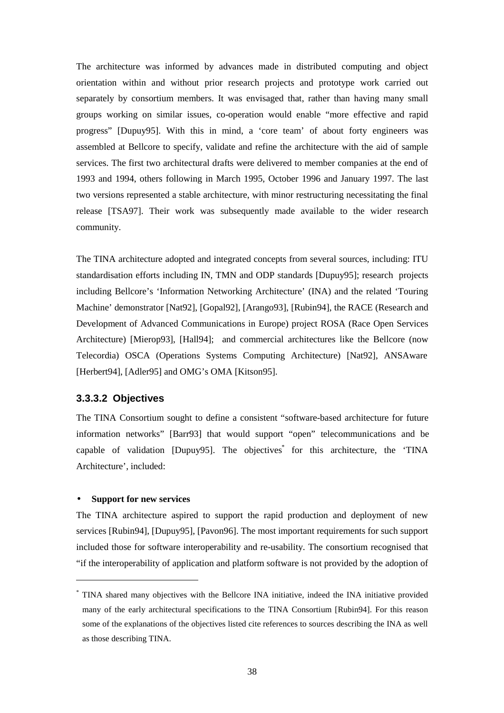The architecture was informed by advances made in distributed computing and object orientation within and without prior research projects and prototype work carried out separately by consortium members. It was envisaged that, rather than having many small groups working on similar issues, co-operation would enable "more effective and rapid progress" [Dupuy95]. With this in mind, a 'core team' of about forty engineers was assembled at Bellcore to specify, validate and refine the architecture with the aid of sample services. The first two architectural drafts were delivered to member companies at the end of 1993 and 1994, others following in March 1995, October 1996 and January 1997. The last two versions represented a stable architecture, with minor restructuring necessitating the final release [TSA97]. Their work was subsequently made available to the wider research community.

The TINA architecture adopted and integrated concepts from several sources, including: ITU standardisation efforts including IN, TMN and ODP standards [Dupuy95]; research projects including Bellcore's 'Information Networking Architecture' (INA) and the related 'Touring Machine' demonstrator [Nat92], [Gopal92], [Arango93], [Rubin94], the RACE (Research and Development of Advanced Communications in Europe) project ROSA (Race Open Services Architecture) [Mierop93], [Hall94]; and commercial architectures like the Bellcore (now Telecordia) OSCA (Operations Systems Computing Architecture) [Nat92], ANSAware [Herbert94], [Adler95] and OMG's OMA [Kitson95].

## **3.3.3.2 Objectives**

The TINA Consortium sought to define a consistent "software-based architecture for future information networks" [Barr93] that would support "open" telecommunications and be capable of validation [Dupuy95]. The objectives<sup>\*</sup> for this architecture, the 'TINA Architecture', included:

#### • **Support for new services**

 $\overline{a}$ 

The TINA architecture aspired to support the rapid production and deployment of new services [Rubin94], [Dupuy95], [Pavon96]. The most important requirements for such support included those for software interoperability and re-usability. The consortium recognised that "if the interoperability of application and platform software is not provided by the adoption of

<sup>\*</sup> TINA shared many objectives with the Bellcore INA initiative, indeed the INA initiative provided many of the early architectural specifications to the TINA Consortium [Rubin94]. For this reason some of the explanations of the objectives listed cite references to sources describing the INA as well as those describing TINA.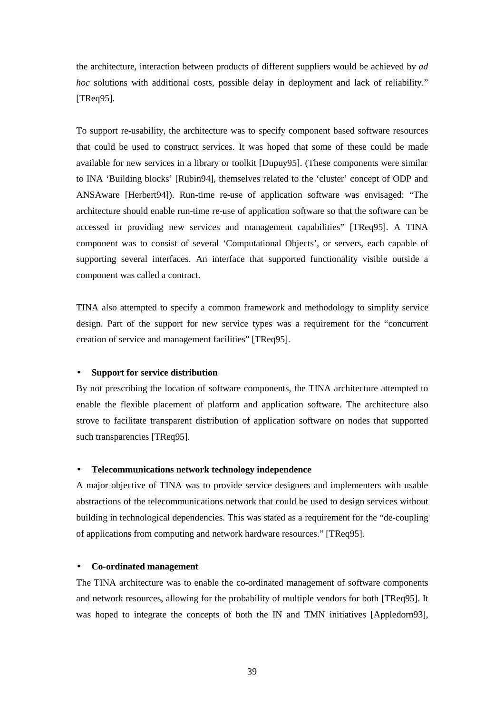the architecture, interaction between products of different suppliers would be achieved by *ad hoc* solutions with additional costs, possible delay in deployment and lack of reliability." [TReq95].

To support re-usability, the architecture was to specify component based software resources that could be used to construct services. It was hoped that some of these could be made available for new services in a library or toolkit [Dupuy95]. (These components were similar to INA 'Building blocks' [Rubin94], themselves related to the 'cluster' concept of ODP and ANSAware [Herbert94]). Run-time re-use of application software was envisaged: "The architecture should enable run-time re-use of application software so that the software can be accessed in providing new services and management capabilities" [TReq95]. A TINA component was to consist of several 'Computational Objects', or servers, each capable of supporting several interfaces. An interface that supported functionality visible outside a component was called a contract.

TINA also attempted to specify a common framework and methodology to simplify service design. Part of the support for new service types was a requirement for the "concurrent creation of service and management facilities" [TReq95].

#### • **Support for service distribution**

By not prescribing the location of software components, the TINA architecture attempted to enable the flexible placement of platform and application software. The architecture also strove to facilitate transparent distribution of application software on nodes that supported such transparencies [TReq95].

#### • **Telecommunications network technology independence**

A major objective of TINA was to provide service designers and implementers with usable abstractions of the telecommunications network that could be used to design services without building in technological dependencies. This was stated as a requirement for the "de-coupling of applications from computing and network hardware resources." [TReq95].

#### • **Co-ordinated management**

The TINA architecture was to enable the co-ordinated management of software components and network resources, allowing for the probability of multiple vendors for both [TReq95]. It was hoped to integrate the concepts of both the IN and TMN initiatives [Appledorn93],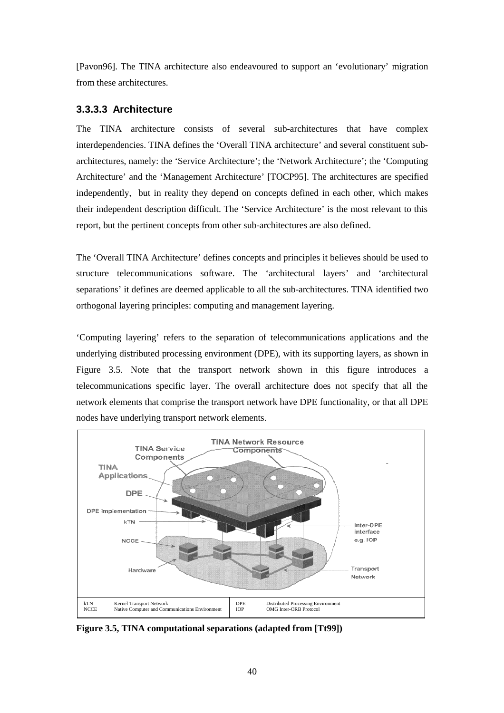[Pavon96]. The TINA architecture also endeavoured to support an 'evolutionary' migration from these architectures.

## **3.3.3.3 Architecture**

The TINA architecture consists of several sub-architectures that have complex interdependencies. TINA defines the 'Overall TINA architecture' and several constituent subarchitectures, namely: the 'Service Architecture'; the 'Network Architecture'; the 'Computing Architecture' and the 'Management Architecture' [TOCP95]. The architectures are specified independently, but in reality they depend on concepts defined in each other, which makes their independent description difficult. The 'Service Architecture' is the most relevant to this report, but the pertinent concepts from other sub-architectures are also defined.

The 'Overall TINA Architecture' defines concepts and principles it believes should be used to structure telecommunications software. The 'architectural layers' and 'architectural separations' it defines are deemed applicable to all the sub-architectures. TINA identified two orthogonal layering principles: computing and management layering.

'Computing layering' refers to the separation of telecommunications applications and the underlying distributed processing environment (DPE), with its supporting layers, as shown in Figure 3.5. Note that the transport network shown in this figure introduces a telecommunications specific layer. The overall architecture does not specify that all the network elements that comprise the transport network have DPE functionality, or that all DPE nodes have underlying transport network elements.



**Figure 3.5, TINA computational separations (adapted from [Tt99])**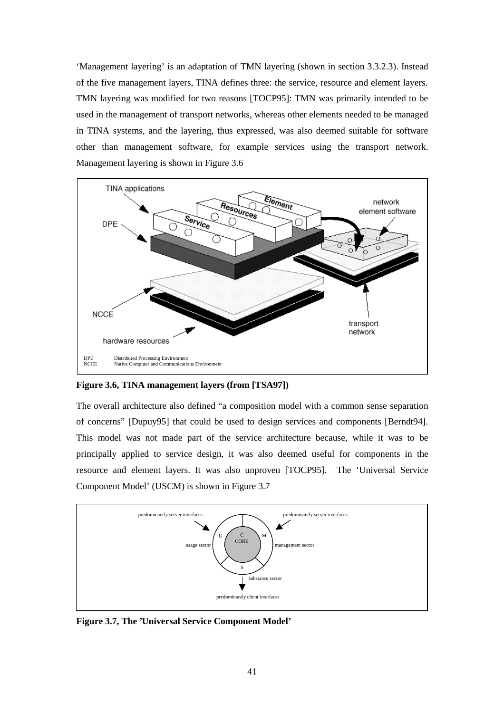'Management layering' is an adaptation of TMN layering (shown in section 3.3.2.3). Instead of the five management layers, TINA defines three: the service, resource and element layers. TMN layering was modified for two reasons [TOCP95]: TMN was primarily intended to be used in the management of transport networks, whereas other elements needed to be managed in TINA systems, and the layering, thus expressed, was also deemed suitable for software other than management software, for example services using the transport network. Management layering is shown in Figure 3.6



**Figure 3.6, TINA management layers (from [TSA97])** 

The overall architecture also defined "a composition model with a common sense separation of concerns" [Dupuy95] that could be used to design services and components [Berndt94]. This model was not made part of the service architecture because, while it was to be principally applied to service design, it was also deemed useful for components in the resource and element layers. It was also unproven [TOCP95]. The 'Universal Service Component Model' (USCM) is shown in Figure 3.7



**Figure 3.7, The 'Universal Service Component Model'**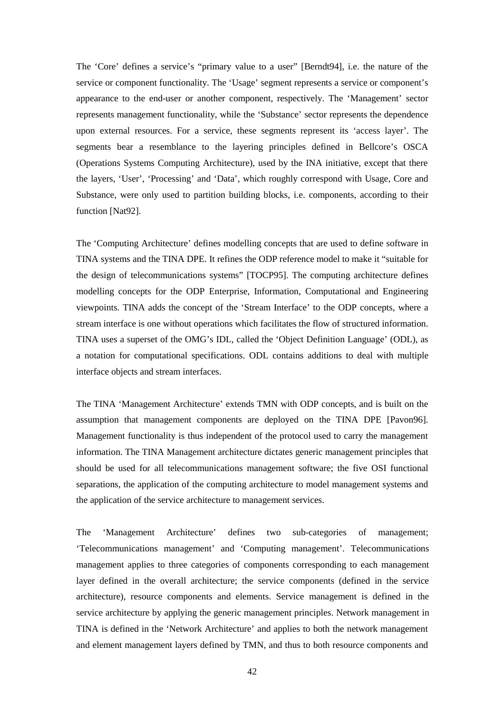The 'Core' defines a service's "primary value to a user" [Berndt94], i.e. the nature of the service or component functionality. The 'Usage' segment represents a service or component's appearance to the end-user or another component, respectively. The 'Management' sector represents management functionality, while the 'Substance' sector represents the dependence upon external resources. For a service, these segments represent its 'access layer'. The segments bear a resemblance to the layering principles defined in Bellcore's OSCA (Operations Systems Computing Architecture), used by the INA initiative, except that there the layers, 'User', 'Processing' and 'Data', which roughly correspond with Usage, Core and Substance, were only used to partition building blocks, i.e. components, according to their function [Nat92].

The 'Computing Architecture' defines modelling concepts that are used to define software in TINA systems and the TINA DPE. It refines the ODP reference model to make it "suitable for the design of telecommunications systems" [TOCP95]. The computing architecture defines modelling concepts for the ODP Enterprise, Information, Computational and Engineering viewpoints. TINA adds the concept of the 'Stream Interface' to the ODP concepts, where a stream interface is one without operations which facilitates the flow of structured information. TINA uses a superset of the OMG's IDL, called the 'Object Definition Language' (ODL), as a notation for computational specifications. ODL contains additions to deal with multiple interface objects and stream interfaces.

The TINA 'Management Architecture' extends TMN with ODP concepts, and is built on the assumption that management components are deployed on the TINA DPE [Pavon96]. Management functionality is thus independent of the protocol used to carry the management information. The TINA Management architecture dictates generic management principles that should be used for all telecommunications management software; the five OSI functional separations, the application of the computing architecture to model management systems and the application of the service architecture to management services.

The 'Management Architecture' defines two sub-categories of management; 'Telecommunications management' and 'Computing management'. Telecommunications management applies to three categories of components corresponding to each management layer defined in the overall architecture; the service components (defined in the service architecture), resource components and elements. Service management is defined in the service architecture by applying the generic management principles. Network management in TINA is defined in the 'Network Architecture' and applies to both the network management and element management layers defined by TMN, and thus to both resource components and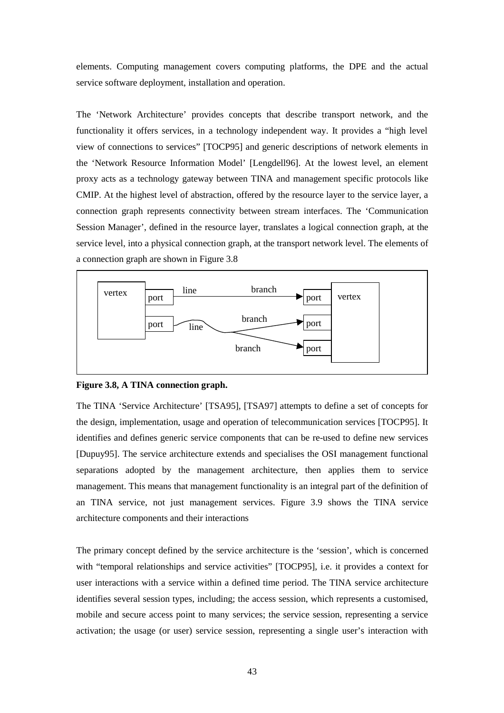elements. Computing management covers computing platforms, the DPE and the actual service software deployment, installation and operation.

The 'Network Architecture' provides concepts that describe transport network, and the functionality it offers services, in a technology independent way. It provides a "high level view of connections to services" [TOCP95] and generic descriptions of network elements in the 'Network Resource Information Model' [Lengdell96]. At the lowest level, an element proxy acts as a technology gateway between TINA and management specific protocols like CMIP. At the highest level of abstraction, offered by the resource layer to the service layer, a connection graph represents connectivity between stream interfaces. The 'Communication Session Manager', defined in the resource layer, translates a logical connection graph, at the service level, into a physical connection graph, at the transport network level. The elements of a connection graph are shown in Figure 3.8



**Figure 3.8, A TINA connection graph.** 

The TINA 'Service Architecture' [TSA95], [TSA97] attempts to define a set of concepts for the design, implementation, usage and operation of telecommunication services [TOCP95]. It identifies and defines generic service components that can be re-used to define new services [Dupuy95]. The service architecture extends and specialises the OSI management functional separations adopted by the management architecture, then applies them to service management. This means that management functionality is an integral part of the definition of an TINA service, not just management services. Figure 3.9 shows the TINA service architecture components and their interactions

The primary concept defined by the service architecture is the 'session', which is concerned with "temporal relationships and service activities" [TOCP95], i.e. it provides a context for user interactions with a service within a defined time period. The TINA service architecture identifies several session types, including; the access session, which represents a customised, mobile and secure access point to many services; the service session, representing a service activation; the usage (or user) service session, representing a single user's interaction with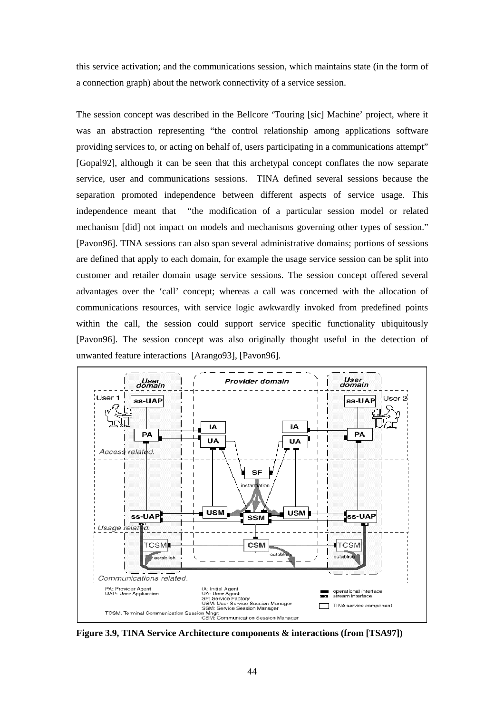this service activation; and the communications session, which maintains state (in the form of a connection graph) about the network connectivity of a service session.

The session concept was described in the Bellcore 'Touring [sic] Machine' project, where it was an abstraction representing "the control relationship among applications software providing services to, or acting on behalf of, users participating in a communications attempt" [Gopal92], although it can be seen that this archetypal concept conflates the now separate service, user and communications sessions. TINA defined several sessions because the separation promoted independence between different aspects of service usage. This independence meant that "the modification of a particular session model or related mechanism [did] not impact on models and mechanisms governing other types of session." [Pavon96]. TINA sessions can also span several administrative domains; portions of sessions are defined that apply to each domain, for example the usage service session can be split into customer and retailer domain usage service sessions. The session concept offered several advantages over the 'call' concept; whereas a call was concerned with the allocation of communications resources, with service logic awkwardly invoked from predefined points within the call, the session could support service specific functionality ubiquitously [Pavon96]. The session concept was also originally thought useful in the detection of unwanted feature interactions [Arango93], [Pavon96].



**Figure 3.9, TINA Service Architecture components & interactions (from [TSA97])**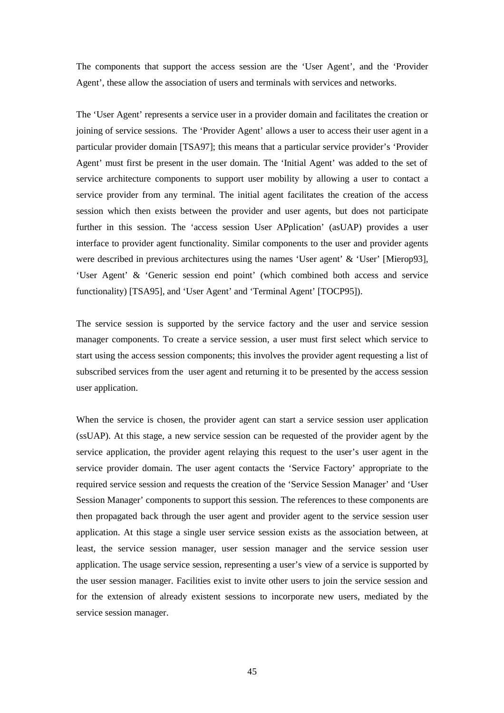The components that support the access session are the 'User Agent', and the 'Provider Agent', these allow the association of users and terminals with services and networks.

The 'User Agent' represents a service user in a provider domain and facilitates the creation or joining of service sessions. The 'Provider Agent' allows a user to access their user agent in a particular provider domain [TSA97]; this means that a particular service provider's 'Provider Agent' must first be present in the user domain. The 'Initial Agent' was added to the set of service architecture components to support user mobility by allowing a user to contact a service provider from any terminal. The initial agent facilitates the creation of the access session which then exists between the provider and user agents, but does not participate further in this session. The 'access session User APplication' (asUAP) provides a user interface to provider agent functionality. Similar components to the user and provider agents were described in previous architectures using the names 'User agent' & 'User' [Mierop93], 'User Agent' & 'Generic session end point' (which combined both access and service functionality) [TSA95], and 'User Agent' and 'Terminal Agent' [TOCP95]).

The service session is supported by the service factory and the user and service session manager components. To create a service session, a user must first select which service to start using the access session components; this involves the provider agent requesting a list of subscribed services from the user agent and returning it to be presented by the access session user application.

When the service is chosen, the provider agent can start a service session user application (ssUAP). At this stage, a new service session can be requested of the provider agent by the service application, the provider agent relaying this request to the user's user agent in the service provider domain. The user agent contacts the 'Service Factory' appropriate to the required service session and requests the creation of the 'Service Session Manager' and 'User Session Manager' components to support this session. The references to these components are then propagated back through the user agent and provider agent to the service session user application. At this stage a single user service session exists as the association between, at least, the service session manager, user session manager and the service session user application. The usage service session, representing a user's view of a service is supported by the user session manager. Facilities exist to invite other users to join the service session and for the extension of already existent sessions to incorporate new users, mediated by the service session manager.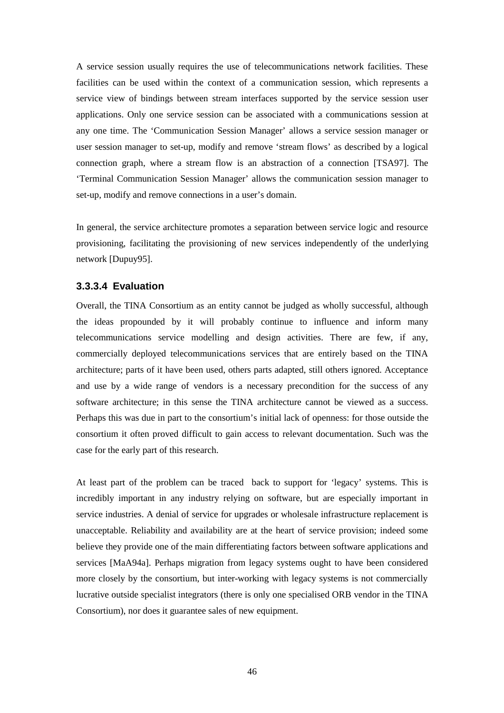A service session usually requires the use of telecommunications network facilities. These facilities can be used within the context of a communication session, which represents a service view of bindings between stream interfaces supported by the service session user applications. Only one service session can be associated with a communications session at any one time. The 'Communication Session Manager' allows a service session manager or user session manager to set-up, modify and remove 'stream flows' as described by a logical connection graph, where a stream flow is an abstraction of a connection [TSA97]. The 'Terminal Communication Session Manager' allows the communication session manager to set-up, modify and remove connections in a user's domain.

In general, the service architecture promotes a separation between service logic and resource provisioning, facilitating the provisioning of new services independently of the underlying network [Dupuy95].

## **3.3.3.4 Evaluation**

Overall, the TINA Consortium as an entity cannot be judged as wholly successful, although the ideas propounded by it will probably continue to influence and inform many telecommunications service modelling and design activities. There are few, if any, commercially deployed telecommunications services that are entirely based on the TINA architecture; parts of it have been used, others parts adapted, still others ignored. Acceptance and use by a wide range of vendors is a necessary precondition for the success of any software architecture; in this sense the TINA architecture cannot be viewed as a success. Perhaps this was due in part to the consortium's initial lack of openness: for those outside the consortium it often proved difficult to gain access to relevant documentation. Such was the case for the early part of this research.

At least part of the problem can be traced back to support for 'legacy' systems. This is incredibly important in any industry relying on software, but are especially important in service industries. A denial of service for upgrades or wholesale infrastructure replacement is unacceptable. Reliability and availability are at the heart of service provision; indeed some believe they provide one of the main differentiating factors between software applications and services [MaA94a]. Perhaps migration from legacy systems ought to have been considered more closely by the consortium, but inter-working with legacy systems is not commercially lucrative outside specialist integrators (there is only one specialised ORB vendor in the TINA Consortium), nor does it guarantee sales of new equipment.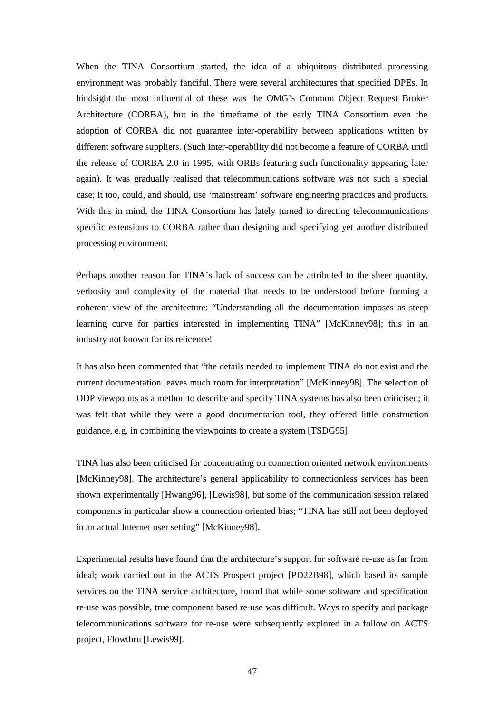When the TINA Consortium started, the idea of a ubiquitous distributed processing environment was probably fanciful. There were several architectures that specified DPEs. In hindsight the most influential of these was the OMG's Common Object Request Broker Architecture (CORBA), but in the timeframe of the early TINA Consortium even the adoption of CORBA did not guarantee inter-operability between applications written by different software suppliers. (Such inter-operability did not become a feature of CORBA until the release of CORBA 2.0 in 1995, with ORBs featuring such functionality appearing later again). It was gradually realised that telecommunications software was not such a special case; it too, could, and should, use 'mainstream' software engineering practices and products. With this in mind, the TINA Consortium has lately turned to directing telecommunications specific extensions to CORBA rather than designing and specifying yet another distributed processing environment.

Perhaps another reason for TINA's lack of success can be attributed to the sheer quantity, verbosity and complexity of the material that needs to be understood before forming a coherent view of the architecture: "Understanding all the documentation imposes as steep learning curve for parties interested in implementing TINA" [McKinney98]; this in an industry not known for its reticence!

It has also been commented that "the details needed to implement TINA do not exist and the current documentation leaves much room for interpretation" [McKinney98]. The selection of ODP viewpoints as a method to describe and specify TINA systems has also been criticised; it was felt that while they were a good documentation tool, they offered little construction guidance, e.g. in combining the viewpoints to create a system [TSDG95].

TINA has also been criticised for concentrating on connection oriented network environments [McKinney98]. The architecture's general applicability to connectionless services has been shown experimentally [Hwang96], [Lewis98], but some of the communication session related components in particular show a connection oriented bias; "TINA has still not been deployed in an actual Internet user setting" [McKinney98].

Experimental results have found that the architecture's support for software re-use as far from ideal; work carried out in the ACTS Prospect project [PD22B98], which based its sample services on the TINA service architecture, found that while some software and specification re-use was possible, true component based re-use was difficult. Ways to specify and package telecommunications software for re-use were subsequently explored in a follow on ACTS project, Flowthru [Lewis99].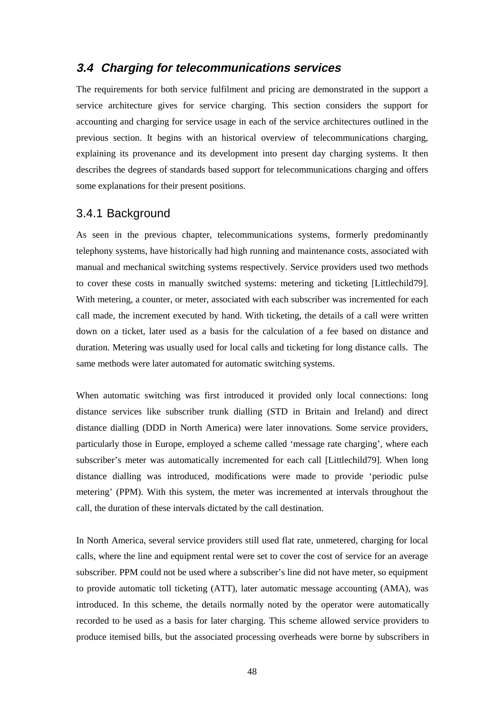# **3.4 Charging for telecommunications services**

The requirements for both service fulfilment and pricing are demonstrated in the support a service architecture gives for service charging. This section considers the support for accounting and charging for service usage in each of the service architectures outlined in the previous section. It begins with an historical overview of telecommunications charging, explaining its provenance and its development into present day charging systems. It then describes the degrees of standards based support for telecommunications charging and offers some explanations for their present positions.

# 3.4.1 Background

As seen in the previous chapter, telecommunications systems, formerly predominantly telephony systems, have historically had high running and maintenance costs, associated with manual and mechanical switching systems respectively. Service providers used two methods to cover these costs in manually switched systems: metering and ticketing [Littlechild79]. With metering, a counter, or meter, associated with each subscriber was incremented for each call made, the increment executed by hand. With ticketing, the details of a call were written down on a ticket, later used as a basis for the calculation of a fee based on distance and duration. Metering was usually used for local calls and ticketing for long distance calls. The same methods were later automated for automatic switching systems.

When automatic switching was first introduced it provided only local connections: long distance services like subscriber trunk dialling (STD in Britain and Ireland) and direct distance dialling (DDD in North America) were later innovations. Some service providers, particularly those in Europe, employed a scheme called 'message rate charging', where each subscriber's meter was automatically incremented for each call [Littlechild79]. When long distance dialling was introduced, modifications were made to provide 'periodic pulse metering' (PPM). With this system, the meter was incremented at intervals throughout the call, the duration of these intervals dictated by the call destination.

In North America, several service providers still used flat rate, unmetered, charging for local calls, where the line and equipment rental were set to cover the cost of service for an average subscriber. PPM could not be used where a subscriber's line did not have meter, so equipment to provide automatic toll ticketing (ATT), later automatic message accounting (AMA), was introduced. In this scheme, the details normally noted by the operator were automatically recorded to be used as a basis for later charging. This scheme allowed service providers to produce itemised bills, but the associated processing overheads were borne by subscribers in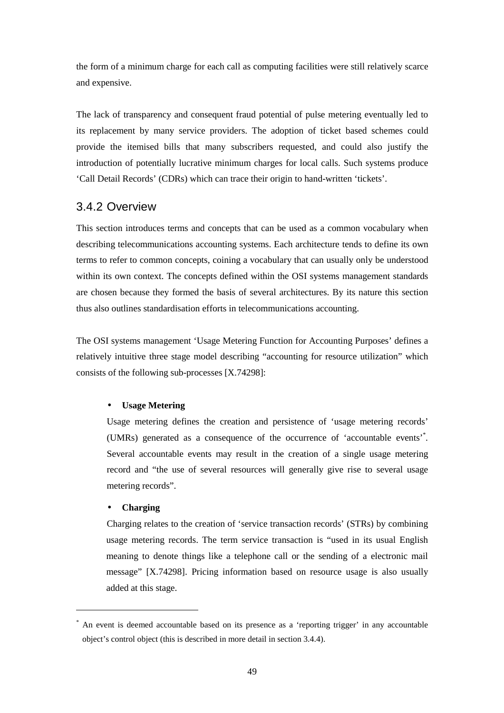the form of a minimum charge for each call as computing facilities were still relatively scarce and expensive.

The lack of transparency and consequent fraud potential of pulse metering eventually led to its replacement by many service providers. The adoption of ticket based schemes could provide the itemised bills that many subscribers requested, and could also justify the introduction of potentially lucrative minimum charges for local calls. Such systems produce 'Call Detail Records' (CDRs) which can trace their origin to hand-written 'tickets'.

# 3.4.2 Overview

This section introduces terms and concepts that can be used as a common vocabulary when describing telecommunications accounting systems. Each architecture tends to define its own terms to refer to common concepts, coining a vocabulary that can usually only be understood within its own context. The concepts defined within the OSI systems management standards are chosen because they formed the basis of several architectures. By its nature this section thus also outlines standardisation efforts in telecommunications accounting.

The OSI systems management 'Usage Metering Function for Accounting Purposes' defines a relatively intuitive three stage model describing "accounting for resource utilization" which consists of the following sub-processes [X.74298]:

### • **Usage Metering**

Usage metering defines the creation and persistence of 'usage metering records' (UMRs) generated as a consequence of the occurrence of 'accountable events'\* . Several accountable events may result in the creation of a single usage metering record and "the use of several resources will generally give rise to several usage metering records".

### • **Charging**

 $\overline{a}$ 

 Charging relates to the creation of 'service transaction records' (STRs) by combining usage metering records. The term service transaction is "used in its usual English meaning to denote things like a telephone call or the sending of a electronic mail message" [X.74298]. Pricing information based on resource usage is also usually added at this stage.

<sup>\*</sup> An event is deemed accountable based on its presence as a 'reporting trigger' in any accountable object's control object (this is described in more detail in section 3.4.4).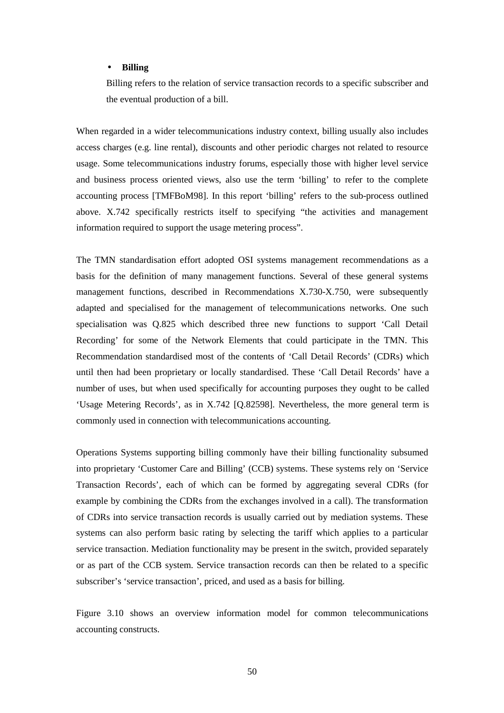#### • **Billing**

Billing refers to the relation of service transaction records to a specific subscriber and the eventual production of a bill.

When regarded in a wider telecommunications industry context, billing usually also includes access charges (e.g. line rental), discounts and other periodic charges not related to resource usage. Some telecommunications industry forums, especially those with higher level service and business process oriented views, also use the term 'billing' to refer to the complete accounting process [TMFBoM98]. In this report 'billing' refers to the sub-process outlined above. X.742 specifically restricts itself to specifying "the activities and management information required to support the usage metering process".

The TMN standardisation effort adopted OSI systems management recommendations as a basis for the definition of many management functions. Several of these general systems management functions, described in Recommendations X.730-X.750, were subsequently adapted and specialised for the management of telecommunications networks. One such specialisation was Q.825 which described three new functions to support 'Call Detail Recording' for some of the Network Elements that could participate in the TMN. This Recommendation standardised most of the contents of 'Call Detail Records' (CDRs) which until then had been proprietary or locally standardised. These 'Call Detail Records' have a number of uses, but when used specifically for accounting purposes they ought to be called 'Usage Metering Records', as in X.742 [Q.82598]. Nevertheless, the more general term is commonly used in connection with telecommunications accounting.

Operations Systems supporting billing commonly have their billing functionality subsumed into proprietary 'Customer Care and Billing' (CCB) systems. These systems rely on 'Service Transaction Records', each of which can be formed by aggregating several CDRs (for example by combining the CDRs from the exchanges involved in a call). The transformation of CDRs into service transaction records is usually carried out by mediation systems. These systems can also perform basic rating by selecting the tariff which applies to a particular service transaction. Mediation functionality may be present in the switch, provided separately or as part of the CCB system. Service transaction records can then be related to a specific subscriber's 'service transaction', priced, and used as a basis for billing.

Figure 3.10 shows an overview information model for common telecommunications accounting constructs.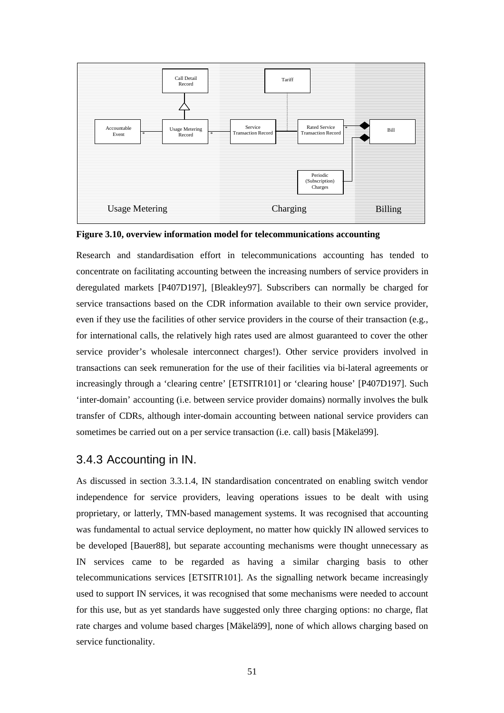

**Figure 3.10, overview information model for telecommunications accounting** 

Research and standardisation effort in telecommunications accounting has tended to concentrate on facilitating accounting between the increasing numbers of service providers in deregulated markets [P407D197], [Bleakley97]. Subscribers can normally be charged for service transactions based on the CDR information available to their own service provider, even if they use the facilities of other service providers in the course of their transaction (e.g., for international calls, the relatively high rates used are almost guaranteed to cover the other service provider's wholesale interconnect charges!). Other service providers involved in transactions can seek remuneration for the use of their facilities via bi-lateral agreements or increasingly through a 'clearing centre' [ETSITR101] or 'clearing house' [P407D197]. Such 'inter-domain' accounting (i.e. between service provider domains) normally involves the bulk transfer of CDRs, although inter-domain accounting between national service providers can sometimes be carried out on a per service transaction (i.e. call) basis [Mäkelä99].

# 3.4.3 Accounting in IN.

As discussed in section 3.3.1.4, IN standardisation concentrated on enabling switch vendor independence for service providers, leaving operations issues to be dealt with using proprietary, or latterly, TMN-based management systems. It was recognised that accounting was fundamental to actual service deployment, no matter how quickly IN allowed services to be developed [Bauer88], but separate accounting mechanisms were thought unnecessary as IN services came to be regarded as having a similar charging basis to other telecommunications services [ETSITR101]. As the signalling network became increasingly used to support IN services, it was recognised that some mechanisms were needed to account for this use, but as yet standards have suggested only three charging options: no charge, flat rate charges and volume based charges [Mäkelä99], none of which allows charging based on service functionality.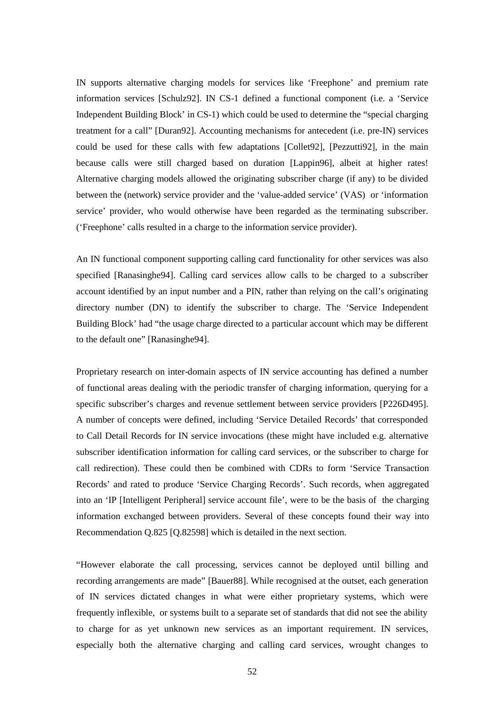IN supports alternative charging models for services like 'Freephone' and premium rate information services [Schulz92]. IN CS-1 defined a functional component (i.e. a 'Service Independent Building Block' in CS-1) which could be used to determine the "special charging treatment for a call" [Duran92]. Accounting mechanisms for antecedent (i.e. pre-IN) services could be used for these calls with few adaptations [Collet92], [Pezzutti92], in the main because calls were still charged based on duration [Lappin96], albeit at higher rates! Alternative charging models allowed the originating subscriber charge (if any) to be divided between the (network) service provider and the 'value-added service' (VAS) or 'information service' provider, who would otherwise have been regarded as the terminating subscriber. ('Freephone' calls resulted in a charge to the information service provider).

An IN functional component supporting calling card functionality for other services was also specified [Ranasinghe94]. Calling card services allow calls to be charged to a subscriber account identified by an input number and a PIN, rather than relying on the call's originating directory number (DN) to identify the subscriber to charge. The 'Service Independent Building Block' had "the usage charge directed to a particular account which may be different to the default one" [Ranasinghe94].

Proprietary research on inter-domain aspects of IN service accounting has defined a number of functional areas dealing with the periodic transfer of charging information, querying for a specific subscriber's charges and revenue settlement between service providers [P226D495]. A number of concepts were defined, including 'Service Detailed Records' that corresponded to Call Detail Records for IN service invocations (these might have included e.g. alternative subscriber identification information for calling card services, or the subscriber to charge for call redirection). These could then be combined with CDRs to form 'Service Transaction Records' and rated to produce 'Service Charging Records'. Such records, when aggregated into an 'IP [Intelligent Peripheral] service account file', were to be the basis of the charging information exchanged between providers. Several of these concepts found their way into Recommendation Q.825 [Q.82598] which is detailed in the next section.

"However elaborate the call processing, services cannot be deployed until billing and recording arrangements are made" [Bauer88]. While recognised at the outset, each generation of IN services dictated changes in what were either proprietary systems, which were frequently inflexible, or systems built to a separate set of standards that did not see the ability to charge for as yet unknown new services as an important requirement. IN services, especially both the alternative charging and calling card services, wrought changes to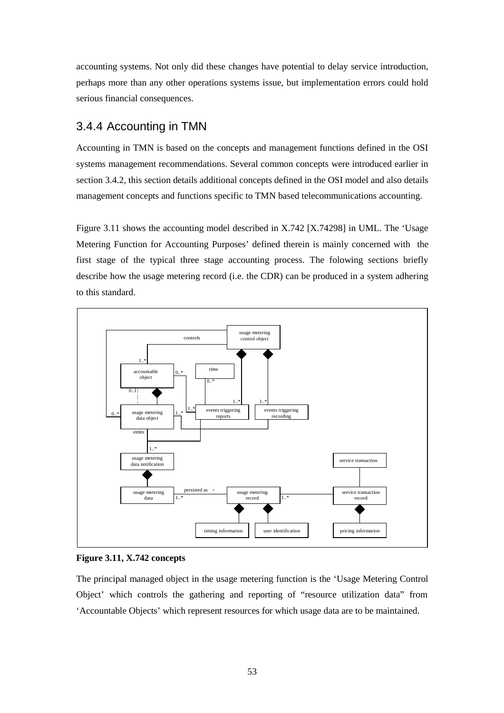accounting systems. Not only did these changes have potential to delay service introduction, perhaps more than any other operations systems issue, but implementation errors could hold serious financial consequences.

# 3.4.4 Accounting in TMN

Accounting in TMN is based on the concepts and management functions defined in the OSI systems management recommendations. Several common concepts were introduced earlier in section 3.4.2, this section details additional concepts defined in the OSI model and also details management concepts and functions specific to TMN based telecommunications accounting.

Figure 3.11 shows the accounting model described in X.742 [X.74298] in UML. The 'Usage Metering Function for Accounting Purposes' defined therein is mainly concerned with the first stage of the typical three stage accounting process. The folowing sections briefly describe how the usage metering record (i.e. the CDR) can be produced in a system adhering to this standard.



### **Figure 3.11, X.742 concepts**

The principal managed object in the usage metering function is the 'Usage Metering Control Object' which controls the gathering and reporting of "resource utilization data" from 'Accountable Objects' which represent resources for which usage data are to be maintained.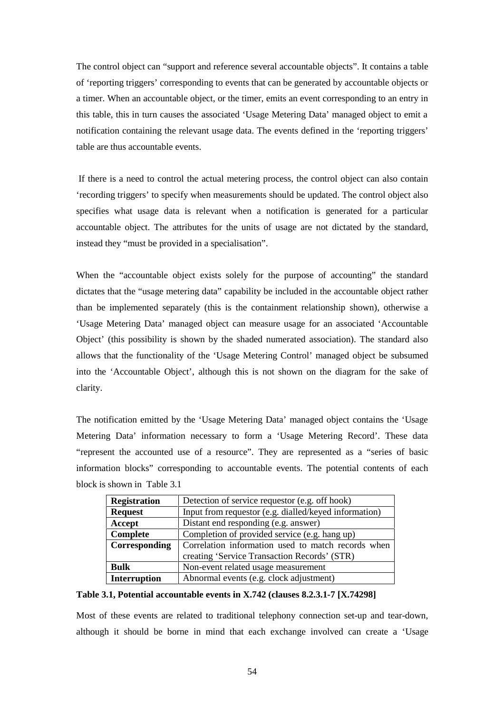The control object can "support and reference several accountable objects". It contains a table of 'reporting triggers' corresponding to events that can be generated by accountable objects or a timer. When an accountable object, or the timer, emits an event corresponding to an entry in this table, this in turn causes the associated 'Usage Metering Data' managed object to emit a notification containing the relevant usage data. The events defined in the 'reporting triggers' table are thus accountable events.

 If there is a need to control the actual metering process, the control object can also contain 'recording triggers' to specify when measurements should be updated. The control object also specifies what usage data is relevant when a notification is generated for a particular accountable object. The attributes for the units of usage are not dictated by the standard, instead they "must be provided in a specialisation".

When the "accountable object exists solely for the purpose of accounting" the standard dictates that the "usage metering data" capability be included in the accountable object rather than be implemented separately (this is the containment relationship shown), otherwise a 'Usage Metering Data' managed object can measure usage for an associated 'Accountable Object' (this possibility is shown by the shaded numerated association). The standard also allows that the functionality of the 'Usage Metering Control' managed object be subsumed into the 'Accountable Object', although this is not shown on the diagram for the sake of clarity.

The notification emitted by the 'Usage Metering Data' managed object contains the 'Usage Metering Data' information necessary to form a 'Usage Metering Record'. These data "represent the accounted use of a resource". They are represented as a "series of basic information blocks" corresponding to accountable events. The potential contents of each block is shown in Table 3.1

| <b>Registration</b> | Detection of service requestor (e.g. off hook)        |
|---------------------|-------------------------------------------------------|
| <b>Request</b>      | Input from requestor (e.g. dialled/keyed information) |
| Accept              | Distant end responding (e.g. answer)                  |
| Complete            | Completion of provided service (e.g. hang up)         |
| Corresponding       | Correlation information used to match records when    |
|                     | creating 'Service Transaction Records' (STR)          |
| <b>Bulk</b>         | Non-event related usage measurement                   |
| <b>Interruption</b> | Abnormal events (e.g. clock adjustment)               |

### **Table 3.1, Potential accountable events in X.742 (clauses 8.2.3.1-7 [X.74298]**

Most of these events are related to traditional telephony connection set-up and tear-down, although it should be borne in mind that each exchange involved can create a 'Usage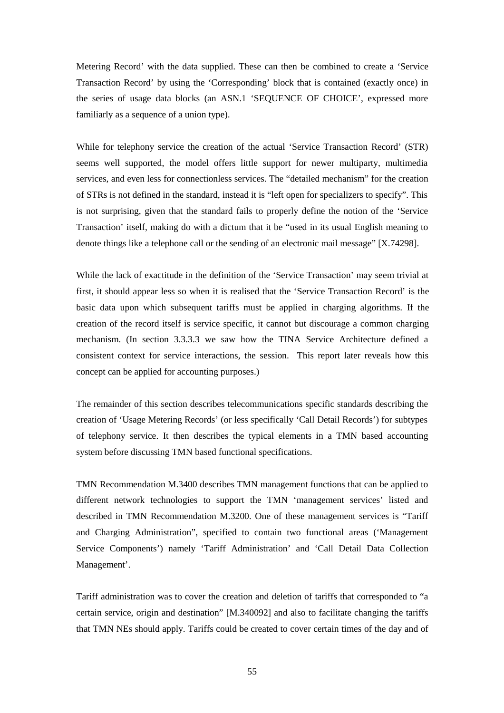Metering Record' with the data supplied. These can then be combined to create a 'Service Transaction Record' by using the 'Corresponding' block that is contained (exactly once) in the series of usage data blocks (an ASN.1 'SEQUENCE OF CHOICE', expressed more familiarly as a sequence of a union type).

While for telephony service the creation of the actual 'Service Transaction Record' (STR) seems well supported, the model offers little support for newer multiparty, multimedia services, and even less for connectionless services. The "detailed mechanism" for the creation of STRs is not defined in the standard, instead it is "left open for specializers to specify". This is not surprising, given that the standard fails to properly define the notion of the 'Service Transaction' itself, making do with a dictum that it be "used in its usual English meaning to denote things like a telephone call or the sending of an electronic mail message" [X.74298].

While the lack of exactitude in the definition of the 'Service Transaction' may seem trivial at first, it should appear less so when it is realised that the 'Service Transaction Record' is the basic data upon which subsequent tariffs must be applied in charging algorithms. If the creation of the record itself is service specific, it cannot but discourage a common charging mechanism. (In section 3.3.3.3 we saw how the TINA Service Architecture defined a consistent context for service interactions, the session. This report later reveals how this concept can be applied for accounting purposes.)

The remainder of this section describes telecommunications specific standards describing the creation of 'Usage Metering Records' (or less specifically 'Call Detail Records') for subtypes of telephony service. It then describes the typical elements in a TMN based accounting system before discussing TMN based functional specifications.

TMN Recommendation M.3400 describes TMN management functions that can be applied to different network technologies to support the TMN 'management services' listed and described in TMN Recommendation M.3200. One of these management services is "Tariff and Charging Administration", specified to contain two functional areas ('Management Service Components') namely 'Tariff Administration' and 'Call Detail Data Collection Management'.

Tariff administration was to cover the creation and deletion of tariffs that corresponded to "a certain service, origin and destination" [M.340092] and also to facilitate changing the tariffs that TMN NEs should apply. Tariffs could be created to cover certain times of the day and of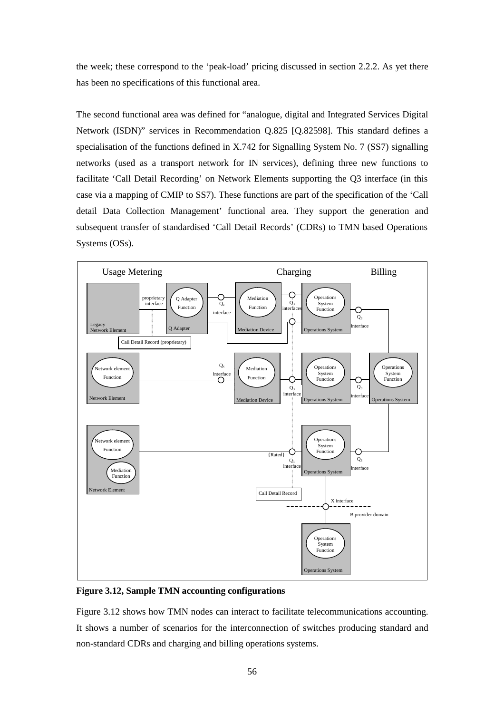the week; these correspond to the 'peak-load' pricing discussed in section 2.2.2. As yet there has been no specifications of this functional area.

The second functional area was defined for "analogue, digital and Integrated Services Digital Network (ISDN)" services in Recommendation Q.825 [Q.82598]. This standard defines a specialisation of the functions defined in X.742 for Signalling System No. 7 (SS7) signalling networks (used as a transport network for IN services), defining three new functions to facilitate 'Call Detail Recording' on Network Elements supporting the Q3 interface (in this case via a mapping of CMIP to SS7). These functions are part of the specification of the 'Call detail Data Collection Management' functional area. They support the generation and subsequent transfer of standardised 'Call Detail Records' (CDRs) to TMN based Operations Systems (OSs).



**Figure 3.12, Sample TMN accounting configurations** 

Figure 3.12 shows how TMN nodes can interact to facilitate telecommunications accounting. It shows a number of scenarios for the interconnection of switches producing standard and non-standard CDRs and charging and billing operations systems.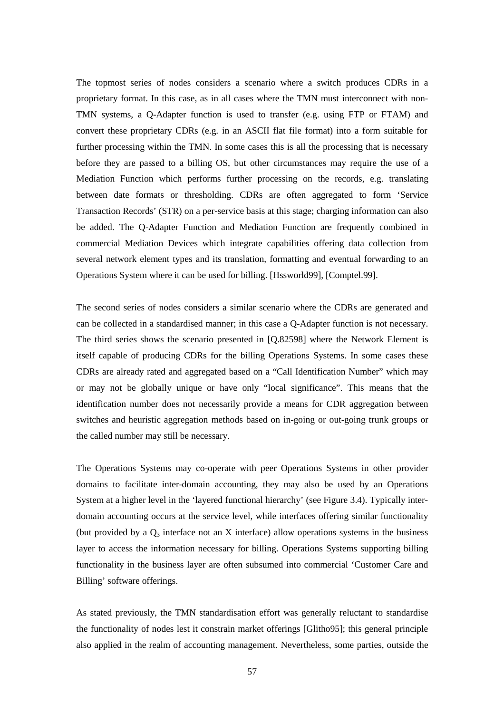The topmost series of nodes considers a scenario where a switch produces CDRs in a proprietary format. In this case, as in all cases where the TMN must interconnect with non-TMN systems, a Q-Adapter function is used to transfer (e.g. using FTP or FTAM) and convert these proprietary CDRs (e.g. in an ASCII flat file format) into a form suitable for further processing within the TMN. In some cases this is all the processing that is necessary before they are passed to a billing OS, but other circumstances may require the use of a Mediation Function which performs further processing on the records, e.g. translating between date formats or thresholding. CDRs are often aggregated to form 'Service Transaction Records' (STR) on a per-service basis at this stage; charging information can also be added. The Q-Adapter Function and Mediation Function are frequently combined in commercial Mediation Devices which integrate capabilities offering data collection from several network element types and its translation, formatting and eventual forwarding to an Operations System where it can be used for billing. [Hssworld99], [Comptel.99].

The second series of nodes considers a similar scenario where the CDRs are generated and can be collected in a standardised manner; in this case a Q-Adapter function is not necessary. The third series shows the scenario presented in [Q.82598] where the Network Element is itself capable of producing CDRs for the billing Operations Systems. In some cases these CDRs are already rated and aggregated based on a "Call Identification Number" which may or may not be globally unique or have only "local significance". This means that the identification number does not necessarily provide a means for CDR aggregation between switches and heuristic aggregation methods based on in-going or out-going trunk groups or the called number may still be necessary.

The Operations Systems may co-operate with peer Operations Systems in other provider domains to facilitate inter-domain accounting, they may also be used by an Operations System at a higher level in the 'layered functional hierarchy' (see Figure 3.4). Typically interdomain accounting occurs at the service level, while interfaces offering similar functionality (but provided by a  $Q_3$  interface not an X interface) allow operations systems in the business layer to access the information necessary for billing. Operations Systems supporting billing functionality in the business layer are often subsumed into commercial 'Customer Care and Billing' software offerings.

As stated previously, the TMN standardisation effort was generally reluctant to standardise the functionality of nodes lest it constrain market offerings [Glitho95]; this general principle also applied in the realm of accounting management. Nevertheless, some parties, outside the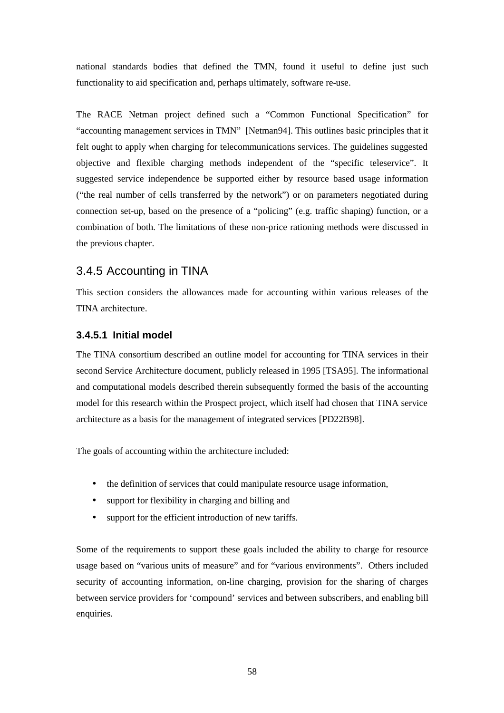national standards bodies that defined the TMN, found it useful to define just such functionality to aid specification and, perhaps ultimately, software re-use.

The RACE Netman project defined such a "Common Functional Specification" for "accounting management services in TMN" [Netman94]. This outlines basic principles that it felt ought to apply when charging for telecommunications services. The guidelines suggested objective and flexible charging methods independent of the "specific teleservice". It suggested service independence be supported either by resource based usage information ("the real number of cells transferred by the network") or on parameters negotiated during connection set-up, based on the presence of a "policing" (e.g. traffic shaping) function, or a combination of both. The limitations of these non-price rationing methods were discussed in the previous chapter.

# 3.4.5 Accounting in TINA

This section considers the allowances made for accounting within various releases of the TINA architecture.

### **3.4.5.1 Initial model**

The TINA consortium described an outline model for accounting for TINA services in their second Service Architecture document, publicly released in 1995 [TSA95]. The informational and computational models described therein subsequently formed the basis of the accounting model for this research within the Prospect project, which itself had chosen that TINA service architecture as a basis for the management of integrated services [PD22B98].

The goals of accounting within the architecture included:

- the definition of services that could manipulate resource usage information,
- support for flexibility in charging and billing and
- support for the efficient introduction of new tariffs.

Some of the requirements to support these goals included the ability to charge for resource usage based on "various units of measure" and for "various environments". Others included security of accounting information, on-line charging, provision for the sharing of charges between service providers for 'compound' services and between subscribers, and enabling bill enquiries.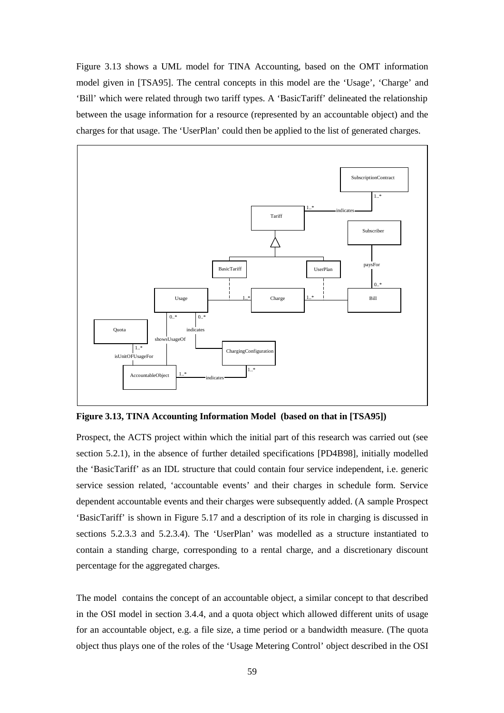Figure 3.13 shows a UML model for TINA Accounting, based on the OMT information model given in [TSA95]. The central concepts in this model are the 'Usage', 'Charge' and 'Bill' which were related through two tariff types. A 'BasicTariff' delineated the relationship between the usage information for a resource (represented by an accountable object) and the charges for that usage. The 'UserPlan' could then be applied to the list of generated charges.



**Figure 3.13, TINA Accounting Information Model (based on that in [TSA95])** 

Prospect, the ACTS project within which the initial part of this research was carried out (see section 5.2.1), in the absence of further detailed specifications [PD4B98], initially modelled the 'BasicTariff' as an IDL structure that could contain four service independent, i.e. generic service session related, 'accountable events' and their charges in schedule form. Service dependent accountable events and their charges were subsequently added. (A sample Prospect 'BasicTariff' is shown in Figure 5.17 and a description of its role in charging is discussed in sections 5.2.3.3 and 5.2.3.4). The 'UserPlan' was modelled as a structure instantiated to contain a standing charge, corresponding to a rental charge, and a discretionary discount percentage for the aggregated charges.

The model contains the concept of an accountable object, a similar concept to that described in the OSI model in section 3.4.4, and a quota object which allowed different units of usage for an accountable object, e.g. a file size, a time period or a bandwidth measure. (The quota object thus plays one of the roles of the 'Usage Metering Control' object described in the OSI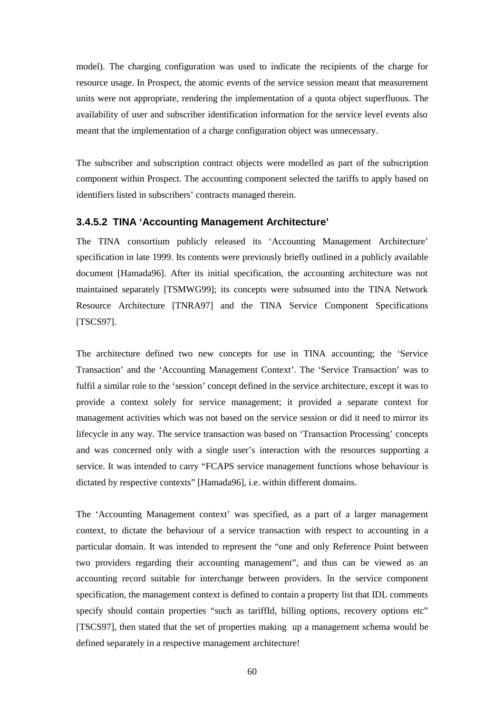model). The charging configuration was used to indicate the recipients of the charge for resource usage. In Prospect, the atomic events of the service session meant that measurement units were not appropriate, rendering the implementation of a quota object superfluous. The availability of user and subscriber identification information for the service level events also meant that the implementation of a charge configuration object was unnecessary.

The subscriber and subscription contract objects were modelled as part of the subscription component within Prospect. The accounting component selected the tariffs to apply based on identifiers listed in subscribers' contracts managed therein.

## **3.4.5.2 TINA 'Accounting Management Architecture'**

The TINA consortium publicly released its 'Accounting Management Architecture' specification in late 1999. Its contents were previously briefly outlined in a publicly available document [Hamada96]. After its initial specification, the accounting architecture was not maintained separately [TSMWG99]; its concepts were subsumed into the TINA Network Resource Architecture [TNRA97] and the TINA Service Component Specifications [TSCS97].

The architecture defined two new concepts for use in TINA accounting; the 'Service Transaction' and the 'Accounting Management Context'. The 'Service Transaction' was to fulfil a similar role to the 'session' concept defined in the service architecture, except it was to provide a context solely for service management; it provided a separate context for management activities which was not based on the service session or did it need to mirror its lifecycle in any way. The service transaction was based on 'Transaction Processing' concepts and was concerned only with a single user's interaction with the resources supporting a service. It was intended to carry "FCAPS service management functions whose behaviour is dictated by respective contexts" [Hamada96], i.e. within different domains.

The 'Accounting Management context' was specified, as a part of a larger management context, to dictate the behaviour of a service transaction with respect to accounting in a particular domain. It was intended to represent the "one and only Reference Point between two providers regarding their accounting management", and thus can be viewed as an accounting record suitable for interchange between providers. In the service component specification, the management context is defined to contain a property list that IDL comments specify should contain properties "such as tariffId, billing options, recovery options etc" [TSCS97], then stated that the set of properties making up a management schema would be defined separately in a respective management architecture!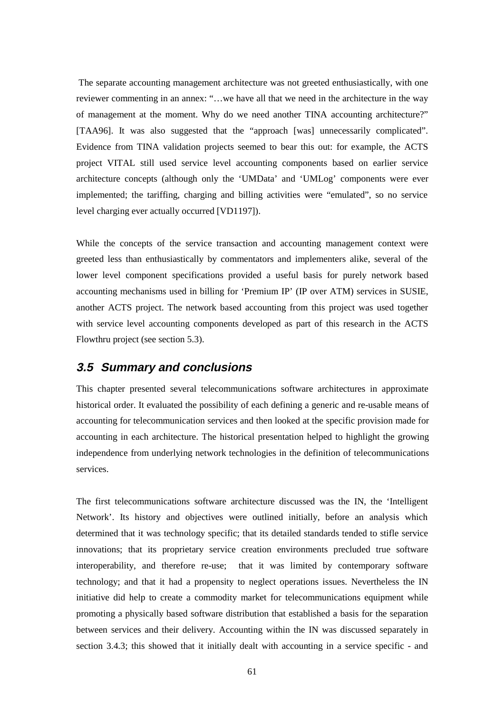The separate accounting management architecture was not greeted enthusiastically, with one reviewer commenting in an annex: "…we have all that we need in the architecture in the way of management at the moment. Why do we need another TINA accounting architecture?" [TAA96]. It was also suggested that the "approach [was] unnecessarily complicated". Evidence from TINA validation projects seemed to bear this out: for example, the ACTS project VITAL still used service level accounting components based on earlier service architecture concepts (although only the 'UMData' and 'UMLog' components were ever implemented; the tariffing, charging and billing activities were "emulated", so no service level charging ever actually occurred [VD1197]).

While the concepts of the service transaction and accounting management context were greeted less than enthusiastically by commentators and implementers alike, several of the lower level component specifications provided a useful basis for purely network based accounting mechanisms used in billing for 'Premium IP' (IP over ATM) services in SUSIE, another ACTS project. The network based accounting from this project was used together with service level accounting components developed as part of this research in the ACTS Flowthru project (see section 5.3).

## **3.5 Summary and conclusions**

This chapter presented several telecommunications software architectures in approximate historical order. It evaluated the possibility of each defining a generic and re-usable means of accounting for telecommunication services and then looked at the specific provision made for accounting in each architecture. The historical presentation helped to highlight the growing independence from underlying network technologies in the definition of telecommunications services.

The first telecommunications software architecture discussed was the IN, the 'Intelligent Network'. Its history and objectives were outlined initially, before an analysis which determined that it was technology specific; that its detailed standards tended to stifle service innovations; that its proprietary service creation environments precluded true software interoperability, and therefore re-use; that it was limited by contemporary software technology; and that it had a propensity to neglect operations issues. Nevertheless the IN initiative did help to create a commodity market for telecommunications equipment while promoting a physically based software distribution that established a basis for the separation between services and their delivery. Accounting within the IN was discussed separately in section 3.4.3; this showed that it initially dealt with accounting in a service specific - and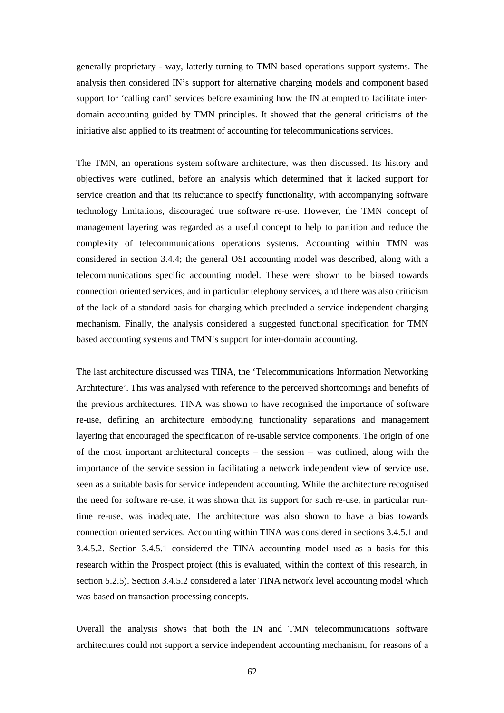generally proprietary - way, latterly turning to TMN based operations support systems. The analysis then considered IN's support for alternative charging models and component based support for 'calling card' services before examining how the IN attempted to facilitate interdomain accounting guided by TMN principles. It showed that the general criticisms of the initiative also applied to its treatment of accounting for telecommunications services.

The TMN, an operations system software architecture, was then discussed. Its history and objectives were outlined, before an analysis which determined that it lacked support for service creation and that its reluctance to specify functionality, with accompanying software technology limitations, discouraged true software re-use. However, the TMN concept of management layering was regarded as a useful concept to help to partition and reduce the complexity of telecommunications operations systems. Accounting within TMN was considered in section 3.4.4; the general OSI accounting model was described, along with a telecommunications specific accounting model. These were shown to be biased towards connection oriented services, and in particular telephony services, and there was also criticism of the lack of a standard basis for charging which precluded a service independent charging mechanism. Finally, the analysis considered a suggested functional specification for TMN based accounting systems and TMN's support for inter-domain accounting.

The last architecture discussed was TINA, the 'Telecommunications Information Networking Architecture'. This was analysed with reference to the perceived shortcomings and benefits of the previous architectures. TINA was shown to have recognised the importance of software re-use, defining an architecture embodying functionality separations and management layering that encouraged the specification of re-usable service components. The origin of one of the most important architectural concepts – the session – was outlined, along with the importance of the service session in facilitating a network independent view of service use, seen as a suitable basis for service independent accounting. While the architecture recognised the need for software re-use, it was shown that its support for such re-use, in particular runtime re-use, was inadequate. The architecture was also shown to have a bias towards connection oriented services. Accounting within TINA was considered in sections 3.4.5.1 and 3.4.5.2. Section 3.4.5.1 considered the TINA accounting model used as a basis for this research within the Prospect project (this is evaluated, within the context of this research, in section 5.2.5). Section 3.4.5.2 considered a later TINA network level accounting model which was based on transaction processing concepts.

Overall the analysis shows that both the IN and TMN telecommunications software architectures could not support a service independent accounting mechanism, for reasons of a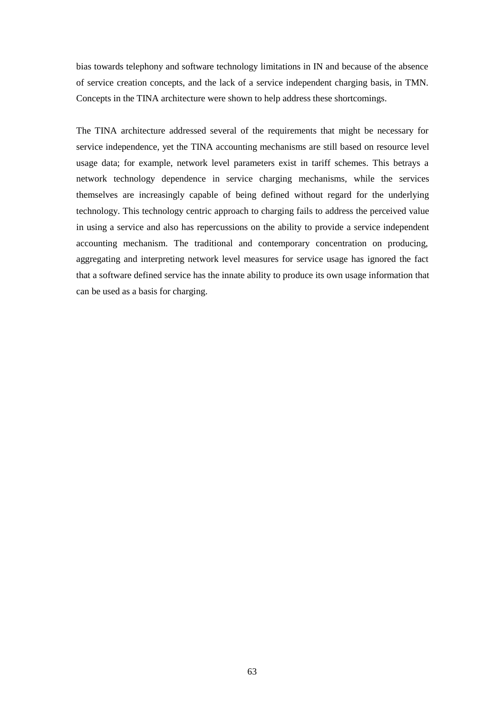bias towards telephony and software technology limitations in IN and because of the absence of service creation concepts, and the lack of a service independent charging basis, in TMN. Concepts in the TINA architecture were shown to help address these shortcomings.

The TINA architecture addressed several of the requirements that might be necessary for service independence, yet the TINA accounting mechanisms are still based on resource level usage data; for example, network level parameters exist in tariff schemes. This betrays a network technology dependence in service charging mechanisms, while the services themselves are increasingly capable of being defined without regard for the underlying technology. This technology centric approach to charging fails to address the perceived value in using a service and also has repercussions on the ability to provide a service independent accounting mechanism. The traditional and contemporary concentration on producing, aggregating and interpreting network level measures for service usage has ignored the fact that a software defined service has the innate ability to produce its own usage information that can be used as a basis for charging.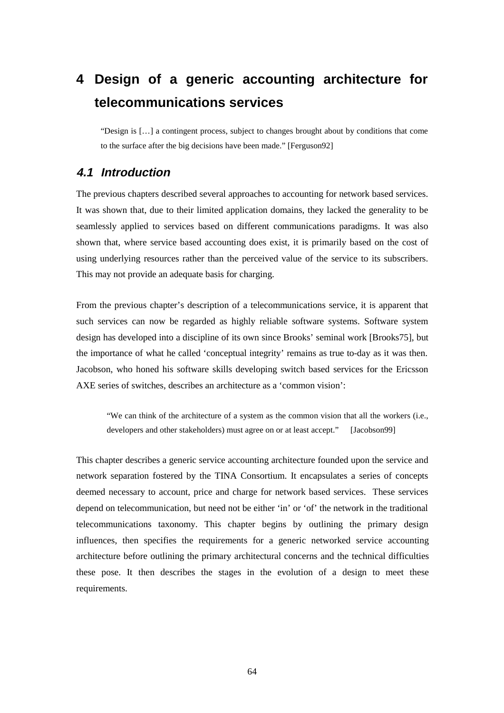# **4 Design of a generic accounting architecture for telecommunications services**

"Design is […] a contingent process, subject to changes brought about by conditions that come to the surface after the big decisions have been made." [Ferguson92]

# **4.1 Introduction**

The previous chapters described several approaches to accounting for network based services. It was shown that, due to their limited application domains, they lacked the generality to be seamlessly applied to services based on different communications paradigms. It was also shown that, where service based accounting does exist, it is primarily based on the cost of using underlying resources rather than the perceived value of the service to its subscribers. This may not provide an adequate basis for charging.

From the previous chapter's description of a telecommunications service, it is apparent that such services can now be regarded as highly reliable software systems. Software system design has developed into a discipline of its own since Brooks' seminal work [Brooks75], but the importance of what he called 'conceptual integrity' remains as true to-day as it was then. Jacobson, who honed his software skills developing switch based services for the Ericsson AXE series of switches, describes an architecture as a 'common vision':

"We can think of the architecture of a system as the common vision that all the workers (i.e., developers and other stakeholders) must agree on or at least accept." [Jacobson99]

This chapter describes a generic service accounting architecture founded upon the service and network separation fostered by the TINA Consortium. It encapsulates a series of concepts deemed necessary to account, price and charge for network based services. These services depend on telecommunication, but need not be either 'in' or 'of' the network in the traditional telecommunications taxonomy. This chapter begins by outlining the primary design influences, then specifies the requirements for a generic networked service accounting architecture before outlining the primary architectural concerns and the technical difficulties these pose. It then describes the stages in the evolution of a design to meet these requirements.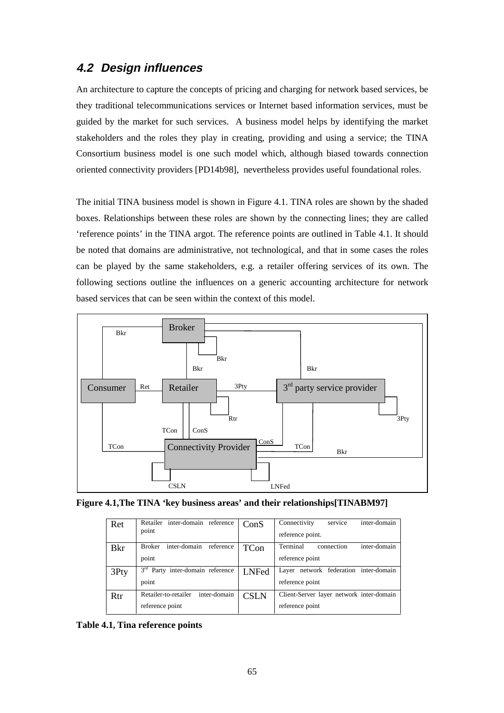# **4.2 Design influences**

An architecture to capture the concepts of pricing and charging for network based services, be they traditional telecommunications services or Internet based information services, must be guided by the market for such services. A business model helps by identifying the market stakeholders and the roles they play in creating, providing and using a service; the TINA Consortium business model is one such model which, although biased towards connection oriented connectivity providers [PD14b98], nevertheless provides useful foundational roles.

The initial TINA business model is shown in Figure 4.1. TINA roles are shown by the shaded boxes. Relationships between these roles are shown by the connecting lines; they are called 'reference points' in the TINA argot. The reference points are outlined in Table 4.1. It should be noted that domains are administrative, not technological, and that in some cases the roles can be played by the same stakeholders, e.g. a retailer offering services of its own. The following sections outline the influences on a generic accounting architecture for network based services that can be seen within the context of this model.



|  | Figure 4.1, The TINA 'key business areas' and their relationships[TINABM97] |  |
|--|-----------------------------------------------------------------------------|--|
|  |                                                                             |  |

| Ret         | Retailer inter-domain reference<br>point        | ConS         | Connectivity<br>inter-domain<br>service<br>reference point. |
|-------------|-------------------------------------------------|--------------|-------------------------------------------------------------|
| <b>B</b> kr | inter-domain<br><b>Broker</b><br>reference      | <b>TCon</b>  | Terminal<br>inter-domain<br>connection                      |
|             | point                                           |              | reference point                                             |
| 3Pty        | 3 <sup>rd</sup><br>Party inter-domain reference | <b>LNFed</b> | Layer network federation inter-domain                       |
|             | point                                           |              | reference point                                             |
| Rtr         | inter-domain<br>Retailer-to-retailer            | <b>CSLN</b>  | Client-Server layer network inter-domain                    |
|             | reference point                                 |              | reference point                                             |

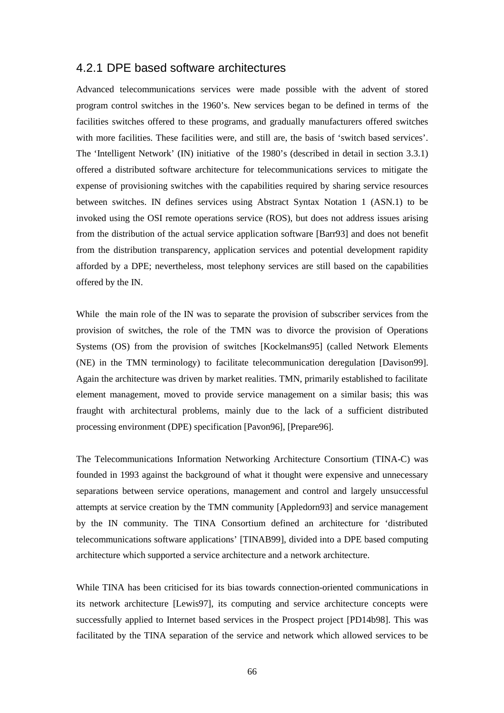### 4.2.1 DPE based software architectures

Advanced telecommunications services were made possible with the advent of stored program control switches in the 1960's. New services began to be defined in terms of the facilities switches offered to these programs, and gradually manufacturers offered switches with more facilities. These facilities were, and still are, the basis of 'switch based services'. The 'Intelligent Network' (IN) initiative of the 1980's (described in detail in section 3.3.1) offered a distributed software architecture for telecommunications services to mitigate the expense of provisioning switches with the capabilities required by sharing service resources between switches. IN defines services using Abstract Syntax Notation 1 (ASN.1) to be invoked using the OSI remote operations service (ROS), but does not address issues arising from the distribution of the actual service application software [Barr93] and does not benefit from the distribution transparency, application services and potential development rapidity afforded by a DPE; nevertheless, most telephony services are still based on the capabilities offered by the IN.

While the main role of the IN was to separate the provision of subscriber services from the provision of switches, the role of the TMN was to divorce the provision of Operations Systems (OS) from the provision of switches [Kockelmans95] (called Network Elements (NE) in the TMN terminology) to facilitate telecommunication deregulation [Davison99]. Again the architecture was driven by market realities. TMN, primarily established to facilitate element management, moved to provide service management on a similar basis; this was fraught with architectural problems, mainly due to the lack of a sufficient distributed processing environment (DPE) specification [Pavon96], [Prepare96].

The Telecommunications Information Networking Architecture Consortium (TINA-C) was founded in 1993 against the background of what it thought were expensive and unnecessary separations between service operations, management and control and largely unsuccessful attempts at service creation by the TMN community [Appledorn93] and service management by the IN community. The TINA Consortium defined an architecture for 'distributed telecommunications software applications' [TINAB99], divided into a DPE based computing architecture which supported a service architecture and a network architecture.

While TINA has been criticised for its bias towards connection-oriented communications in its network architecture [Lewis97], its computing and service architecture concepts were successfully applied to Internet based services in the Prospect project [PD14b98]. This was facilitated by the TINA separation of the service and network which allowed services to be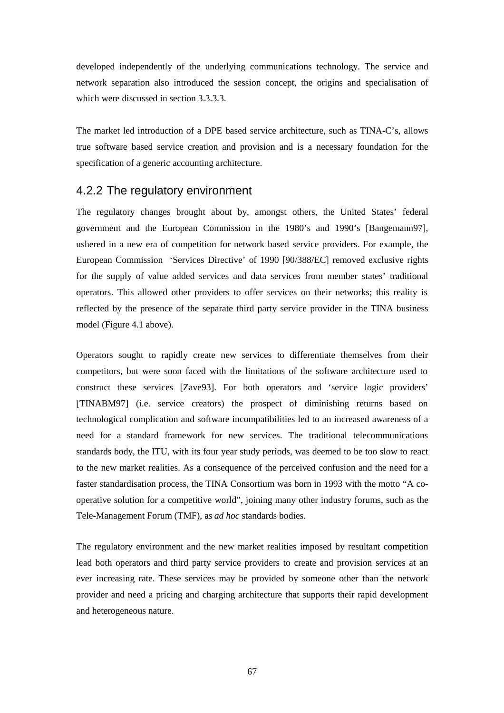developed independently of the underlying communications technology. The service and network separation also introduced the session concept, the origins and specialisation of which were discussed in section 3.3.3.3.

The market led introduction of a DPE based service architecture, such as TINA-C's, allows true software based service creation and provision and is a necessary foundation for the specification of a generic accounting architecture.

# 4.2.2 The regulatory environment

The regulatory changes brought about by, amongst others, the United States' federal government and the European Commission in the 1980's and 1990's [Bangemann97], ushered in a new era of competition for network based service providers. For example, the European Commission 'Services Directive' of 1990 [90/388/EC] removed exclusive rights for the supply of value added services and data services from member states' traditional operators. This allowed other providers to offer services on their networks; this reality is reflected by the presence of the separate third party service provider in the TINA business model (Figure 4.1 above).

Operators sought to rapidly create new services to differentiate themselves from their competitors, but were soon faced with the limitations of the software architecture used to construct these services [Zave93]. For both operators and 'service logic providers' [TINABM97] (i.e. service creators) the prospect of diminishing returns based on technological complication and software incompatibilities led to an increased awareness of a need for a standard framework for new services. The traditional telecommunications standards body, the ITU, with its four year study periods, was deemed to be too slow to react to the new market realities. As a consequence of the perceived confusion and the need for a faster standardisation process, the TINA Consortium was born in 1993 with the motto "A cooperative solution for a competitive world", joining many other industry forums, such as the Tele-Management Forum (TMF), as *ad hoc* standards bodies.

The regulatory environment and the new market realities imposed by resultant competition lead both operators and third party service providers to create and provision services at an ever increasing rate. These services may be provided by someone other than the network provider and need a pricing and charging architecture that supports their rapid development and heterogeneous nature.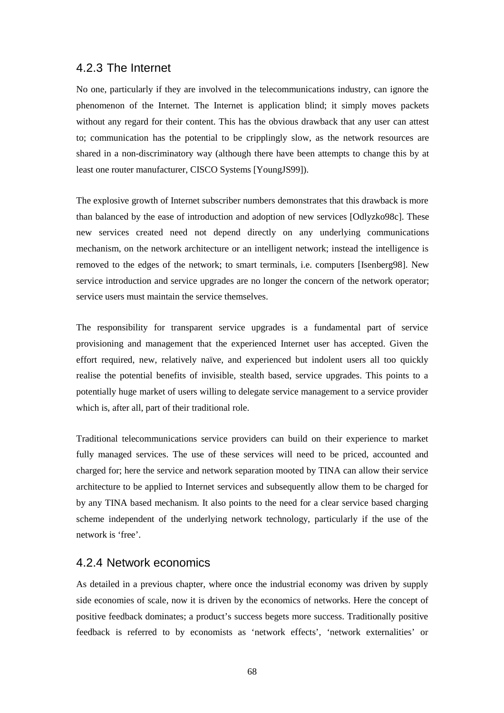### 4.2.3 The Internet

No one, particularly if they are involved in the telecommunications industry, can ignore the phenomenon of the Internet. The Internet is application blind; it simply moves packets without any regard for their content. This has the obvious drawback that any user can attest to; communication has the potential to be cripplingly slow, as the network resources are shared in a non-discriminatory way (although there have been attempts to change this by at least one router manufacturer, CISCO Systems [YoungJS99]).

The explosive growth of Internet subscriber numbers demonstrates that this drawback is more than balanced by the ease of introduction and adoption of new services [Odlyzko98c]. These new services created need not depend directly on any underlying communications mechanism, on the network architecture or an intelligent network; instead the intelligence is removed to the edges of the network; to smart terminals, i.e. computers [Isenberg98]. New service introduction and service upgrades are no longer the concern of the network operator; service users must maintain the service themselves.

The responsibility for transparent service upgrades is a fundamental part of service provisioning and management that the experienced Internet user has accepted. Given the effort required, new, relatively naïve, and experienced but indolent users all too quickly realise the potential benefits of invisible, stealth based, service upgrades. This points to a potentially huge market of users willing to delegate service management to a service provider which is, after all, part of their traditional role.

Traditional telecommunications service providers can build on their experience to market fully managed services. The use of these services will need to be priced, accounted and charged for; here the service and network separation mooted by TINA can allow their service architecture to be applied to Internet services and subsequently allow them to be charged for by any TINA based mechanism. It also points to the need for a clear service based charging scheme independent of the underlying network technology, particularly if the use of the network is 'free'.

# 4.2.4 Network economics

As detailed in a previous chapter, where once the industrial economy was driven by supply side economies of scale, now it is driven by the economics of networks. Here the concept of positive feedback dominates; a product's success begets more success. Traditionally positive feedback is referred to by economists as 'network effects', 'network externalities' or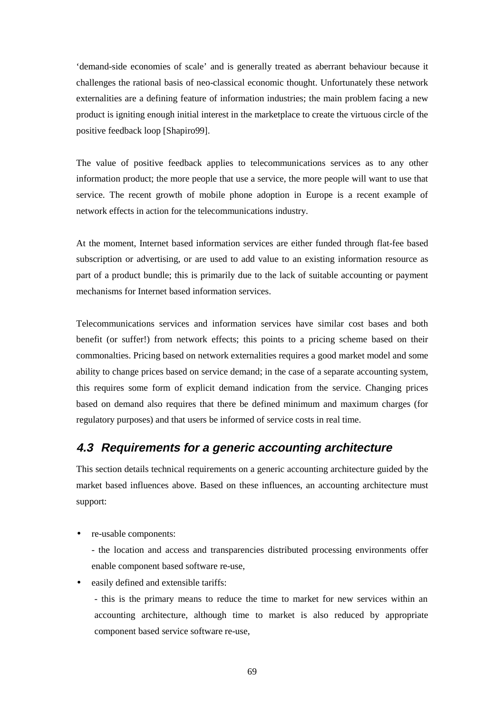'demand-side economies of scale' and is generally treated as aberrant behaviour because it challenges the rational basis of neo-classical economic thought. Unfortunately these network externalities are a defining feature of information industries; the main problem facing a new product is igniting enough initial interest in the marketplace to create the virtuous circle of the positive feedback loop [Shapiro99].

The value of positive feedback applies to telecommunications services as to any other information product; the more people that use a service, the more people will want to use that service. The recent growth of mobile phone adoption in Europe is a recent example of network effects in action for the telecommunications industry.

At the moment, Internet based information services are either funded through flat-fee based subscription or advertising, or are used to add value to an existing information resource as part of a product bundle; this is primarily due to the lack of suitable accounting or payment mechanisms for Internet based information services.

Telecommunications services and information services have similar cost bases and both benefit (or suffer!) from network effects; this points to a pricing scheme based on their commonalties. Pricing based on network externalities requires a good market model and some ability to change prices based on service demand; in the case of a separate accounting system, this requires some form of explicit demand indication from the service. Changing prices based on demand also requires that there be defined minimum and maximum charges (for regulatory purposes) and that users be informed of service costs in real time.

# **4.3 Requirements for a generic accounting architecture**

This section details technical requirements on a generic accounting architecture guided by the market based influences above. Based on these influences, an accounting architecture must support:

• re-usable components:

- the location and access and transparencies distributed processing environments offer enable component based software re-use,

• easily defined and extensible tariffs:

- this is the primary means to reduce the time to market for new services within an accounting architecture, although time to market is also reduced by appropriate component based service software re-use,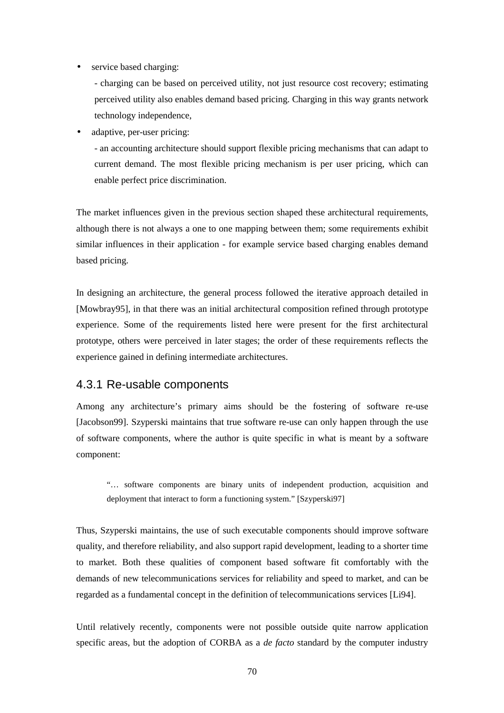• service based charging:

- charging can be based on perceived utility, not just resource cost recovery; estimating perceived utility also enables demand based pricing. Charging in this way grants network technology independence,

• adaptive, per-user pricing:

- an accounting architecture should support flexible pricing mechanisms that can adapt to current demand. The most flexible pricing mechanism is per user pricing, which can enable perfect price discrimination.

The market influences given in the previous section shaped these architectural requirements, although there is not always a one to one mapping between them; some requirements exhibit similar influences in their application - for example service based charging enables demand based pricing.

In designing an architecture, the general process followed the iterative approach detailed in [Mowbray95], in that there was an initial architectural composition refined through prototype experience. Some of the requirements listed here were present for the first architectural prototype, others were perceived in later stages; the order of these requirements reflects the experience gained in defining intermediate architectures.

### 4.3.1 Re-usable components

Among any architecture's primary aims should be the fostering of software re-use [Jacobson99]. Szyperski maintains that true software re-use can only happen through the use of software components, where the author is quite specific in what is meant by a software component:

"… software components are binary units of independent production, acquisition and deployment that interact to form a functioning system." [Szyperski97]

Thus, Szyperski maintains, the use of such executable components should improve software quality, and therefore reliability, and also support rapid development, leading to a shorter time to market. Both these qualities of component based software fit comfortably with the demands of new telecommunications services for reliability and speed to market, and can be regarded as a fundamental concept in the definition of telecommunications services [Li94].

Until relatively recently, components were not possible outside quite narrow application specific areas, but the adoption of CORBA as a *de facto* standard by the computer industry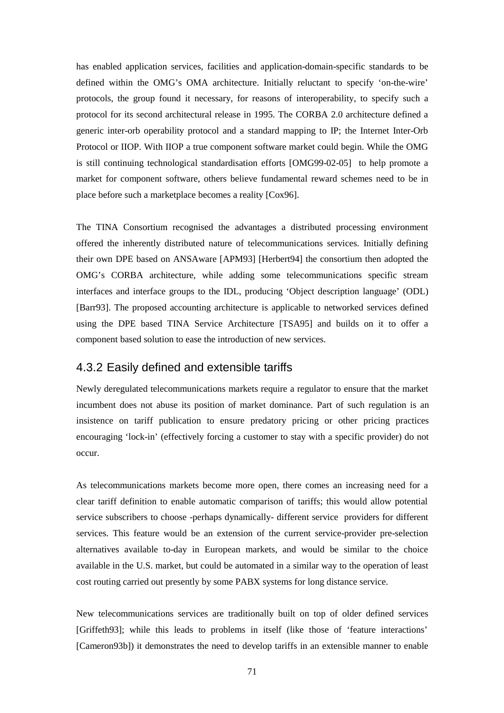has enabled application services, facilities and application-domain-specific standards to be defined within the OMG's OMA architecture. Initially reluctant to specify 'on-the-wire' protocols, the group found it necessary, for reasons of interoperability, to specify such a protocol for its second architectural release in 1995. The CORBA 2.0 architecture defined a generic inter-orb operability protocol and a standard mapping to IP; the Internet Inter-Orb Protocol or IIOP. With IIOP a true component software market could begin. While the OMG is still continuing technological standardisation efforts [OMG99-02-05] to help promote a market for component software, others believe fundamental reward schemes need to be in place before such a marketplace becomes a reality [Cox96].

The TINA Consortium recognised the advantages a distributed processing environment offered the inherently distributed nature of telecommunications services. Initially defining their own DPE based on ANSAware [APM93] [Herbert94] the consortium then adopted the OMG's CORBA architecture, while adding some telecommunications specific stream interfaces and interface groups to the IDL, producing 'Object description language' (ODL) [Barr93]. The proposed accounting architecture is applicable to networked services defined using the DPE based TINA Service Architecture [TSA95] and builds on it to offer a component based solution to ease the introduction of new services.

### 4.3.2 Easily defined and extensible tariffs

Newly deregulated telecommunications markets require a regulator to ensure that the market incumbent does not abuse its position of market dominance. Part of such regulation is an insistence on tariff publication to ensure predatory pricing or other pricing practices encouraging 'lock-in' (effectively forcing a customer to stay with a specific provider) do not occur.

As telecommunications markets become more open, there comes an increasing need for a clear tariff definition to enable automatic comparison of tariffs; this would allow potential service subscribers to choose -perhaps dynamically- different service providers for different services. This feature would be an extension of the current service-provider pre-selection alternatives available to-day in European markets, and would be similar to the choice available in the U.S. market, but could be automated in a similar way to the operation of least cost routing carried out presently by some PABX systems for long distance service.

New telecommunications services are traditionally built on top of older defined services [Griffeth93]; while this leads to problems in itself (like those of 'feature interactions' [Cameron93b]) it demonstrates the need to develop tariffs in an extensible manner to enable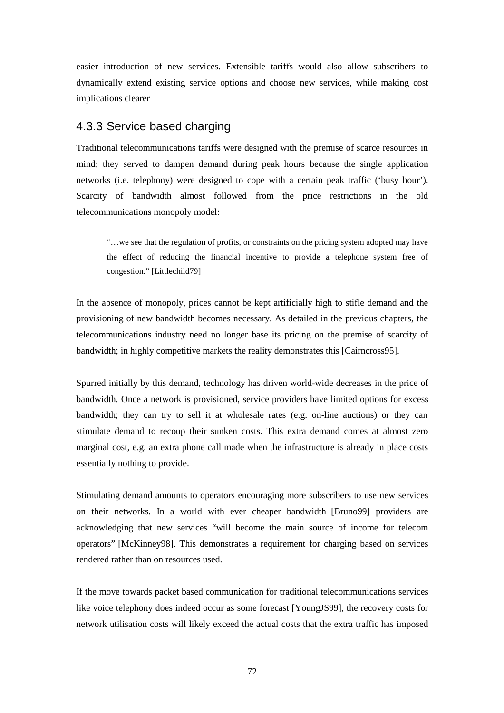easier introduction of new services. Extensible tariffs would also allow subscribers to dynamically extend existing service options and choose new services, while making cost implications clearer

# 4.3.3 Service based charging

Traditional telecommunications tariffs were designed with the premise of scarce resources in mind; they served to dampen demand during peak hours because the single application networks (i.e. telephony) were designed to cope with a certain peak traffic ('busy hour'). Scarcity of bandwidth almost followed from the price restrictions in the old telecommunications monopoly model:

"…we see that the regulation of profits, or constraints on the pricing system adopted may have the effect of reducing the financial incentive to provide a telephone system free of congestion." [Littlechild79]

In the absence of monopoly, prices cannot be kept artificially high to stifle demand and the provisioning of new bandwidth becomes necessary. As detailed in the previous chapters, the telecommunications industry need no longer base its pricing on the premise of scarcity of bandwidth; in highly competitive markets the reality demonstrates this [Cairncross95].

Spurred initially by this demand, technology has driven world-wide decreases in the price of bandwidth. Once a network is provisioned, service providers have limited options for excess bandwidth; they can try to sell it at wholesale rates (e.g. on-line auctions) or they can stimulate demand to recoup their sunken costs. This extra demand comes at almost zero marginal cost, e.g. an extra phone call made when the infrastructure is already in place costs essentially nothing to provide.

Stimulating demand amounts to operators encouraging more subscribers to use new services on their networks. In a world with ever cheaper bandwidth [Bruno99] providers are acknowledging that new services "will become the main source of income for telecom operators" [McKinney98]. This demonstrates a requirement for charging based on services rendered rather than on resources used.

If the move towards packet based communication for traditional telecommunications services like voice telephony does indeed occur as some forecast [YoungJS99], the recovery costs for network utilisation costs will likely exceed the actual costs that the extra traffic has imposed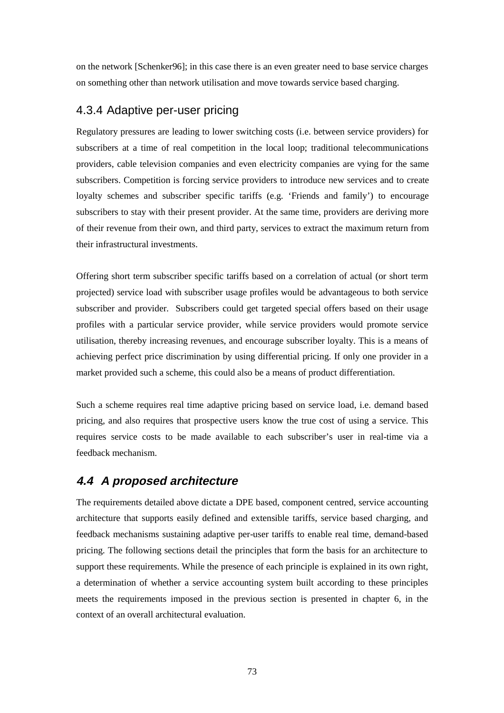on the network [Schenker96]; in this case there is an even greater need to base service charges on something other than network utilisation and move towards service based charging.

# 4.3.4 Adaptive per-user pricing

Regulatory pressures are leading to lower switching costs (i.e. between service providers) for subscribers at a time of real competition in the local loop; traditional telecommunications providers, cable television companies and even electricity companies are vying for the same subscribers. Competition is forcing service providers to introduce new services and to create loyalty schemes and subscriber specific tariffs (e.g. 'Friends and family') to encourage subscribers to stay with their present provider. At the same time, providers are deriving more of their revenue from their own, and third party, services to extract the maximum return from their infrastructural investments.

Offering short term subscriber specific tariffs based on a correlation of actual (or short term projected) service load with subscriber usage profiles would be advantageous to both service subscriber and provider. Subscribers could get targeted special offers based on their usage profiles with a particular service provider, while service providers would promote service utilisation, thereby increasing revenues, and encourage subscriber loyalty. This is a means of achieving perfect price discrimination by using differential pricing. If only one provider in a market provided such a scheme, this could also be a means of product differentiation.

Such a scheme requires real time adaptive pricing based on service load, i.e. demand based pricing, and also requires that prospective users know the true cost of using a service. This requires service costs to be made available to each subscriber's user in real-time via a feedback mechanism.

# **4.4 A proposed architecture**

The requirements detailed above dictate a DPE based, component centred, service accounting architecture that supports easily defined and extensible tariffs, service based charging, and feedback mechanisms sustaining adaptive per-user tariffs to enable real time, demand-based pricing. The following sections detail the principles that form the basis for an architecture to support these requirements. While the presence of each principle is explained in its own right, a determination of whether a service accounting system built according to these principles meets the requirements imposed in the previous section is presented in chapter 6, in the context of an overall architectural evaluation.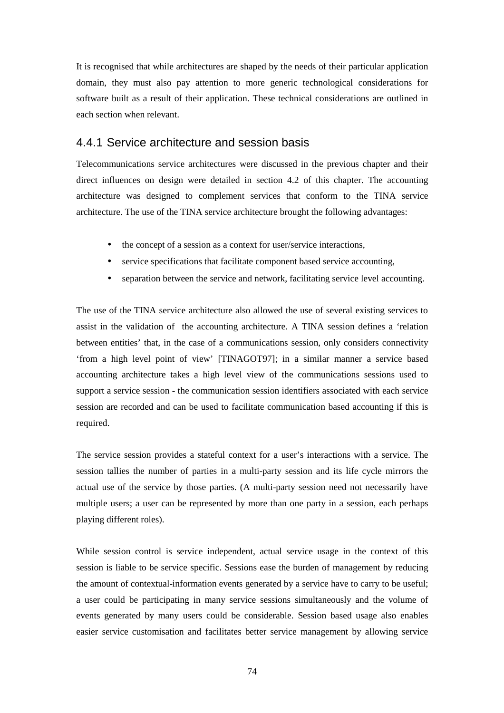It is recognised that while architectures are shaped by the needs of their particular application domain, they must also pay attention to more generic technological considerations for software built as a result of their application. These technical considerations are outlined in each section when relevant.

### 4.4.1 Service architecture and session basis

Telecommunications service architectures were discussed in the previous chapter and their direct influences on design were detailed in section 4.2 of this chapter. The accounting architecture was designed to complement services that conform to the TINA service architecture. The use of the TINA service architecture brought the following advantages:

- the concept of a session as a context for user/service interactions,
- service specifications that facilitate component based service accounting,
- separation between the service and network, facilitating service level accounting.

The use of the TINA service architecture also allowed the use of several existing services to assist in the validation of the accounting architecture. A TINA session defines a 'relation between entities' that, in the case of a communications session, only considers connectivity 'from a high level point of view' [TINAGOT97]; in a similar manner a service based accounting architecture takes a high level view of the communications sessions used to support a service session - the communication session identifiers associated with each service session are recorded and can be used to facilitate communication based accounting if this is required.

The service session provides a stateful context for a user's interactions with a service. The session tallies the number of parties in a multi-party session and its life cycle mirrors the actual use of the service by those parties. (A multi-party session need not necessarily have multiple users; a user can be represented by more than one party in a session, each perhaps playing different roles).

While session control is service independent, actual service usage in the context of this session is liable to be service specific. Sessions ease the burden of management by reducing the amount of contextual-information events generated by a service have to carry to be useful; a user could be participating in many service sessions simultaneously and the volume of events generated by many users could be considerable. Session based usage also enables easier service customisation and facilitates better service management by allowing service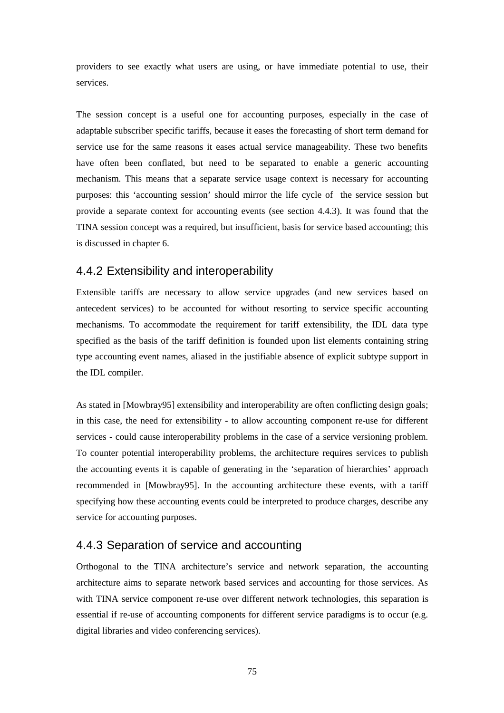providers to see exactly what users are using, or have immediate potential to use, their services.

The session concept is a useful one for accounting purposes, especially in the case of adaptable subscriber specific tariffs, because it eases the forecasting of short term demand for service use for the same reasons it eases actual service manageability. These two benefits have often been conflated, but need to be separated to enable a generic accounting mechanism. This means that a separate service usage context is necessary for accounting purposes: this 'accounting session' should mirror the life cycle of the service session but provide a separate context for accounting events (see section 4.4.3). It was found that the TINA session concept was a required, but insufficient, basis for service based accounting; this is discussed in chapter 6.

# 4.4.2 Extensibility and interoperability

Extensible tariffs are necessary to allow service upgrades (and new services based on antecedent services) to be accounted for without resorting to service specific accounting mechanisms. To accommodate the requirement for tariff extensibility, the IDL data type specified as the basis of the tariff definition is founded upon list elements containing string type accounting event names, aliased in the justifiable absence of explicit subtype support in the IDL compiler.

As stated in [Mowbray95] extensibility and interoperability are often conflicting design goals; in this case, the need for extensibility - to allow accounting component re-use for different services - could cause interoperability problems in the case of a service versioning problem. To counter potential interoperability problems, the architecture requires services to publish the accounting events it is capable of generating in the 'separation of hierarchies' approach recommended in [Mowbray95]. In the accounting architecture these events, with a tariff specifying how these accounting events could be interpreted to produce charges, describe any service for accounting purposes.

# 4.4.3 Separation of service and accounting

Orthogonal to the TINA architecture's service and network separation, the accounting architecture aims to separate network based services and accounting for those services. As with TINA service component re-use over different network technologies, this separation is essential if re-use of accounting components for different service paradigms is to occur (e.g. digital libraries and video conferencing services).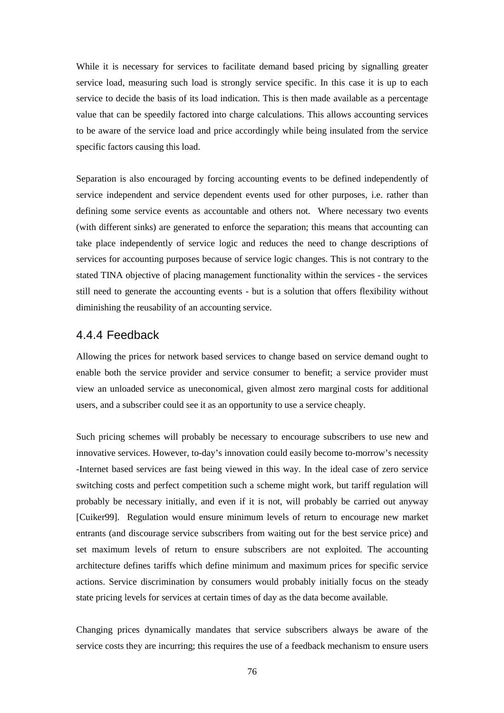While it is necessary for services to facilitate demand based pricing by signalling greater service load, measuring such load is strongly service specific. In this case it is up to each service to decide the basis of its load indication. This is then made available as a percentage value that can be speedily factored into charge calculations. This allows accounting services to be aware of the service load and price accordingly while being insulated from the service specific factors causing this load.

Separation is also encouraged by forcing accounting events to be defined independently of service independent and service dependent events used for other purposes, i.e. rather than defining some service events as accountable and others not. Where necessary two events (with different sinks) are generated to enforce the separation; this means that accounting can take place independently of service logic and reduces the need to change descriptions of services for accounting purposes because of service logic changes. This is not contrary to the stated TINA objective of placing management functionality within the services - the services still need to generate the accounting events - but is a solution that offers flexibility without diminishing the reusability of an accounting service.

#### 4.4.4 Feedback

Allowing the prices for network based services to change based on service demand ought to enable both the service provider and service consumer to benefit; a service provider must view an unloaded service as uneconomical, given almost zero marginal costs for additional users, and a subscriber could see it as an opportunity to use a service cheaply.

Such pricing schemes will probably be necessary to encourage subscribers to use new and innovative services. However, to-day's innovation could easily become to-morrow's necessity -Internet based services are fast being viewed in this way. In the ideal case of zero service switching costs and perfect competition such a scheme might work, but tariff regulation will probably be necessary initially, and even if it is not, will probably be carried out anyway [Cuiker99]. Regulation would ensure minimum levels of return to encourage new market entrants (and discourage service subscribers from waiting out for the best service price) and set maximum levels of return to ensure subscribers are not exploited. The accounting architecture defines tariffs which define minimum and maximum prices for specific service actions. Service discrimination by consumers would probably initially focus on the steady state pricing levels for services at certain times of day as the data become available.

Changing prices dynamically mandates that service subscribers always be aware of the service costs they are incurring; this requires the use of a feedback mechanism to ensure users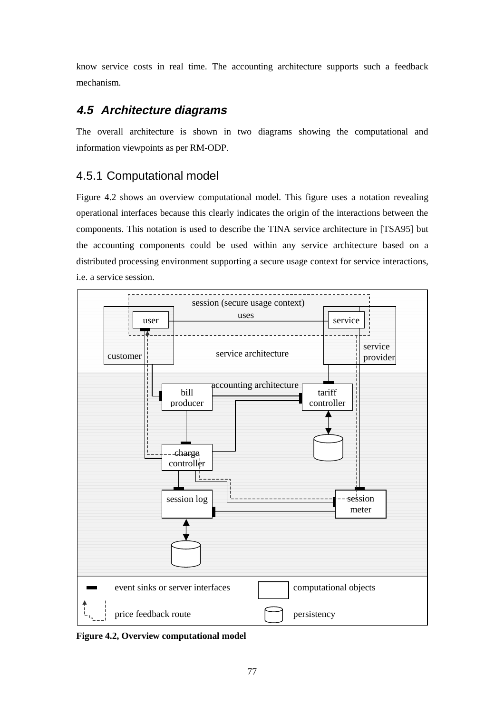know service costs in real time. The accounting architecture supports such a feedback mechanism.

# **4.5 Architecture diagrams**

The overall architecture is shown in two diagrams showing the computational and information viewpoints as per RM-ODP.

# 4.5.1 Computational model

Figure 4.2 shows an overview computational model. This figure uses a notation revealing operational interfaces because this clearly indicates the origin of the interactions between the components. This notation is used to describe the TINA service architecture in [TSA95] but the accounting components could be used within any service architecture based on a distributed processing environment supporting a secure usage context for service interactions, i.e. a service session.



**Figure 4.2, Overview computational model**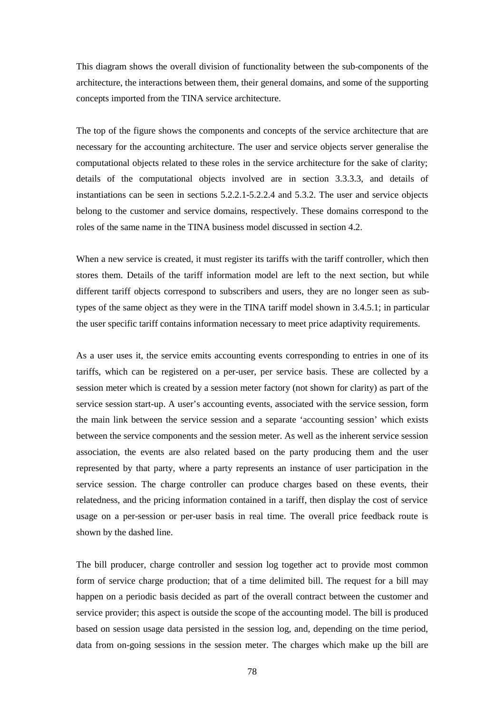This diagram shows the overall division of functionality between the sub-components of the architecture, the interactions between them, their general domains, and some of the supporting concepts imported from the TINA service architecture.

The top of the figure shows the components and concepts of the service architecture that are necessary for the accounting architecture. The user and service objects server generalise the computational objects related to these roles in the service architecture for the sake of clarity; details of the computational objects involved are in section 3.3.3.3, and details of instantiations can be seen in sections 5.2.2.1-5.2.2.4 and 5.3.2. The user and service objects belong to the customer and service domains, respectively. These domains correspond to the roles of the same name in the TINA business model discussed in section 4.2.

When a new service is created, it must register its tariffs with the tariff controller, which then stores them. Details of the tariff information model are left to the next section, but while different tariff objects correspond to subscribers and users, they are no longer seen as subtypes of the same object as they were in the TINA tariff model shown in 3.4.5.1; in particular the user specific tariff contains information necessary to meet price adaptivity requirements.

As a user uses it, the service emits accounting events corresponding to entries in one of its tariffs, which can be registered on a per-user, per service basis. These are collected by a session meter which is created by a session meter factory (not shown for clarity) as part of the service session start-up. A user's accounting events, associated with the service session, form the main link between the service session and a separate 'accounting session' which exists between the service components and the session meter. As well as the inherent service session association, the events are also related based on the party producing them and the user represented by that party, where a party represents an instance of user participation in the service session. The charge controller can produce charges based on these events, their relatedness, and the pricing information contained in a tariff, then display the cost of service usage on a per-session or per-user basis in real time. The overall price feedback route is shown by the dashed line.

The bill producer, charge controller and session log together act to provide most common form of service charge production; that of a time delimited bill. The request for a bill may happen on a periodic basis decided as part of the overall contract between the customer and service provider; this aspect is outside the scope of the accounting model. The bill is produced based on session usage data persisted in the session log, and, depending on the time period, data from on-going sessions in the session meter. The charges which make up the bill are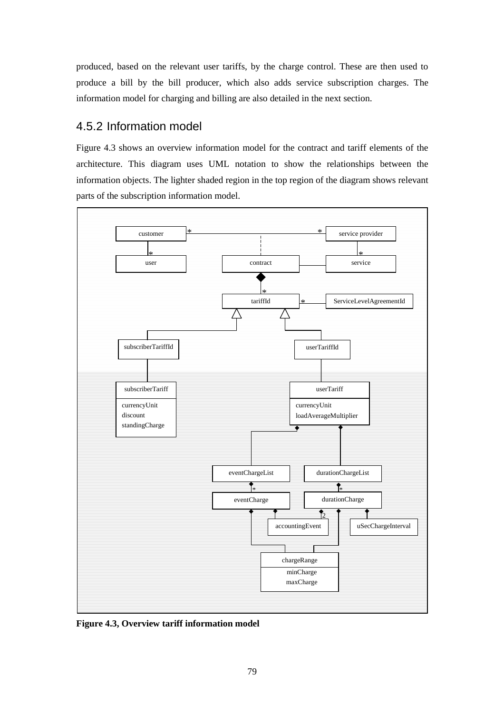produced, based on the relevant user tariffs, by the charge control. These are then used to produce a bill by the bill producer, which also adds service subscription charges. The information model for charging and billing are also detailed in the next section.

# 4.5.2 Information model

Figure 4.3 shows an overview information model for the contract and tariff elements of the architecture. This diagram uses UML notation to show the relationships between the information objects. The lighter shaded region in the top region of the diagram shows relevant parts of the subscription information model.



**Figure 4.3, Overview tariff information model**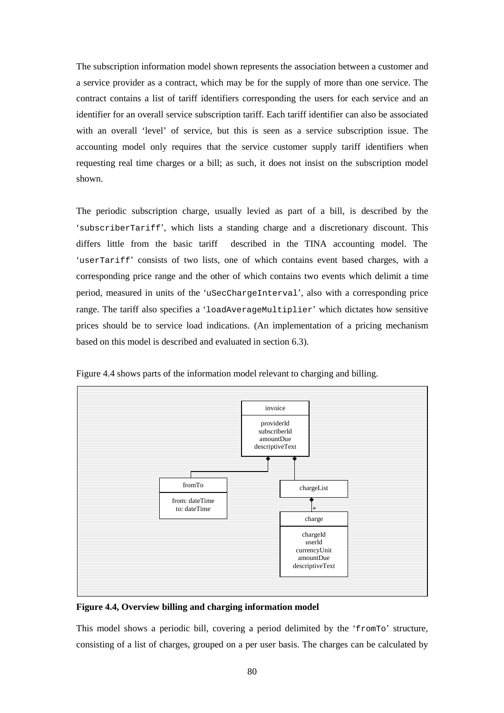The subscription information model shown represents the association between a customer and a service provider as a contract, which may be for the supply of more than one service. The contract contains a list of tariff identifiers corresponding the users for each service and an identifier for an overall service subscription tariff. Each tariff identifier can also be associated with an overall 'level' of service, but this is seen as a service subscription issue. The accounting model only requires that the service customer supply tariff identifiers when requesting real time charges or a bill; as such, it does not insist on the subscription model shown.

The periodic subscription charge, usually levied as part of a bill, is described by the 'subscriberTariff', which lists a standing charge and a discretionary discount. This differs little from the basic tariff described in the TINA accounting model. The 'userTariff' consists of two lists, one of which contains event based charges, with a corresponding price range and the other of which contains two events which delimit a time period, measured in units of the 'uSecChargeInterval', also with a corresponding price range. The tariff also specifies a 'loadAverageMultiplier' which dictates how sensitive prices should be to service load indications. (An implementation of a pricing mechanism based on this model is described and evaluated in section 6.3).



Figure 4.4 shows parts of the information model relevant to charging and billing.

**Figure 4.4, Overview billing and charging information model** 

This model shows a periodic bill, covering a period delimited by the 'fromTo' structure, consisting of a list of charges, grouped on a per user basis. The charges can be calculated by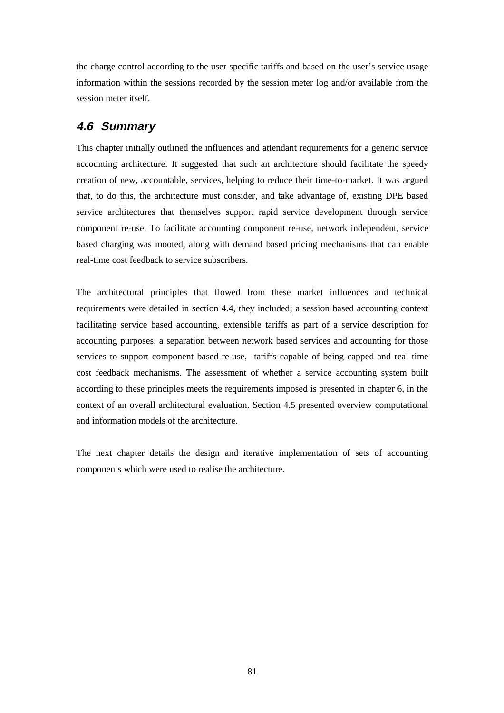the charge control according to the user specific tariffs and based on the user's service usage information within the sessions recorded by the session meter log and/or available from the session meter itself.

# **4.6 Summary**

This chapter initially outlined the influences and attendant requirements for a generic service accounting architecture. It suggested that such an architecture should facilitate the speedy creation of new, accountable, services, helping to reduce their time-to-market. It was argued that, to do this, the architecture must consider, and take advantage of, existing DPE based service architectures that themselves support rapid service development through service component re-use. To facilitate accounting component re-use, network independent, service based charging was mooted, along with demand based pricing mechanisms that can enable real-time cost feedback to service subscribers.

The architectural principles that flowed from these market influences and technical requirements were detailed in section 4.4, they included; a session based accounting context facilitating service based accounting, extensible tariffs as part of a service description for accounting purposes, a separation between network based services and accounting for those services to support component based re-use, tariffs capable of being capped and real time cost feedback mechanisms. The assessment of whether a service accounting system built according to these principles meets the requirements imposed is presented in chapter 6, in the context of an overall architectural evaluation. Section 4.5 presented overview computational and information models of the architecture.

The next chapter details the design and iterative implementation of sets of accounting components which were used to realise the architecture.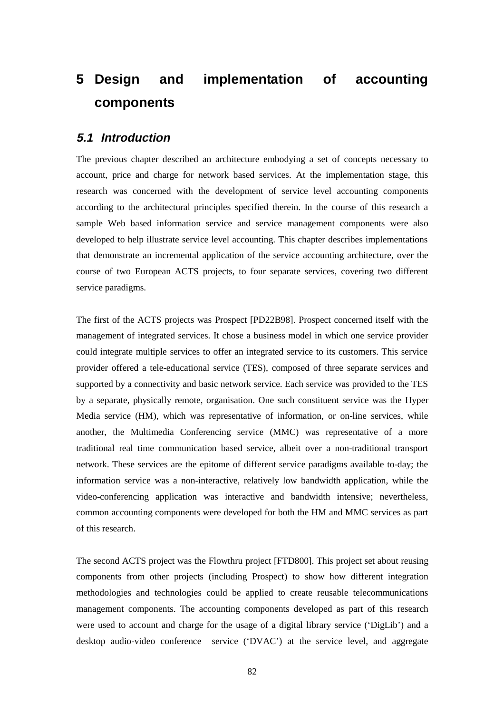# **5 Design and implementation of accounting components**

# **5.1 Introduction**

The previous chapter described an architecture embodying a set of concepts necessary to account, price and charge for network based services. At the implementation stage, this research was concerned with the development of service level accounting components according to the architectural principles specified therein. In the course of this research a sample Web based information service and service management components were also developed to help illustrate service level accounting. This chapter describes implementations that demonstrate an incremental application of the service accounting architecture, over the course of two European ACTS projects, to four separate services, covering two different service paradigms.

The first of the ACTS projects was Prospect [PD22B98]. Prospect concerned itself with the management of integrated services. It chose a business model in which one service provider could integrate multiple services to offer an integrated service to its customers. This service provider offered a tele-educational service (TES), composed of three separate services and supported by a connectivity and basic network service. Each service was provided to the TES by a separate, physically remote, organisation. One such constituent service was the Hyper Media service (HM), which was representative of information, or on-line services, while another, the Multimedia Conferencing service (MMC) was representative of a more traditional real time communication based service, albeit over a non-traditional transport network. These services are the epitome of different service paradigms available to-day; the information service was a non-interactive, relatively low bandwidth application, while the video-conferencing application was interactive and bandwidth intensive; nevertheless, common accounting components were developed for both the HM and MMC services as part of this research.

The second ACTS project was the Flowthru project [FTD800]. This project set about reusing components from other projects (including Prospect) to show how different integration methodologies and technologies could be applied to create reusable telecommunications management components. The accounting components developed as part of this research were used to account and charge for the usage of a digital library service ('DigLib') and a desktop audio-video conference service ('DVAC') at the service level, and aggregate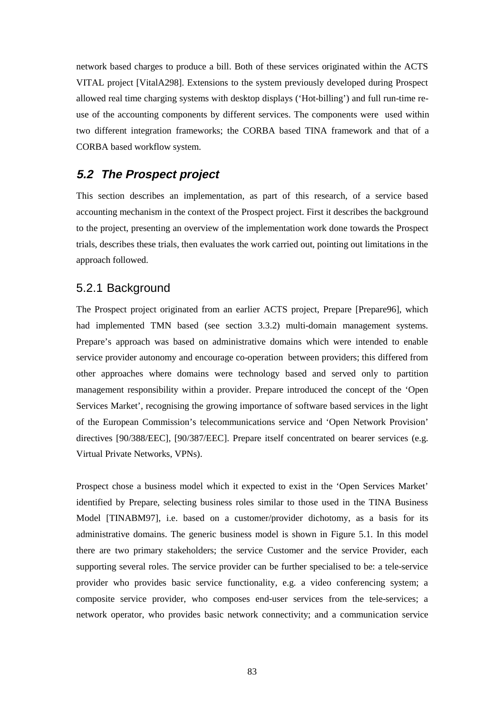network based charges to produce a bill. Both of these services originated within the ACTS VITAL project [VitalA298]. Extensions to the system previously developed during Prospect allowed real time charging systems with desktop displays ('Hot-billing') and full run-time reuse of the accounting components by different services. The components were used within two different integration frameworks; the CORBA based TINA framework and that of a CORBA based workflow system.

# **5.2 The Prospect project**

This section describes an implementation, as part of this research, of a service based accounting mechanism in the context of the Prospect project. First it describes the background to the project, presenting an overview of the implementation work done towards the Prospect trials, describes these trials, then evaluates the work carried out, pointing out limitations in the approach followed.

### 5.2.1 Background

The Prospect project originated from an earlier ACTS project, Prepare [Prepare96], which had implemented TMN based (see section 3.3.2) multi-domain management systems. Prepare's approach was based on administrative domains which were intended to enable service provider autonomy and encourage co-operation between providers; this differed from other approaches where domains were technology based and served only to partition management responsibility within a provider. Prepare introduced the concept of the 'Open Services Market', recognising the growing importance of software based services in the light of the European Commission's telecommunications service and 'Open Network Provision' directives [90/388/EEC], [90/387/EEC]. Prepare itself concentrated on bearer services (e.g. Virtual Private Networks, VPNs).

Prospect chose a business model which it expected to exist in the 'Open Services Market' identified by Prepare, selecting business roles similar to those used in the TINA Business Model [TINABM97], i.e. based on a customer/provider dichotomy, as a basis for its administrative domains. The generic business model is shown in Figure 5.1. In this model there are two primary stakeholders; the service Customer and the service Provider, each supporting several roles. The service provider can be further specialised to be: a tele-service provider who provides basic service functionality, e.g. a video conferencing system; a composite service provider, who composes end-user services from the tele-services; a network operator, who provides basic network connectivity; and a communication service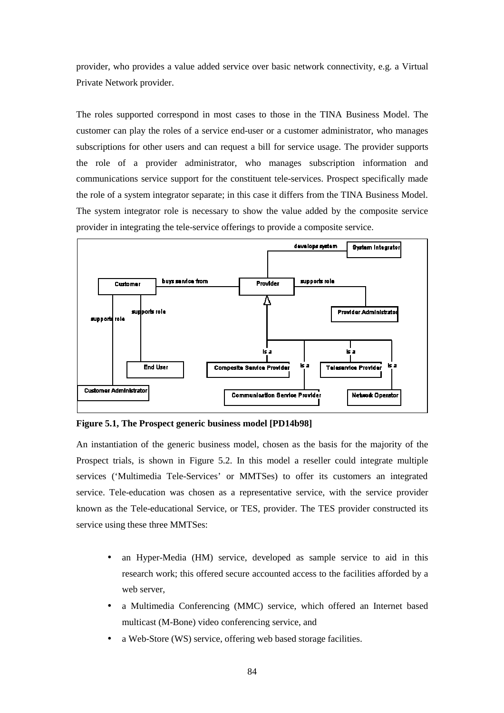provider, who provides a value added service over basic network connectivity, e.g. a Virtual Private Network provider.

The roles supported correspond in most cases to those in the TINA Business Model. The customer can play the roles of a service end-user or a customer administrator, who manages subscriptions for other users and can request a bill for service usage. The provider supports the role of a provider administrator, who manages subscription information and communications service support for the constituent tele-services. Prospect specifically made the role of a system integrator separate; in this case it differs from the TINA Business Model. The system integrator role is necessary to show the value added by the composite service provider in integrating the tele-service offerings to provide a composite service.



**Figure 5.1, The Prospect generic business model [PD14b98]** 

An instantiation of the generic business model, chosen as the basis for the majority of the Prospect trials, is shown in Figure 5.2. In this model a reseller could integrate multiple services ('Multimedia Tele-Services' or MMTSes) to offer its customers an integrated service. Tele-education was chosen as a representative service, with the service provider known as the Tele-educational Service, or TES, provider. The TES provider constructed its service using these three MMTSes:

- an Hyper-Media (HM) service, developed as sample service to aid in this research work; this offered secure accounted access to the facilities afforded by a web server,
- a Multimedia Conferencing (MMC) service, which offered an Internet based multicast (M-Bone) video conferencing service, and
- a Web-Store (WS) service, offering web based storage facilities.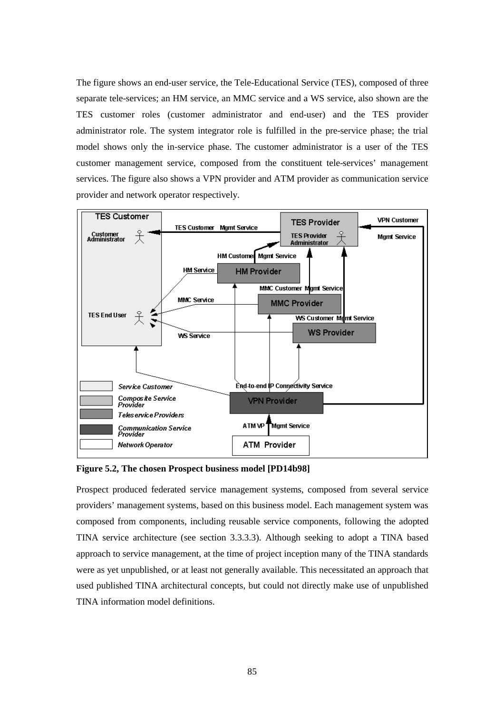The figure shows an end-user service, the Tele-Educational Service (TES), composed of three separate tele-services; an HM service, an MMC service and a WS service, also shown are the TES customer roles (customer administrator and end-user) and the TES provider administrator role. The system integrator role is fulfilled in the pre-service phase; the trial model shows only the in-service phase. The customer administrator is a user of the TES customer management service, composed from the constituent tele-services' management services. The figure also shows a VPN provider and ATM provider as communication service provider and network operator respectively.



**Figure 5.2, The chosen Prospect business model [PD14b98]** 

Prospect produced federated service management systems, composed from several service providers' management systems, based on this business model. Each management system was composed from components, including reusable service components, following the adopted TINA service architecture (see section 3.3.3.3). Although seeking to adopt a TINA based approach to service management, at the time of project inception many of the TINA standards were as yet unpublished, or at least not generally available. This necessitated an approach that used published TINA architectural concepts, but could not directly make use of unpublished TINA information model definitions.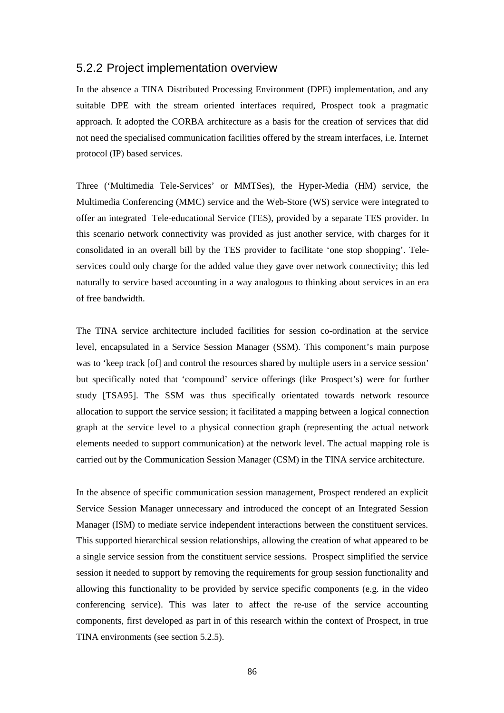### 5.2.2 Project implementation overview

In the absence a TINA Distributed Processing Environment (DPE) implementation, and any suitable DPE with the stream oriented interfaces required, Prospect took a pragmatic approach. It adopted the CORBA architecture as a basis for the creation of services that did not need the specialised communication facilities offered by the stream interfaces, i.e. Internet protocol (IP) based services.

Three ('Multimedia Tele-Services' or MMTSes), the Hyper-Media (HM) service, the Multimedia Conferencing (MMC) service and the Web-Store (WS) service were integrated to offer an integrated Tele-educational Service (TES), provided by a separate TES provider. In this scenario network connectivity was provided as just another service, with charges for it consolidated in an overall bill by the TES provider to facilitate 'one stop shopping'. Teleservices could only charge for the added value they gave over network connectivity; this led naturally to service based accounting in a way analogous to thinking about services in an era of free bandwidth.

The TINA service architecture included facilities for session co-ordination at the service level, encapsulated in a Service Session Manager (SSM). This component's main purpose was to 'keep track [of] and control the resources shared by multiple users in a service session' but specifically noted that 'compound' service offerings (like Prospect's) were for further study [TSA95]. The SSM was thus specifically orientated towards network resource allocation to support the service session; it facilitated a mapping between a logical connection graph at the service level to a physical connection graph (representing the actual network elements needed to support communication) at the network level. The actual mapping role is carried out by the Communication Session Manager (CSM) in the TINA service architecture.

In the absence of specific communication session management, Prospect rendered an explicit Service Session Manager unnecessary and introduced the concept of an Integrated Session Manager (ISM) to mediate service independent interactions between the constituent services. This supported hierarchical session relationships, allowing the creation of what appeared to be a single service session from the constituent service sessions. Prospect simplified the service session it needed to support by removing the requirements for group session functionality and allowing this functionality to be provided by service specific components (e.g. in the video conferencing service). This was later to affect the re-use of the service accounting components, first developed as part in of this research within the context of Prospect, in true TINA environments (see section 5.2.5).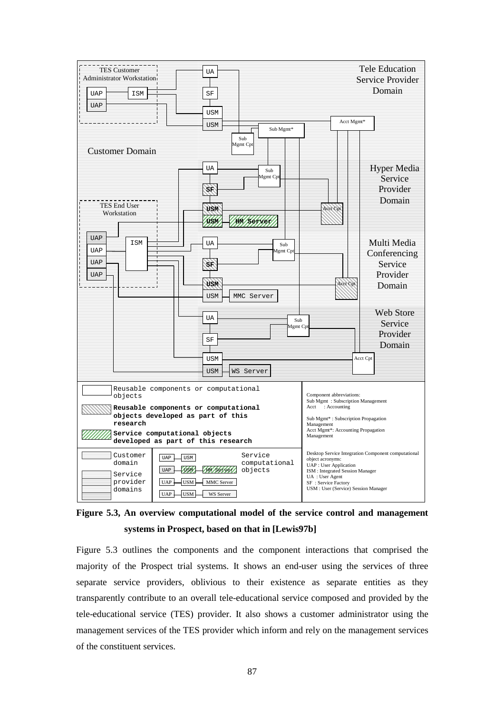

**Figure 5.3, An overview computational model of the service control and management systems in Prospect, based on that in [Lewis97b]**

Figure 5.3 outlines the components and the component interactions that comprised the majority of the Prospect trial systems. It shows an end-user using the services of three separate service providers, oblivious to their existence as separate entities as they transparently contribute to an overall tele-educational service composed and provided by the tele-educational service (TES) provider. It also shows a customer administrator using the management services of the TES provider which inform and rely on the management services of the constituent services.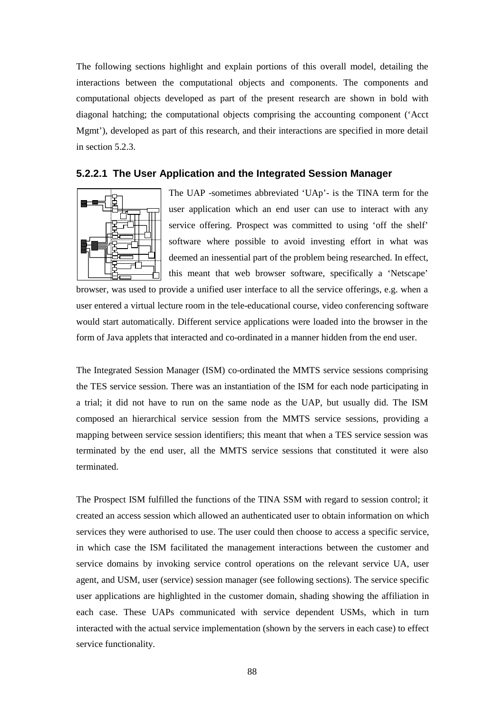The following sections highlight and explain portions of this overall model, detailing the interactions between the computational objects and components. The components and computational objects developed as part of the present research are shown in bold with diagonal hatching; the computational objects comprising the accounting component ('Acct Mgmt'), developed as part of this research, and their interactions are specified in more detail in section 5.2.3.

#### **5.2.2.1 The User Application and the Integrated Session Manager**



The UAP -sometimes abbreviated 'UAp'- is the TINA term for the user application which an end user can use to interact with any service offering. Prospect was committed to using 'off the shelf' software where possible to avoid investing effort in what was deemed an inessential part of the problem being researched. In effect, this meant that web browser software, specifically a 'Netscape'

browser, was used to provide a unified user interface to all the service offerings, e.g. when a user entered a virtual lecture room in the tele-educational course, video conferencing software would start automatically. Different service applications were loaded into the browser in the form of Java applets that interacted and co-ordinated in a manner hidden from the end user.

The Integrated Session Manager (ISM) co-ordinated the MMTS service sessions comprising the TES service session. There was an instantiation of the ISM for each node participating in a trial; it did not have to run on the same node as the UAP, but usually did. The ISM composed an hierarchical service session from the MMTS service sessions, providing a mapping between service session identifiers; this meant that when a TES service session was terminated by the end user, all the MMTS service sessions that constituted it were also terminated.

The Prospect ISM fulfilled the functions of the TINA SSM with regard to session control; it created an access session which allowed an authenticated user to obtain information on which services they were authorised to use. The user could then choose to access a specific service, in which case the ISM facilitated the management interactions between the customer and service domains by invoking service control operations on the relevant service UA, user agent, and USM, user (service) session manager (see following sections). The service specific user applications are highlighted in the customer domain, shading showing the affiliation in each case. These UAPs communicated with service dependent USMs, which in turn interacted with the actual service implementation (shown by the servers in each case) to effect service functionality.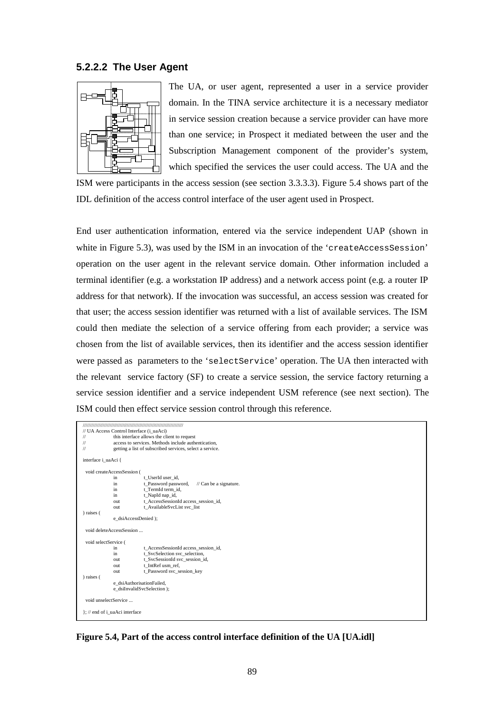#### **5.2.2.2 The User Agent**



The UA, or user agent, represented a user in a service provider domain. In the TINA service architecture it is a necessary mediator in service session creation because a service provider can have more than one service; in Prospect it mediated between the user and the Subscription Management component of the provider's system, which specified the services the user could access. The UA and the

ISM were participants in the access session (see section 3.3.3.3). Figure 5.4 shows part of the IDL definition of the access control interface of the user agent used in Prospect.

End user authentication information, entered via the service independent UAP (shown in white in Figure 5.3), was used by the ISM in an invocation of the 'createAccessSession' operation on the user agent in the relevant service domain. Other information included a terminal identifier (e.g. a workstation IP address) and a network access point (e.g. a router IP address for that network). If the invocation was successful, an access session was created for that user; the access session identifier was returned with a list of available services. The ISM could then mediate the selection of a service offering from each provider; a service was chosen from the list of available services, then its identifier and the access session identifier were passed as parameters to the 'selectService' operation. The UA then interacted with the relevant service factory (SF) to create a service session, the service factory returning a service session identifier and a service independent USM reference (see next section). The ISM could then effect service session control through this reference.

|                               | // UA Access Control Interface (i_uaAci)    |                                                           |  |  |  |
|-------------------------------|---------------------------------------------|-----------------------------------------------------------|--|--|--|
| 11                            | this interface allows the client to request |                                                           |  |  |  |
| 11                            |                                             | access to services. Methods include authentication,       |  |  |  |
| 11                            |                                             | getting a list of subscribed services, select a service.  |  |  |  |
|                               |                                             |                                                           |  |  |  |
| interface i uaAci {           |                                             |                                                           |  |  |  |
|                               | void createAccessSession (                  |                                                           |  |  |  |
|                               | in                                          | t UserId user id,                                         |  |  |  |
|                               | in.                                         | t Password password,<br>$\frac{1}{2}$ Can be a signature. |  |  |  |
|                               | in                                          | t TermId term id,                                         |  |  |  |
|                               | in                                          | t_NapId nap_id,                                           |  |  |  |
|                               | out                                         | t AccessSessionId access session id,                      |  |  |  |
|                               | out                                         | t AvailableSvcList svc list                               |  |  |  |
| ) raises (                    |                                             |                                                           |  |  |  |
|                               | e dsiAccessDenied );                        |                                                           |  |  |  |
|                               |                                             |                                                           |  |  |  |
|                               | void deleteAccessSession                    |                                                           |  |  |  |
| void selectService (          |                                             |                                                           |  |  |  |
|                               | in                                          | t AccessSessionId access session id,                      |  |  |  |
|                               | in                                          | t SvcSelection svc selection,                             |  |  |  |
|                               | out                                         | t SvcSessionId svc session id,                            |  |  |  |
|                               | out                                         | t IntRef usm ref,                                         |  |  |  |
|                               | out                                         | t Password svc session key                                |  |  |  |
| ) raises (                    |                                             |                                                           |  |  |  |
|                               | e_dsiAuthorisationFailed,                   |                                                           |  |  |  |
|                               | e dsiInvalidSvcSelection);                  |                                                           |  |  |  |
|                               |                                             |                                                           |  |  |  |
| void unselectService          |                                             |                                                           |  |  |  |
| : // end of i uaAci interface |                                             |                                                           |  |  |  |
|                               |                                             |                                                           |  |  |  |

**Figure 5.4, Part of the access control interface definition of the UA [UA.idl]**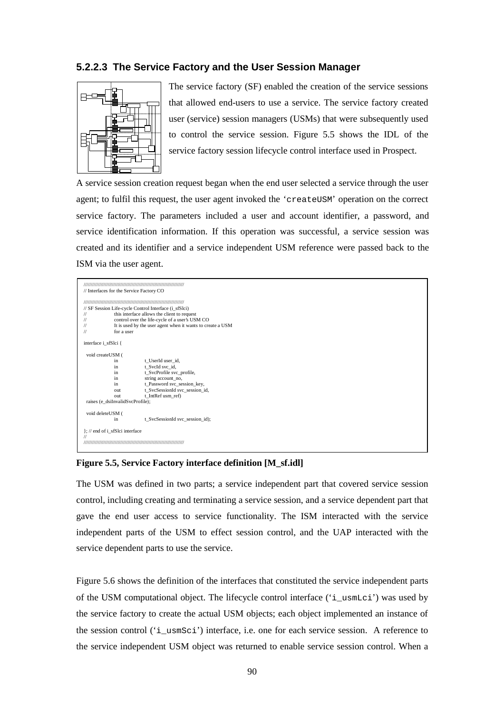#### **5.2.2.3 The Service Factory and the User Session Manager**



The service factory (SF) enabled the creation of the service sessions that allowed end-users to use a service. The service factory created user (service) session managers (USMs) that were subsequently used to control the service session. Figure 5.5 shows the IDL of the service factory session lifecycle control interface used in Prospect.

A service session creation request began when the end user selected a service through the user agent; to fulfil this request, the user agent invoked the 'createUSM' operation on the correct service factory. The parameters included a user and account identifier, a password, and service identification information. If this operation was successful, a service session was created and its identifier and a service independent USM reference were passed back to the ISM via the user agent.

|                                  | // SF Session Life-cycle Control Interface (i sfSlci)      |  |  |
|----------------------------------|------------------------------------------------------------|--|--|
| $\frac{1}{2}$                    | this interface allows the client to request                |  |  |
| $\frac{1}{2}$                    | control over the life-cycle of a user's USM CO             |  |  |
| $^{\prime\prime}$                | It is used by the user agent when it wants to create a USM |  |  |
| $\frac{1}{2}$                    | for a user                                                 |  |  |
| interface i sfSlci {             |                                                            |  |  |
| void createUSM (                 |                                                            |  |  |
| in                               | t UserId user id,                                          |  |  |
| in.                              | t SvcId svc id,                                            |  |  |
| in                               | t SvcProfile svc profile,                                  |  |  |
| in                               | string account_no,                                         |  |  |
| in.                              | t Password svc session key,                                |  |  |
| out                              | t SvcSessionId svc session id,                             |  |  |
| <b>OUT</b>                       | t IntRef usm ref)                                          |  |  |
| raises (e dsiInvalidSvcProfile); |                                                            |  |  |
| void deleteUSM (                 |                                                            |  |  |
| in                               | t_SvcSessionId svc_session_id);                            |  |  |
|                                  |                                                            |  |  |

#### **Figure 5.5, Service Factory interface definition [M\_sf.idl]**

The USM was defined in two parts; a service independent part that covered service session control, including creating and terminating a service session, and a service dependent part that gave the end user access to service functionality. The ISM interacted with the service independent parts of the USM to effect session control, and the UAP interacted with the service dependent parts to use the service.

Figure 5.6 shows the definition of the interfaces that constituted the service independent parts of the USM computational object. The lifecycle control interface ('i\_usmLci') was used by the service factory to create the actual USM objects; each object implemented an instance of the session control ('i\_usmSci') interface, i.e. one for each service session. A reference to the service independent USM object was returned to enable service session control. When a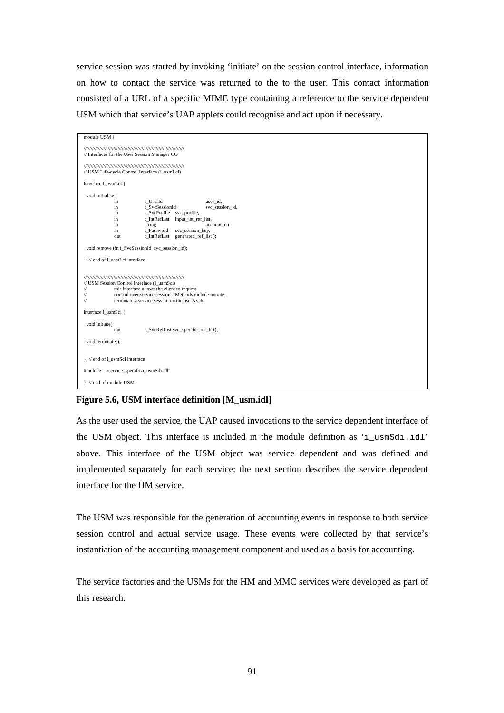service session was started by invoking 'initiate' on the session control interface, information on how to contact the service was returned to the to the user. This contact information consisted of a URL of a specific MIME type containing a reference to the service dependent USM which that service's UAP applets could recognise and act upon if necessary.

| module USM {                                                                                                                                                                                                                                                                                                                                  |  |  |  |  |
|-----------------------------------------------------------------------------------------------------------------------------------------------------------------------------------------------------------------------------------------------------------------------------------------------------------------------------------------------|--|--|--|--|
| // Interfaces for the User Session Manager CO                                                                                                                                                                                                                                                                                                 |  |  |  |  |
| // USM Life-cycle Control Interface (i usmLci)                                                                                                                                                                                                                                                                                                |  |  |  |  |
| interface i_usmLci {                                                                                                                                                                                                                                                                                                                          |  |  |  |  |
| void initialise (<br>user id,<br>in<br>t UserId<br>t SvcSessionId<br>svc_session_id,<br>in<br>t_SvcProfile svc_profile,<br>in<br>t_IntRefList input_int_ref_list,<br>in<br>string<br>in<br>account_no,<br>in<br>t Password<br>svc_session_key,<br>t_IntRefList generated_ref_list);<br>out<br>void remove (in t_SvcSessionId svc_session_id); |  |  |  |  |
| }; // end of i_usmLci interface                                                                                                                                                                                                                                                                                                               |  |  |  |  |
| // USM Session Control Interface (i usmSci)<br>this interface allows the client to request<br>$\frac{1}{2}$<br>control over service sessions. Methods include initiate.<br>$\frac{1}{2}$<br>$\frac{1}{2}$<br>terminate a service session on the user's side                                                                                   |  |  |  |  |
| interface i_usmSci {                                                                                                                                                                                                                                                                                                                          |  |  |  |  |
| void initiate(<br>t_SvcRefList svc_specific_ref_list);<br>out<br>void terminate();                                                                                                                                                                                                                                                            |  |  |  |  |
| }; // end of i_usmSci interface                                                                                                                                                                                                                                                                                                               |  |  |  |  |
|                                                                                                                                                                                                                                                                                                                                               |  |  |  |  |
| #include "/service_specific/i_usmSdi.idl"                                                                                                                                                                                                                                                                                                     |  |  |  |  |
| $\}$ ; // end of module USM                                                                                                                                                                                                                                                                                                                   |  |  |  |  |

#### **Figure 5.6, USM interface definition [M\_usm.idl]**

As the user used the service, the UAP caused invocations to the service dependent interface of the USM object. This interface is included in the module definition as 'i\_usmSdi.idl' above. This interface of the USM object was service dependent and was defined and implemented separately for each service; the next section describes the service dependent interface for the HM service.

The USM was responsible for the generation of accounting events in response to both service session control and actual service usage. These events were collected by that service's instantiation of the accounting management component and used as a basis for accounting.

The service factories and the USMs for the HM and MMC services were developed as part of this research.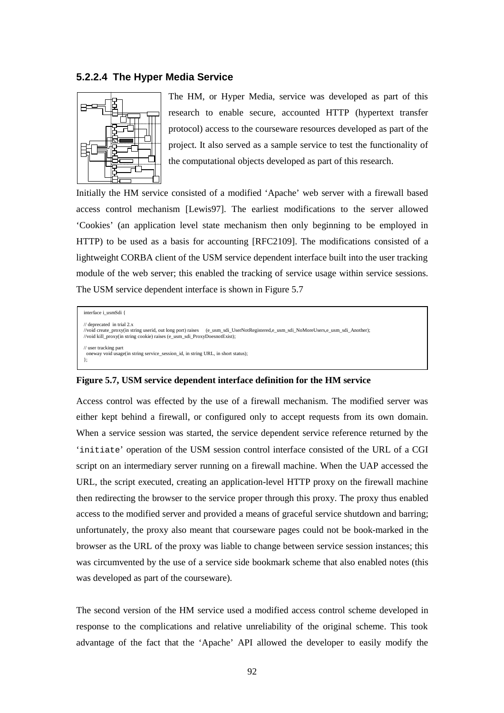#### **5.2.2.4 The Hyper Media Service**



The HM, or Hyper Media, service was developed as part of this research to enable secure, accounted HTTP (hypertext transfer protocol) access to the courseware resources developed as part of the project. It also served as a sample service to test the functionality of the computational objects developed as part of this research.

Initially the HM service consisted of a modified 'Apache' web server with a firewall based access control mechanism [Lewis97]. The earliest modifications to the server allowed 'Cookies' (an application level state mechanism then only beginning to be employed in HTTP) to be used as a basis for accounting [RFC2109]. The modifications consisted of a lightweight CORBA client of the USM service dependent interface built into the user tracking module of the web server; this enabled the tracking of service usage within service sessions. The USM service dependent interface is shown in Figure 5.7

interface i\_usmSdi { // deprecated in trial 2.x<br>//void create\_proxy(in string userid, out long port) raises //void create\_proxy(in string userid, out long port) raises (e\_usm\_sdi\_UserNotRegistered,e\_usm\_sdi\_NoMoreUsers,e\_usm\_sdi\_Another); //void kill\_proxy(in string cookie) raises (e\_usm\_sdi\_ProxyDoesnotExist); // user tracking part oneway void usage(in string service\_session\_id, in string URL, in short status); };

#### **Figure 5.7, USM service dependent interface definition for the HM service**

Access control was effected by the use of a firewall mechanism. The modified server was either kept behind a firewall, or configured only to accept requests from its own domain. When a service session was started, the service dependent service reference returned by the 'initiate' operation of the USM session control interface consisted of the URL of a CGI script on an intermediary server running on a firewall machine. When the UAP accessed the URL, the script executed, creating an application-level HTTP proxy on the firewall machine then redirecting the browser to the service proper through this proxy. The proxy thus enabled access to the modified server and provided a means of graceful service shutdown and barring; unfortunately, the proxy also meant that courseware pages could not be book-marked in the browser as the URL of the proxy was liable to change between service session instances; this was circumvented by the use of a service side bookmark scheme that also enabled notes (this was developed as part of the courseware).

The second version of the HM service used a modified access control scheme developed in response to the complications and relative unreliability of the original scheme. This took advantage of the fact that the 'Apache' API allowed the developer to easily modify the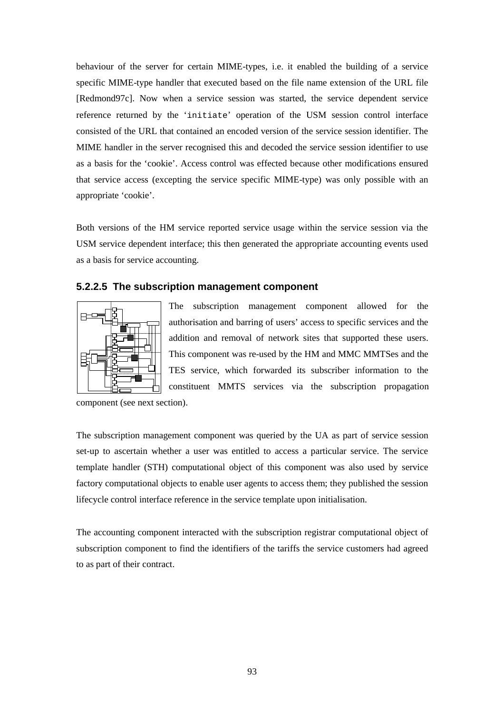behaviour of the server for certain MIME-types, i.e. it enabled the building of a service specific MIME-type handler that executed based on the file name extension of the URL file [Redmond97c]. Now when a service session was started, the service dependent service reference returned by the 'initiate' operation of the USM session control interface consisted of the URL that contained an encoded version of the service session identifier. The MIME handler in the server recognised this and decoded the service session identifier to use as a basis for the 'cookie'. Access control was effected because other modifications ensured that service access (excepting the service specific MIME-type) was only possible with an appropriate 'cookie'.

Both versions of the HM service reported service usage within the service session via the USM service dependent interface; this then generated the appropriate accounting events used as a basis for service accounting.

#### **5.2.2.5 The subscription management component**



The subscription management component allowed for the authorisation and barring of users' access to specific services and the addition and removal of network sites that supported these users. This component was re-used by the HM and MMC MMTSes and the TES service, which forwarded its subscriber information to the constituent MMTS services via the subscription propagation

component (see next section).

The subscription management component was queried by the UA as part of service session set-up to ascertain whether a user was entitled to access a particular service. The service template handler (STH) computational object of this component was also used by service factory computational objects to enable user agents to access them; they published the session lifecycle control interface reference in the service template upon initialisation.

The accounting component interacted with the subscription registrar computational object of subscription component to find the identifiers of the tariffs the service customers had agreed to as part of their contract.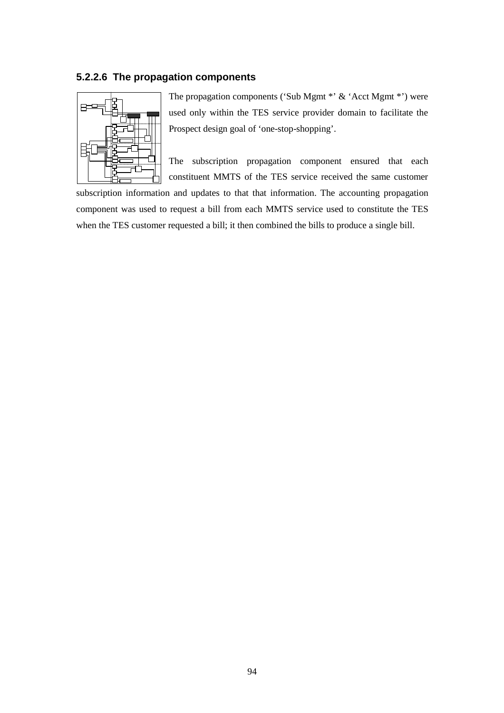#### **5.2.2.6 The propagation components**



The propagation components ('Sub Mgmt \*' & 'Acct Mgmt \*') were used only within the TES service provider domain to facilitate the Prospect design goal of 'one-stop-shopping'.

The subscription propagation component ensured that each constituent MMTS of the TES service received the same customer

subscription information and updates to that that information. The accounting propagation component was used to request a bill from each MMTS service used to constitute the TES when the TES customer requested a bill; it then combined the bills to produce a single bill.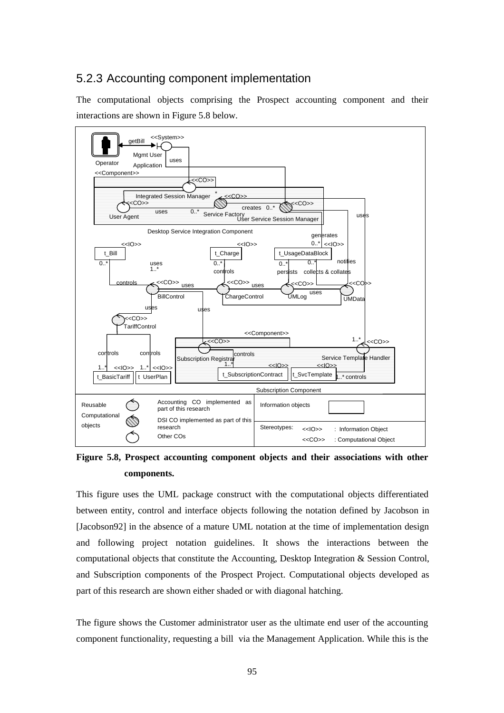# 5.2.3 Accounting component implementation

The computational objects comprising the Prospect accounting component and their interactions are shown in Figure 5.8 below.



**Figure 5.8, Prospect accounting component objects and their associations with other components.** 

This figure uses the UML package construct with the computational objects differentiated between entity, control and interface objects following the notation defined by Jacobson in [Jacobson92] in the absence of a mature UML notation at the time of implementation design and following project notation guidelines. It shows the interactions between the computational objects that constitute the Accounting, Desktop Integration & Session Control, and Subscription components of the Prospect Project. Computational objects developed as part of this research are shown either shaded or with diagonal hatching.

The figure shows the Customer administrator user as the ultimate end user of the accounting component functionality, requesting a bill via the Management Application. While this is the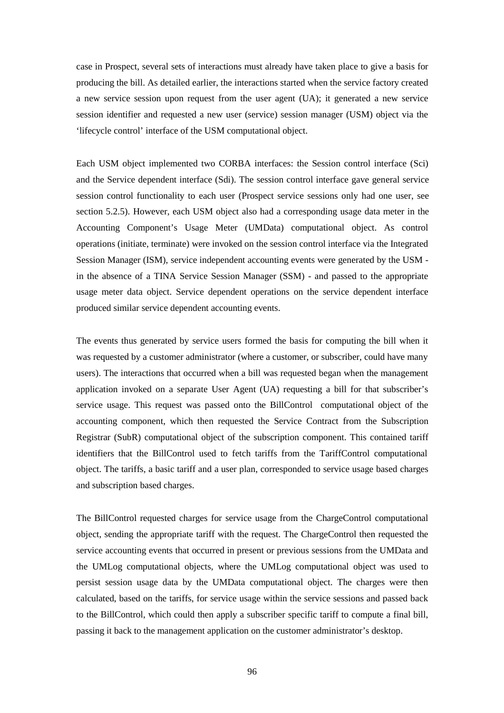case in Prospect, several sets of interactions must already have taken place to give a basis for producing the bill. As detailed earlier, the interactions started when the service factory created a new service session upon request from the user agent (UA); it generated a new service session identifier and requested a new user (service) session manager (USM) object via the 'lifecycle control' interface of the USM computational object.

Each USM object implemented two CORBA interfaces: the Session control interface (Sci) and the Service dependent interface (Sdi). The session control interface gave general service session control functionality to each user (Prospect service sessions only had one user, see section 5.2.5). However, each USM object also had a corresponding usage data meter in the Accounting Component's Usage Meter (UMData) computational object. As control operations (initiate, terminate) were invoked on the session control interface via the Integrated Session Manager (ISM), service independent accounting events were generated by the USM in the absence of a TINA Service Session Manager (SSM) - and passed to the appropriate usage meter data object. Service dependent operations on the service dependent interface produced similar service dependent accounting events.

The events thus generated by service users formed the basis for computing the bill when it was requested by a customer administrator (where a customer, or subscriber, could have many users). The interactions that occurred when a bill was requested began when the management application invoked on a separate User Agent (UA) requesting a bill for that subscriber's service usage. This request was passed onto the BillControl computational object of the accounting component, which then requested the Service Contract from the Subscription Registrar (SubR) computational object of the subscription component. This contained tariff identifiers that the BillControl used to fetch tariffs from the TariffControl computational object. The tariffs, a basic tariff and a user plan, corresponded to service usage based charges and subscription based charges.

The BillControl requested charges for service usage from the ChargeControl computational object, sending the appropriate tariff with the request. The ChargeControl then requested the service accounting events that occurred in present or previous sessions from the UMData and the UMLog computational objects, where the UMLog computational object was used to persist session usage data by the UMData computational object. The charges were then calculated, based on the tariffs, for service usage within the service sessions and passed back to the BillControl, which could then apply a subscriber specific tariff to compute a final bill, passing it back to the management application on the customer administrator's desktop.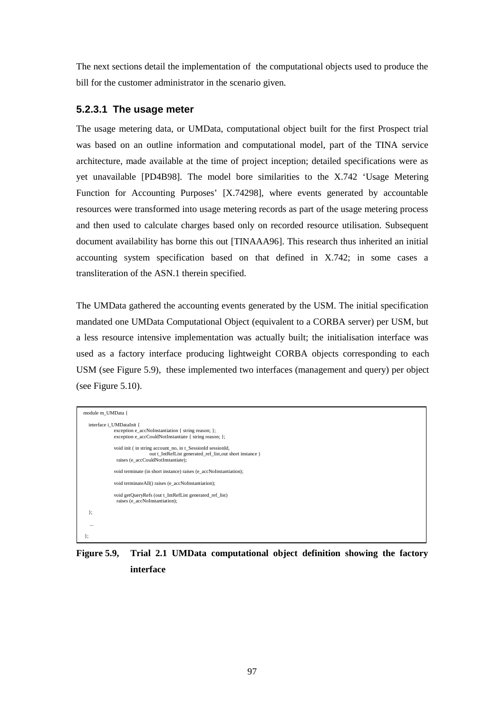The next sections detail the implementation of the computational objects used to produce the bill for the customer administrator in the scenario given.

### **5.2.3.1 The usage meter**

The usage metering data, or UMData, computational object built for the first Prospect trial was based on an outline information and computational model, part of the TINA service architecture, made available at the time of project inception; detailed specifications were as yet unavailable [PD4B98]. The model bore similarities to the X.742 'Usage Metering Function for Accounting Purposes' [X.74298], where events generated by accountable resources were transformed into usage metering records as part of the usage metering process and then used to calculate charges based only on recorded resource utilisation. Subsequent document availability has borne this out [TINAAA96]. This research thus inherited an initial accounting system specification based on that defined in X.742; in some cases a transliteration of the ASN.1 therein specified.

The UMData gathered the accounting events generated by the USM. The initial specification mandated one UMData Computational Object (equivalent to a CORBA server) per USM, but a less resource intensive implementation was actually built; the initialisation interface was used as a factory interface producing lightweight CORBA objects corresponding to each USM (see Figure 5.9), these implemented two interfaces (management and query) per object (see Figure 5.10).

| module m UMData {                                                                                                                                            |  |  |  |  |
|--------------------------------------------------------------------------------------------------------------------------------------------------------------|--|--|--|--|
| interface i UMDataInit {<br>exception e accNoInstantiation { string reason; };<br>exception e_accCouldNotInstantiate { string reason; };                     |  |  |  |  |
| void init (in string account_no, in t_SessionId sessionId,<br>out t IntRefList generated ref list, out short instance)<br>raises (e accCouldNotInstantiate); |  |  |  |  |
| void terminate (in short instance) raises (e accNoInstantiation);                                                                                            |  |  |  |  |
| void terminateAll() raises (e accNoInstantiation);                                                                                                           |  |  |  |  |
| void getQueryRefs (out t_IntRefList generated_ref_list)<br>raises (e accNoInstantiation);                                                                    |  |  |  |  |
| };                                                                                                                                                           |  |  |  |  |
| $\cdots$                                                                                                                                                     |  |  |  |  |
|                                                                                                                                                              |  |  |  |  |

**Figure 5.9, Trial 2.1 UMData computational object definition showing the factory interface**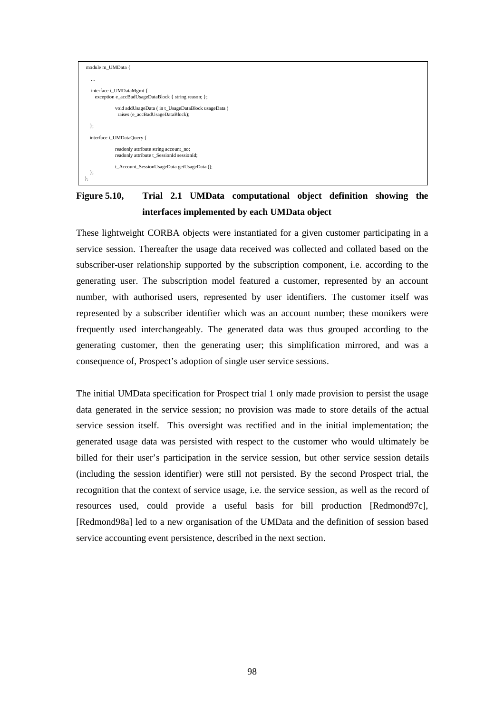

# **Figure 5.10, Trial 2.1 UMData computational object definition showing the interfaces implemented by each UMData object**

These lightweight CORBA objects were instantiated for a given customer participating in a service session. Thereafter the usage data received was collected and collated based on the subscriber-user relationship supported by the subscription component, i.e. according to the generating user. The subscription model featured a customer, represented by an account number, with authorised users, represented by user identifiers. The customer itself was represented by a subscriber identifier which was an account number; these monikers were frequently used interchangeably. The generated data was thus grouped according to the generating customer, then the generating user; this simplification mirrored, and was a consequence of, Prospect's adoption of single user service sessions.

The initial UMData specification for Prospect trial 1 only made provision to persist the usage data generated in the service session; no provision was made to store details of the actual service session itself. This oversight was rectified and in the initial implementation; the generated usage data was persisted with respect to the customer who would ultimately be billed for their user's participation in the service session, but other service session details (including the session identifier) were still not persisted. By the second Prospect trial, the recognition that the context of service usage, i.e. the service session, as well as the record of resources used, could provide a useful basis for bill production [Redmond97c], [Redmond98a] led to a new organisation of the UMData and the definition of session based service accounting event persistence, described in the next section.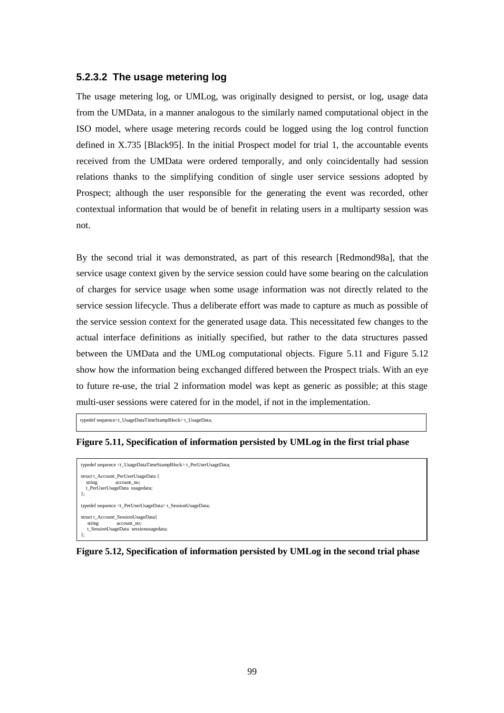#### **5.2.3.2 The usage metering log**

The usage metering log, or UMLog, was originally designed to persist, or log, usage data from the UMData, in a manner analogous to the similarly named computational object in the ISO model, where usage metering records could be logged using the log control function defined in X.735 [Black95]. In the initial Prospect model for trial 1, the accountable events received from the UMData were ordered temporally, and only coincidentally had session relations thanks to the simplifying condition of single user service sessions adopted by Prospect; although the user responsible for the generating the event was recorded, other contextual information that would be of benefit in relating users in a multiparty session was not.

By the second trial it was demonstrated, as part of this research [Redmond98a], that the service usage context given by the service session could have some bearing on the calculation of charges for service usage when some usage information was not directly related to the service session lifecycle. Thus a deliberate effort was made to capture as much as possible of the service session context for the generated usage data. This necessitated few changes to the actual interface definitions as initially specified, but rather to the data structures passed between the UMData and the UMLog computational objects. Figure 5.11 and Figure 5.12 show how the information being exchanged differed between the Prospect trials. With an eye to future re-use, the trial 2 information model was kept as generic as possible; at this stage multi-user sessions were catered for in the model, if not in the implementation.

typedef sequence<t\_UsageDataTimeStampBlock> t\_UsageData;

**Figure 5.11, Specification of information persisted by UMLog in the first trial phase** 

```
typedef sequence <t_UsageDataTimeStampBlock> t_PerUserUsageData; 
struct t_Account_PerUserUsageData { 
 string account_no; 
 t_PerUserUsageData usagedata; 
}; 
typedef sequence <t_PerUserUsageData> t_SessionUsageData; 

struct t_Account_SessionUsageData{ 
    string account_no; 
    t_SessionUsageData sessionusagedata; 
};
```
#### **Figure 5.12, Specification of information persisted by UMLog in the second trial phase**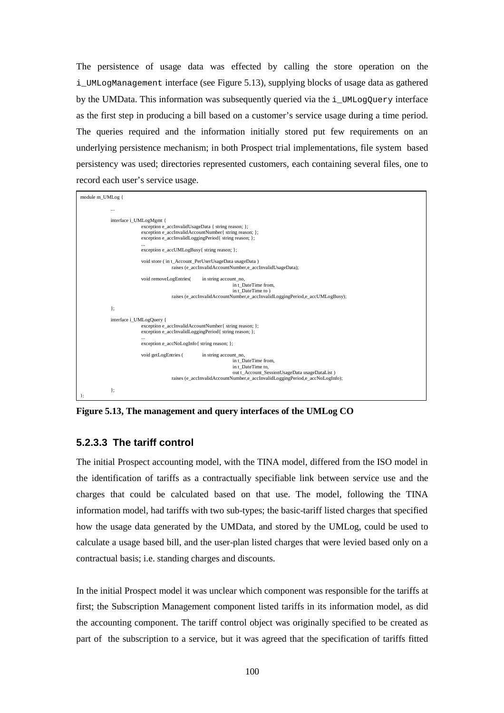The persistence of usage data was effected by calling the store operation on the i UMLogManagement interface (see Figure 5.13), supplying blocks of usage data as gathered by the UMData. This information was subsequently queried via the  $\pm$  UMLogQuery interface as the first step in producing a bill based on a customer's service usage during a time period. The queries required and the information initially stored put few requirements on an underlying persistence mechanism; in both Prospect trial implementations, file system based persistency was used; directories represented customers, each containing several files, one to record each user's service usage.



**Figure 5.13, The management and query interfaces of the UMLog CO** 

#### **5.2.3.3 The tariff control**

The initial Prospect accounting model, with the TINA model, differed from the ISO model in the identification of tariffs as a contractually specifiable link between service use and the charges that could be calculated based on that use. The model, following the TINA information model, had tariffs with two sub-types; the basic-tariff listed charges that specified how the usage data generated by the UMData, and stored by the UMLog, could be used to calculate a usage based bill, and the user-plan listed charges that were levied based only on a contractual basis; i.e. standing charges and discounts.

In the initial Prospect model it was unclear which component was responsible for the tariffs at first; the Subscription Management component listed tariffs in its information model, as did the accounting component. The tariff control object was originally specified to be created as part of the subscription to a service, but it was agreed that the specification of tariffs fitted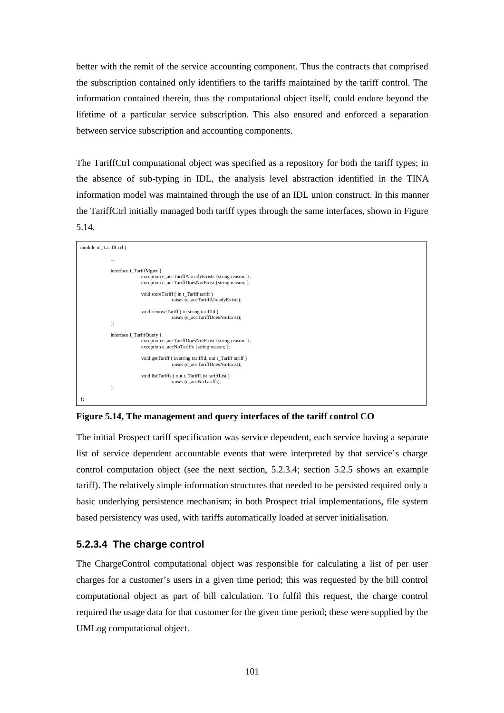better with the remit of the service accounting component. Thus the contracts that comprised the subscription contained only identifiers to the tariffs maintained by the tariff control. The information contained therein, thus the computational object itself, could endure beyond the lifetime of a particular service subscription. This also ensured and enforced a separation between service subscription and accounting components.

The TariffCtrl computational object was specified as a repository for both the tariff types; in the absence of sub-typing in IDL, the analysis level abstraction identified in the TINA information model was maintained through the use of an IDL union construct. In this manner the TariffCtrl initially managed both tariff types through the same interfaces, shown in Figure 5.14.



**Figure 5.14, The management and query interfaces of the tariff control CO** 

The initial Prospect tariff specification was service dependent, each service having a separate list of service dependent accountable events that were interpreted by that service's charge control computation object (see the next section, 5.2.3.4; section 5.2.5 shows an example tariff). The relatively simple information structures that needed to be persisted required only a basic underlying persistence mechanism; in both Prospect trial implementations, file system based persistency was used, with tariffs automatically loaded at server initialisation.

### **5.2.3.4 The charge control**

The ChargeControl computational object was responsible for calculating a list of per user charges for a customer's users in a given time period; this was requested by the bill control computational object as part of bill calculation. To fulfil this request, the charge control required the usage data for that customer for the given time period; these were supplied by the UMLog computational object.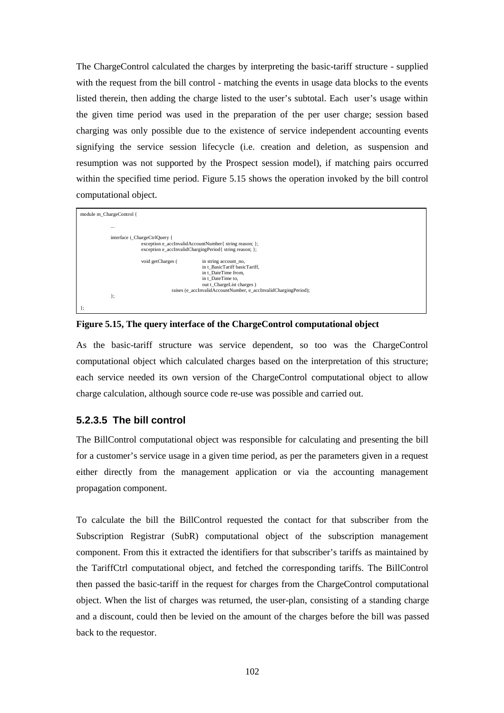The ChargeControl calculated the charges by interpreting the basic-tariff structure - supplied with the request from the bill control - matching the events in usage data blocks to the events listed therein, then adding the charge listed to the user's subtotal. Each user's usage within the given time period was used in the preparation of the per user charge; session based charging was only possible due to the existence of service independent accounting events signifying the service session lifecycle (i.e. creation and deletion, as suspension and resumption was not supported by the Prospect session model), if matching pairs occurred within the specified time period. Figure 5.15 shows the operation invoked by the bill control computational object.

| module m_ChargeControl {                                                                                          |                                                                                              |  |  |
|-------------------------------------------------------------------------------------------------------------------|----------------------------------------------------------------------------------------------|--|--|
| $\cdots$                                                                                                          |                                                                                              |  |  |
| interface i_ChargeCtrlQuery {                                                                                     |                                                                                              |  |  |
| exception e_accInvalidAccountNumber{ string reason; };<br>exception e accInvalidChargingPeriod{ string reason; }; |                                                                                              |  |  |
| void getCharges (                                                                                                 | in string account_no,                                                                        |  |  |
|                                                                                                                   | in t BasicTariff basicTariff,<br>in t DateTime from,                                         |  |  |
|                                                                                                                   | in t DateTime to,                                                                            |  |  |
|                                                                                                                   | out t_ChargeList charges)<br>raises (e accInvalidAccountNumber, e accInvalidChargingPeriod); |  |  |
| };                                                                                                                |                                                                                              |  |  |
| 1;                                                                                                                |                                                                                              |  |  |

**Figure 5.15, The query interface of the ChargeControl computational object** 

As the basic-tariff structure was service dependent, so too was the ChargeControl computational object which calculated charges based on the interpretation of this structure; each service needed its own version of the ChargeControl computational object to allow charge calculation, although source code re-use was possible and carried out.

### **5.2.3.5 The bill control**

The BillControl computational object was responsible for calculating and presenting the bill for a customer's service usage in a given time period, as per the parameters given in a request either directly from the management application or via the accounting management propagation component.

To calculate the bill the BillControl requested the contact for that subscriber from the Subscription Registrar (SubR) computational object of the subscription management component. From this it extracted the identifiers for that subscriber's tariffs as maintained by the TariffCtrl computational object, and fetched the corresponding tariffs. The BillControl then passed the basic-tariff in the request for charges from the ChargeControl computational object. When the list of charges was returned, the user-plan, consisting of a standing charge and a discount, could then be levied on the amount of the charges before the bill was passed back to the requestor.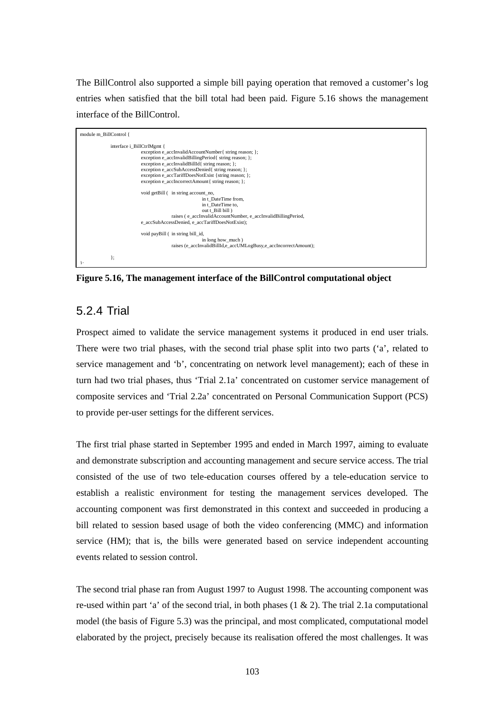The BillControl also supported a simple bill paying operation that removed a customer's log entries when satisfied that the bill total had been paid. Figure 5.16 shows the management interface of the BillControl.



**Figure 5.16, The management interface of the BillControl computational object** 

## 5.2.4 Trial

Prospect aimed to validate the service management systems it produced in end user trials. There were two trial phases, with the second trial phase split into two parts ('a', related to service management and 'b', concentrating on network level management); each of these in turn had two trial phases, thus 'Trial 2.1a' concentrated on customer service management of composite services and 'Trial 2.2a' concentrated on Personal Communication Support (PCS) to provide per-user settings for the different services.

The first trial phase started in September 1995 and ended in March 1997, aiming to evaluate and demonstrate subscription and accounting management and secure service access. The trial consisted of the use of two tele-education courses offered by a tele-education service to establish a realistic environment for testing the management services developed. The accounting component was first demonstrated in this context and succeeded in producing a bill related to session based usage of both the video conferencing (MMC) and information service (HM); that is, the bills were generated based on service independent accounting events related to session control.

The second trial phase ran from August 1997 to August 1998. The accounting component was re-used within part 'a' of the second trial, in both phases  $(1 \& 2)$ . The trial 2.1a computational model (the basis of Figure 5.3) was the principal, and most complicated, computational model elaborated by the project, precisely because its realisation offered the most challenges. It was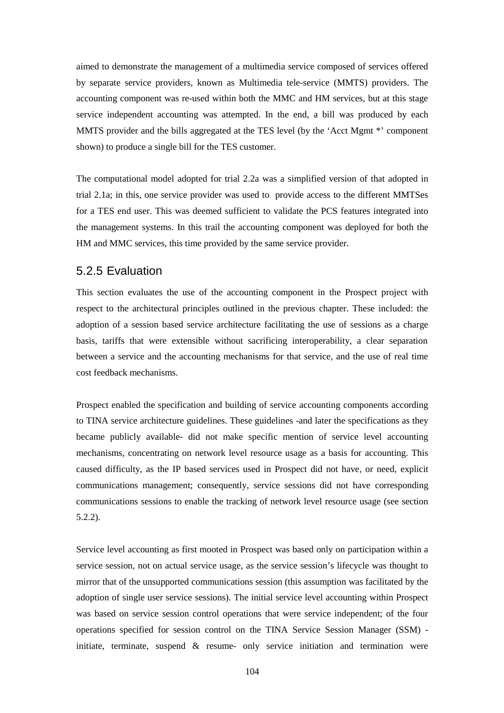aimed to demonstrate the management of a multimedia service composed of services offered by separate service providers, known as Multimedia tele-service (MMTS) providers. The accounting component was re-used within both the MMC and HM services, but at this stage service independent accounting was attempted. In the end, a bill was produced by each MMTS provider and the bills aggregated at the TES level (by the 'Acct Mgmt \*' component shown) to produce a single bill for the TES customer.

The computational model adopted for trial 2.2a was a simplified version of that adopted in trial 2.1a; in this, one service provider was used to provide access to the different MMTSes for a TES end user. This was deemed sufficient to validate the PCS features integrated into the management systems. In this trail the accounting component was deployed for both the HM and MMC services, this time provided by the same service provider.

#### 5.2.5 Evaluation

This section evaluates the use of the accounting component in the Prospect project with respect to the architectural principles outlined in the previous chapter. These included: the adoption of a session based service architecture facilitating the use of sessions as a charge basis, tariffs that were extensible without sacrificing interoperability, a clear separation between a service and the accounting mechanisms for that service, and the use of real time cost feedback mechanisms.

Prospect enabled the specification and building of service accounting components according to TINA service architecture guidelines. These guidelines -and later the specifications as they became publicly available- did not make specific mention of service level accounting mechanisms, concentrating on network level resource usage as a basis for accounting. This caused difficulty, as the IP based services used in Prospect did not have, or need, explicit communications management; consequently, service sessions did not have corresponding communications sessions to enable the tracking of network level resource usage (see section 5.2.2).

Service level accounting as first mooted in Prospect was based only on participation within a service session, not on actual service usage, as the service session's lifecycle was thought to mirror that of the unsupported communications session (this assumption was facilitated by the adoption of single user service sessions). The initial service level accounting within Prospect was based on service session control operations that were service independent; of the four operations specified for session control on the TINA Service Session Manager (SSM) initiate, terminate, suspend & resume- only service initiation and termination were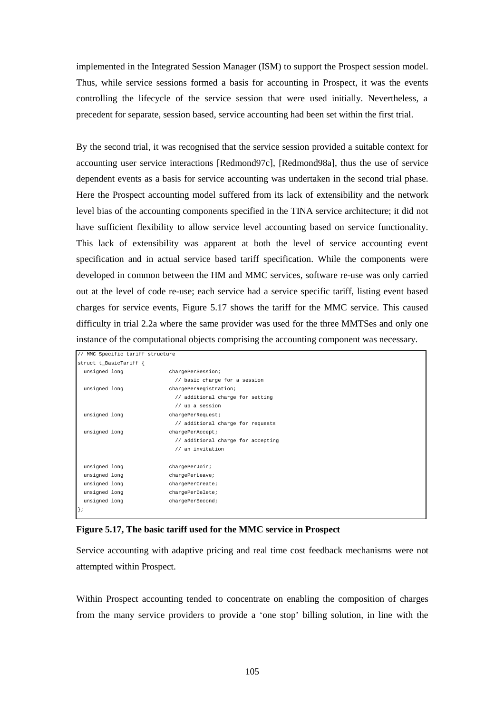implemented in the Integrated Session Manager (ISM) to support the Prospect session model. Thus, while service sessions formed a basis for accounting in Prospect, it was the events controlling the lifecycle of the service session that were used initially. Nevertheless, a precedent for separate, session based, service accounting had been set within the first trial.

By the second trial, it was recognised that the service session provided a suitable context for accounting user service interactions [Redmond97c], [Redmond98a], thus the use of service dependent events as a basis for service accounting was undertaken in the second trial phase. Here the Prospect accounting model suffered from its lack of extensibility and the network level bias of the accounting components specified in the TINA service architecture; it did not have sufficient flexibility to allow service level accounting based on service functionality. This lack of extensibility was apparent at both the level of service accounting event specification and in actual service based tariff specification. While the components were developed in common between the HM and MMC services, software re-use was only carried out at the level of code re-use; each service had a service specific tariff, listing event based charges for service events, Figure 5.17 shows the tariff for the MMC service. This caused difficulty in trial 2.2a where the same provider was used for the three MMTSes and only one instance of the computational objects comprising the accounting component was necessary.

|               | // MMC Specific tariff structure |                                    |
|---------------|----------------------------------|------------------------------------|
|               | struct t_BasicTariff {           |                                    |
| unsigned long |                                  | chargePerSession;                  |
|               |                                  | // basic charge for a session      |
| unsigned long |                                  | chargePerRegistration;             |
|               |                                  | // additional charge for setting   |
|               |                                  | $//$ up a session                  |
| unsigned long |                                  | chargePerRequest;                  |
|               |                                  | // additional charge for requests  |
| unsigned long |                                  | chargePerAccept;                   |
|               |                                  | // additional charge for accepting |
|               |                                  | // an invitation                   |
|               |                                  |                                    |
| unsigned long |                                  | chargePerJoin;                     |
| unsigned long |                                  | chargePerLeave;                    |
| unsigned long |                                  | chargePerCreate;                   |
| unsigned long |                                  | chargePerDelete;                   |
| unsigned long |                                  | chargePerSecond;                   |
| $\vert$ ;     |                                  |                                    |

#### **Figure 5.17, The basic tariff used for the MMC service in Prospect**

Service accounting with adaptive pricing and real time cost feedback mechanisms were not attempted within Prospect.

Within Prospect accounting tended to concentrate on enabling the composition of charges from the many service providers to provide a 'one stop' billing solution, in line with the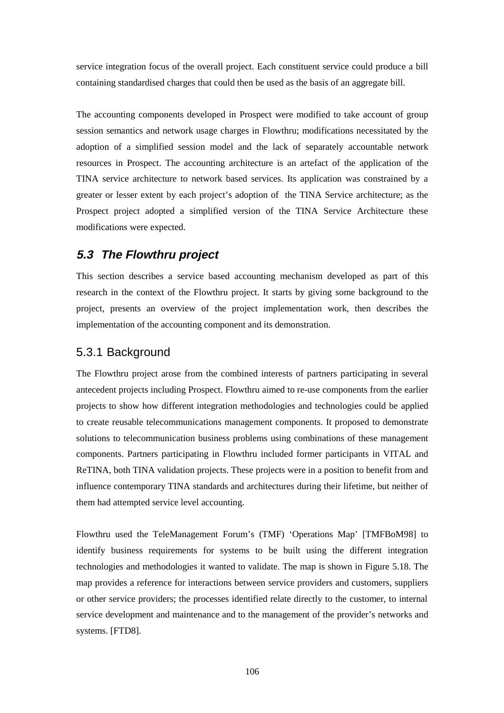service integration focus of the overall project. Each constituent service could produce a bill containing standardised charges that could then be used as the basis of an aggregate bill.

The accounting components developed in Prospect were modified to take account of group session semantics and network usage charges in Flowthru; modifications necessitated by the adoption of a simplified session model and the lack of separately accountable network resources in Prospect. The accounting architecture is an artefact of the application of the TINA service architecture to network based services. Its application was constrained by a greater or lesser extent by each project's adoption of the TINA Service architecture; as the Prospect project adopted a simplified version of the TINA Service Architecture these modifications were expected.

## **5.3 The Flowthru project**

This section describes a service based accounting mechanism developed as part of this research in the context of the Flowthru project. It starts by giving some background to the project, presents an overview of the project implementation work, then describes the implementation of the accounting component and its demonstration.

## 5.3.1 Background

The Flowthru project arose from the combined interests of partners participating in several antecedent projects including Prospect. Flowthru aimed to re-use components from the earlier projects to show how different integration methodologies and technologies could be applied to create reusable telecommunications management components. It proposed to demonstrate solutions to telecommunication business problems using combinations of these management components. Partners participating in Flowthru included former participants in VITAL and ReTINA, both TINA validation projects. These projects were in a position to benefit from and influence contemporary TINA standards and architectures during their lifetime, but neither of them had attempted service level accounting.

Flowthru used the TeleManagement Forum's (TMF) 'Operations Map' [TMFBoM98] to identify business requirements for systems to be built using the different integration technologies and methodologies it wanted to validate. The map is shown in Figure 5.18. The map provides a reference for interactions between service providers and customers, suppliers or other service providers; the processes identified relate directly to the customer, to internal service development and maintenance and to the management of the provider's networks and systems. [FTD8].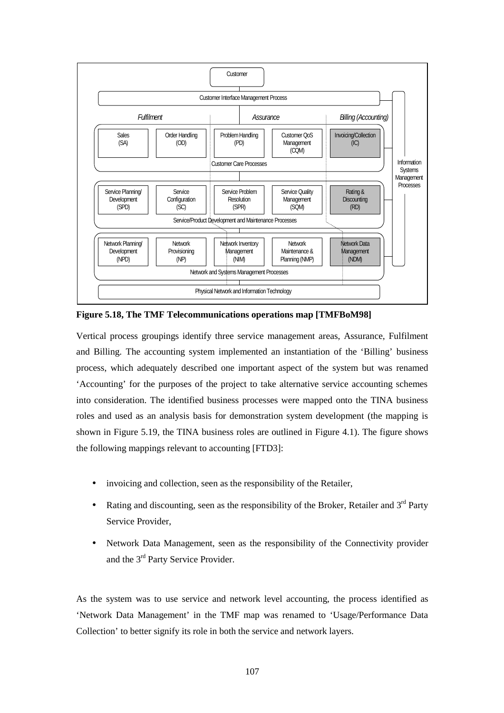

**Figure 5.18, The TMF Telecommunications operations map [TMFBoM98]** 

Vertical process groupings identify three service management areas, Assurance, Fulfilment and Billing. The accounting system implemented an instantiation of the 'Billing' business process, which adequately described one important aspect of the system but was renamed 'Accounting' for the purposes of the project to take alternative service accounting schemes into consideration. The identified business processes were mapped onto the TINA business roles and used as an analysis basis for demonstration system development (the mapping is shown in Figure 5.19, the TINA business roles are outlined in Figure 4.1). The figure shows the following mappings relevant to accounting [FTD3]:

- invoicing and collection, seen as the responsibility of the Retailer,
- Rating and discounting, seen as the responsibility of the Broker, Retailer and  $3<sup>rd</sup>$  Party Service Provider,
- Network Data Management, seen as the responsibility of the Connectivity provider and the 3rd Party Service Provider.

As the system was to use service and network level accounting, the process identified as 'Network Data Management' in the TMF map was renamed to 'Usage/Performance Data Collection' to better signify its role in both the service and network layers.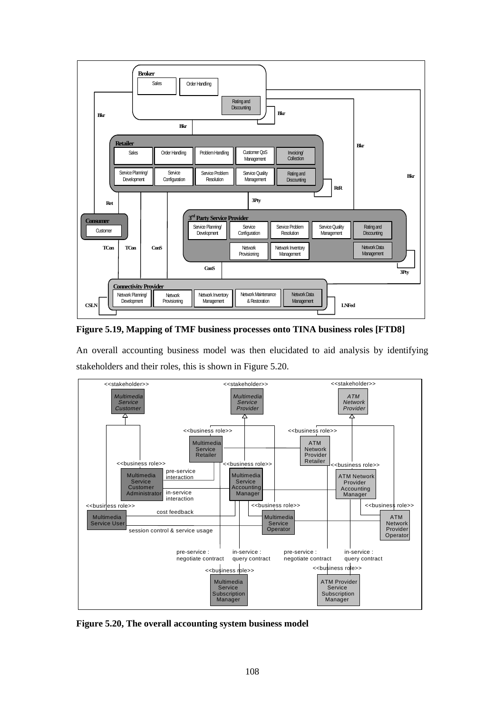

**Figure 5.19, Mapping of TMF business processes onto TINA business roles [FTD8]** 

An overall accounting business model was then elucidated to aid analysis by identifying stakeholders and their roles, this is shown in Figure 5.20.



**Figure 5.20, The overall accounting system business model**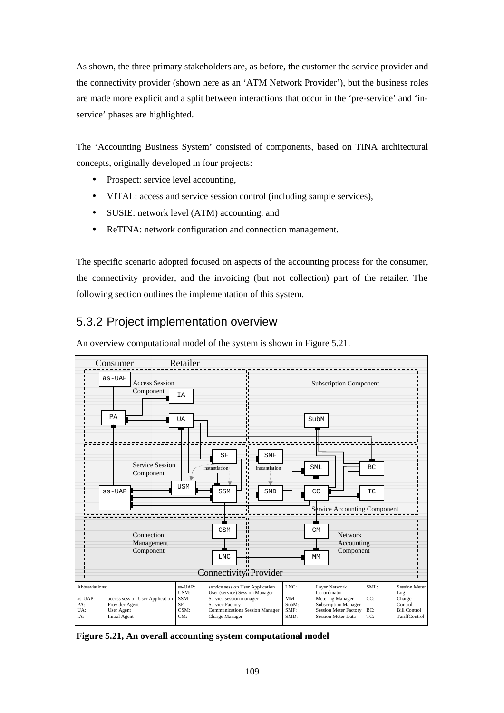As shown, the three primary stakeholders are, as before, the customer the service provider and the connectivity provider (shown here as an 'ATM Network Provider'), but the business roles are made more explicit and a split between interactions that occur in the 'pre-service' and 'inservice' phases are highlighted.

The 'Accounting Business System' consisted of components, based on TINA architectural concepts, originally developed in four projects:

- Prospect: service level accounting,
- VITAL: access and service session control (including sample services),
- SUSIE: network level (ATM) accounting, and
- ReTINA: network configuration and connection management.

The specific scenario adopted focused on aspects of the accounting process for the consumer, the connectivity provider, and the invoicing (but not collection) part of the retailer. The following section outlines the implementation of this system.

## 5.3.2 Project implementation overview

An overview computational model of the system is shown in Figure 5.21.



**Figure 5.21, An overall accounting system computational model**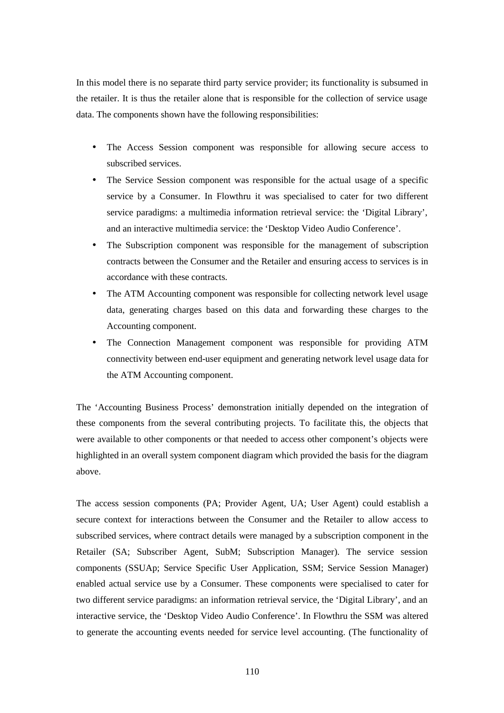In this model there is no separate third party service provider; its functionality is subsumed in the retailer. It is thus the retailer alone that is responsible for the collection of service usage data. The components shown have the following responsibilities:

- The Access Session component was responsible for allowing secure access to subscribed services.
- The Service Session component was responsible for the actual usage of a specific service by a Consumer. In Flowthru it was specialised to cater for two different service paradigms: a multimedia information retrieval service: the 'Digital Library', and an interactive multimedia service: the 'Desktop Video Audio Conference'.
- The Subscription component was responsible for the management of subscription contracts between the Consumer and the Retailer and ensuring access to services is in accordance with these contracts.
- The ATM Accounting component was responsible for collecting network level usage data, generating charges based on this data and forwarding these charges to the Accounting component.
- The Connection Management component was responsible for providing ATM connectivity between end-user equipment and generating network level usage data for the ATM Accounting component.

The 'Accounting Business Process' demonstration initially depended on the integration of these components from the several contributing projects. To facilitate this, the objects that were available to other components or that needed to access other component's objects were highlighted in an overall system component diagram which provided the basis for the diagram above.

The access session components (PA; Provider Agent, UA; User Agent) could establish a secure context for interactions between the Consumer and the Retailer to allow access to subscribed services, where contract details were managed by a subscription component in the Retailer (SA; Subscriber Agent, SubM; Subscription Manager). The service session components (SSUAp; Service Specific User Application, SSM; Service Session Manager) enabled actual service use by a Consumer. These components were specialised to cater for two different service paradigms: an information retrieval service, the 'Digital Library', and an interactive service, the 'Desktop Video Audio Conference'. In Flowthru the SSM was altered to generate the accounting events needed for service level accounting. (The functionality of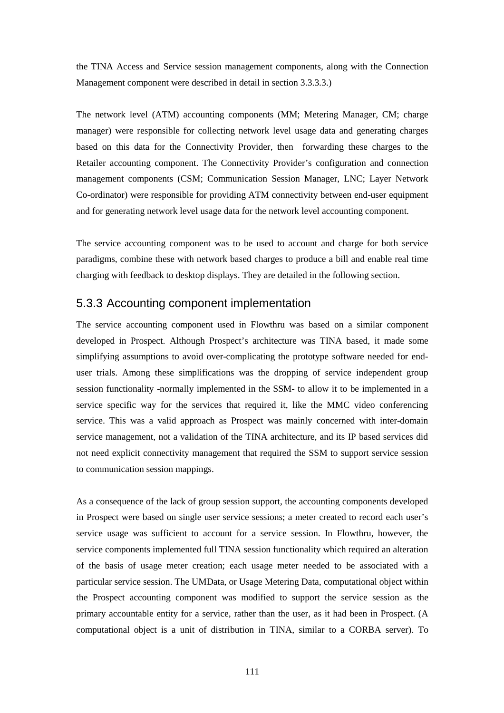the TINA Access and Service session management components, along with the Connection Management component were described in detail in section 3.3.3.3.)

The network level (ATM) accounting components (MM; Metering Manager, CM; charge manager) were responsible for collecting network level usage data and generating charges based on this data for the Connectivity Provider, then forwarding these charges to the Retailer accounting component. The Connectivity Provider's configuration and connection management components (CSM; Communication Session Manager, LNC; Layer Network Co-ordinator) were responsible for providing ATM connectivity between end-user equipment and for generating network level usage data for the network level accounting component.

The service accounting component was to be used to account and charge for both service paradigms, combine these with network based charges to produce a bill and enable real time charging with feedback to desktop displays. They are detailed in the following section.

## 5.3.3 Accounting component implementation

The service accounting component used in Flowthru was based on a similar component developed in Prospect. Although Prospect's architecture was TINA based, it made some simplifying assumptions to avoid over-complicating the prototype software needed for enduser trials. Among these simplifications was the dropping of service independent group session functionality -normally implemented in the SSM- to allow it to be implemented in a service specific way for the services that required it, like the MMC video conferencing service. This was a valid approach as Prospect was mainly concerned with inter-domain service management, not a validation of the TINA architecture, and its IP based services did not need explicit connectivity management that required the SSM to support service session to communication session mappings.

As a consequence of the lack of group session support, the accounting components developed in Prospect were based on single user service sessions; a meter created to record each user's service usage was sufficient to account for a service session. In Flowthru, however, the service components implemented full TINA session functionality which required an alteration of the basis of usage meter creation; each usage meter needed to be associated with a particular service session. The UMData, or Usage Metering Data, computational object within the Prospect accounting component was modified to support the service session as the primary accountable entity for a service, rather than the user, as it had been in Prospect. (A computational object is a unit of distribution in TINA, similar to a CORBA server). To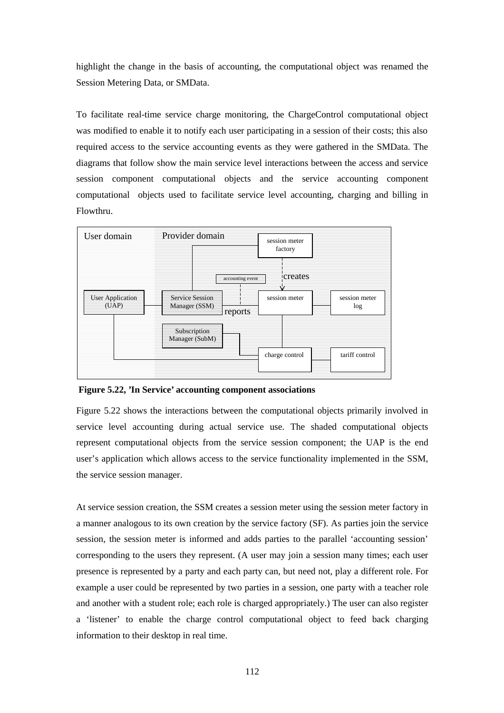highlight the change in the basis of accounting, the computational object was renamed the Session Metering Data, or SMData.

To facilitate real-time service charge monitoring, the ChargeControl computational object was modified to enable it to notify each user participating in a session of their costs; this also required access to the service accounting events as they were gathered in the SMData. The diagrams that follow show the main service level interactions between the access and service session component computational objects and the service accounting component computational objects used to facilitate service level accounting, charging and billing in Flowthru.



 **Figure 5.22, 'In Service' accounting component associations** 

Figure 5.22 shows the interactions between the computational objects primarily involved in service level accounting during actual service use. The shaded computational objects represent computational objects from the service session component; the UAP is the end user's application which allows access to the service functionality implemented in the SSM, the service session manager.

At service session creation, the SSM creates a session meter using the session meter factory in a manner analogous to its own creation by the service factory (SF). As parties join the service session, the session meter is informed and adds parties to the parallel 'accounting session' corresponding to the users they represent. (A user may join a session many times; each user presence is represented by a party and each party can, but need not, play a different role. For example a user could be represented by two parties in a session, one party with a teacher role and another with a student role; each role is charged appropriately.) The user can also register a 'listener' to enable the charge control computational object to feed back charging information to their desktop in real time.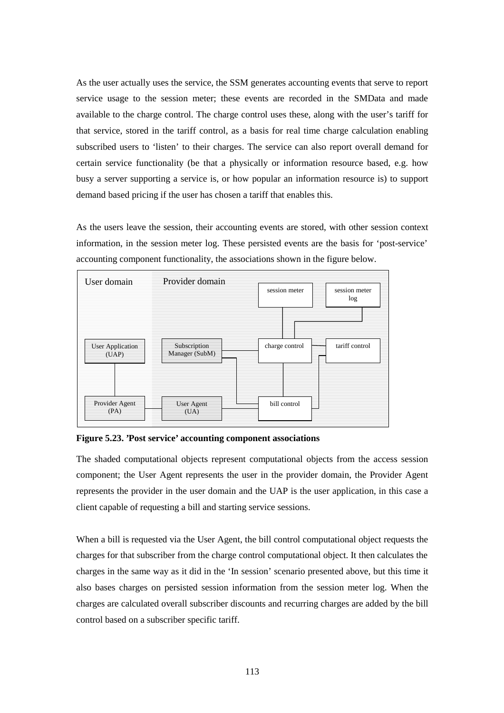As the user actually uses the service, the SSM generates accounting events that serve to report service usage to the session meter; these events are recorded in the SMData and made available to the charge control. The charge control uses these, along with the user's tariff for that service, stored in the tariff control, as a basis for real time charge calculation enabling subscribed users to 'listen' to their charges. The service can also report overall demand for certain service functionality (be that a physically or information resource based, e.g. how busy a server supporting a service is, or how popular an information resource is) to support demand based pricing if the user has chosen a tariff that enables this.

As the users leave the session, their accounting events are stored, with other session context information, in the session meter log. These persisted events are the basis for 'post-service' accounting component functionality, the associations shown in the figure below.



**Figure 5.23. 'Post service' accounting component associations** 

The shaded computational objects represent computational objects from the access session component; the User Agent represents the user in the provider domain, the Provider Agent represents the provider in the user domain and the UAP is the user application, in this case a client capable of requesting a bill and starting service sessions.

When a bill is requested via the User Agent, the bill control computational object requests the charges for that subscriber from the charge control computational object. It then calculates the charges in the same way as it did in the 'In session' scenario presented above, but this time it also bases charges on persisted session information from the session meter log. When the charges are calculated overall subscriber discounts and recurring charges are added by the bill control based on a subscriber specific tariff.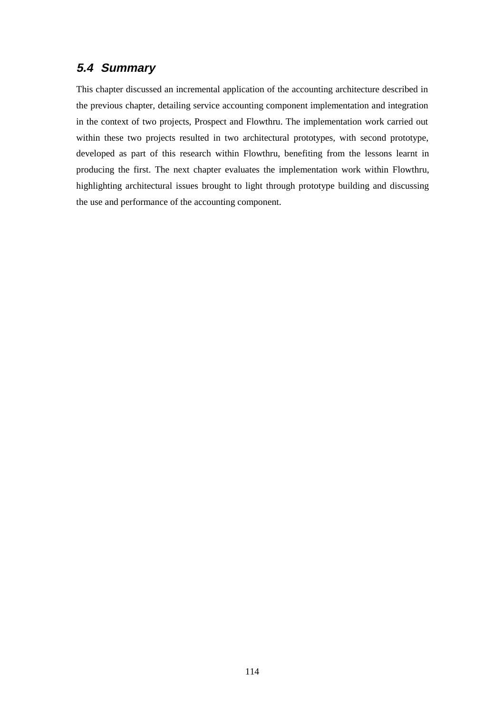## **5.4 Summary**

This chapter discussed an incremental application of the accounting architecture described in the previous chapter, detailing service accounting component implementation and integration in the context of two projects, Prospect and Flowthru. The implementation work carried out within these two projects resulted in two architectural prototypes, with second prototype, developed as part of this research within Flowthru, benefiting from the lessons learnt in producing the first. The next chapter evaluates the implementation work within Flowthru, highlighting architectural issues brought to light through prototype building and discussing the use and performance of the accounting component.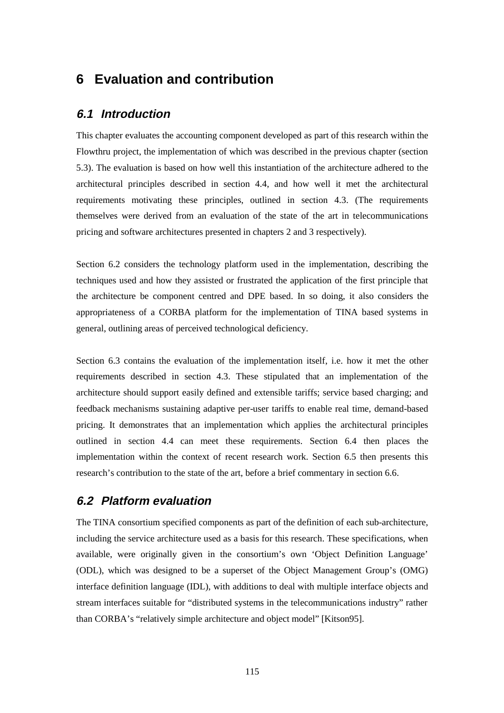## **6 Evaluation and contribution**

### **6.1 Introduction**

This chapter evaluates the accounting component developed as part of this research within the Flowthru project, the implementation of which was described in the previous chapter (section 5.3). The evaluation is based on how well this instantiation of the architecture adhered to the architectural principles described in section 4.4, and how well it met the architectural requirements motivating these principles, outlined in section 4.3. (The requirements themselves were derived from an evaluation of the state of the art in telecommunications pricing and software architectures presented in chapters 2 and 3 respectively).

Section 6.2 considers the technology platform used in the implementation, describing the techniques used and how they assisted or frustrated the application of the first principle that the architecture be component centred and DPE based. In so doing, it also considers the appropriateness of a CORBA platform for the implementation of TINA based systems in general, outlining areas of perceived technological deficiency.

Section 6.3 contains the evaluation of the implementation itself, i.e. how it met the other requirements described in section 4.3. These stipulated that an implementation of the architecture should support easily defined and extensible tariffs; service based charging; and feedback mechanisms sustaining adaptive per-user tariffs to enable real time, demand-based pricing. It demonstrates that an implementation which applies the architectural principles outlined in section 4.4 can meet these requirements. Section 6.4 then places the implementation within the context of recent research work. Section 6.5 then presents this research's contribution to the state of the art, before a brief commentary in section 6.6.

## **6.2 Platform evaluation**

The TINA consortium specified components as part of the definition of each sub-architecture, including the service architecture used as a basis for this research. These specifications, when available, were originally given in the consortium's own 'Object Definition Language' (ODL), which was designed to be a superset of the Object Management Group's (OMG) interface definition language (IDL), with additions to deal with multiple interface objects and stream interfaces suitable for "distributed systems in the telecommunications industry" rather than CORBA's "relatively simple architecture and object model" [Kitson95].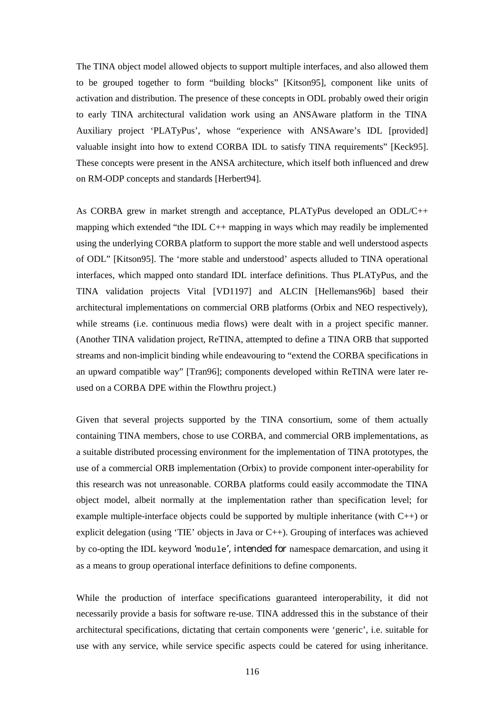The TINA object model allowed objects to support multiple interfaces, and also allowed them to be grouped together to form "building blocks" [Kitson95], component like units of activation and distribution. The presence of these concepts in ODL probably owed their origin to early TINA architectural validation work using an ANSAware platform in the TINA Auxiliary project 'PLATyPus', whose "experience with ANSAware's IDL [provided] valuable insight into how to extend CORBA IDL to satisfy TINA requirements" [Keck95]. These concepts were present in the ANSA architecture, which itself both influenced and drew on RM-ODP concepts and standards [Herbert94].

As CORBA grew in market strength and acceptance, PLATyPus developed an ODL/C++ mapping which extended "the IDL C++ mapping in ways which may readily be implemented using the underlying CORBA platform to support the more stable and well understood aspects of ODL" [Kitson95]. The 'more stable and understood' aspects alluded to TINA operational interfaces, which mapped onto standard IDL interface definitions. Thus PLATyPus, and the TINA validation projects Vital [VD1197] and ALCIN [Hellemans96b] based their architectural implementations on commercial ORB platforms (Orbix and NEO respectively), while streams (i.e. continuous media flows) were dealt with in a project specific manner. (Another TINA validation project, ReTINA, attempted to define a TINA ORB that supported streams and non-implicit binding while endeavouring to "extend the CORBA specifications in an upward compatible way" [Tran96]; components developed within ReTINA were later reused on a CORBA DPE within the Flowthru project.)

Given that several projects supported by the TINA consortium, some of them actually containing TINA members, chose to use CORBA, and commercial ORB implementations, as a suitable distributed processing environment for the implementation of TINA prototypes, the use of a commercial ORB implementation (Orbix) to provide component inter-operability for this research was not unreasonable. CORBA platforms could easily accommodate the TINA object model, albeit normally at the implementation rather than specification level; for example multiple-interface objects could be supported by multiple inheritance (with C++) or explicit delegation (using 'TIE' objects in Java or C++). Grouping of interfaces was achieved by co-opting the IDL keyword 'module', intended for namespace demarcation, and using it as a means to group operational interface definitions to define components.

While the production of interface specifications guaranteed interoperability, it did not necessarily provide a basis for software re-use. TINA addressed this in the substance of their architectural specifications, dictating that certain components were 'generic', i.e. suitable for use with any service, while service specific aspects could be catered for using inheritance.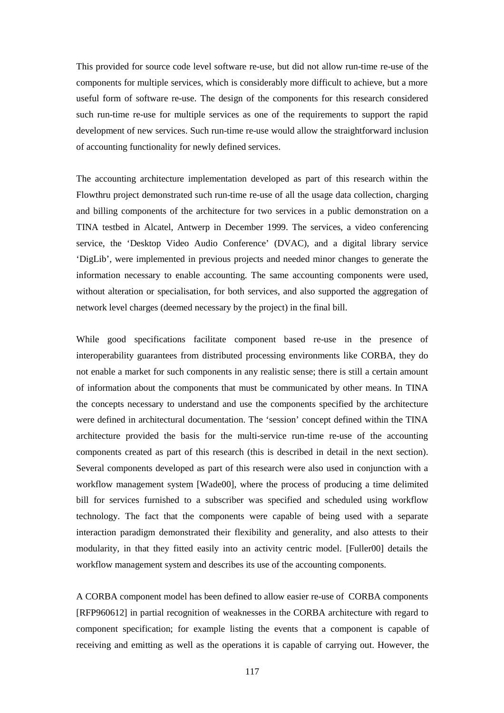This provided for source code level software re-use, but did not allow run-time re-use of the components for multiple services, which is considerably more difficult to achieve, but a more useful form of software re-use. The design of the components for this research considered such run-time re-use for multiple services as one of the requirements to support the rapid development of new services. Such run-time re-use would allow the straightforward inclusion of accounting functionality for newly defined services.

The accounting architecture implementation developed as part of this research within the Flowthru project demonstrated such run-time re-use of all the usage data collection, charging and billing components of the architecture for two services in a public demonstration on a TINA testbed in Alcatel, Antwerp in December 1999. The services, a video conferencing service, the 'Desktop Video Audio Conference' (DVAC), and a digital library service 'DigLib', were implemented in previous projects and needed minor changes to generate the information necessary to enable accounting. The same accounting components were used, without alteration or specialisation, for both services, and also supported the aggregation of network level charges (deemed necessary by the project) in the final bill.

While good specifications facilitate component based re-use in the presence of interoperability guarantees from distributed processing environments like CORBA, they do not enable a market for such components in any realistic sense; there is still a certain amount of information about the components that must be communicated by other means. In TINA the concepts necessary to understand and use the components specified by the architecture were defined in architectural documentation. The 'session' concept defined within the TINA architecture provided the basis for the multi-service run-time re-use of the accounting components created as part of this research (this is described in detail in the next section). Several components developed as part of this research were also used in conjunction with a workflow management system [Wade00], where the process of producing a time delimited bill for services furnished to a subscriber was specified and scheduled using workflow technology. The fact that the components were capable of being used with a separate interaction paradigm demonstrated their flexibility and generality, and also attests to their modularity, in that they fitted easily into an activity centric model. [Fuller00] details the workflow management system and describes its use of the accounting components.

A CORBA component model has been defined to allow easier re-use of CORBA components [RFP960612] in partial recognition of weaknesses in the CORBA architecture with regard to component specification; for example listing the events that a component is capable of receiving and emitting as well as the operations it is capable of carrying out. However, the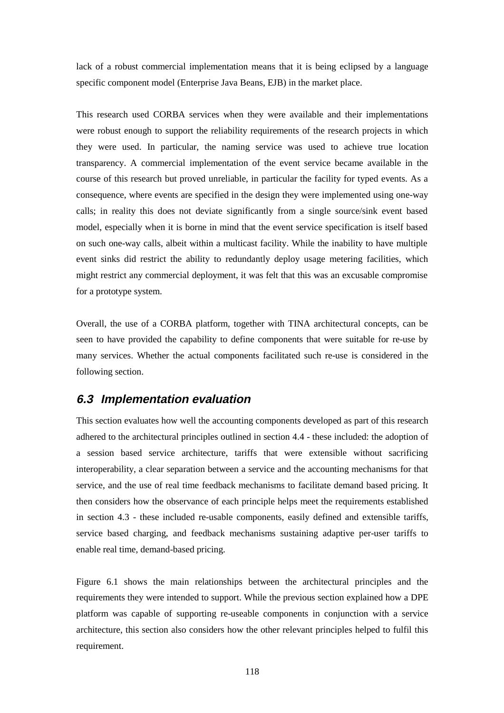lack of a robust commercial implementation means that it is being eclipsed by a language specific component model (Enterprise Java Beans, EJB) in the market place.

This research used CORBA services when they were available and their implementations were robust enough to support the reliability requirements of the research projects in which they were used. In particular, the naming service was used to achieve true location transparency. A commercial implementation of the event service became available in the course of this research but proved unreliable, in particular the facility for typed events. As a consequence, where events are specified in the design they were implemented using one-way calls; in reality this does not deviate significantly from a single source/sink event based model, especially when it is borne in mind that the event service specification is itself based on such one-way calls, albeit within a multicast facility. While the inability to have multiple event sinks did restrict the ability to redundantly deploy usage metering facilities, which might restrict any commercial deployment, it was felt that this was an excusable compromise for a prototype system.

Overall, the use of a CORBA platform, together with TINA architectural concepts, can be seen to have provided the capability to define components that were suitable for re-use by many services. Whether the actual components facilitated such re-use is considered in the following section.

### **6.3 Implementation evaluation**

This section evaluates how well the accounting components developed as part of this research adhered to the architectural principles outlined in section 4.4 - these included: the adoption of a session based service architecture, tariffs that were extensible without sacrificing interoperability, a clear separation between a service and the accounting mechanisms for that service, and the use of real time feedback mechanisms to facilitate demand based pricing. It then considers how the observance of each principle helps meet the requirements established in section 4.3 - these included re-usable components, easily defined and extensible tariffs, service based charging, and feedback mechanisms sustaining adaptive per-user tariffs to enable real time, demand-based pricing.

Figure 6.1 shows the main relationships between the architectural principles and the requirements they were intended to support. While the previous section explained how a DPE platform was capable of supporting re-useable components in conjunction with a service architecture, this section also considers how the other relevant principles helped to fulfil this requirement.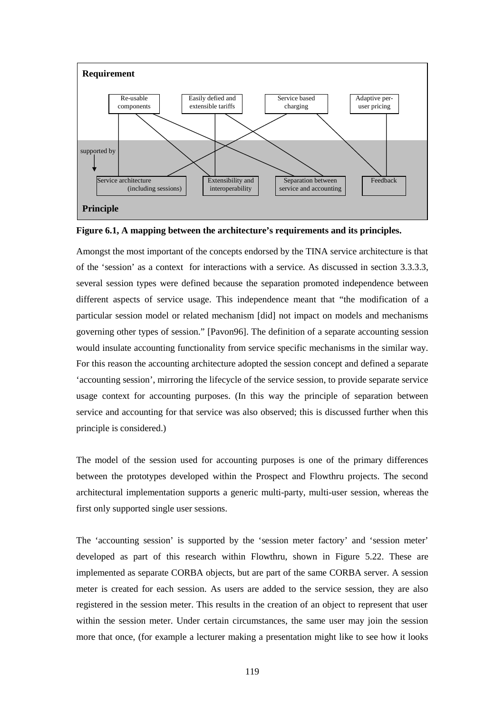



Amongst the most important of the concepts endorsed by the TINA service architecture is that of the 'session' as a context for interactions with a service. As discussed in section 3.3.3.3, several session types were defined because the separation promoted independence between different aspects of service usage. This independence meant that "the modification of a particular session model or related mechanism [did] not impact on models and mechanisms governing other types of session." [Pavon96]. The definition of a separate accounting session would insulate accounting functionality from service specific mechanisms in the similar way. For this reason the accounting architecture adopted the session concept and defined a separate 'accounting session', mirroring the lifecycle of the service session, to provide separate service usage context for accounting purposes. (In this way the principle of separation between service and accounting for that service was also observed; this is discussed further when this principle is considered.)

The model of the session used for accounting purposes is one of the primary differences between the prototypes developed within the Prospect and Flowthru projects. The second architectural implementation supports a generic multi-party, multi-user session, whereas the first only supported single user sessions.

The 'accounting session' is supported by the 'session meter factory' and 'session meter' developed as part of this research within Flowthru, shown in Figure 5.22. These are implemented as separate CORBA objects, but are part of the same CORBA server. A session meter is created for each session. As users are added to the service session, they are also registered in the session meter. This results in the creation of an object to represent that user within the session meter. Under certain circumstances, the same user may join the session more that once, (for example a lecturer making a presentation might like to see how it looks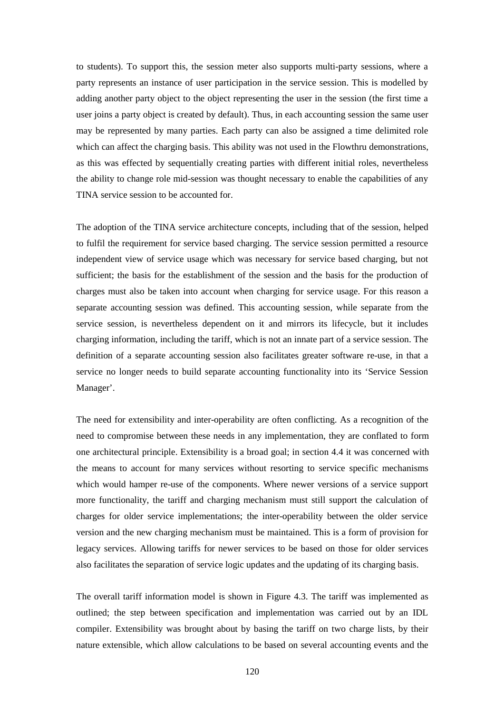to students). To support this, the session meter also supports multi-party sessions, where a party represents an instance of user participation in the service session. This is modelled by adding another party object to the object representing the user in the session (the first time a user joins a party object is created by default). Thus, in each accounting session the same user may be represented by many parties. Each party can also be assigned a time delimited role which can affect the charging basis. This ability was not used in the Flowthru demonstrations, as this was effected by sequentially creating parties with different initial roles, nevertheless the ability to change role mid-session was thought necessary to enable the capabilities of any TINA service session to be accounted for.

The adoption of the TINA service architecture concepts, including that of the session, helped to fulfil the requirement for service based charging. The service session permitted a resource independent view of service usage which was necessary for service based charging, but not sufficient; the basis for the establishment of the session and the basis for the production of charges must also be taken into account when charging for service usage. For this reason a separate accounting session was defined. This accounting session, while separate from the service session, is nevertheless dependent on it and mirrors its lifecycle, but it includes charging information, including the tariff, which is not an innate part of a service session. The definition of a separate accounting session also facilitates greater software re-use, in that a service no longer needs to build separate accounting functionality into its 'Service Session Manager'.

The need for extensibility and inter-operability are often conflicting. As a recognition of the need to compromise between these needs in any implementation, they are conflated to form one architectural principle. Extensibility is a broad goal; in section 4.4 it was concerned with the means to account for many services without resorting to service specific mechanisms which would hamper re-use of the components. Where newer versions of a service support more functionality, the tariff and charging mechanism must still support the calculation of charges for older service implementations; the inter-operability between the older service version and the new charging mechanism must be maintained. This is a form of provision for legacy services. Allowing tariffs for newer services to be based on those for older services also facilitates the separation of service logic updates and the updating of its charging basis.

The overall tariff information model is shown in Figure 4.3. The tariff was implemented as outlined; the step between specification and implementation was carried out by an IDL compiler. Extensibility was brought about by basing the tariff on two charge lists, by their nature extensible, which allow calculations to be based on several accounting events and the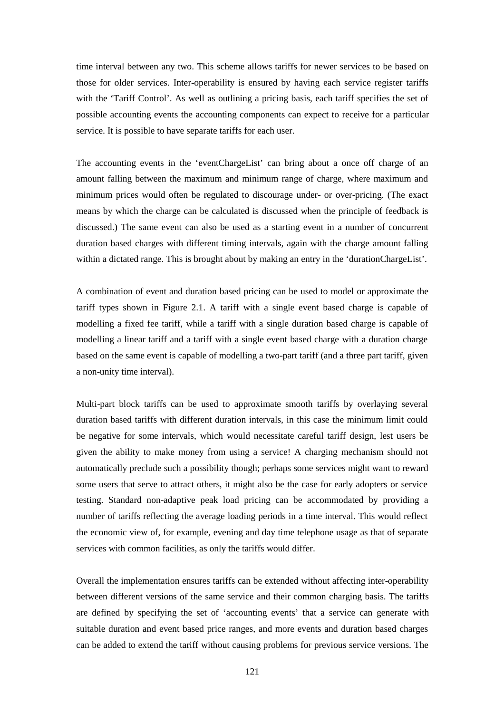time interval between any two. This scheme allows tariffs for newer services to be based on those for older services. Inter-operability is ensured by having each service register tariffs with the 'Tariff Control'. As well as outlining a pricing basis, each tariff specifies the set of possible accounting events the accounting components can expect to receive for a particular service. It is possible to have separate tariffs for each user.

The accounting events in the 'eventChargeList' can bring about a once off charge of an amount falling between the maximum and minimum range of charge, where maximum and minimum prices would often be regulated to discourage under- or over-pricing. (The exact means by which the charge can be calculated is discussed when the principle of feedback is discussed.) The same event can also be used as a starting event in a number of concurrent duration based charges with different timing intervals, again with the charge amount falling within a dictated range. This is brought about by making an entry in the 'durationChargeList'.

A combination of event and duration based pricing can be used to model or approximate the tariff types shown in Figure 2.1. A tariff with a single event based charge is capable of modelling a fixed fee tariff, while a tariff with a single duration based charge is capable of modelling a linear tariff and a tariff with a single event based charge with a duration charge based on the same event is capable of modelling a two-part tariff (and a three part tariff, given a non-unity time interval).

Multi-part block tariffs can be used to approximate smooth tariffs by overlaying several duration based tariffs with different duration intervals, in this case the minimum limit could be negative for some intervals, which would necessitate careful tariff design, lest users be given the ability to make money from using a service! A charging mechanism should not automatically preclude such a possibility though; perhaps some services might want to reward some users that serve to attract others, it might also be the case for early adopters or service testing. Standard non-adaptive peak load pricing can be accommodated by providing a number of tariffs reflecting the average loading periods in a time interval. This would reflect the economic view of, for example, evening and day time telephone usage as that of separate services with common facilities, as only the tariffs would differ.

Overall the implementation ensures tariffs can be extended without affecting inter-operability between different versions of the same service and their common charging basis. The tariffs are defined by specifying the set of 'accounting events' that a service can generate with suitable duration and event based price ranges, and more events and duration based charges can be added to extend the tariff without causing problems for previous service versions. The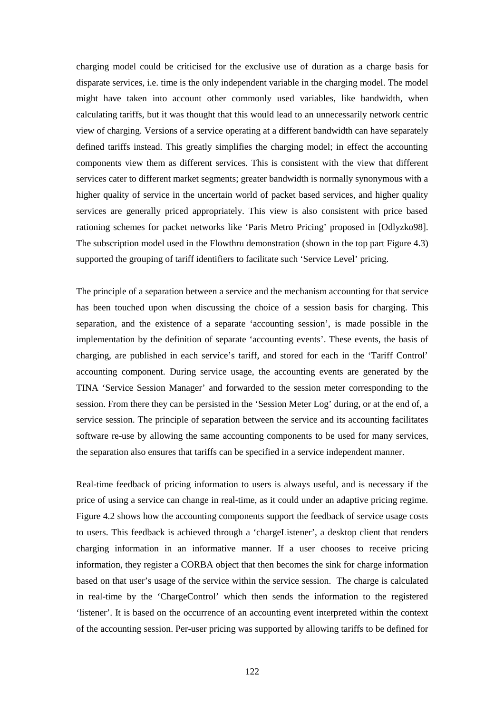charging model could be criticised for the exclusive use of duration as a charge basis for disparate services, i.e. time is the only independent variable in the charging model. The model might have taken into account other commonly used variables, like bandwidth, when calculating tariffs, but it was thought that this would lead to an unnecessarily network centric view of charging. Versions of a service operating at a different bandwidth can have separately defined tariffs instead. This greatly simplifies the charging model; in effect the accounting components view them as different services. This is consistent with the view that different services cater to different market segments; greater bandwidth is normally synonymous with a higher quality of service in the uncertain world of packet based services, and higher quality services are generally priced appropriately. This view is also consistent with price based rationing schemes for packet networks like 'Paris Metro Pricing' proposed in [Odlyzko98]. The subscription model used in the Flowthru demonstration (shown in the top part Figure 4.3) supported the grouping of tariff identifiers to facilitate such 'Service Level' pricing.

The principle of a separation between a service and the mechanism accounting for that service has been touched upon when discussing the choice of a session basis for charging. This separation, and the existence of a separate 'accounting session', is made possible in the implementation by the definition of separate 'accounting events'. These events, the basis of charging, are published in each service's tariff, and stored for each in the 'Tariff Control' accounting component. During service usage, the accounting events are generated by the TINA 'Service Session Manager' and forwarded to the session meter corresponding to the session. From there they can be persisted in the 'Session Meter Log' during, or at the end of, a service session. The principle of separation between the service and its accounting facilitates software re-use by allowing the same accounting components to be used for many services, the separation also ensures that tariffs can be specified in a service independent manner.

Real-time feedback of pricing information to users is always useful, and is necessary if the price of using a service can change in real-time, as it could under an adaptive pricing regime. Figure 4.2 shows how the accounting components support the feedback of service usage costs to users. This feedback is achieved through a 'chargeListener', a desktop client that renders charging information in an informative manner. If a user chooses to receive pricing information, they register a CORBA object that then becomes the sink for charge information based on that user's usage of the service within the service session. The charge is calculated in real-time by the 'ChargeControl' which then sends the information to the registered 'listener'. It is based on the occurrence of an accounting event interpreted within the context of the accounting session. Per-user pricing was supported by allowing tariffs to be defined for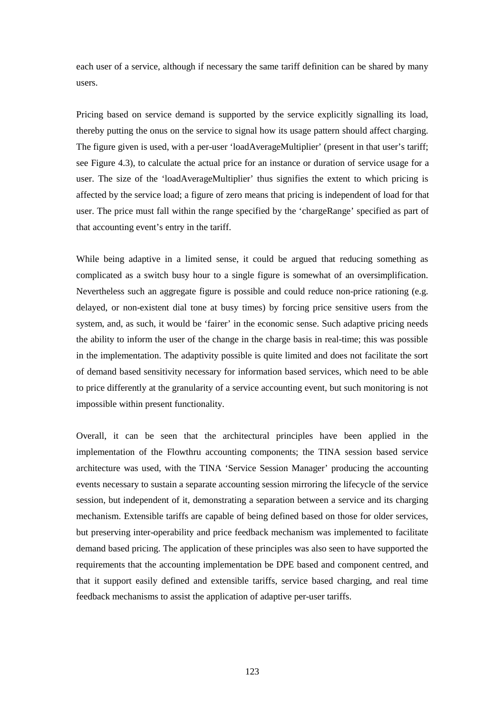each user of a service, although if necessary the same tariff definition can be shared by many users.

Pricing based on service demand is supported by the service explicitly signalling its load, thereby putting the onus on the service to signal how its usage pattern should affect charging. The figure given is used, with a per-user 'loadAverageMultiplier' (present in that user's tariff; see Figure 4.3), to calculate the actual price for an instance or duration of service usage for a user. The size of the 'loadAverageMultiplier' thus signifies the extent to which pricing is affected by the service load; a figure of zero means that pricing is independent of load for that user. The price must fall within the range specified by the 'chargeRange' specified as part of that accounting event's entry in the tariff.

While being adaptive in a limited sense, it could be argued that reducing something as complicated as a switch busy hour to a single figure is somewhat of an oversimplification. Nevertheless such an aggregate figure is possible and could reduce non-price rationing (e.g. delayed, or non-existent dial tone at busy times) by forcing price sensitive users from the system, and, as such, it would be 'fairer' in the economic sense. Such adaptive pricing needs the ability to inform the user of the change in the charge basis in real-time; this was possible in the implementation. The adaptivity possible is quite limited and does not facilitate the sort of demand based sensitivity necessary for information based services, which need to be able to price differently at the granularity of a service accounting event, but such monitoring is not impossible within present functionality.

Overall, it can be seen that the architectural principles have been applied in the implementation of the Flowthru accounting components; the TINA session based service architecture was used, with the TINA 'Service Session Manager' producing the accounting events necessary to sustain a separate accounting session mirroring the lifecycle of the service session, but independent of it, demonstrating a separation between a service and its charging mechanism. Extensible tariffs are capable of being defined based on those for older services, but preserving inter-operability and price feedback mechanism was implemented to facilitate demand based pricing. The application of these principles was also seen to have supported the requirements that the accounting implementation be DPE based and component centred, and that it support easily defined and extensible tariffs, service based charging, and real time feedback mechanisms to assist the application of adaptive per-user tariffs.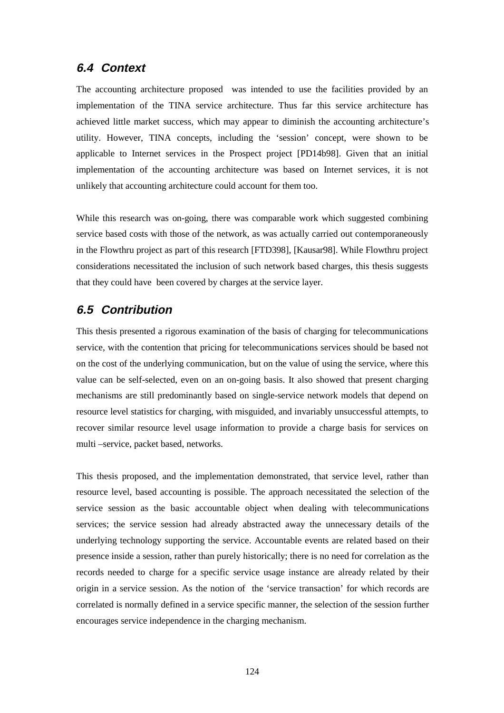## **6.4 Context**

The accounting architecture proposed was intended to use the facilities provided by an implementation of the TINA service architecture. Thus far this service architecture has achieved little market success, which may appear to diminish the accounting architecture's utility. However, TINA concepts, including the 'session' concept, were shown to be applicable to Internet services in the Prospect project [PD14b98]. Given that an initial implementation of the accounting architecture was based on Internet services, it is not unlikely that accounting architecture could account for them too.

While this research was on-going, there was comparable work which suggested combining service based costs with those of the network, as was actually carried out contemporaneously in the Flowthru project as part of this research [FTD398], [Kausar98]. While Flowthru project considerations necessitated the inclusion of such network based charges, this thesis suggests that they could have been covered by charges at the service layer.

## **6.5 Contribution**

This thesis presented a rigorous examination of the basis of charging for telecommunications service, with the contention that pricing for telecommunications services should be based not on the cost of the underlying communication, but on the value of using the service, where this value can be self-selected, even on an on-going basis. It also showed that present charging mechanisms are still predominantly based on single-service network models that depend on resource level statistics for charging, with misguided, and invariably unsuccessful attempts, to recover similar resource level usage information to provide a charge basis for services on multi –service, packet based, networks.

This thesis proposed, and the implementation demonstrated, that service level, rather than resource level, based accounting is possible. The approach necessitated the selection of the service session as the basic accountable object when dealing with telecommunications services; the service session had already abstracted away the unnecessary details of the underlying technology supporting the service. Accountable events are related based on their presence inside a session, rather than purely historically; there is no need for correlation as the records needed to charge for a specific service usage instance are already related by their origin in a service session. As the notion of the 'service transaction' for which records are correlated is normally defined in a service specific manner, the selection of the session further encourages service independence in the charging mechanism.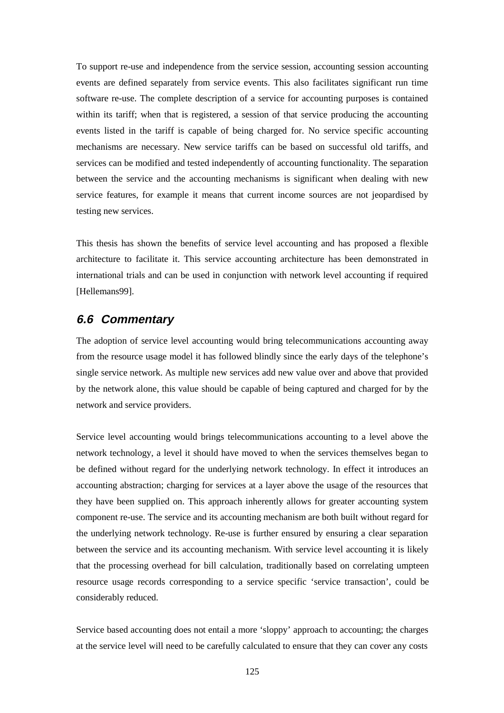To support re-use and independence from the service session, accounting session accounting events are defined separately from service events. This also facilitates significant run time software re-use. The complete description of a service for accounting purposes is contained within its tariff; when that is registered, a session of that service producing the accounting events listed in the tariff is capable of being charged for. No service specific accounting mechanisms are necessary. New service tariffs can be based on successful old tariffs, and services can be modified and tested independently of accounting functionality. The separation between the service and the accounting mechanisms is significant when dealing with new service features, for example it means that current income sources are not jeopardised by testing new services.

This thesis has shown the benefits of service level accounting and has proposed a flexible architecture to facilitate it. This service accounting architecture has been demonstrated in international trials and can be used in conjunction with network level accounting if required [Hellemans99].

## **6.6 Commentary**

The adoption of service level accounting would bring telecommunications accounting away from the resource usage model it has followed blindly since the early days of the telephone's single service network. As multiple new services add new value over and above that provided by the network alone, this value should be capable of being captured and charged for by the network and service providers.

Service level accounting would brings telecommunications accounting to a level above the network technology, a level it should have moved to when the services themselves began to be defined without regard for the underlying network technology. In effect it introduces an accounting abstraction; charging for services at a layer above the usage of the resources that they have been supplied on. This approach inherently allows for greater accounting system component re-use. The service and its accounting mechanism are both built without regard for the underlying network technology. Re-use is further ensured by ensuring a clear separation between the service and its accounting mechanism. With service level accounting it is likely that the processing overhead for bill calculation, traditionally based on correlating umpteen resource usage records corresponding to a service specific 'service transaction', could be considerably reduced.

Service based accounting does not entail a more 'sloppy' approach to accounting; the charges at the service level will need to be carefully calculated to ensure that they can cover any costs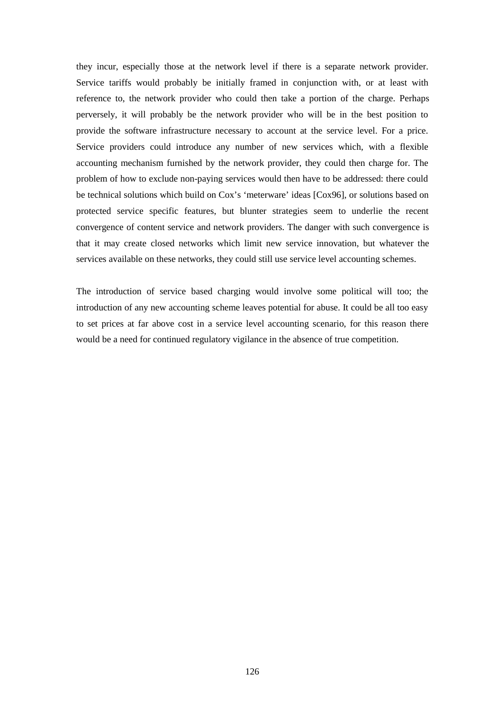they incur, especially those at the network level if there is a separate network provider. Service tariffs would probably be initially framed in conjunction with, or at least with reference to, the network provider who could then take a portion of the charge. Perhaps perversely, it will probably be the network provider who will be in the best position to provide the software infrastructure necessary to account at the service level. For a price. Service providers could introduce any number of new services which, with a flexible accounting mechanism furnished by the network provider, they could then charge for. The problem of how to exclude non-paying services would then have to be addressed: there could be technical solutions which build on Cox's 'meterware' ideas [Cox96], or solutions based on protected service specific features, but blunter strategies seem to underlie the recent convergence of content service and network providers. The danger with such convergence is that it may create closed networks which limit new service innovation, but whatever the services available on these networks, they could still use service level accounting schemes.

The introduction of service based charging would involve some political will too; the introduction of any new accounting scheme leaves potential for abuse. It could be all too easy to set prices at far above cost in a service level accounting scenario, for this reason there would be a need for continued regulatory vigilance in the absence of true competition.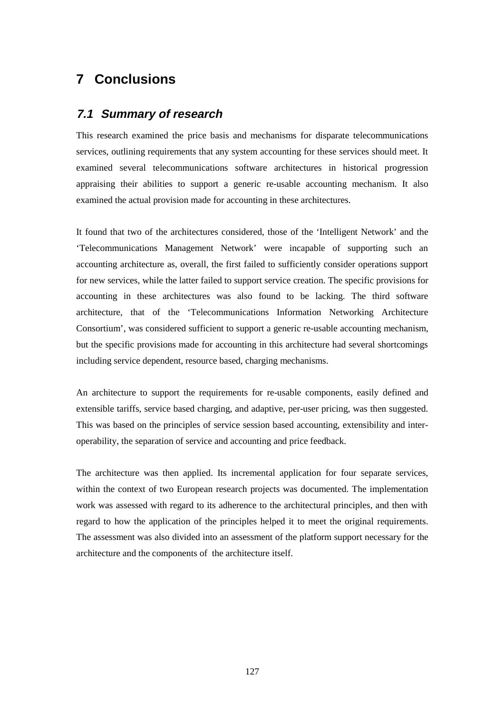# **7 Conclusions**

## **7.1 Summary of research**

This research examined the price basis and mechanisms for disparate telecommunications services, outlining requirements that any system accounting for these services should meet. It examined several telecommunications software architectures in historical progression appraising their abilities to support a generic re-usable accounting mechanism. It also examined the actual provision made for accounting in these architectures.

It found that two of the architectures considered, those of the 'Intelligent Network' and the 'Telecommunications Management Network' were incapable of supporting such an accounting architecture as, overall, the first failed to sufficiently consider operations support for new services, while the latter failed to support service creation. The specific provisions for accounting in these architectures was also found to be lacking. The third software architecture, that of the 'Telecommunications Information Networking Architecture Consortium', was considered sufficient to support a generic re-usable accounting mechanism, but the specific provisions made for accounting in this architecture had several shortcomings including service dependent, resource based, charging mechanisms.

An architecture to support the requirements for re-usable components, easily defined and extensible tariffs, service based charging, and adaptive, per-user pricing, was then suggested. This was based on the principles of service session based accounting, extensibility and interoperability, the separation of service and accounting and price feedback.

The architecture was then applied. Its incremental application for four separate services, within the context of two European research projects was documented. The implementation work was assessed with regard to its adherence to the architectural principles, and then with regard to how the application of the principles helped it to meet the original requirements. The assessment was also divided into an assessment of the platform support necessary for the architecture and the components of the architecture itself.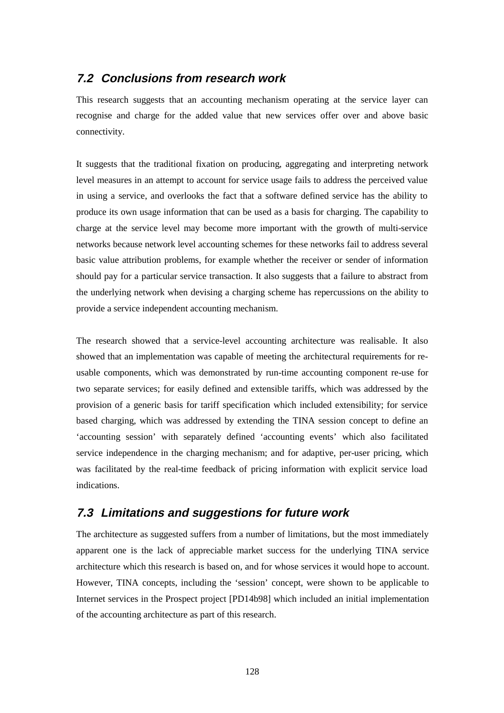## **7.2 Conclusions from research work**

This research suggests that an accounting mechanism operating at the service layer can recognise and charge for the added value that new services offer over and above basic connectivity.

It suggests that the traditional fixation on producing, aggregating and interpreting network level measures in an attempt to account for service usage fails to address the perceived value in using a service, and overlooks the fact that a software defined service has the ability to produce its own usage information that can be used as a basis for charging. The capability to charge at the service level may become more important with the growth of multi-service networks because network level accounting schemes for these networks fail to address several basic value attribution problems, for example whether the receiver or sender of information should pay for a particular service transaction. It also suggests that a failure to abstract from the underlying network when devising a charging scheme has repercussions on the ability to provide a service independent accounting mechanism.

The research showed that a service-level accounting architecture was realisable. It also showed that an implementation was capable of meeting the architectural requirements for reusable components, which was demonstrated by run-time accounting component re-use for two separate services; for easily defined and extensible tariffs, which was addressed by the provision of a generic basis for tariff specification which included extensibility; for service based charging, which was addressed by extending the TINA session concept to define an 'accounting session' with separately defined 'accounting events' which also facilitated service independence in the charging mechanism; and for adaptive, per-user pricing, which was facilitated by the real-time feedback of pricing information with explicit service load indications.

## **7.3 Limitations and suggestions for future work**

The architecture as suggested suffers from a number of limitations, but the most immediately apparent one is the lack of appreciable market success for the underlying TINA service architecture which this research is based on, and for whose services it would hope to account. However, TINA concepts, including the 'session' concept, were shown to be applicable to Internet services in the Prospect project [PD14b98] which included an initial implementation of the accounting architecture as part of this research.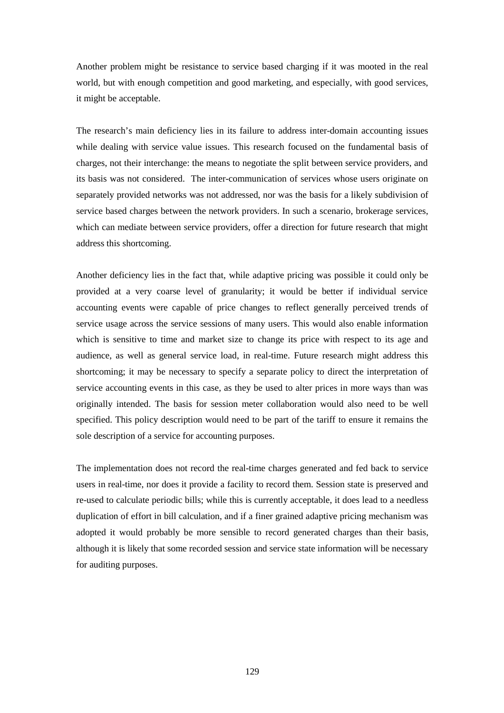Another problem might be resistance to service based charging if it was mooted in the real world, but with enough competition and good marketing, and especially, with good services, it might be acceptable.

The research's main deficiency lies in its failure to address inter-domain accounting issues while dealing with service value issues. This research focused on the fundamental basis of charges, not their interchange: the means to negotiate the split between service providers, and its basis was not considered. The inter-communication of services whose users originate on separately provided networks was not addressed, nor was the basis for a likely subdivision of service based charges between the network providers. In such a scenario, brokerage services, which can mediate between service providers, offer a direction for future research that might address this shortcoming.

Another deficiency lies in the fact that, while adaptive pricing was possible it could only be provided at a very coarse level of granularity; it would be better if individual service accounting events were capable of price changes to reflect generally perceived trends of service usage across the service sessions of many users. This would also enable information which is sensitive to time and market size to change its price with respect to its age and audience, as well as general service load, in real-time. Future research might address this shortcoming; it may be necessary to specify a separate policy to direct the interpretation of service accounting events in this case, as they be used to alter prices in more ways than was originally intended. The basis for session meter collaboration would also need to be well specified. This policy description would need to be part of the tariff to ensure it remains the sole description of a service for accounting purposes.

The implementation does not record the real-time charges generated and fed back to service users in real-time, nor does it provide a facility to record them. Session state is preserved and re-used to calculate periodic bills; while this is currently acceptable, it does lead to a needless duplication of effort in bill calculation, and if a finer grained adaptive pricing mechanism was adopted it would probably be more sensible to record generated charges than their basis, although it is likely that some recorded session and service state information will be necessary for auditing purposes.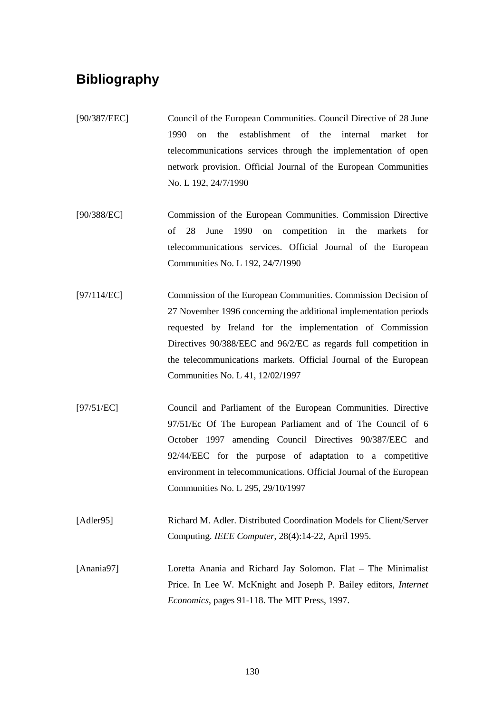# **Bibliography**

- [90/387/EEC] Council of the European Communities. Council Directive of 28 June 1990 on the establishment of the internal market for telecommunications services through the implementation of open network provision. Official Journal of the European Communities No. L 192, 24/7/1990
- [90/388/EC] Commission of the European Communities. Commission Directive of 28 June 1990 on competition in the markets for telecommunications services. Official Journal of the European Communities No. L 192, 24/7/1990
- [97/114/EC] Commission of the European Communities. Commission Decision of 27 November 1996 concerning the additional implementation periods requested by Ireland for the implementation of Commission Directives 90/388/EEC and 96/2/EC as regards full competition in the telecommunications markets. Official Journal of the European Communities No. L 41, 12/02/1997
- [97/51/EC] Council and Parliament of the European Communities. Directive 97/51/Ec Of The European Parliament and of The Council of 6 October 1997 amending Council Directives 90/387/EEC and 92/44/EEC for the purpose of adaptation to a competitive environment in telecommunications. Official Journal of the European Communities No. L 295, 29/10/1997
- [Adler95] Richard M. Adler. Distributed Coordination Models for Client/Server Computing. *IEEE Computer*, 28(4):14-22, April 1995.
- [Anania97] Loretta Anania and Richard Jay Solomon. Flat The Minimalist Price. In Lee W. McKnight and Joseph P. Bailey editors, *Internet Economics*, pages 91-118. The MIT Press, 1997.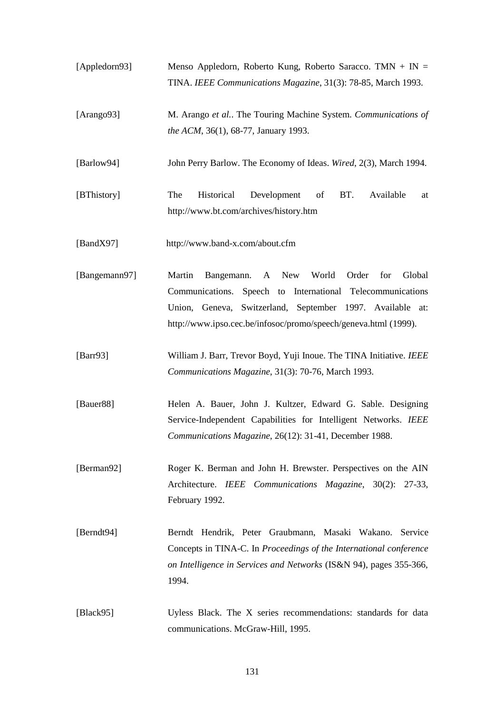- [Appledorn93] Menso Appledorn, Roberto Kung, Roberto Saracco. TMN + IN = TINA. *IEEE Communications Magazine*, 31(3): 78-85, March 1993.
- [Arango93] M. Arango *et al.*. The Touring Machine System. *Communications of the ACM*, 36(1), 68-77, January 1993.
- [Barlow94] John Perry Barlow. The Economy of Ideas. *Wired*, 2(3), March 1994.
- [BThistory] The Historical Development of BT. Available at http://www.bt.com/archives/history.htm
- [BandX97] http://www.band-x.com/about.cfm
- [Bangemann97] Martin Bangemann. A New World Order for Global Communications. Speech to International Telecommunications Union, Geneva, Switzerland, September 1997. Available at: http://www.ipso.cec.be/infosoc/promo/speech/geneva.html (1999).
- [Barr93] William J. Barr, Trevor Boyd, Yuji Inoue. The TINA Initiative. *IEEE Communications Magazine*, 31(3): 70-76, March 1993.
- [Bauer88] Helen A. Bauer, John J. Kultzer, Edward G. Sable. Designing Service-Independent Capabilities for Intelligent Networks. *IEEE Communications Magazine*, 26(12): 31-41, December 1988.
- [Berman92] Roger K. Berman and John H. Brewster. Perspectives on the AIN Architecture. *IEEE Communications Magazine*, 30(2): 27-33, February 1992.
- [Berndt94] Berndt Hendrik, Peter Graubmann, Masaki Wakano. Service Concepts in TINA-C. In *Proceedings of the International conference on Intelligence in Services and Networks* (IS&N 94), pages 355-366, 1994.
- [Black95] Uyless Black. The X series recommendations: standards for data communications. McGraw-Hill, 1995.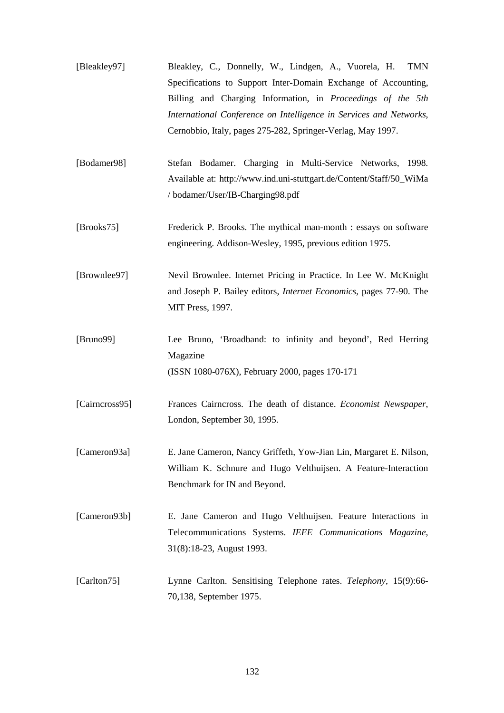| [Bleakley97] | Bleakley, C., Donnelly, W., Lindgen, A., Vuorela, H. TMN           |
|--------------|--------------------------------------------------------------------|
|              | Specifications to Support Inter-Domain Exchange of Accounting,     |
|              | Billing and Charging Information, in <i>Proceedings of the 5th</i> |
|              | International Conference on Intelligence in Services and Networks, |
|              | Cernobbio, Italy, pages 275-282, Springer-Verlag, May 1997.        |

- [Bodamer98] Stefan Bodamer. Charging in Multi-Service Networks, 1998. Available at: http://www.ind.uni-stuttgart.de/Content/Staff/50\_WiMa / bodamer/User/IB-Charging98.pdf
- [Brooks75] Frederick P. Brooks. The mythical man-month : essays on software engineering. Addison-Wesley, 1995, previous edition 1975.

[Brownlee97] Nevil Brownlee. Internet Pricing in Practice. In Lee W. McKnight and Joseph P. Bailey editors, *Internet Economics*, pages 77-90. The MIT Press, 1997.

- [Bruno99] Lee Bruno, 'Broadband: to infinity and beyond', Red Herring Magazine (ISSN 1080-076X), February 2000, pages 170-171
- [Cairncross95] Frances Cairncross. The death of distance. *Economist Newspaper*, London, September 30, 1995.
- [Cameron93a] E. Jane Cameron, Nancy Griffeth, Yow-Jian Lin, Margaret E. Nilson, William K. Schnure and Hugo Velthuijsen. A Feature-Interaction Benchmark for IN and Beyond.
- [Cameron93b] E. Jane Cameron and Hugo Velthuijsen. Feature Interactions in Telecommunications Systems. *IEEE Communications Magazine*, 31(8):18-23, August 1993.
- [Carlton75] Lynne Carlton. Sensitising Telephone rates. *Telephony*, 15(9):66- 70,138, September 1975.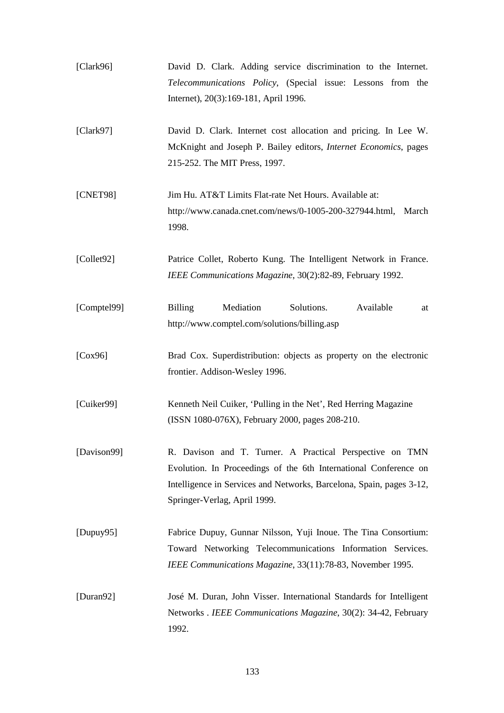| [Clark96]    | David D. Clark. Adding service discrimination to the Internet.<br>Telecommunications Policy, (Special issue: Lessons from the<br>Internet), 20(3):169-181, April 1996.                                                               |
|--------------|--------------------------------------------------------------------------------------------------------------------------------------------------------------------------------------------------------------------------------------|
| [Clark97]    | David D. Clark. Internet cost allocation and pricing. In Lee W.<br>McKnight and Joseph P. Bailey editors, <i>Internet Economics</i> , pages<br>215-252. The MIT Press, 1997.                                                         |
| [CNET98]     | Jim Hu. AT&T Limits Flat-rate Net Hours. Available at:<br>http://www.canada.cnet.com/news/0-1005-200-327944.html, March<br>1998.                                                                                                     |
| [Collect 92] | Patrice Collet, Roberto Kung. The Intelligent Network in France.<br>IEEE Communications Magazine, 30(2):82-89, February 1992.                                                                                                        |
| [Comptel99]  | Mediation<br>Solutions.<br>Available<br><b>Billing</b><br>at<br>http://www.comptel.com/solutions/billing.asp                                                                                                                         |
| [Cox96]      | Brad Cox. Superdistribution: objects as property on the electronic<br>frontier. Addison-Wesley 1996.                                                                                                                                 |
| [Cuiker99]   | Kenneth Neil Cuiker, 'Pulling in the Net', Red Herring Magazine<br>(ISSN 1080-076X), February 2000, pages 208-210.                                                                                                                   |
| [Davison99]  | R. Davison and T. Turner. A Practical Perspective on TMN<br>Evolution. In Proceedings of the 6th International Conference on<br>Intelligence in Services and Networks, Barcelona, Spain, pages 3-12,<br>Springer-Verlag, April 1999. |
| [Dupuy95]    | Fabrice Dupuy, Gunnar Nilsson, Yuji Inoue. The Tina Consortium:<br>Toward Networking Telecommunications Information Services.<br>IEEE Communications Magazine, 33(11):78-83, November 1995.                                          |
| [Duran92]    | José M. Duran, John Visser. International Standards for Intelligent<br>Networks . IEEE Communications Magazine, 30(2): 34-42, February<br>1992.                                                                                      |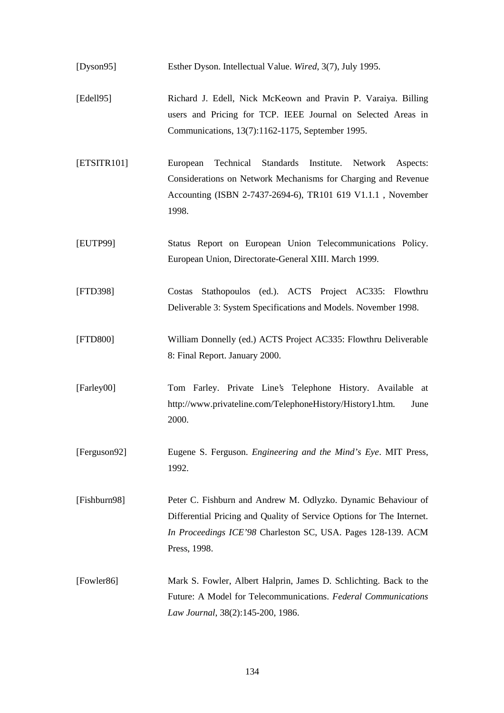[Dyson95] Esther Dyson. Intellectual Value. *Wired*, 3(7), July 1995.

- [Edell95] Richard J. Edell, Nick McKeown and Pravin P. Varaiya. Billing users and Pricing for TCP. IEEE Journal on Selected Areas in Communications, 13(7):1162-1175, September 1995.
- [ETSITR101] European Technical Standards Institute. Network Aspects: Considerations on Network Mechanisms for Charging and Revenue Accounting (ISBN 2-7437-2694-6), TR101 619 V1.1.1 , November 1998.
- [EUTP99] Status Report on European Union Telecommunications Policy. European Union, Directorate-General XIII. March 1999.
- [FTD398] Costas Stathopoulos (ed.). ACTS Project AC335: Flowthru Deliverable 3: System Specifications and Models. November 1998.
- [FTD800] William Donnelly (ed.) ACTS Project AC335: Flowthru Deliverable 8: Final Report. January 2000.
- [Farley00] Tom Farley. Private Line's Telephone History. Available at http://www.privateline.com/TelephoneHistory/History1.htm. June 2000.
- [Ferguson92] Eugene S. Ferguson. *Engineering and the Mind's Eye*. MIT Press, 1992.

[Fishburn98] Peter C. Fishburn and Andrew M. Odlyzko. Dynamic Behaviour of Differential Pricing and Quality of Service Options for The Internet. *In Proceedings ICE'98* Charleston SC, USA. Pages 128-139. ACM Press, 1998.

[Fowler86] Mark S. Fowler, Albert Halprin, James D. Schlichting. Back to the Future: A Model for Telecommunications. *Federal Communications Law Journal*, 38(2):145-200, 1986.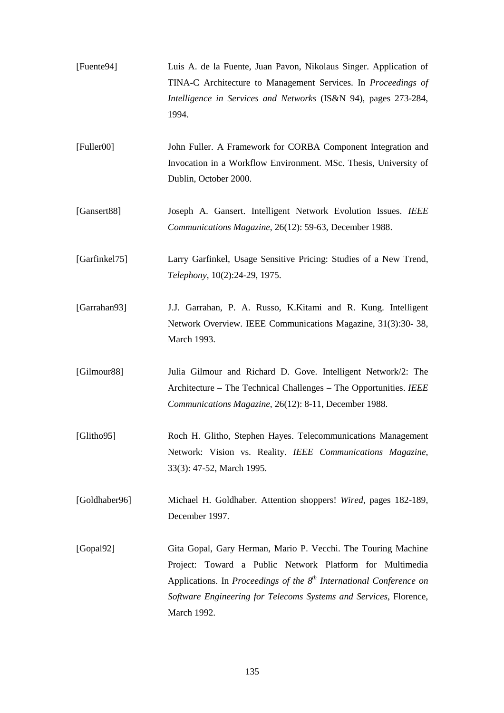| [Fuente94]    | Luis A. de la Fuente, Juan Pavon, Nikolaus Singer. Application of<br>TINA-C Architecture to Management Services. In Proceedings of<br>Intelligence in Services and Networks (IS&N 94), pages 273-284,<br>1994.                                                                            |
|---------------|-------------------------------------------------------------------------------------------------------------------------------------------------------------------------------------------------------------------------------------------------------------------------------------------|
| [Fuller00]    | John Fuller. A Framework for CORBA Component Integration and<br>Invocation in a Workflow Environment. MSc. Thesis, University of<br>Dublin, October 2000.                                                                                                                                 |
| [Gansert88]   | Joseph A. Gansert. Intelligent Network Evolution Issues. IEEE<br>Communications Magazine, 26(12): 59-63, December 1988.                                                                                                                                                                   |
| [Garfinkel75] | Larry Garfinkel, Usage Sensitive Pricing: Studies of a New Trend,<br>Telephony, 10(2):24-29, 1975.                                                                                                                                                                                        |
| [Garrahan93]  | J.J. Garrahan, P. A. Russo, K.Kitami and R. Kung. Intelligent<br>Network Overview. IEEE Communications Magazine, 31(3):30-38,<br>March 1993.                                                                                                                                              |
| [Gilmour88]   | Julia Gilmour and Richard D. Gove. Intelligent Network/2: The<br>Architecture – The Technical Challenges – The Opportunities. IEEE<br>Communications Magazine, 26(12): 8-11, December 1988.                                                                                               |
| [Glitho95]    | Roch H. Glitho, Stephen Hayes. Telecommunications Management<br>Network: Vision vs. Reality. IEEE Communications Magazine,<br>33(3): 47-52, March 1995.                                                                                                                                   |
| [Goldhaber96] | Michael H. Goldhaber. Attention shoppers! Wired, pages 182-189,<br>December 1997.                                                                                                                                                                                                         |
| [Gopal92]     | Gita Gopal, Gary Herman, Mario P. Vecchi. The Touring Machine<br>Project: Toward a Public Network Platform for Multimedia<br>Applications. In Proceedings of the $8^{th}$ International Conference on<br>Software Engineering for Telecoms Systems and Services, Florence,<br>March 1992. |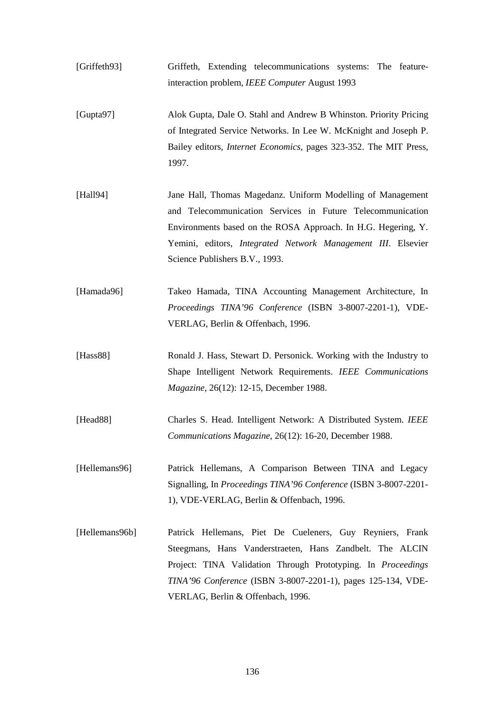- [Griffeth93] Griffeth, Extending telecommunications systems: The featureinteraction problem, *IEEE Computer* August 1993
- [Gupta97] Alok Gupta, Dale O. Stahl and Andrew B Whinston. Priority Pricing of Integrated Service Networks. In Lee W. McKnight and Joseph P. Bailey editors, *Internet Economics*, pages 323-352. The MIT Press, 1997.
- [Hall94] Jane Hall, Thomas Magedanz. Uniform Modelling of Management and Telecommunication Services in Future Telecommunication Environments based on the ROSA Approach. In H.G. Hegering, Y. Yemini, editors, *Integrated Network Management III*. Elsevier Science Publishers B.V., 1993.
- [Hamada96] Takeo Hamada, TINA Accounting Management Architecture, In *Proceedings TINA'96 Conference* (ISBN 3-8007-2201-1), VDE-VERLAG, Berlin & Offenbach, 1996.
- [Hass88] Ronald J. Hass, Stewart D. Personick. Working with the Industry to Shape Intelligent Network Requirements. *IEEE Communications Magazine*, 26(12): 12-15, December 1988.
- [Head88] Charles S. Head. Intelligent Network: A Distributed System. *IEEE Communications Magazine*, 26(12): 16-20, December 1988.
- [Hellemans96] Patrick Hellemans, A Comparison Between TINA and Legacy Signalling, In *Proceedings TINA'96 Conference* (ISBN 3-8007-2201- 1), VDE-VERLAG, Berlin & Offenbach, 1996.
- [Hellemans96b] Patrick Hellemans, Piet De Cueleners, Guy Reyniers, Frank Steegmans, Hans Vanderstraeten, Hans Zandbelt. The ALCIN Project: TINA Validation Through Prototyping. In *Proceedings TINA'96 Conference* (ISBN 3-8007-2201-1), pages 125-134, VDE-VERLAG, Berlin & Offenbach, 1996.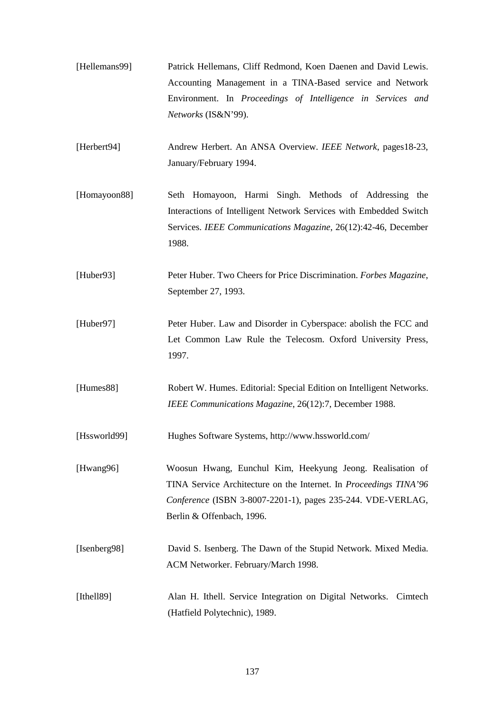| [Hellemans99] | Patrick Hellemans, Cliff Redmond, Koen Daenen and David Lewis.     |
|---------------|--------------------------------------------------------------------|
|               | Accounting Management in a TINA-Based service and Network          |
|               | Environment. In <i>Proceedings of Intelligence in Services and</i> |
|               | <i>Networks</i> (IS&N'99).                                         |
|               |                                                                    |
| [Herbert94]   | Andrew Herbert. An ANSA Overview. IEEE Network, pages18-23,        |

- January/February 1994.
- [Homayoon88] Seth Homayoon, Harmi Singh. Methods of Addressing the Interactions of Intelligent Network Services with Embedded Switch Services. *IEEE Communications Magazine*, 26(12):42-46, December 1988.
- [Huber93] Peter Huber. Two Cheers for Price Discrimination. *Forbes Magazine*, September 27, 1993.
- [Huber97] Peter Huber. Law and Disorder in Cyberspace: abolish the FCC and Let Common Law Rule the Telecosm. Oxford University Press, 1997.
- [Humes88] Robert W. Humes. Editorial: Special Edition on Intelligent Networks. *IEEE Communications Magazine*, 26(12):7, December 1988.
- [Hssworld99] Hughes Software Systems, http://www.hssworld.com/
- [Hwang96] Woosun Hwang, Eunchul Kim, Heekyung Jeong. Realisation of TINA Service Architecture on the Internet. In *Proceedings TINA'96 Conference* (ISBN 3-8007-2201-1), pages 235-244. VDE-VERLAG, Berlin & Offenbach, 1996.
- [Isenberg98] David S. Isenberg. The Dawn of the Stupid Network. Mixed Media. ACM Networker. February/March 1998.
- [Ithell89] Alan H. Ithell. Service Integration on Digital Networks. Cimtech (Hatfield Polytechnic), 1989.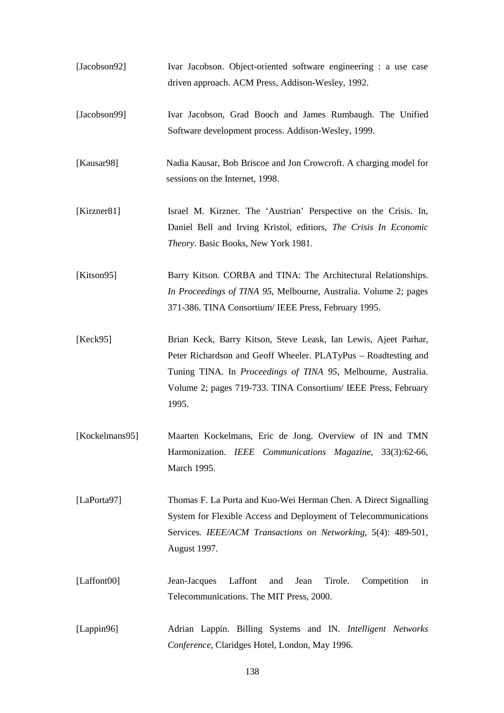| [Jacobson92]   | Ivar Jacobson. Object-oriented software engineering : a use case<br>driven approach. ACM Press, Addison-Wesley, 1992.                                                                                                                                                                 |
|----------------|---------------------------------------------------------------------------------------------------------------------------------------------------------------------------------------------------------------------------------------------------------------------------------------|
| [Jacobson99]   | Ivar Jacobson, Grad Booch and James Rumbaugh. The Unified<br>Software development process. Addison-Wesley, 1999.                                                                                                                                                                      |
| [Kausar98]     | Nadia Kausar, Bob Briscoe and Jon Crowcroft. A charging model for<br>sessions on the Internet, 1998.                                                                                                                                                                                  |
| [Kirzner81]    | Israel M. Kirzner. The 'Austrian' Perspective on the Crisis. In,<br>Daniel Bell and Irving Kristol, editiors, The Crisis In Economic<br><i>Theory</i> . Basic Books, New York 1981.                                                                                                   |
| [Kitson95]     | Barry Kitson. CORBA and TINA: The Architectural Relationships.<br>In Proceedings of TINA 95, Melbourne, Australia. Volume 2; pages<br>371-386. TINA Consortium/ IEEE Press, February 1995.                                                                                            |
| [Keck95]       | Brian Keck, Barry Kitson, Steve Leask, Ian Lewis, Ajeet Parhar,<br>Peter Richardson and Geoff Wheeler. PLATyPus – Roadtesting and<br>Tuning TINA. In <i>Proceedings of TINA 95</i> , Melbourne, Australia.<br>Volume 2; pages 719-733. TINA Consortium/ IEEE Press, February<br>1995. |
| [Kockelmans95] | Maarten Kockelmans, Eric de Jong. Overview of IN and TMN<br>Harmonization. IEEE Communications Magazine, 33(3):62-66,<br>March 1995.                                                                                                                                                  |
| [LaPorta97]    | Thomas F. La Porta and Kuo-Wei Herman Chen. A Direct Signalling<br>System for Flexible Access and Deployment of Telecommunications<br>Services. IEEE/ACM Transactions on Networking, 5(4): 489-501,<br>August 1997.                                                                   |
| [Laffont00]    | Jean-Jacques<br>Laffont<br>Jean<br>Tirole.<br>Competition<br>and<br>in<br>Telecommunications. The MIT Press, 2000.                                                                                                                                                                    |
| [Lappin96]     | Adrian Lappin. Billing Systems and IN. Intelligent Networks<br>Conference, Claridges Hotel, London, May 1996.                                                                                                                                                                         |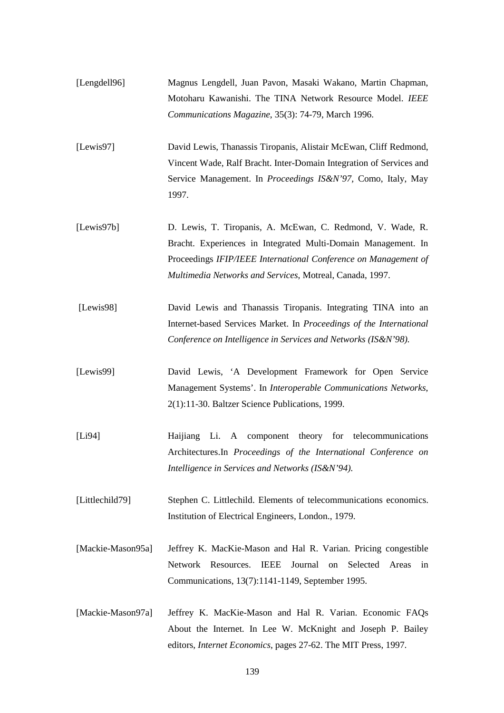| [Lengdell96]      | Magnus Lengdell, Juan Pavon, Masaki Wakano, Martin Chapman,<br>Motoharu Kawanishi. The TINA Network Resource Model. IEEE<br>Communications Magazine, 35(3): 74-79, March 1996.                                                                             |
|-------------------|------------------------------------------------------------------------------------------------------------------------------------------------------------------------------------------------------------------------------------------------------------|
| [Lewis97]         | David Lewis, Thanassis Tiropanis, Alistair McEwan, Cliff Redmond,<br>Vincent Wade, Ralf Bracht. Inter-Domain Integration of Services and<br>Service Management. In Proceedings IS&N'97, Como, Italy, May<br>1997.                                          |
| [Lewis97b]        | D. Lewis, T. Tiropanis, A. McEwan, C. Redmond, V. Wade, R.<br>Bracht. Experiences in Integrated Multi-Domain Management. In<br>Proceedings IFIP/IEEE International Conference on Management of<br>Multimedia Networks and Services, Motreal, Canada, 1997. |
| [Lewis98]         | David Lewis and Thanassis Tiropanis. Integrating TINA into an<br>Internet-based Services Market. In Proceedings of the International<br>Conference on Intelligence in Services and Networks (IS&N'98).                                                     |
| [Lewis99]         | David Lewis, 'A Development Framework for Open Service<br>Management Systems'. In Interoperable Communications Networks,<br>2(1):11-30. Baltzer Science Publications, 1999.                                                                                |
| [L194]            | Li. A component theory for telecommunications<br>Haijiang<br>Architectures.In Proceedings of the International Conference on<br>Intelligence in Services and Networks (IS&N'94).                                                                           |
| [Littlechild79]   | Stephen C. Littlechild. Elements of telecommunications economics.<br>Institution of Electrical Engineers, London., 1979.                                                                                                                                   |
| [Mackie-Mason95a] | Jeffrey K. MacKie-Mason and Hal R. Varian. Pricing congestible<br>Resources.<br><b>IEEE</b><br>Journal<br>Network<br>Selected<br>Areas<br>in<br>on<br>Communications, 13(7):1141-1149, September 1995.                                                     |
| [Mackie-Mason97a] | Jeffrey K. MacKie-Mason and Hal R. Varian. Economic FAQs<br>About the Internet. In Lee W. McKnight and Joseph P. Bailey<br>editors, Internet Economics, pages 27-62. The MIT Press, 1997.                                                                  |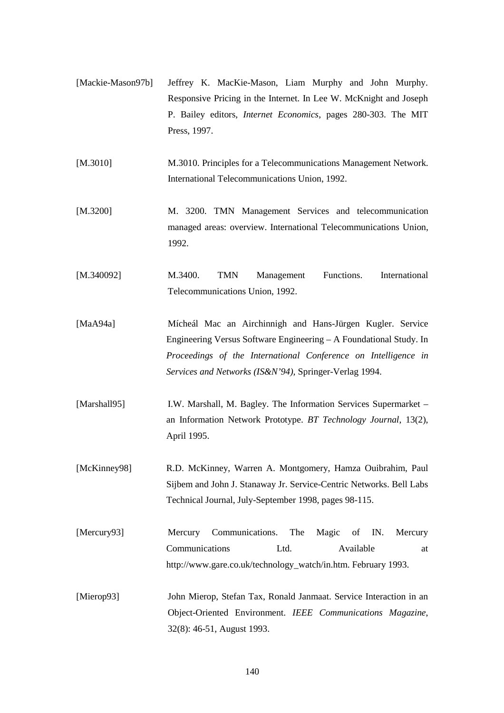- [Mackie-Mason97b] Jeffrey K. MacKie-Mason, Liam Murphy and John Murphy. Responsive Pricing in the Internet. In Lee W. McKnight and Joseph P. Bailey editors, *Internet Economics*, pages 280-303. The MIT Press, 1997.
- [M.3010] M.3010. Principles for a Telecommunications Management Network. International Telecommunications Union, 1992.
- [M.3200] M. 3200. TMN Management Services and telecommunication managed areas: overview. International Telecommunications Union, 1992.
- [M.340092] M.3400. TMN Management Functions. International Telecommunications Union, 1992.
- [MaA94a] Mícheál Mac an Airchinnigh and Hans-Jürgen Kugler. Service Engineering Versus Software Engineering – A Foundational Study. In *Proceedings of the International Conference on Intelligence in Services and Networks (IS&N'94),* Springer-Verlag 1994.
- [Marshall95] I.W. Marshall, M. Bagley. The Information Services Supermarket an Information Network Prototype. *BT Technology Journal*, 13(2), April 1995.
- [McKinney98] R.D. McKinney, Warren A. Montgomery, Hamza Ouibrahim, Paul Sijbem and John J. Stanaway Jr. Service-Centric Networks. Bell Labs Technical Journal, July-September 1998, pages 98-115.
- [Mercury93] Mercury Communications. The Magic of IN. Mercury Communications Ltd. Available at http://www.gare.co.uk/technology\_watch/in.htm. February 1993.
- [Mierop93] John Mierop, Stefan Tax, Ronald Janmaat. Service Interaction in an Object-Oriented Environment. *IEEE Communications Magazine*, 32(8): 46-51, August 1993.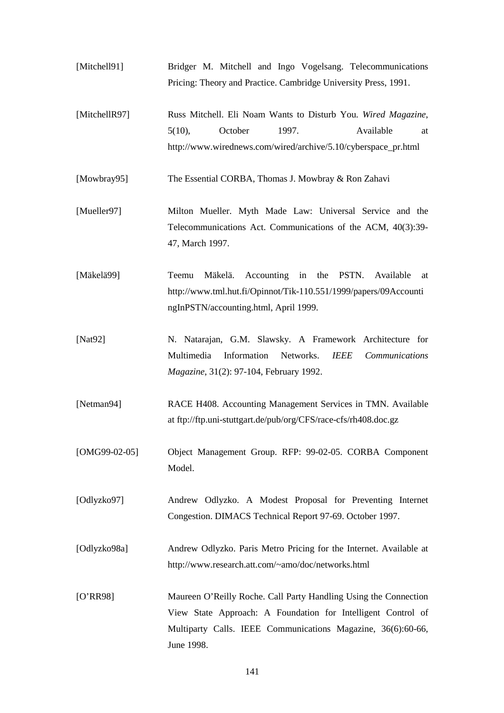- [Mitchell91] Bridger M. Mitchell and Ingo Vogelsang. Telecommunications Pricing: Theory and Practice. Cambridge University Press, 1991.
- [MitchellR97] Russ Mitchell. Eli Noam Wants to Disturb You. *Wired Magazine*, 5(10), October 1997. Available at http://www.wirednews.com/wired/archive/5.10/cyberspace\_pr.html
- [Mowbray95] The Essential CORBA, Thomas J. Mowbray & Ron Zahavi
- [Mueller97] Milton Mueller. Myth Made Law: Universal Service and the Telecommunications Act. Communications of the ACM, 40(3):39- 47, March 1997.
- [Mäkelä99] Teemu Mäkelä. Accounting in the PSTN. Available at http://www.tml.hut.fi/Opinnot/Tik-110.551/1999/papers/09Accounti ngInPSTN/accounting.html, April 1999.
- [Nat92] N. Natarajan, G.M. Slawsky. A Framework Architecture for Multimedia Information Networks. *IEEE Communications Magazine*, 31(2): 97-104, February 1992.
- [Netman94] RACE H408. Accounting Management Services in TMN. Available at ftp://ftp.uni-stuttgart.de/pub/org/CFS/race-cfs/rh408.doc.gz
- [OMG99-02-05] Object Management Group. RFP: 99-02-05. CORBA Component Model.
- [Odlyzko97] Andrew Odlyzko. A Modest Proposal for Preventing Internet Congestion. DIMACS Technical Report 97-69. October 1997.
- [Odlyzko98a] Andrew Odlyzko. Paris Metro Pricing for the Internet. Available at http://www.research.att.com/~amo/doc/networks.html
- [O'RR98] Maureen O'Reilly Roche. Call Party Handling Using the Connection View State Approach: A Foundation for Intelligent Control of Multiparty Calls. IEEE Communications Magazine, 36(6):60-66, June 1998.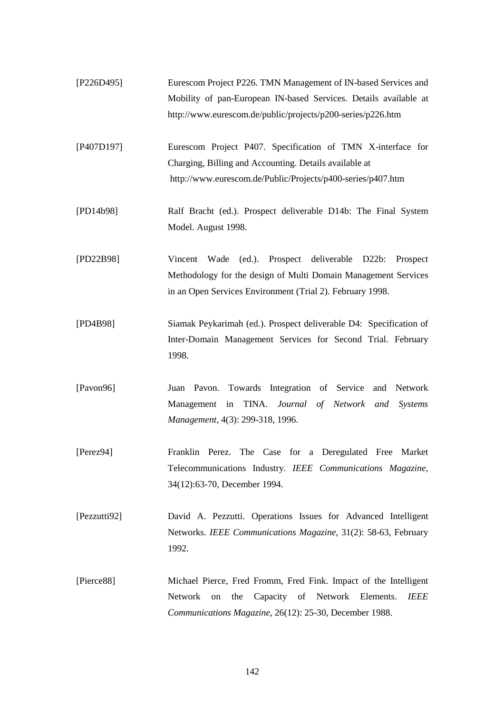- [P226D495] Eurescom Project P226. TMN Management of IN-based Services and Mobility of pan-European IN-based Services. Details available at http://www.eurescom.de/public/projects/p200-series/p226.htm
- [P407D197] Eurescom Project P407. Specification of TMN X-interface for Charging, Billing and Accounting. Details available at http://www.eurescom.de/Public/Projects/p400-series/p407.htm
- [PD14b98] Ralf Bracht (ed.). Prospect deliverable D14b: The Final System Model. August 1998.
- [PD22B98] Vincent Wade (ed.). Prospect deliverable D22b: Prospect Methodology for the design of Multi Domain Management Services in an Open Services Environment (Trial 2). February 1998.
- [PD4B98] Siamak Peykarimah (ed.). Prospect deliverable D4: Specification of Inter-Domain Management Services for Second Trial. February 1998.
- [Pavon96] Juan Pavon. Towards Integration of Service and Network Management in TINA. *Journal of Network and Systems Management*, 4(3): 299-318, 1996.
- [Perez94] Franklin Perez. The Case for a Deregulated Free Market Telecommunications Industry. *IEEE Communications Magazine*, 34(12):63-70, December 1994.
- [Pezzutti92] David A. Pezzutti. Operations Issues for Advanced Intelligent Networks. *IEEE Communications Magazine*, 31(2): 58-63, February 1992.
- [Pierce88] Michael Pierce, Fred Fromm, Fred Fink. Impact of the Intelligent Network on the Capacity of Network Elements. *IEEE Communications Magazine*, 26(12): 25-30, December 1988.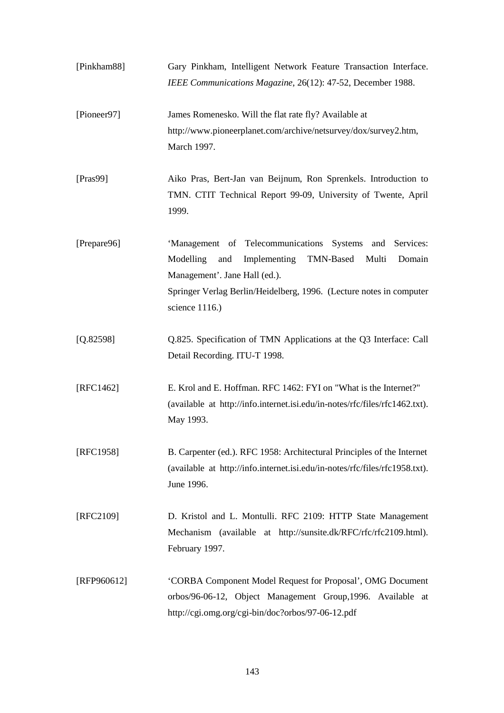| [Pinkham88]  | Gary Pinkham, Intelligent Network Feature Transaction Interface.<br>IEEE Communications Magazine, 26(12): 47-52, December 1988.                                                                                                                       |
|--------------|-------------------------------------------------------------------------------------------------------------------------------------------------------------------------------------------------------------------------------------------------------|
| [Pioneer97]  | James Romenesko. Will the flat rate fly? Available at<br>http://www.pioneerplanet.com/archive/netsurvey/dox/survey2.htm,<br>March 1997.                                                                                                               |
| [ $Pras99$ ] | Aiko Pras, Bert-Jan van Beijnum, Ron Sprenkels. Introduction to<br>TMN. CTIT Technical Report 99-09, University of Twente, April<br>1999.                                                                                                             |
| [Prepare96]  | 'Management of Telecommunications Systems and Services:<br>Implementing<br>TMN-Based<br>Multi<br>Modelling<br>and<br>Domain<br>Management'. Jane Hall (ed.).<br>Springer Verlag Berlin/Heidelberg, 1996. (Lecture notes in computer<br>science 1116.) |
| [Q.82598]    | Q.825. Specification of TMN Applications at the Q3 Interface: Call<br>Detail Recording. ITU-T 1998.                                                                                                                                                   |
| [RFC1462]    | E. Krol and E. Hoffman. RFC 1462: FYI on "What is the Internet?"<br>(available at http://info.internet.isi.edu/in-notes/rfc/files/rfc1462.txt).<br>May 1993.                                                                                          |
| [RFC1958]    | B. Carpenter (ed.). RFC 1958: Architectural Principles of the Internet<br>(available at http://info.internet.isi.edu/in-notes/rfc/files/rfc1958.txt).<br>June 1996.                                                                                   |
| [RFC2109]    | D. Kristol and L. Montulli. RFC 2109: HTTP State Management<br>Mechanism (available at http://sunsite.dk/RFC/rfc/rfc2109.html).<br>February 1997.                                                                                                     |
| [RFP960612]  | 'CORBA Component Model Request for Proposal', OMG Document<br>orbos/96-06-12, Object Management Group, 1996. Available at<br>http://cgi.omg.org/cgi-bin/doc?orbos/97-06-12.pdf                                                                        |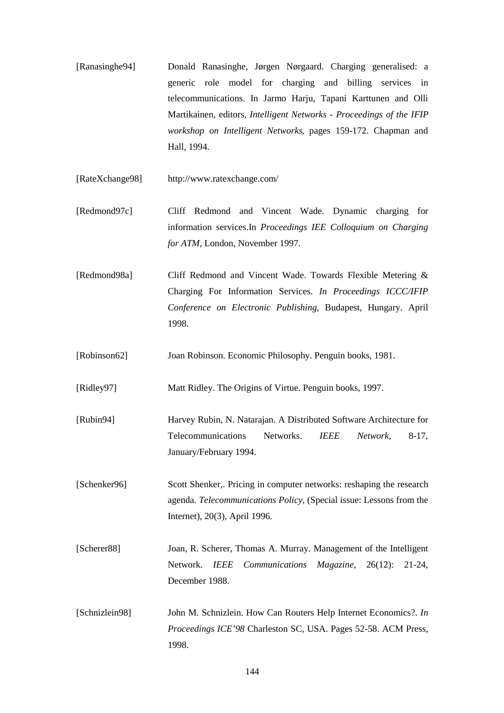- [Ranasinghe94] Donald Ranasinghe, Jørgen Nørgaard. Charging generalised: a generic role model for charging and billing services in telecommunications. In Jarmo Harju, Tapani Karttunen and Olli Martikainen, editors, *Intelligent Networks - Proceedings of the IFIP workshop on Intelligent Networks*, pages 159-172. Chapman and Hall, 1994.
- [RateXchange98] http://www.ratexchange.com/
- [Redmond97c] Cliff Redmond and Vincent Wade. Dynamic charging for information services.In *Proceedings IEE Colloquium on Charging for ATM*, London, November 1997.
- [Redmond98a] Cliff Redmond and Vincent Wade. Towards Flexible Metering & Charging For Information Services. *In Proceedings ICCC/IFIP Conference on Electronic Publishing*, Budapest, Hungary. April 1998.
- [Robinson62] Joan Robinson. Economic Philosophy. Penguin books, 1981.
- [Ridley97] Matt Ridley. The Origins of Virtue. Penguin books, 1997.
- [Rubin94] Harvey Rubin, N. Natarajan. A Distributed Software Architecture for Telecommunications Networks. *IEEE Network*, 8-17, January/February 1994.
- [Schenker96] Scott Shenker,. Pricing in computer networks: reshaping the research agenda. *Telecommunications Policy*, (Special issue: Lessons from the Internet), 20(3), April 1996.
- [Scherer88] Joan, R. Scherer, Thomas A. Murray. Management of the Intelligent Network. *IEEE Communications Magazine*, 26(12): 21-24, December 1988.
- [Schnizlein98] John M. Schnizlein. How Can Routers Help Internet Economics?. *In Proceedings ICE'98* Charleston SC, USA. Pages 52-58. ACM Press, 1998.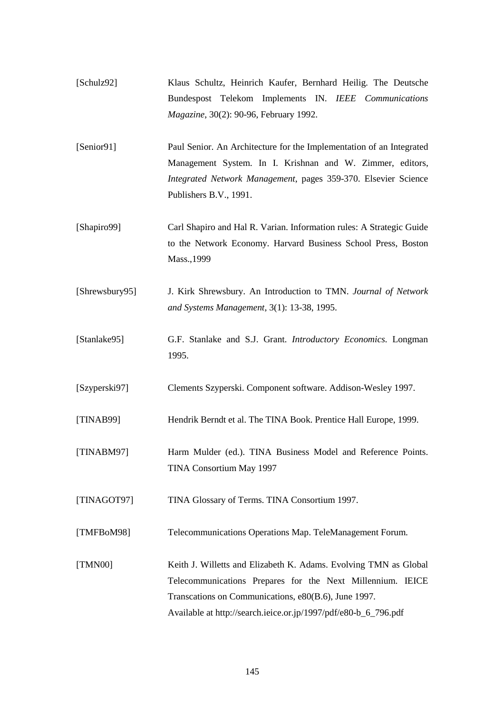- [Schulz92] Klaus Schultz, Heinrich Kaufer, Bernhard Heilig. The Deutsche Bundespost Telekom Implements IN. *IEEE Communications Magazine*, 30(2): 90-96, February 1992.
- [Senior91] Paul Senior. An Architecture for the Implementation of an Integrated Management System. In I. Krishnan and W. Zimmer, editors, *Integrated Network Management*, pages 359-370. Elsevier Science Publishers B.V., 1991.
- [Shapiro99] Carl Shapiro and Hal R. Varian. Information rules: A Strategic Guide to the Network Economy. Harvard Business School Press, Boston Mass.,1999
- [Shrewsbury95] J. Kirk Shrewsbury. An Introduction to TMN. *Journal of Network and Systems Management*, 3(1): 13-38, 1995.
- [Stanlake95] G.F. Stanlake and S.J. Grant. *Introductory Economics.* Longman 1995.
- [Szyperski97] Clements Szyperski. Component software. Addison-Wesley 1997.
- [TINAB99] Hendrik Berndt et al. The TINA Book. Prentice Hall Europe, 1999.
- [TINABM97] Harm Mulder (ed.). TINA Business Model and Reference Points. TINA Consortium May 1997
- [TINAGOT97] TINA Glossary of Terms. TINA Consortium 1997.
- [TMFBoM98] Telecommunications Operations Map. TeleManagement Forum.
- [TMN00] Keith J. Willetts and Elizabeth K. Adams. Evolving TMN as Global Telecommunications Prepares for the Next Millennium. IEICE Transcations on Communications, e80(B.6), June 1997. Available at http://search.ieice.or.jp/1997/pdf/e80-b\_6\_796.pdf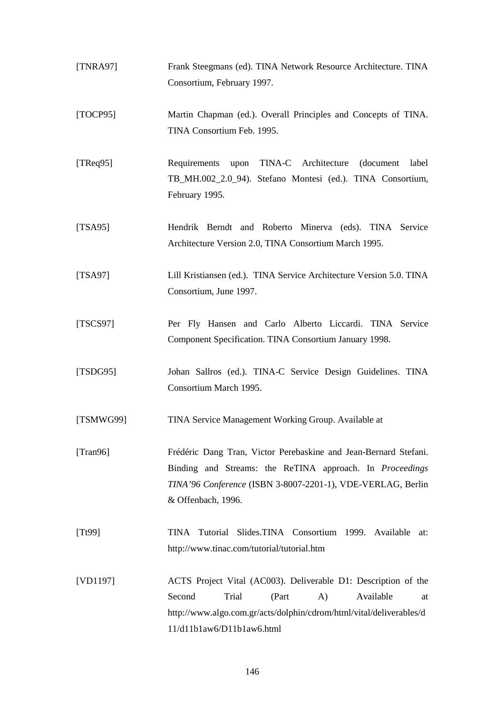| [TNRA97]         | Frank Steegmans (ed). TINA Network Resource Architecture. TINA                                                                 |
|------------------|--------------------------------------------------------------------------------------------------------------------------------|
|                  | Consortium, February 1997.                                                                                                     |
| [TOCP95]         | Martin Chapman (ed.). Overall Principles and Concepts of TINA.                                                                 |
|                  | TINA Consortium Feb. 1995.                                                                                                     |
| [ $T$ Req $95$ ] | Requirements<br>upon TINA-C Architecture<br>(document)<br>label                                                                |
|                  | TB_MH.002_2.0_94). Stefano Montesi (ed.). TINA Consortium,<br>February 1995.                                                   |
| [TSA95]          | Hendrik Berndt and Roberto Minerva (eds). TINA Service                                                                         |
|                  | Architecture Version 2.0, TINA Consortium March 1995.                                                                          |
| [TSA97]          | Lill Kristiansen (ed.). TINA Service Architecture Version 5.0. TINA                                                            |
|                  | Consortium, June 1997.                                                                                                         |
| [TSCS97]         | Per Fly Hansen and Carlo Alberto Liccardi. TINA Service                                                                        |
|                  | Component Specification. TINA Consortium January 1998.                                                                         |
| [TSDG95]         | Johan Sallros (ed.). TINA-C Service Design Guidelines. TINA                                                                    |
|                  | Consortium March 1995.                                                                                                         |
| [TSMWG99]        | TINA Service Management Working Group. Available at                                                                            |
| [Trans96]        | Frédéric Dang Tran, Victor Perebaskine and Jean-Bernard Stefani.                                                               |
|                  | Binding and Streams: the ReTINA approach. In <i>Proceedings</i><br>TINA'96 Conference (ISBN 3-8007-2201-1), VDE-VERLAG, Berlin |
|                  | & Offenbach, 1996.                                                                                                             |
| [Tt99]           | TINA Tutorial Slides.TINA Consortium 1999. Available at:                                                                       |
|                  | http://www.tinac.com/tutorial/tutorial.htm                                                                                     |
| [VD1197]         | ACTS Project Vital (AC003). Deliverable D1: Description of the                                                                 |
|                  | Second<br>Trial<br>(Part<br>$\bf{A}$ )<br>Available<br>at                                                                      |
|                  | http://www.algo.com.gr/acts/dolphin/cdrom/html/vital/deliverables/d<br>11/d11b1aw6/D11b1aw6.html                               |

146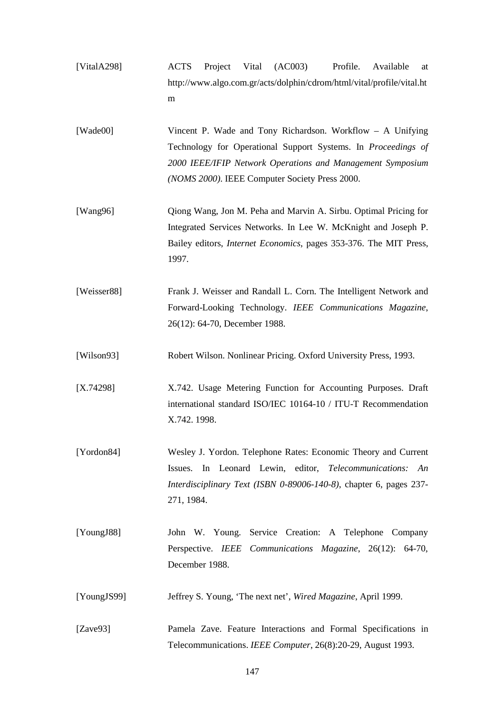- [VitalA298] ACTS Project Vital (AC003) Profile. Available at http://www.algo.com.gr/acts/dolphin/cdrom/html/vital/profile/vital.ht m [Wade00] Vincent P. Wade and Tony Richardson. Workflow – A Unifying Technology for Operational Support Systems. In *Proceedings of 2000 IEEE/IFIP Network Operations and Management Symposium (NOMS 2000)*. IEEE Computer Society Press 2000. [Wang96] Qiong Wang, Jon M. Peha and Marvin A. Sirbu. Optimal Pricing for Integrated Services Networks. In Lee W. McKnight and Joseph P. Bailey editors, *Internet Economics*, pages 353-376. The MIT Press, 1997. [Weisser88] Frank J. Weisser and Randall L. Corn. The Intelligent Network and Forward-Looking Technology. *IEEE Communications Magazine*, 26(12): 64-70, December 1988. [Wilson93] Robert Wilson. Nonlinear Pricing. Oxford University Press, 1993. [X.74298] X.742. Usage Metering Function for Accounting Purposes. Draft international standard ISO/IEC 10164-10 / ITU-T Recommendation
- [Yordon84] Wesley J. Yordon. Telephone Rates: Economic Theory and Current Issues. In Leonard Lewin, editor, *Telecommunications: An Interdisciplinary Text (ISBN 0-89006-140-8)*, chapter 6, pages 237- 271, 1984.

X.742. 1998.

- [YoungJ88] John W. Young. Service Creation: A Telephone Company Perspective. *IEEE Communications Magazine*, 26(12): 64-70, December 1988.
- [YoungJS99] Jeffrey S. Young, 'The next net', *Wired Magazine*, April 1999.
- [Zave93] Pamela Zave. Feature Interactions and Formal Specifications in Telecommunications. *IEEE Computer*, 26(8):20-29, August 1993.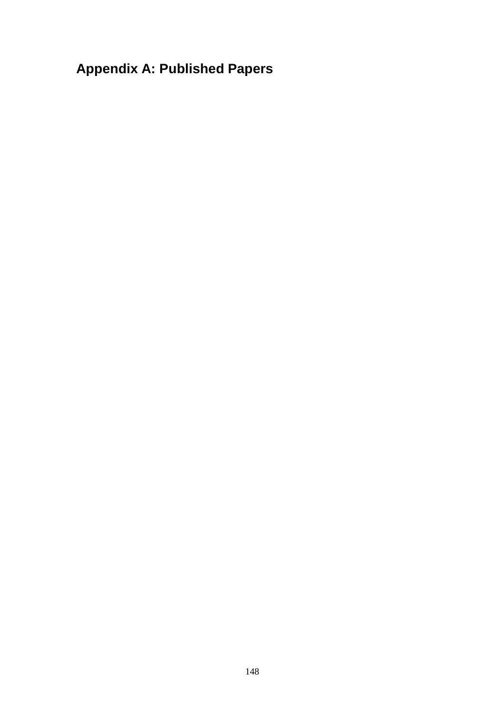## **Appendix A: Published Papers**